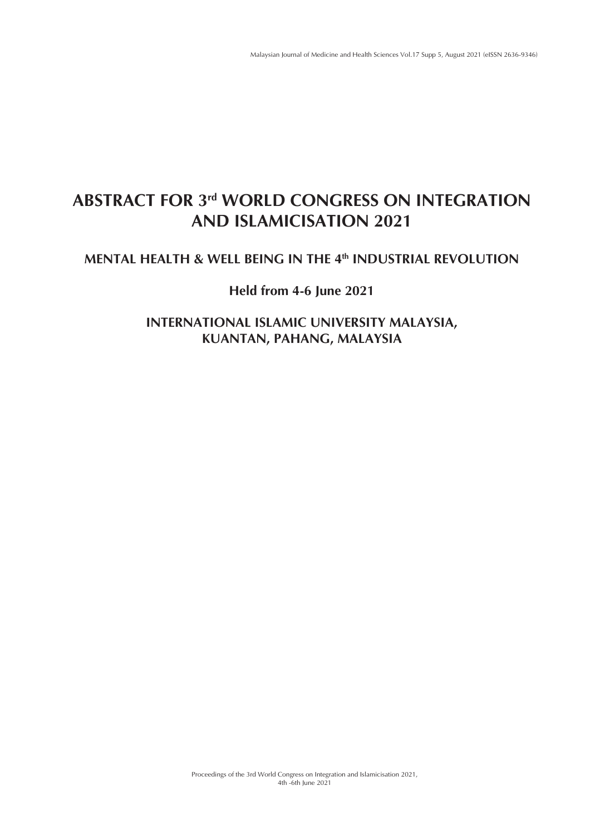# **ABSTRACT FOR 3rd WORLD CONGRESS ON INTEGRATION AND ISLAMICISATION 2021**

## **MENTAL HEALTH & WELL BEING IN THE 4th INDUSTRIAL REVOLUTION**

## **Held from 4-6 June 2021**

**INTERNATIONAL ISLAMIC UNIVERSITY MALAYSIA, KUANTAN, PAHANG, MALAYSIA**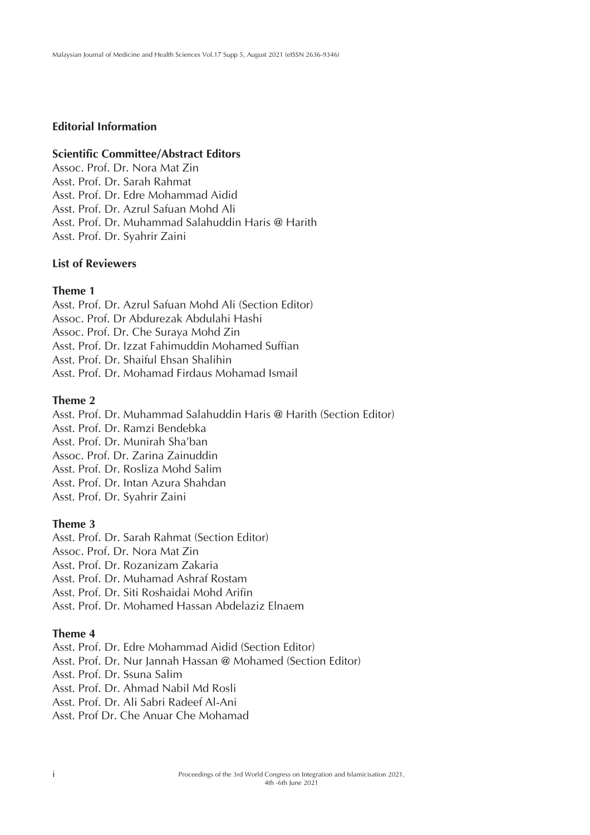### **Editorial Information**

### **Scientific Committee/Abstract Editors**

Assoc. Prof. Dr. Nora Mat Zin Asst. Prof. Dr. Sarah Rahmat Asst. Prof. Dr. Edre Mohammad Aidid Asst. Prof. Dr. Azrul Safuan Mohd Ali Asst. Prof. Dr. Muhammad Salahuddin Haris @ Harith Asst. Prof. Dr. Syahrir Zaini

### **List of Reviewers**

### **Theme 1**

Asst. Prof. Dr. Azrul Safuan Mohd Ali (Section Editor) Assoc. Prof. Dr Abdurezak Abdulahi Hashi Assoc. Prof. Dr. Che Suraya Mohd Zin Asst. Prof. Dr. Izzat Fahimuddin Mohamed Suffian Asst. Prof. Dr. Shaiful Ehsan Shalihin Asst. Prof. Dr. Mohamad Firdaus Mohamad Ismail

### **Theme 2**

Asst. Prof. Dr. Muhammad Salahuddin Haris @ Harith (Section Editor) Asst. Prof. Dr. Ramzi Bendebka Asst. Prof. Dr. Munirah Sha'ban Assoc. Prof. Dr. Zarina Zainuddin Asst. Prof. Dr. Rosliza Mohd Salim Asst. Prof. Dr. Intan Azura Shahdan Asst. Prof. Dr. Syahrir Zaini

### **Theme 3**

Asst. Prof. Dr. Sarah Rahmat (Section Editor) Assoc. Prof. Dr. Nora Mat Zin Asst. Prof. Dr. Rozanizam Zakaria Asst. Prof. Dr. Muhamad Ashraf Rostam Asst. Prof. Dr. Siti Roshaidai Mohd Arifin Asst. Prof. Dr. Mohamed Hassan Abdelaziz Elnaem

### **Theme 4**

Asst. Prof. Dr. Edre Mohammad Aidid (Section Editor) Asst. Prof. Dr. Nur Jannah Hassan @ Mohamed (Section Editor) Asst. Prof. Dr. Ssuna Salim Asst. Prof. Dr. Ahmad Nabil Md Rosli Asst. Prof. Dr. Ali Sabri Radeef Al-Ani Asst. Prof Dr. Che Anuar Che Mohamad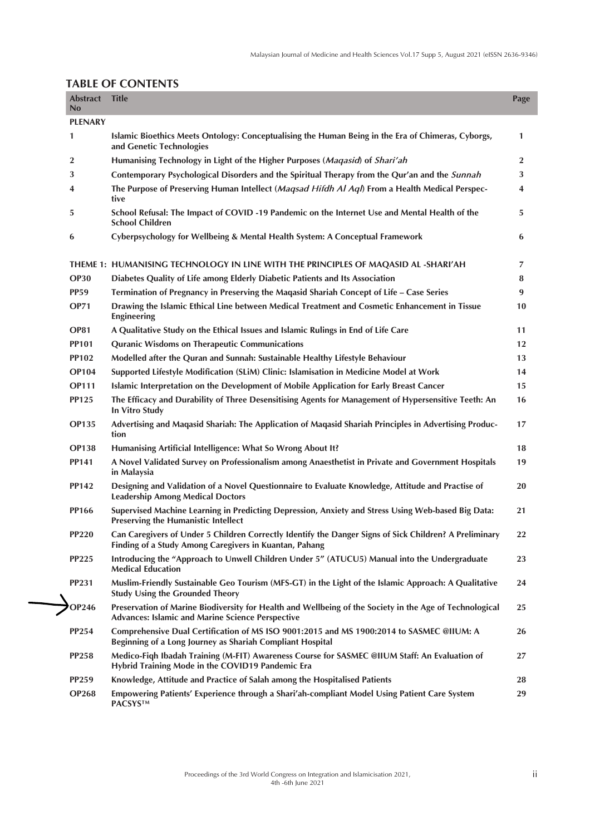| <b>Abstract</b><br>No | <b>Title</b>                                                                                                                                                       | Page         |
|-----------------------|--------------------------------------------------------------------------------------------------------------------------------------------------------------------|--------------|
| <b>PLENARY</b>        |                                                                                                                                                                    |              |
| 1                     | Islamic Bioethics Meets Ontology: Conceptualising the Human Being in the Era of Chimeras, Cyborgs,<br>and Genetic Technologies                                     | 1            |
| 2                     | Humanising Technology in Light of the Higher Purposes (Magasid) of Shari'ah                                                                                        | $\mathbf{2}$ |
| 3                     | Contemporary Psychological Disorders and the Spiritual Therapy from the Qur'an and the Sunnah                                                                      | 3            |
| 4                     | The Purpose of Preserving Human Intellect (Magsad Hifdh Al Aql) From a Health Medical Perspec-<br>tive                                                             | 4            |
| 5                     | School Refusal: The Impact of COVID -19 Pandemic on the Internet Use and Mental Health of the<br><b>School Children</b>                                            | 5            |
| 6                     | Cyberpsychology for Wellbeing & Mental Health System: A Conceptual Framework                                                                                       | 6            |
|                       | THEME 1: HUMANISING TECHNOLOGY IN LINE WITH THE PRINCIPLES OF MAQASID AL -SHARI'AH                                                                                 | 7            |
| <b>OP30</b>           | Diabetes Quality of Life among Elderly Diabetic Patients and Its Association                                                                                       | 8            |
| <b>PP59</b>           | Termination of Pregnancy in Preserving the Maqasid Shariah Concept of Life - Case Series                                                                           | 9            |
| <b>OP71</b>           | Drawing the Islamic Ethical Line between Medical Treatment and Cosmetic Enhancement in Tissue<br><b>Engineering</b>                                                | 10           |
| <b>OP81</b>           | A Qualitative Study on the Ethical Issues and Islamic Rulings in End of Life Care                                                                                  | 11           |
| <b>PP101</b>          | <b>Quranic Wisdoms on Therapeutic Communications</b>                                                                                                               | 12           |
| <b>PP102</b>          | Modelled after the Quran and Sunnah: Sustainable Healthy Lifestyle Behaviour                                                                                       | 13           |
| <b>OP104</b>          | Supported Lifestyle Modification (SLiM) Clinic: Islamisation in Medicine Model at Work                                                                             | 14           |
| <b>OP111</b>          | Islamic Interpretation on the Development of Mobile Application for Early Breast Cancer                                                                            | 15           |
| <b>PP125</b>          | The Efficacy and Durability of Three Desensitising Agents for Management of Hypersensitive Teeth: An<br>In Vitro Study                                             | 16           |
| <b>OP135</b>          | Advertising and Maqasid Shariah: The Application of Maqasid Shariah Principles in Advertising Produc-<br>tion                                                      | 17           |
| <b>OP138</b>          | Humanising Artificial Intelligence: What So Wrong About It?                                                                                                        | 18           |
| PP141                 | A Novel Validated Survey on Professionalism among Anaesthetist in Private and Government Hospitals<br>in Malaysia                                                  | 19           |
| PP142                 | Designing and Validation of a Novel Questionnaire to Evaluate Knowledge, Attitude and Practise of<br><b>Leadership Among Medical Doctors</b>                       | 20           |
| <b>PP166</b>          | Supervised Machine Learning in Predicting Depression, Anxiety and Stress Using Web-based Big Data:<br><b>Preserving the Humanistic Intellect</b>                   | 21           |
| <b>PP220</b>          | Can Caregivers of Under 5 Children Correctly Identify the Danger Signs of Sick Children? A Preliminary<br>Finding of a Study Among Caregivers in Kuantan, Pahang   | 22           |
| <b>PP225</b>          | Introducing the "Approach to Unwell Children Under 5" (ATUCU5) Manual into the Undergraduate<br><b>Medical Education</b>                                           | 23           |
| <b>PP231</b>          | Muslim-Friendly Sustainable Geo Tourism (MFS-GT) in the Light of the Islamic Approach: A Qualitative<br><b>Study Using the Grounded Theory</b>                     | 24           |
| <b>OP246</b>          | Preservation of Marine Biodiversity for Health and Wellbeing of the Society in the Age of Technological<br><b>Advances: Islamic and Marine Science Perspective</b> | 25           |
| <b>PP254</b>          | Comprehensive Dual Certification of MS ISO 9001:2015 and MS 1900:2014 to SASMEC @IIUM: A<br>Beginning of a Long Journey as Shariah Compliant Hospital              | 26           |
| <b>PP258</b>          | Medico-Fiqh Ibadah Training (M-FIT) Awareness Course for SASMEC @IIUM Staff: An Evaluation of<br>Hybrid Training Mode in the COVID19 Pandemic Era                  | 27           |
| <b>PP259</b>          | Knowledge, Attitude and Practice of Salah among the Hospitalised Patients                                                                                          | 28           |
| <b>OP268</b>          | Empowering Patients' Experience through a Shari'ah-compliant Model Using Patient Care System<br><b>PACSYSTM</b>                                                    | 29           |
|                       |                                                                                                                                                                    |              |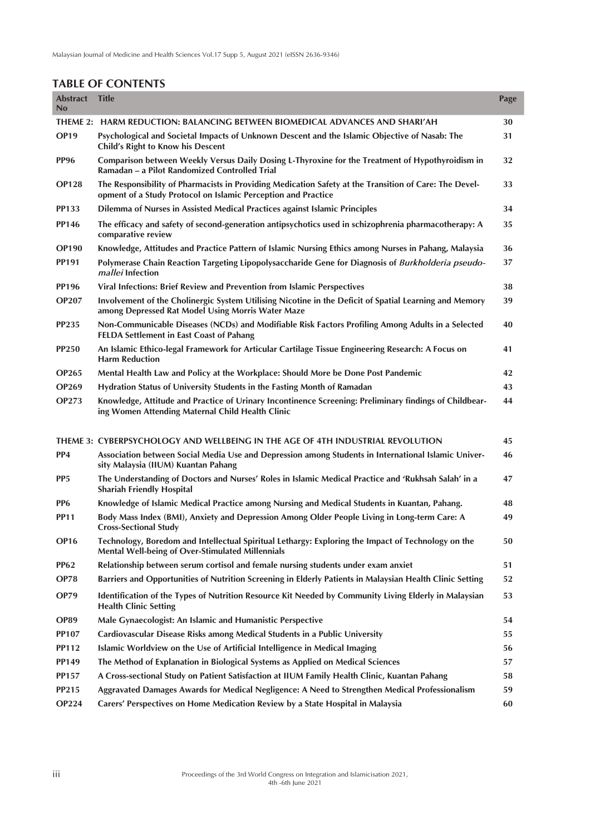| <b>Abstract</b><br>No | <b>Title</b>                                                                                                                                                            | Page |
|-----------------------|-------------------------------------------------------------------------------------------------------------------------------------------------------------------------|------|
| THEME 2:              | <b>HARM REDUCTION: BALANCING BETWEEN BIOMEDICAL ADVANCES AND SHARI'AH</b>                                                                                               | 30   |
| <b>OP19</b>           | Psychological and Societal Impacts of Unknown Descent and the Islamic Objective of Nasab: The<br>Child's Right to Know his Descent                                      | 31   |
| <b>PP96</b>           | Comparison between Weekly Versus Daily Dosing L-Thyroxine for the Treatment of Hypothyroidism in<br>Ramadan - a Pilot Randomized Controlled Trial                       | 32   |
| <b>OP128</b>          | The Responsibility of Pharmacists in Providing Medication Safety at the Transition of Care: The Devel-<br>opment of a Study Protocol on Islamic Perception and Practice | 33   |
| <b>PP133</b>          | Dilemma of Nurses in Assisted Medical Practices against Islamic Principles                                                                                              | 34   |
| <b>PP146</b>          | The efficacy and safety of second-generation antipsychotics used in schizophrenia pharmacotherapy: A<br>comparative review                                              | 35   |
| <b>OP190</b>          | Knowledge, Attitudes and Practice Pattern of Islamic Nursing Ethics among Nurses in Pahang, Malaysia                                                                    | 36   |
| <b>PP191</b>          | Polymerase Chain Reaction Targeting Lipopolysaccharide Gene for Diagnosis of Burkholderia pseudo-<br>mallei Infection                                                   | 37   |
| <b>PP196</b>          | Viral Infections: Brief Review and Prevention from Islamic Perspectives                                                                                                 | 38   |
| <b>OP207</b>          | Involvement of the Cholinergic System Utilising Nicotine in the Deficit of Spatial Learning and Memory<br>among Depressed Rat Model Using Morris Water Maze             | 39   |
| <b>PP235</b>          | Non-Communicable Diseases (NCDs) and Modifiable Risk Factors Profiling Among Adults in a Selected<br><b>FELDA Settlement in East Coast of Pahang</b>                    | 40   |
| <b>PP250</b>          | An Islamic Ethico-legal Framework for Articular Cartilage Tissue Engineering Research: A Focus on<br><b>Harm Reduction</b>                                              | 41   |
| <b>OP265</b>          | Mental Health Law and Policy at the Workplace: Should More be Done Post Pandemic                                                                                        | 42   |
| <b>OP269</b>          | Hydration Status of University Students in the Fasting Month of Ramadan                                                                                                 | 43   |
| <b>OP273</b>          | Knowledge, Attitude and Practice of Urinary Incontinence Screening: Preliminary findings of Childbear-<br>ing Women Attending Maternal Child Health Clinic              | 44   |
|                       | THEME 3: CYBERPSYCHOLOGY AND WELLBEING IN THE AGE OF 4TH INDUSTRIAL REVOLUTION                                                                                          | 45   |
| PP <sub>4</sub>       | Association between Social Media Use and Depression among Students in International Islamic Univer-<br>sity Malaysia (IIUM) Kuantan Pahang                              | 46   |
| PP <sub>5</sub>       | The Understanding of Doctors and Nurses' Roles in Islamic Medical Practice and 'Rukhsah Salah' in a<br><b>Shariah Friendly Hospital</b>                                 | 47   |
| PP <sub>6</sub>       | Knowledge of Islamic Medical Practice among Nursing and Medical Students in Kuantan, Pahang.                                                                            | 48   |
| <b>PP11</b>           | Body Mass Index (BMI), Anxiety and Depression Among Older People Living in Long-term Care: A<br><b>Cross-Sectional Study</b>                                            | 49   |
| <b>OP16</b>           | Technology, Boredom and Intellectual Spiritual Lethargy: Exploring the Impact of Technology on the<br>Mental Well-being of Over-Stimulated Millennials                  | 50   |
| <b>PP62</b>           | Relationship between serum cortisol and female nursing students under exam anxiet                                                                                       | 51   |
| <b>OP78</b>           | Barriers and Opportunities of Nutrition Screening in Elderly Patients in Malaysian Health Clinic Setting                                                                | 52   |
| <b>OP79</b>           | Identification of the Types of Nutrition Resource Kit Needed by Community Living Elderly in Malaysian<br><b>Health Clinic Setting</b>                                   | 53   |
| <b>OP89</b>           | Male Gynaecologist: An Islamic and Humanistic Perspective                                                                                                               | 54   |
| <b>PP107</b>          | Cardiovascular Disease Risks among Medical Students in a Public University                                                                                              | 55   |
| <b>PP112</b>          | Islamic Worldview on the Use of Artificial Intelligence in Medical Imaging                                                                                              | 56   |
| PP149                 | The Method of Explanation in Biological Systems as Applied on Medical Sciences                                                                                          | 57   |
| <b>PP157</b>          | A Cross-sectional Study on Patient Satisfaction at IIUM Family Health Clinic, Kuantan Pahang                                                                            | 58   |
| PP215                 | Aggravated Damages Awards for Medical Negligence: A Need to Strengthen Medical Professionalism                                                                          | 59   |
| <b>OP224</b>          | Carers' Perspectives on Home Medication Review by a State Hospital in Malaysia                                                                                          | 60   |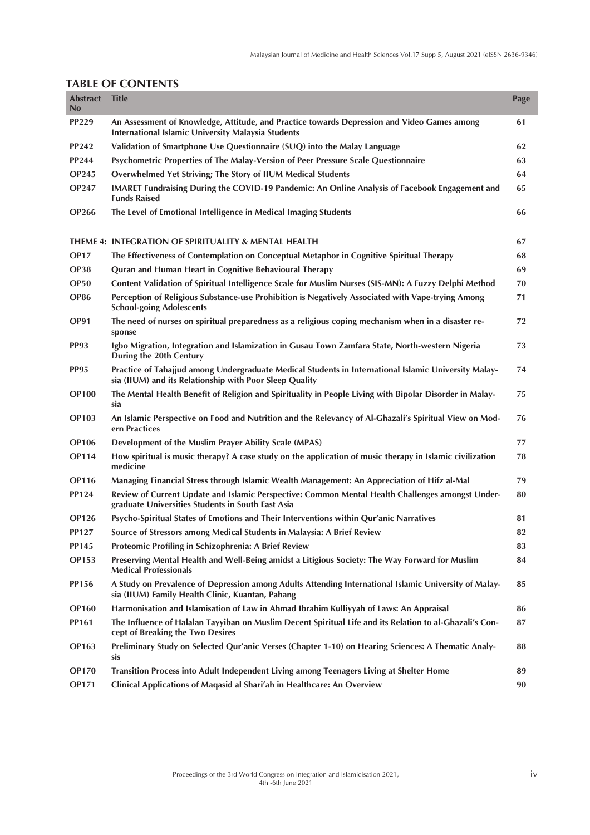| <b>Abstract</b><br>No | <b>Title</b>                                                                                                                                                    | Page |
|-----------------------|-----------------------------------------------------------------------------------------------------------------------------------------------------------------|------|
| <b>PP229</b>          | An Assessment of Knowledge, Attitude, and Practice towards Depression and Video Games among<br>International Islamic University Malaysia Students               | 61   |
| PP242                 | Validation of Smartphone Use Questionnaire (SUQ) into the Malay Language                                                                                        | 62   |
| <b>PP244</b>          | Psychometric Properties of The Malay-Version of Peer Pressure Scale Questionnaire                                                                               | 63   |
| <b>OP245</b>          | Overwhelmed Yet Striving; The Story of IIUM Medical Students                                                                                                    | 64   |
| <b>OP247</b>          | IMARET Fundraising During the COVID-19 Pandemic: An Online Analysis of Facebook Engagement and<br><b>Funds Raised</b>                                           | 65   |
| <b>OP266</b>          | The Level of Emotional Intelligence in Medical Imaging Students                                                                                                 | 66   |
|                       | THEME 4: INTEGRATION OF SPIRITUALITY & MENTAL HEALTH                                                                                                            | 67   |
| <b>OP17</b>           | The Effectiveness of Contemplation on Conceptual Metaphor in Cognitive Spiritual Therapy                                                                        | 68   |
| <b>OP38</b>           | Quran and Human Heart in Cognitive Behavioural Therapy                                                                                                          | 69   |
| <b>OP50</b>           | Content Validation of Spiritual Intelligence Scale for Muslim Nurses (SIS-MN): A Fuzzy Delphi Method                                                            | 70   |
| <b>OP86</b>           | Perception of Religious Substance-use Prohibition is Negatively Associated with Vape-trying Among<br><b>School-going Adolescents</b>                            | 71   |
| <b>OP91</b>           | The need of nurses on spiritual preparedness as a religious coping mechanism when in a disaster re-<br>sponse                                                   | 72   |
| <b>PP93</b>           | Igbo Migration, Integration and Islamization in Gusau Town Zamfara State, North-western Nigeria<br>During the 20th Century                                      | 73   |
| <b>PP95</b>           | Practice of Tahajjud among Undergraduate Medical Students in International Islamic University Malay-<br>sia (IIUM) and its Relationship with Poor Sleep Quality | 74   |
| <b>OP100</b>          | The Mental Health Benefit of Religion and Spirituality in People Living with Bipolar Disorder in Malay-<br>sia                                                  | 75   |
| <b>OP103</b>          | An Islamic Perspective on Food and Nutrition and the Relevancy of Al-Ghazali's Spiritual View on Mod-<br>ern Practices                                          | 76   |
| <b>OP106</b>          | Development of the Muslim Prayer Ability Scale (MPAS)                                                                                                           | 77   |
| <b>OP114</b>          | How spiritual is music therapy? A case study on the application of music therapy in Islamic civilization<br>medicine                                            | 78   |
| <b>OP116</b>          | Managing Financial Stress through Islamic Wealth Management: An Appreciation of Hifz al-Mal                                                                     | 79   |
| PP124                 | Review of Current Update and Islamic Perspective: Common Mental Health Challenges amongst Under-<br>graduate Universities Students in South East Asia           | 80   |
| <b>OP126</b>          | Psycho-Spiritual States of Emotions and Their Interventions within Qur'anic Narratives                                                                          | 81   |
| <b>PP127</b>          | Source of Stressors among Medical Students in Malaysia: A Brief Review                                                                                          | 82   |
| <b>PP145</b>          | Proteomic Profiling in Schizophrenia: A Brief Review                                                                                                            | 83   |
| <b>OP153</b>          | Preserving Mental Health and Well-Being amidst a Litigious Society: The Way Forward for Muslim<br><b>Medical Professionals</b>                                  | 84   |
| <b>PP156</b>          | A Study on Prevalence of Depression among Adults Attending International Islamic University of Malay-<br>sia (IIUM) Family Health Clinic, Kuantan, Pahang       | 85   |
| <b>OP160</b>          | Harmonisation and Islamisation of Law in Ahmad Ibrahim Kulliyyah of Laws: An Appraisal                                                                          | 86   |
| PP161                 | The Influence of Halalan Tayyiban on Muslim Decent Spiritual Life and its Relation to al-Ghazali's Con-<br>cept of Breaking the Two Desires                     | 87   |
| <b>OP163</b>          | Preliminary Study on Selected Qur'anic Verses (Chapter 1-10) on Hearing Sciences: A Thematic Analy-<br>sis                                                      | 88   |
| <b>OP170</b>          | Transition Process into Adult Independent Living among Teenagers Living at Shelter Home                                                                         | 89   |
| <b>OP171</b>          | Clinical Applications of Maqasid al Shari'ah in Healthcare: An Overview                                                                                         | 90   |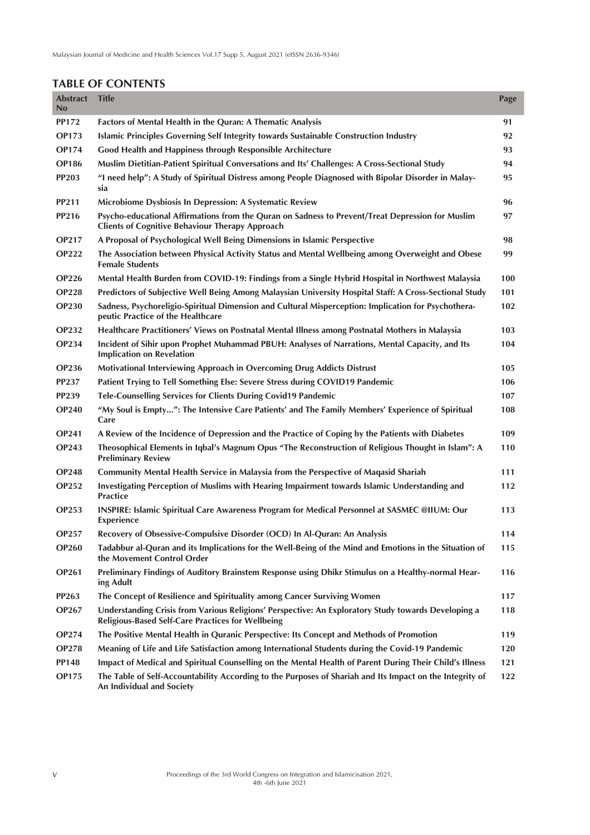| <b>Abstract</b><br>No | <b>Title</b>                                                                                                                                                    | Page |
|-----------------------|-----------------------------------------------------------------------------------------------------------------------------------------------------------------|------|
| <b>PP172</b>          | Factors of Mental Health in the Quran: A Thematic Analysis                                                                                                      | 91   |
| <b>OP173</b>          | Islamic Principles Governing Self Integrity towards Sustainable Construction Industry                                                                           | 92   |
| <b>OP174</b>          | Good Health and Happiness through Responsible Architecture                                                                                                      | 93   |
| <b>OP186</b>          | Muslim Dietitian-Patient Spiritual Conversations and Its' Challenges: A Cross-Sectional Study                                                                   | 94   |
| <b>PP203</b>          | "I need help": A Study of Spiritual Distress among People Diagnosed with Bipolar Disorder in Malay-<br>sia                                                      | 95   |
| <b>PP211</b>          | Microbiome Dysbiosis In Depression: A Systematic Review                                                                                                         | 96   |
| <b>PP216</b>          | Psycho-educational Affirmations from the Quran on Sadness to Prevent/Treat Depression for Muslim<br><b>Clients of Cognitive Behaviour Therapy Approach</b>      | 97   |
| <b>OP217</b>          | A Proposal of Psychological Well Being Dimensions in Islamic Perspective                                                                                        | 98   |
| <b>OP222</b>          | The Association between Physical Activity Status and Mental Wellbeing among Overweight and Obese<br><b>Female Students</b>                                      | 99   |
| <b>OP226</b>          | Mental Health Burden from COVID-19: Findings from a Single Hybrid Hospital in Northwest Malaysia                                                                | 100  |
| <b>OP228</b>          | Predictors of Subjective Well Being Among Malaysian University Hospital Staff: A Cross-Sectional Study                                                          | 101  |
| <b>OP230</b>          | Sadness, Psychoreligio-Spiritual Dimension and Cultural Misperception: Implication for Psychothera-<br>peutic Practice of the Healthcare                        | 102  |
| <b>OP232</b>          | Healthcare Practitioners' Views on Postnatal Mental Illness among Postnatal Mothers in Malaysia                                                                 | 103  |
| <b>OP234</b>          | Incident of Sihir upon Prophet Muhammad PBUH: Analyses of Narrations, Mental Capacity, and Its<br><b>Implication on Revelation</b>                              | 104  |
| <b>OP236</b>          | Motivational Interviewing Approach in Overcoming Drug Addicts Distrust                                                                                          | 105  |
| <b>PP237</b>          | Patient Trying to Tell Something Else: Severe Stress during COVID19 Pandemic                                                                                    | 106  |
| <b>PP239</b>          | Tele-Counselling Services for Clients During Covid19 Pandemic                                                                                                   | 107  |
| <b>OP240</b>          | "My Soul is Empty": The Intensive Care Patients' and The Family Members' Experience of Spiritual<br>Care                                                        | 108  |
| <b>OP241</b>          | A Review of the Incidence of Depression and the Practice of Coping by the Patients with Diabetes                                                                | 109  |
| <b>OP243</b>          | Theosophical Elements in Iqbal's Magnum Opus "The Reconstruction of Religious Thought in Islam": A<br><b>Preliminary Review</b>                                 | 110  |
| <b>OP248</b>          | Community Mental Health Service in Malaysia from the Perspective of Maqasid Shariah                                                                             | 111  |
| <b>OP252</b>          | Investigating Perception of Muslims with Hearing Impairment towards Islamic Understanding and<br><b>Practice</b>                                                | 112  |
| <b>OP253</b>          | INSPIRE: Islamic Spiritual Care Awareness Program for Medical Personnel at SASMEC @IIUM: Our<br><b>Experience</b>                                               | 113  |
| <b>OP257</b>          | Recovery of Obsessive-Compulsive Disorder (OCD) In Al-Quran: An Analysis                                                                                        | 114  |
| <b>OP260</b>          | Tadabbur al-Quran and its Implications for the Well-Being of the Mind and Emotions in the Situation of<br>the Movement Control Order                            | 115  |
| <b>OP261</b>          | Preliminary Findings of Auditory Brainstem Response using Dhikr Stimulus on a Healthy-normal Hear-<br>ing Adult                                                 | 116  |
| <b>PP263</b>          | The Concept of Resilience and Spirituality among Cancer Surviving Women                                                                                         | 117  |
| <b>OP267</b>          | Understanding Crisis from Various Religions' Perspective: An Exploratory Study towards Developing a<br><b>Religious-Based Self-Care Practices for Wellbeing</b> | 118  |
| <b>OP274</b>          | The Positive Mental Health in Quranic Perspective: Its Concept and Methods of Promotion                                                                         | 119  |
| <b>OP278</b>          | Meaning of Life and Life Satisfaction among International Students during the Covid-19 Pandemic                                                                 | 120  |
| <b>PP148</b>          | Impact of Medical and Spiritual Counselling on the Mental Health of Parent During Their Child's Illness                                                         | 121  |
| <b>OP175</b>          | The Table of Self-Accountability According to the Purposes of Shariah and Its Impact on the Integrity of<br>An Individual and Society                           | 122  |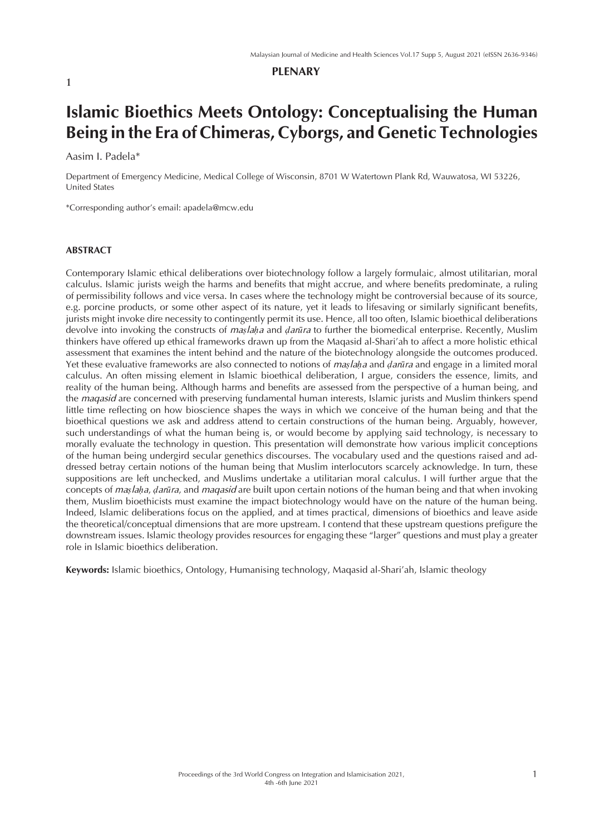#### **PLENARY**

# **Islamic Bioethics Meets Ontology: Conceptualising the Human Being in the Era of Chimeras, Cyborgs, and Genetic Technologies**

Aasim I. Padela\*

Department of Emergency Medicine, Medical College of Wisconsin, 8701 W Watertown Plank Rd, Wauwatosa, WI 53226, United States

\*Corresponding author's email: apadela@mcw.edu

#### **ABSTRACT**

Contemporary Islamic ethical deliberations over biotechnology follow a largely formulaic, almost utilitarian, moral calculus. Islamic jurists weigh the harms and benefits that might accrue, and where benefits predominate, a ruling of permissibility follows and vice versa. In cases where the technology might be controversial because of its source, e.g. porcine products, or some other aspect of its nature, yet it leads to lifesaving or similarly significant benefits, jurists might invoke dire necessity to contingently permit its use. Hence, all too often, Islamic bioethical deliberations devolve into invoking the constructs of *mas laha* and *darūra* to further the biomedical enterprise. Recently, Muslim thinkers have offered up ethical frameworks drawn up from the Maqasid al-Shari'ah to affect a more holistic ethical assessment that examines the intent behind and the nature of the biotechnology alongside the outcomes produced. Yet these evaluative frameworks are also connected to notions of *maṣlaḥa* and *ḍarūra* and engage in a limited moral calculus. An often missing element in Islamic bioethical deliberation, I argue, considers the essence, limits, and reality of the human being. Although harms and benefits are assessed from the perspective of a human being, and the *maqasid* are concerned with preserving fundamental human interests, Islamic jurists and Muslim thinkers spend little time reflecting on how bioscience shapes the ways in which we conceive of the human being and that the bioethical questions we ask and address attend to certain constructions of the human being. Arguably, however, such understandings of what the human being is, or would become by applying said technology, is necessary to morally evaluate the technology in question. This presentation will demonstrate how various implicit conceptions of the human being undergird secular genethics discourses. The vocabulary used and the questions raised and addressed betray certain notions of the human being that Muslim interlocutors scarcely acknowledge. In turn, these suppositions are left unchecked, and Muslims undertake a utilitarian moral calculus. I will further argue that the concepts of *maṣlaḥa*, *ḍarūra*, and *maqasid* are built upon certain notions of the human being and that when invoking them, Muslim bioethicists must examine the impact biotechnology would have on the nature of the human being. Indeed, Islamic deliberations focus on the applied, and at times practical, dimensions of bioethics and leave aside the theoretical/conceptual dimensions that are more upstream. I contend that these upstream questions prefigure the downstream issues. Islamic theology provides resources for engaging these "larger" questions and must play a greater role in Islamic bioethics deliberation.

**Keywords:** Islamic bioethics, Ontology, Humanising technology, Maqasid al-Shari'ah, Islamic theology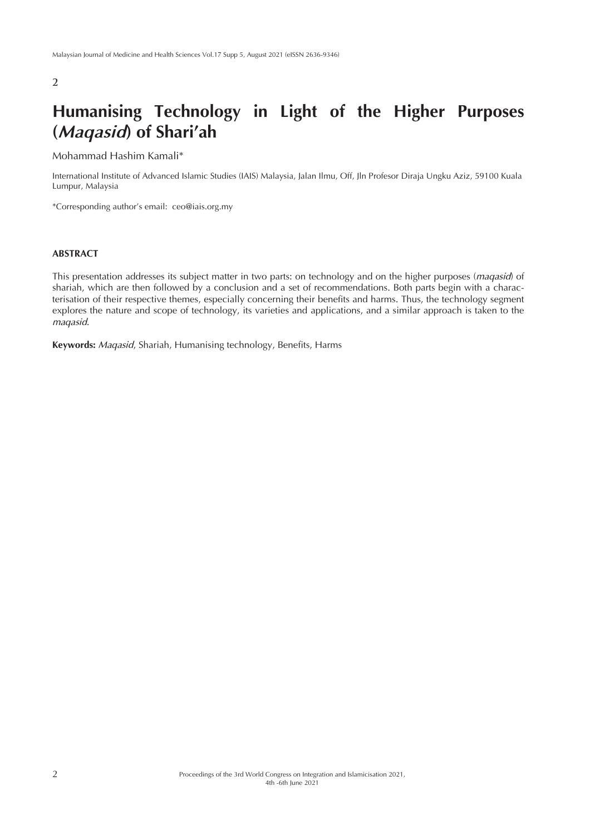### **2**

# **Humanising Technology in Light of the Higher Purposes (***Maqasid***) of Shari'ah**

Mohammad Hashim Kamali\*

International Institute of Advanced Islamic Studies (IAIS) Malaysia, Jalan Ilmu, Off, Jln Profesor Diraja Ungku Aziz, 59100 Kuala Lumpur, Malaysia

\*Corresponding author's email: ceo@iais.org.my

#### **ABSTRACT**

This presentation addresses its subject matter in two parts: on technology and on the higher purposes (*maqasid*) of shariah, which are then followed by a conclusion and a set of recommendations. Both parts begin with a characterisation of their respective themes, especially concerning their benefits and harms. Thus, the technology segment explores the nature and scope of technology, its varieties and applications, and a similar approach is taken to the *maqasid*.

**Keywords:** *Maqasid*, Shariah, Humanising technology, Benefits, Harms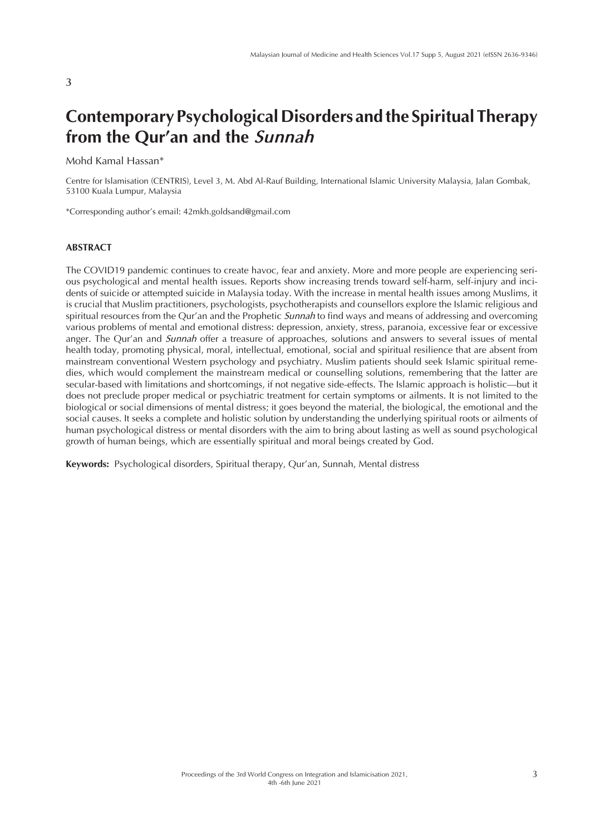#### **3**

# **Contemporary Psychological Disorders and the Spiritual Therapy from the Qur'an and the** *Sunnah*

Mohd Kamal Hassan\*

Centre for Islamisation (CENTRIS), Level 3, M. Abd Al-Rauf Building, International Islamic University Malaysia, Jalan Gombak, 53100 Kuala Lumpur, Malaysia

\*Corresponding author's email: 42mkh.goldsand@gmail.com

#### **ABSTRACT**

The COVID19 pandemic continues to create havoc, fear and anxiety. More and more people are experiencing serious psychological and mental health issues. Reports show increasing trends toward self-harm, self-injury and incidents of suicide or attempted suicide in Malaysia today. With the increase in mental health issues among Muslims, it is crucial that Muslim practitioners, psychologists, psychotherapists and counsellors explore the Islamic religious and spiritual resources from the Qur'an and the Prophetic *Sunnah* to find ways and means of addressing and overcoming various problems of mental and emotional distress: depression, anxiety, stress, paranoia, excessive fear or excessive anger. The Qur'an and *Sunnah* offer a treasure of approaches, solutions and answers to several issues of mental health today, promoting physical, moral, intellectual, emotional, social and spiritual resilience that are absent from mainstream conventional Western psychology and psychiatry. Muslim patients should seek Islamic spiritual remedies, which would complement the mainstream medical or counselling solutions, remembering that the latter are secular-based with limitations and shortcomings, if not negative side-effects. The Islamic approach is holistic—but it does not preclude proper medical or psychiatric treatment for certain symptoms or ailments. It is not limited to the biological or social dimensions of mental distress; it goes beyond the material, the biological, the emotional and the social causes. It seeks a complete and holistic solution by understanding the underlying spiritual roots or ailments of human psychological distress or mental disorders with the aim to bring about lasting as well as sound psychological growth of human beings, which are essentially spiritual and moral beings created by God.

**Keywords:** Psychological disorders, Spiritual therapy, Qur'an, Sunnah, Mental distress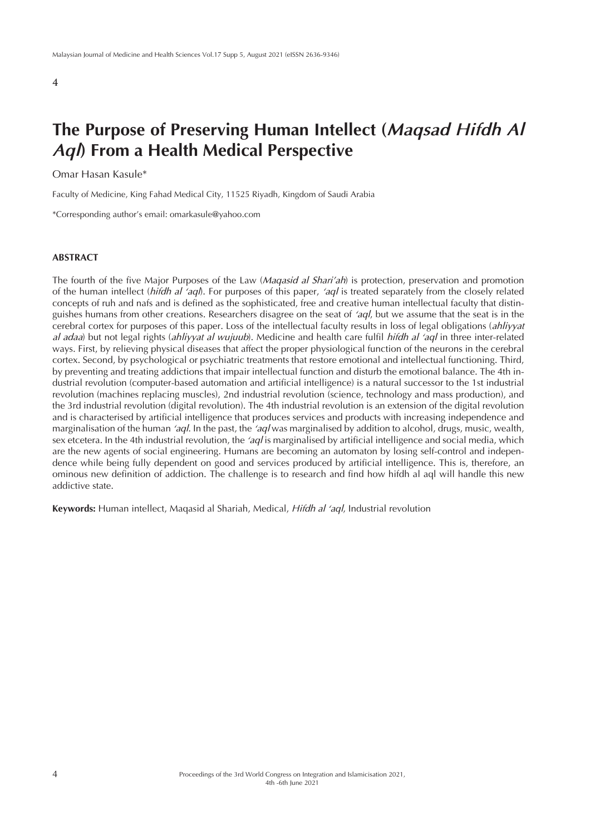# **The Purpose of Preserving Human Intellect (***Maqsad Hifdh Al Aql***) From a Health Medical Perspective**

#### Omar Hasan Kasule\*

Faculty of Medicine, King Fahad Medical City, 11525 Riyadh, Kingdom of Saudi Arabia

\*Corresponding author's email: omarkasule@yahoo.com

#### **ABSTRACT**

The fourth of the five Major Purposes of the Law (*Maqasid al Shari'ah*) is protection, preservation and promotion of the human intellect (*hifdh al 'aql*). For purposes of this paper, *'aql* is treated separately from the closely related concepts of ruh and nafs and is defined as the sophisticated, free and creative human intellectual faculty that distinguishes humans from other creations. Researchers disagree on the seat of *'aql*, but we assume that the seat is in the cerebral cortex for purposes of this paper. Loss of the intellectual faculty results in loss of legal obligations (*ahliyyat al adaa*) but not legal rights (*ahliyyat al wujuub*). Medicine and health care fulfil *hifdh al 'aql* in three inter-related ways. First, by relieving physical diseases that affect the proper physiological function of the neurons in the cerebral cortex. Second, by psychological or psychiatric treatments that restore emotional and intellectual functioning. Third, by preventing and treating addictions that impair intellectual function and disturb the emotional balance. The 4th industrial revolution (computer-based automation and artificial intelligence) is a natural successor to the 1st industrial revolution (machines replacing muscles), 2nd industrial revolution (science, technology and mass production), and the 3rd industrial revolution (digital revolution). The 4th industrial revolution is an extension of the digital revolution and is characterised by artificial intelligence that produces services and products with increasing independence and marginalisation of the human *'aql*. In the past, the *'aql* was marginalised by addition to alcohol, drugs, music, wealth, sex etcetera. In the 4th industrial revolution, the *'aql* is marginalised by artificial intelligence and social media, which are the new agents of social engineering. Humans are becoming an automaton by losing self-control and independence while being fully dependent on good and services produced by artificial intelligence. This is, therefore, an ominous new definition of addiction. The challenge is to research and find how hifdh al aql will handle this new addictive state.

**Keywords:** Human intellect, Maqasid al Shariah, Medical, *Hifdh al 'aql*, Industrial revolution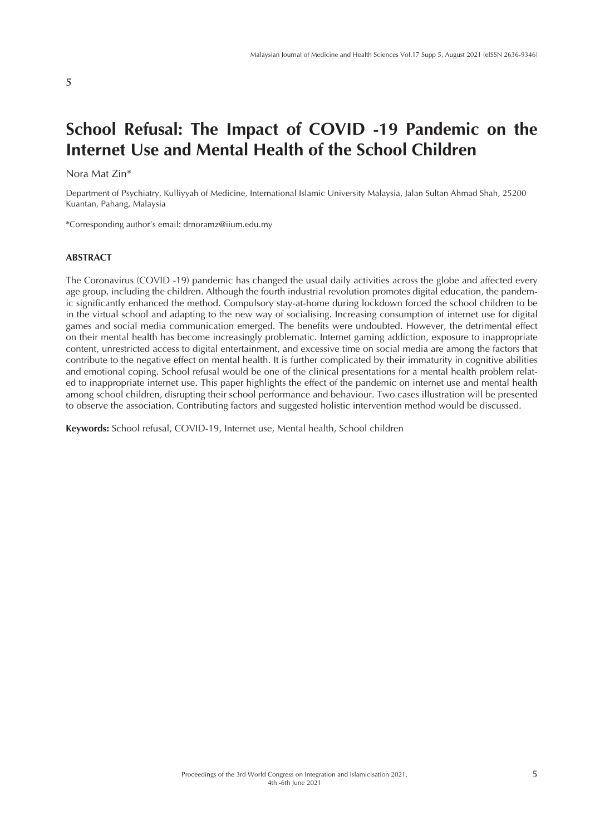# **School Refusal: The Impact of COVID -19 Pandemic on the Internet Use and Mental Health of the School Children**

#### Nora Mat Zin\*

Department of Psychiatry, Kulliyyah of Medicine, International Islamic University Malaysia, Jalan Sultan Ahmad Shah, 25200 Kuantan, Pahang, Malaysia

\*Corresponding author's email: drnoramz@iium.edu.my

### **ABSTRACT**

The Coronavirus (COVID -19) pandemic has changed the usual daily activities across the globe and affected every age group, including the children. Although the fourth industrial revolution promotes digital education, the pandemic significantly enhanced the method. Compulsory stay-at-home during lockdown forced the school children to be in the virtual school and adapting to the new way of socialising. Increasing consumption of internet use for digital games and social media communication emerged. The benefits were undoubted. However, the detrimental effect on their mental health has become increasingly problematic. Internet gaming addiction, exposure to inappropriate content, unrestricted access to digital entertainment, and excessive time on social media are among the factors that contribute to the negative effect on mental health. It is further complicated by their immaturity in cognitive abilities and emotional coping. School refusal would be one of the clinical presentations for a mental health problem related to inappropriate internet use. This paper highlights the effect of the pandemic on internet use and mental health among school children, disrupting their school performance and behaviour. Two cases illustration will be presented to observe the association. Contributing factors and suggested holistic intervention method would be discussed.

**Keywords:** School refusal, COVID-19, Internet use, Mental health, School children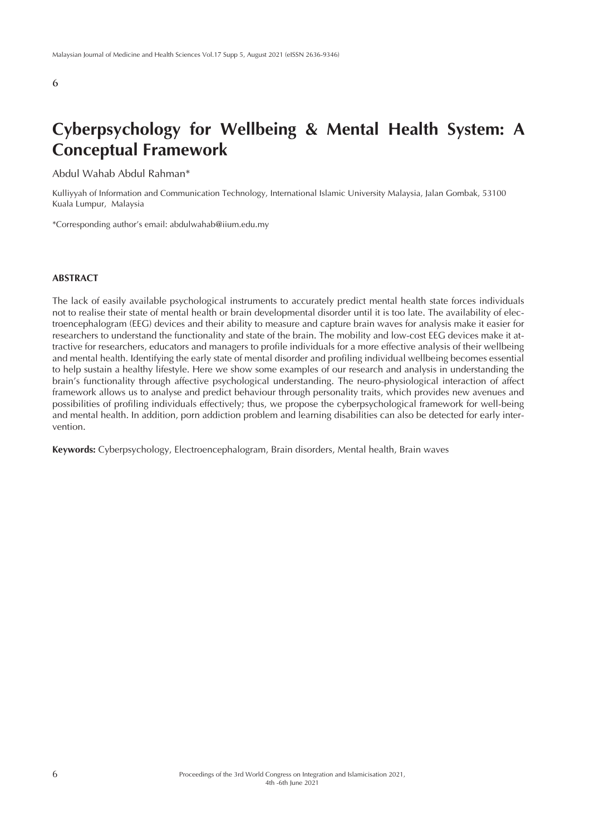# **Cyberpsychology for Wellbeing & Mental Health System: A Conceptual Framework**

Abdul Wahab Abdul Rahman\*

Kulliyyah of Information and Communication Technology, International Islamic University Malaysia, Jalan Gombak, 53100 Kuala Lumpur, Malaysia

\*Corresponding author's email: abdulwahab@iium.edu.my

#### **ABSTRACT**

The lack of easily available psychological instruments to accurately predict mental health state forces individuals not to realise their state of mental health or brain developmental disorder until it is too late. The availability of electroencephalogram (EEG) devices and their ability to measure and capture brain waves for analysis make it easier for researchers to understand the functionality and state of the brain. The mobility and low-cost EEG devices make it attractive for researchers, educators and managers to profile individuals for a more effective analysis of their wellbeing and mental health. Identifying the early state of mental disorder and profiling individual wellbeing becomes essential to help sustain a healthy lifestyle. Here we show some examples of our research and analysis in understanding the brain's functionality through affective psychological understanding. The neuro-physiological interaction of affect framework allows us to analyse and predict behaviour through personality traits, which provides new avenues and possibilities of profiling individuals effectively; thus, we propose the cyberpsychological framework for well-being and mental health. In addition, porn addiction problem and learning disabilities can also be detected for early intervention.

**Keywords:** Cyberpsychology, Electroencephalogram, Brain disorders, Mental health, Brain waves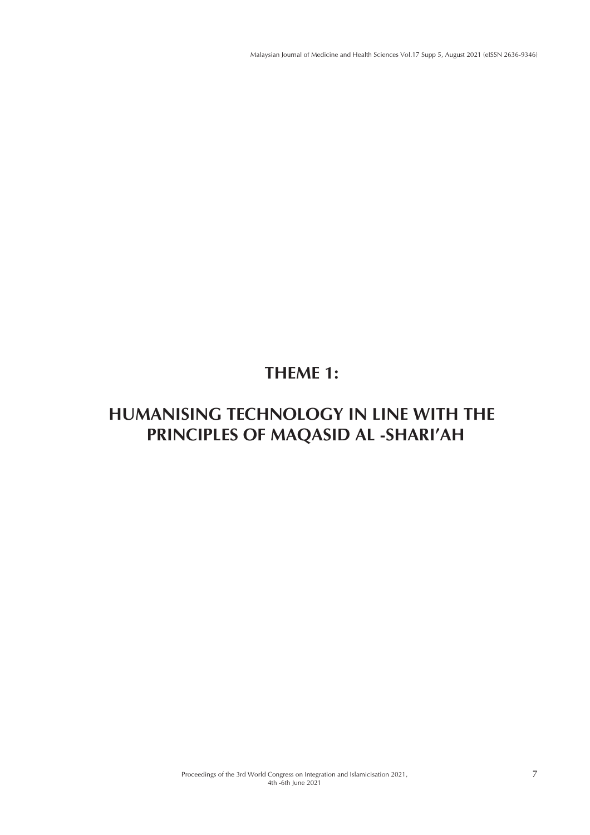# **THEME 1:**

# **HUMANISING TECHNOLOGY IN LINE WITH THE PRINCIPLES OF MAQASID AL -SHARI'AH**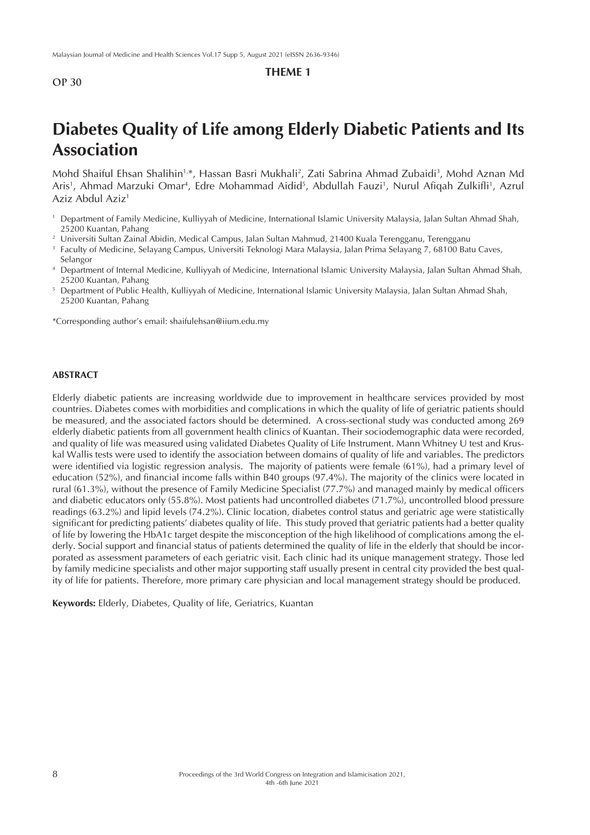### **THEME 1**

# **Diabetes Quality of Life among Elderly Diabetic Patients and Its Association**

Mohd Shaiful Ehsan Shalihin<sup>1,</sup>\*, Hassan Basri Mukhali<sup>2</sup>, Zati Sabrina Ahmad Zubaidi<sup>3</sup>, Mohd Aznan Md Aris', Ahmad Marzuki Omar<sup>4</sup>, Edre Mohammad Aidid<sup>5</sup>, Abdullah Fauzi', Nurul Afiqah Zulkifli', Azrul Aziz Abdul Aziz<sup>1</sup>

- <sup>1</sup> Department of Family Medicine, Kulliyyah of Medicine, International Islamic University Malaysia, Jalan Sultan Ahmad Shah, 25200 Kuantan, Pahang
- <sup>2</sup> Universiti Sultan Zainal Abidin, Medical Campus, Jalan Sultan Mahmud, 21400 Kuala Terengganu, Terengganu
- <sup>3</sup> Faculty of Medicine, Selayang Campus, Universiti Teknologi Mara Malaysia, Jalan Prima Selayang 7, 68100 Batu Caves, Selangor
- <sup>4</sup> Department of Internal Medicine, Kulliyyah of Medicine, International Islamic University Malaysia, Jalan Sultan Ahmad Shah, 25200 Kuantan, Pahang
- <sup>5</sup> Department of Public Health, Kulliyyah of Medicine, International Islamic University Malaysia, Jalan Sultan Ahmad Shah, 25200 Kuantan, Pahang

\*Corresponding author's email: shaifulehsan@iium.edu.my

#### **ABSTRACT**

Elderly diabetic patients are increasing worldwide due to improvement in healthcare services provided by most countries. Diabetes comes with morbidities and complications in which the quality of life of geriatric patients should be measured, and the associated factors should be determined. A cross-sectional study was conducted among 269 elderly diabetic patients from all government health clinics of Kuantan. Their sociodemographic data were recorded, and quality of life was measured using validated Diabetes Quality of Life Instrument. Mann Whitney U test and Kruskal Wallis tests were used to identify the association between domains of quality of life and variables. The predictors were identified via logistic regression analysis. The majority of patients were female (61%), had a primary level of education (52%), and financial income falls within B40 groups (97.4%). The majority of the clinics were located in rural (61.3%), without the presence of Family Medicine Specialist (77.7%) and managed mainly by medical officers and diabetic educators only (55.8%). Most patients had uncontrolled diabetes (71.7%), uncontrolled blood pressure readings (63.2%) and lipid levels (74.2%). Clinic location, diabetes control status and geriatric age were statistically significant for predicting patients' diabetes quality of life. This study proved that geriatric patients had a better quality of life by lowering the HbA1c target despite the misconception of the high likelihood of complications among the elderly. Social support and financial status of patients determined the quality of life in the elderly that should be incorporated as assessment parameters of each geriatric visit. Each clinic had its unique management strategy. Those led by family medicine specialists and other major supporting staff usually present in central city provided the best quality of life for patients. Therefore, more primary care physician and local management strategy should be produced.

**Keywords:** Elderly, Diabetes, Quality of life, Geriatrics, Kuantan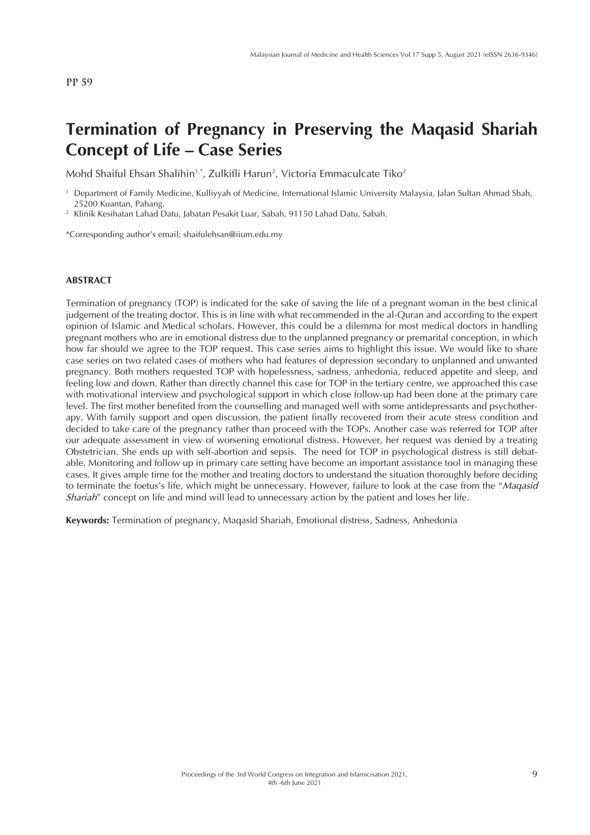# **Termination of Pregnancy in Preserving the Maqasid Shariah Concept of Life – Case Series**

Mohd Shaiful Ehsan Shalihin $^{1,*}$ , Zulkifli Harun $^2$ , Victoria Emmaculcate Tiko $^2$ 

<sup>1</sup> Department of Family Medicine, Kulliyyah of Medicine, International Islamic University Malaysia, Jalan Sultan Ahmad Shah, 25200 Kuantan, Pahang.

<sup>2</sup> Klinik Kesihatan Lahad Datu, Jabatan Pesakit Luar, Sabah, 91150 Lahad Datu, Sabah.

\*Corresponding author's email: shaifulehsan@iium.edu.my

#### **ABSTRACT**

Termination of pregnancy (TOP) is indicated for the sake of saving the life of a pregnant woman in the best clinical judgement of the treating doctor. This is in line with what recommended in the al-Quran and according to the expert opinion of Islamic and Medical scholars. However, this could be a dilemma for most medical doctors in handling pregnant mothers who are in emotional distress due to the unplanned pregnancy or premarital conception, in which how far should we agree to the TOP request. This case series aims to highlight this issue. We would like to share case series on two related cases of mothers who had features of depression secondary to unplanned and unwanted pregnancy. Both mothers requested TOP with hopelessness, sadness, anhedonia, reduced appetite and sleep, and feeling low and down. Rather than directly channel this case for TOP in the tertiary centre, we approached this case with motivational interview and psychological support in which close follow-up had been done at the primary care level. The first mother benefited from the counselling and managed well with some antidepressants and psychotherapy. With family support and open discussion, the patient finally recovered from their acute stress condition and decided to take care of the pregnancy rather than proceed with the TOPs. Another case was referred for TOP after our adequate assessment in view of worsening emotional distress. However, her request was denied by a treating Obstetrician. She ends up with self-abortion and sepsis. The need for TOP in psychological distress is still debatable. Monitoring and follow up in primary care setting have become an important assistance tool in managing these cases. It gives ample time for the mother and treating doctors to understand the situation thoroughly before deciding to terminate the foetus's life, which might be unnecessary. However, failure to look at the case from the "*Maqasid Shariah*" concept on life and mind will lead to unnecessary action by the patient and loses her life.

**Keywords:** Termination of pregnancy, Maqasid Shariah, Emotional distress, Sadness, Anhedonia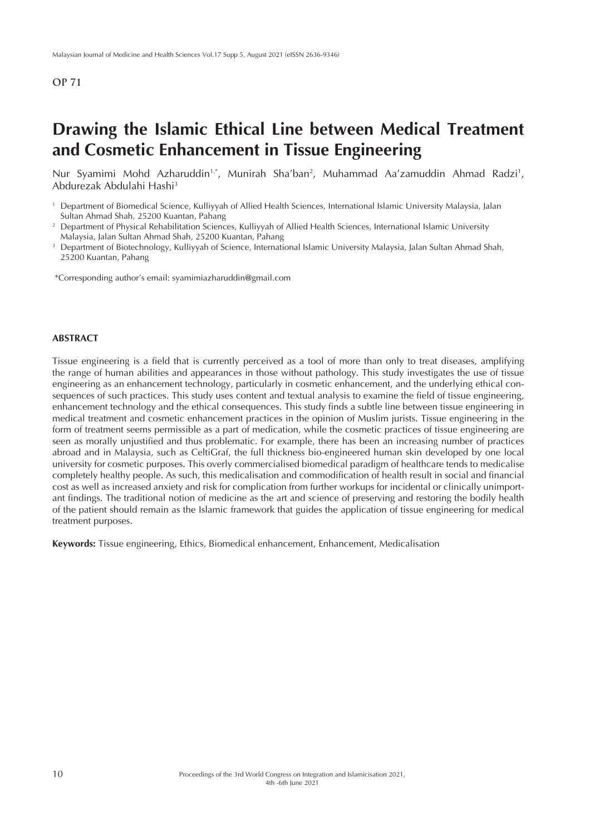# **Drawing the Islamic Ethical Line between Medical Treatment and Cosmetic Enhancement in Tissue Engineering**

Nur Syamimi Mohd Azharuddin<sup>1,</sup>\*, Munirah Sha'ban<sup>2</sup>, Muhammad Aa'zamuddin Ahmad Radzi<sup>1</sup>, Abdurezak Abdulahi Hashi3

\*Corresponding author's email: syamimiazharuddin@gmail.com

### **ABSTRACT**

Tissue engineering is a field that is currently perceived as a tool of more than only to treat diseases, amplifying the range of human abilities and appearances in those without pathology. This study investigates the use of tissue engineering as an enhancement technology, particularly in cosmetic enhancement, and the underlying ethical consequences of such practices. This study uses content and textual analysis to examine the field of tissue engineering, enhancement technology and the ethical consequences. This study finds a subtle line between tissue engineering in medical treatment and cosmetic enhancement practices in the opinion of Muslim jurists. Tissue engineering in the form of treatment seems permissible as a part of medication, while the cosmetic practices of tissue engineering are seen as morally unjustified and thus problematic. For example, there has been an increasing number of practices abroad and in Malaysia, such as CeltiGraf, the full thickness bio-engineered human skin developed by one local university for cosmetic purposes. This overly commercialised biomedical paradigm of healthcare tends to medicalise completely healthy people. As such, this medicalisation and commodification of health result in social and financial cost as well as increased anxiety and risk for complication from further workups for incidental or clinically unimportant findings. The traditional notion of medicine as the art and science of preserving and restoring the bodily health of the patient should remain as the Islamic framework that guides the application of tissue engineering for medical treatment purposes.

**Keywords:** Tissue engineering, Ethics, Biomedical enhancement, Enhancement, Medicalisation

<sup>1</sup> Department of Biomedical Science, Kulliyyah of Allied Health Sciences, International Islamic University Malaysia, Jalan Sultan Ahmad Shah, 25200 Kuantan, Pahang

<sup>&</sup>lt;sup>2</sup> Department of Physical Rehabilitation Sciences, Kulliyyah of Allied Health Sciences, International Islamic University Malaysia, Jalan Sultan Ahmad Shah, 25200 Kuantan, Pahang

<sup>&</sup>lt;sup>3</sup> Department of Biotechnology, Kulliyyah of Science, International Islamic University Malaysia, Jalan Sultan Ahmad Shah, 25200 Kuantan, Pahang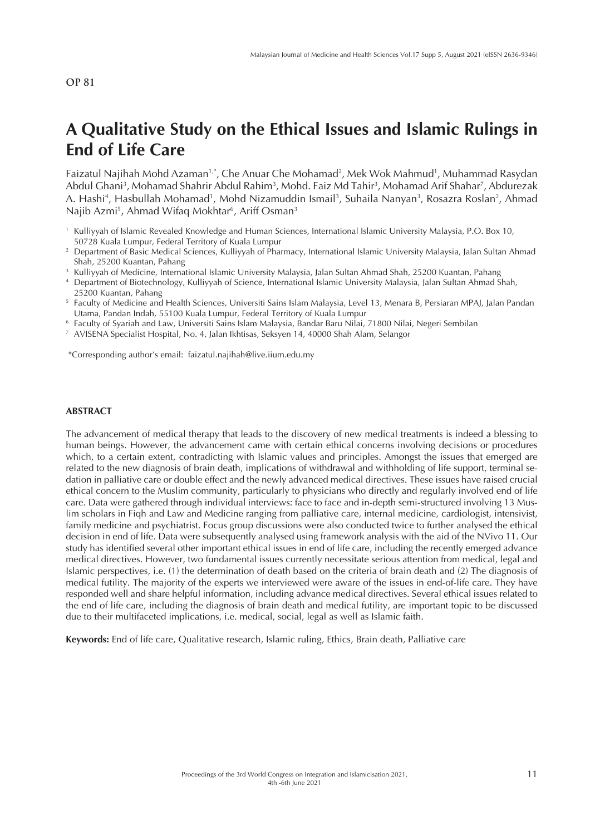# **A Qualitative Study on the Ethical Issues and Islamic Rulings in End of Life Care**

Faizatul Najihah Mohd Azaman1,\*, Che Anuar Che Mohamad2 , Mek Wok Mahmud1 , Muhammad Rasydan Abdul Ghani<sup>3</sup>, Mohamad Shahrir Abdul Rahim<sup>3</sup>, Mohd. Faiz Md Tahir<sup>3</sup>, Mohamad Arif Shahar<sup>7</sup>, Abdurezak A. Hashi<sup>4</sup>, Hasbullah Mohamad<sup>1</sup>, Mohd Nizamuddin Ismail<sup>3</sup>, Suhaila Nanyan<sup>3</sup>, Rosazra Roslan<sup>2</sup>, Ahmad Najib Azmi<sup>5</sup>, Ahmad Wifaq Mokhtar<sup>6</sup>, Ariff Osman<sup>3</sup>

- <sup>1</sup> Kulliyyah of Islamic Revealed Knowledge and Human Sciences, International Islamic University Malaysia, P.O. Box 10, 50728 Kuala Lumpur, Federal Territory of Kuala Lumpur
- <sup>2</sup> Department of Basic Medical Sciences, Kulliyyah of Pharmacy, International Islamic University Malaysia, Jalan Sultan Ahmad Shah, 25200 Kuantan, Pahang
- <sup>3</sup> Kulliyyah of Medicine, International Islamic University Malaysia, Jalan Sultan Ahmad Shah, 25200 Kuantan, Pahang
- <sup>4</sup> Department of Biotechnology, Kulliyyah of Science, International Islamic University Malaysia, Jalan Sultan Ahmad Shah, 25200 Kuantan, Pahang
- <sup>5</sup> Faculty of Medicine and Health Sciences, Universiti Sains Islam Malaysia, Level 13, Menara B, Persiaran MPAJ, Jalan Pandan Utama, Pandan Indah, 55100 Kuala Lumpur, Federal Territory of Kuala Lumpur
- <sup>6</sup> Faculty of Syariah and Law, Universiti Sains Islam Malaysia, Bandar Baru Nilai, 71800 Nilai, Negeri Sembilan
- <sup>7</sup> AVISENA Specialist Hospital, No. 4, Jalan Ikhtisas, Seksyen 14, 40000 Shah Alam, Selangor

\*Corresponding author's email: faizatul.najihah@live.iium.edu.my

#### **ABSTRACT**

The advancement of medical therapy that leads to the discovery of new medical treatments is indeed a blessing to human beings. However, the advancement came with certain ethical concerns involving decisions or procedures which, to a certain extent, contradicting with Islamic values and principles. Amongst the issues that emerged are related to the new diagnosis of brain death, implications of withdrawal and withholding of life support, terminal sedation in palliative care or double effect and the newly advanced medical directives. These issues have raised crucial ethical concern to the Muslim community, particularly to physicians who directly and regularly involved end of life care. Data were gathered through individual interviews: face to face and in-depth semi-structured involving 13 Muslim scholars in Fiqh and Law and Medicine ranging from palliative care, internal medicine, cardiologist, intensivist, family medicine and psychiatrist. Focus group discussions were also conducted twice to further analysed the ethical decision in end of life. Data were subsequently analysed using framework analysis with the aid of the NVivo 11. Our study has identified several other important ethical issues in end of life care, including the recently emerged advance medical directives. However, two fundamental issues currently necessitate serious attention from medical, legal and Islamic perspectives, i.e. (1) the determination of death based on the criteria of brain death and (2) The diagnosis of medical futility. The majority of the experts we interviewed were aware of the issues in end-of-life care. They have responded well and share helpful information, including advance medical directives. Several ethical issues related to the end of life care, including the diagnosis of brain death and medical futility, are important topic to be discussed due to their multifaceted implications, i.e. medical, social, legal as well as Islamic faith.

**Keywords:** End of life care, Qualitative research, Islamic ruling, Ethics, Brain death, Palliative care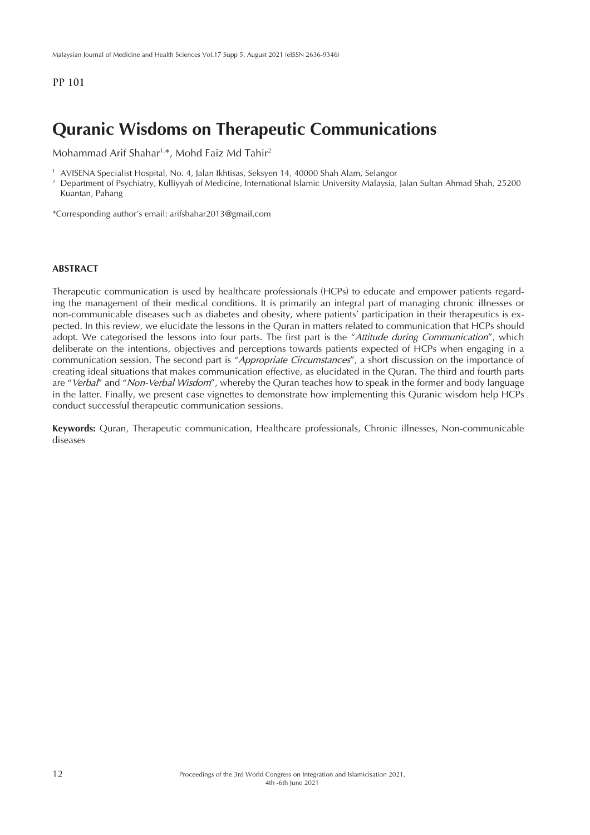## **Quranic Wisdoms on Therapeutic Communications**

Mohammad Arif Shahar1,\*, Mohd Faiz Md Tahir2

<sup>1</sup> AVISENA Specialist Hospital, No. 4, Jalan Ikhtisas, Seksyen 14, 40000 Shah Alam, Selangor

<sup>2</sup> Department of Psychiatry, Kulliyyah of Medicine, International Islamic University Malaysia, Jalan Sultan Ahmad Shah, 25200 Kuantan, Pahang

\*Corresponding author's email: arifshahar2013@gmail.com

#### **ABSTRACT**

Therapeutic communication is used by healthcare professionals (HCPs) to educate and empower patients regarding the management of their medical conditions. It is primarily an integral part of managing chronic illnesses or non-communicable diseases such as diabetes and obesity, where patients' participation in their therapeutics is expected. In this review, we elucidate the lessons in the Quran in matters related to communication that HCPs should adopt. We categorised the lessons into four parts. The first part is the "*Attitude during Communication*", which deliberate on the intentions, objectives and perceptions towards patients expected of HCPs when engaging in a communication session. The second part is "*Appropriate Circumstances*", a short discussion on the importance of creating ideal situations that makes communication effective, as elucidated in the Quran. The third and fourth parts are "*Verbal*" and "*Non-Verbal Wisdom*", whereby the Quran teaches how to speak in the former and body language in the latter. Finally, we present case vignettes to demonstrate how implementing this Quranic wisdom help HCPs conduct successful therapeutic communication sessions.

**Keywords:** Quran, Therapeutic communication, Healthcare professionals, Chronic illnesses, Non-communicable diseases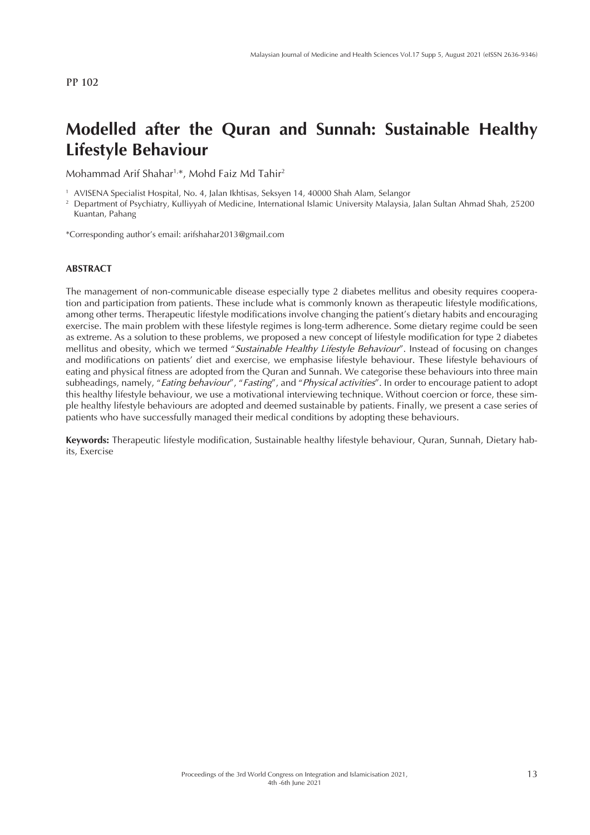# **Modelled after the Quran and Sunnah: Sustainable Healthy Lifestyle Behaviour**

Mohammad Arif Shahar1,\*, Mohd Faiz Md Tahir2

<sup>1</sup> AVISENA Specialist Hospital, No. 4, Jalan Ikhtisas, Seksyen 14, 40000 Shah Alam, Selangor

<sup>2</sup> Department of Psychiatry, Kulliyyah of Medicine, International Islamic University Malaysia, Jalan Sultan Ahmad Shah, 25200 Kuantan, Pahang

\*Corresponding author's email: arifshahar2013@gmail.com

#### **ABSTRACT**

The management of non-communicable disease especially type 2 diabetes mellitus and obesity requires cooperation and participation from patients. These include what is commonly known as therapeutic lifestyle modifications, among other terms. Therapeutic lifestyle modifications involve changing the patient's dietary habits and encouraging exercise. The main problem with these lifestyle regimes is long-term adherence. Some dietary regime could be seen as extreme. As a solution to these problems, we proposed a new concept of lifestyle modification for type 2 diabetes mellitus and obesity, which we termed "*Sustainable Healthy Lifestyle Behaviour*". Instead of focusing on changes and modifications on patients' diet and exercise, we emphasise lifestyle behaviour. These lifestyle behaviours of eating and physical fitness are adopted from the Quran and Sunnah. We categorise these behaviours into three main subheadings, namely, "*Eating behaviour*", "*Fasting*", and "*Physical activities*". In order to encourage patient to adopt this healthy lifestyle behaviour, we use a motivational interviewing technique. Without coercion or force, these simple healthy lifestyle behaviours are adopted and deemed sustainable by patients. Finally, we present a case series of patients who have successfully managed their medical conditions by adopting these behaviours.

**Keywords:** Therapeutic lifestyle modification, Sustainable healthy lifestyle behaviour, Quran, Sunnah, Dietary habits, Exercise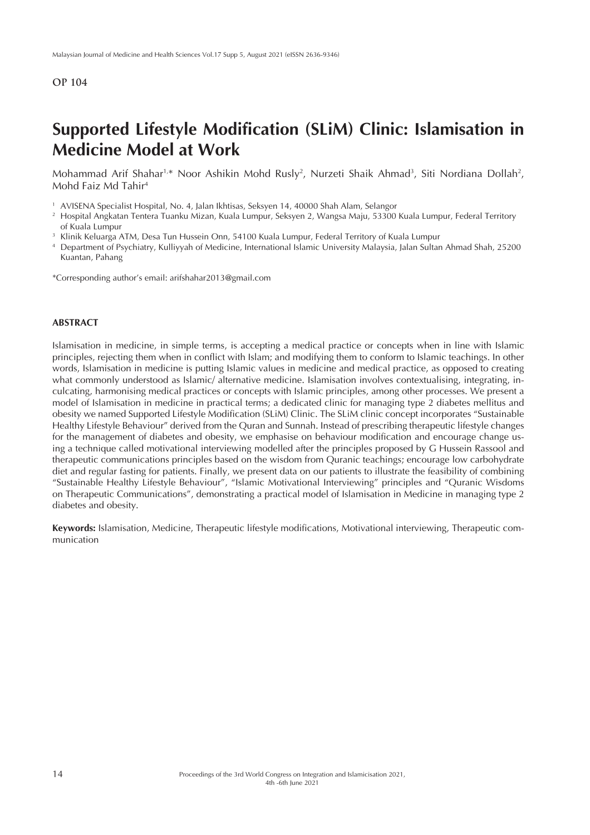# **Supported Lifestyle Modification (SLiM) Clinic: Islamisation in Medicine Model at Work**

Mohammad Arif Shahar<sup>1,</sup>\* Noor Ashikin Mohd Rusly<sup>2</sup>, Nurzeti Shaik Ahmad<sup>3</sup>, Siti Nordiana Dollah<sup>2</sup>, Mohd Faiz Md Tahir4

- <sup>1</sup> AVISENA Specialist Hospital, No. 4, Jalan Ikhtisas, Seksyen 14, 40000 Shah Alam, Selangor
- <sup>2</sup> Hospital Angkatan Tentera Tuanku Mizan, Kuala Lumpur, Seksyen 2, Wangsa Maju, 53300 Kuala Lumpur, Federal Territory of Kuala Lumpur
- <sup>3</sup> Klinik Keluarga ATM, Desa Tun Hussein Onn, 54100 Kuala Lumpur, Federal Territory of Kuala Lumpur
- <sup>4</sup> Department of Psychiatry, Kulliyyah of Medicine, International Islamic University Malaysia, Jalan Sultan Ahmad Shah, 25200 Kuantan, Pahang

\*Corresponding author's email: arifshahar2013@gmail.com

#### **ABSTRACT**

Islamisation in medicine, in simple terms, is accepting a medical practice or concepts when in line with Islamic principles, rejecting them when in conflict with Islam; and modifying them to conform to Islamic teachings. In other words, Islamisation in medicine is putting Islamic values in medicine and medical practice, as opposed to creating what commonly understood as Islamic/ alternative medicine. Islamisation involves contextualising, integrating, inculcating, harmonising medical practices or concepts with Islamic principles, among other processes. We present a model of Islamisation in medicine in practical terms; a dedicated clinic for managing type 2 diabetes mellitus and obesity we named Supported Lifestyle Modification (SLiM) Clinic. The SLiM clinic concept incorporates "Sustainable Healthy Lifestyle Behaviour" derived from the Quran and Sunnah. Instead of prescribing therapeutic lifestyle changes for the management of diabetes and obesity, we emphasise on behaviour modification and encourage change using a technique called motivational interviewing modelled after the principles proposed by G Hussein Rassool and therapeutic communications principles based on the wisdom from Quranic teachings; encourage low carbohydrate diet and regular fasting for patients. Finally, we present data on our patients to illustrate the feasibility of combining "Sustainable Healthy Lifestyle Behaviour", "Islamic Motivational Interviewing" principles and "Quranic Wisdoms on Therapeutic Communications", demonstrating a practical model of Islamisation in Medicine in managing type 2 diabetes and obesity.

**Keywords:** Islamisation, Medicine, Therapeutic lifestyle modifications, Motivational interviewing, Therapeutic communication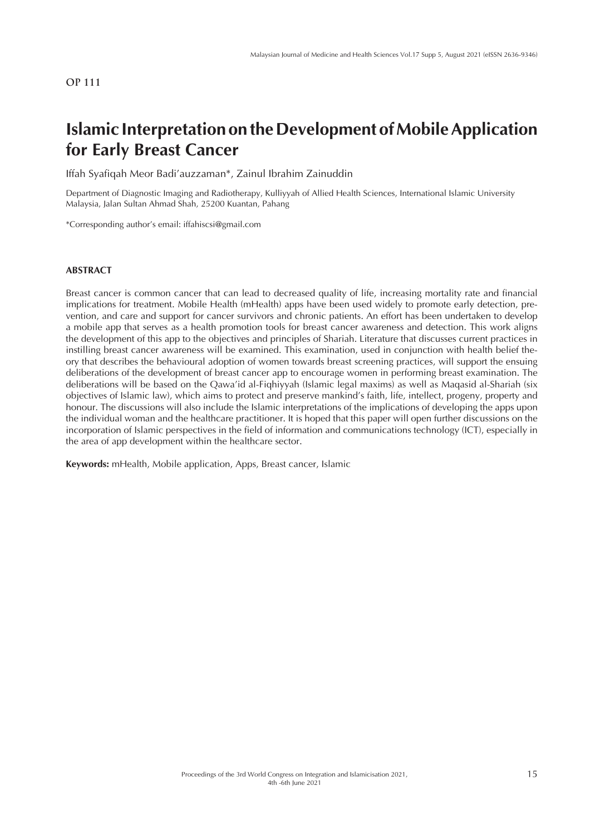# **Islamic Interpretation on the Development of Mobile Application for Early Breast Cancer**

Iffah Syafiqah Meor Badi'auzzaman\*, Zainul Ibrahim Zainuddin

Department of Diagnostic Imaging and Radiotherapy, Kulliyyah of Allied Health Sciences, International Islamic University Malaysia, Jalan Sultan Ahmad Shah, 25200 Kuantan, Pahang

\*Corresponding author's email: iffahiscsi@gmail.com

#### **ABSTRACT**

Breast cancer is common cancer that can lead to decreased quality of life, increasing mortality rate and financial implications for treatment. Mobile Health (mHealth) apps have been used widely to promote early detection, prevention, and care and support for cancer survivors and chronic patients. An effort has been undertaken to develop a mobile app that serves as a health promotion tools for breast cancer awareness and detection. This work aligns the development of this app to the objectives and principles of Shariah. Literature that discusses current practices in instilling breast cancer awareness will be examined. This examination, used in conjunction with health belief theory that describes the behavioural adoption of women towards breast screening practices, will support the ensuing deliberations of the development of breast cancer app to encourage women in performing breast examination. The deliberations will be based on the Qawa'id al-Fiqhiyyah (Islamic legal maxims) as well as Maqasid al-Shariah (six objectives of Islamic law), which aims to protect and preserve mankind's faith, life, intellect, progeny, property and honour. The discussions will also include the Islamic interpretations of the implications of developing the apps upon the individual woman and the healthcare practitioner. It is hoped that this paper will open further discussions on the incorporation of Islamic perspectives in the field of information and communications technology (ICT), especially in the area of app development within the healthcare sector.

**Keywords:** mHealth, Mobile application, Apps, Breast cancer, Islamic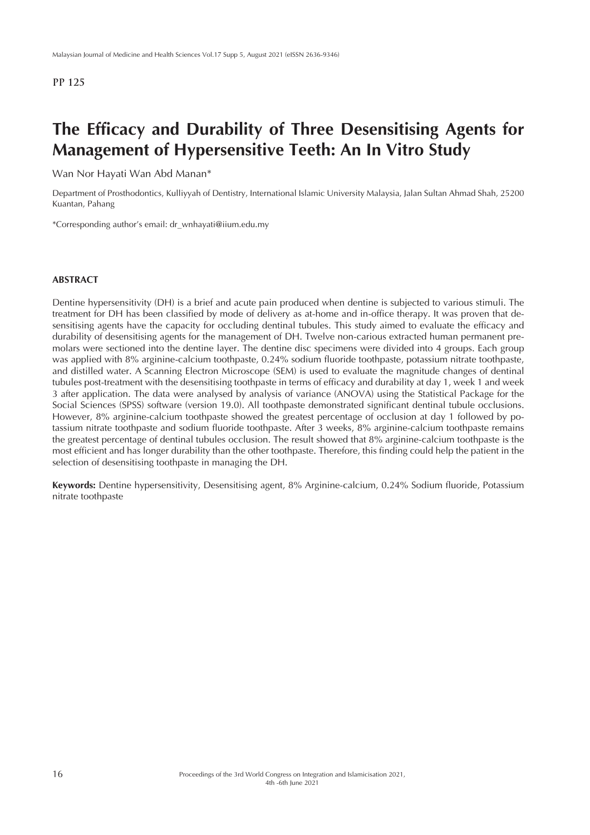# **The Efficacy and Durability of Three Desensitising Agents for Management of Hypersensitive Teeth: An In Vitro Study**

Wan Nor Hayati Wan Abd Manan\*

Department of Prosthodontics, Kulliyyah of Dentistry, International Islamic University Malaysia, Jalan Sultan Ahmad Shah, 25200 Kuantan, Pahang

\*Corresponding author's email: dr\_wnhayati@iium.edu.my

#### **ABSTRACT**

Dentine hypersensitivity (DH) is a brief and acute pain produced when dentine is subjected to various stimuli. The treatment for DH has been classified by mode of delivery as at-home and in-office therapy. It was proven that desensitising agents have the capacity for occluding dentinal tubules. This study aimed to evaluate the efficacy and durability of desensitising agents for the management of DH. Twelve non-carious extracted human permanent premolars were sectioned into the dentine layer. The dentine disc specimens were divided into 4 groups. Each group was applied with 8% arginine-calcium toothpaste, 0.24% sodium fluoride toothpaste, potassium nitrate toothpaste, and distilled water. A Scanning Electron Microscope (SEM) is used to evaluate the magnitude changes of dentinal tubules post-treatment with the desensitising toothpaste in terms of efficacy and durability at day 1, week 1 and week 3 after application. The data were analysed by analysis of variance (ANOVA) using the Statistical Package for the Social Sciences (SPSS) software (version 19.0). All toothpaste demonstrated significant dentinal tubule occlusions. However, 8% arginine-calcium toothpaste showed the greatest percentage of occlusion at day 1 followed by potassium nitrate toothpaste and sodium fluoride toothpaste. After 3 weeks, 8% arginine-calcium toothpaste remains the greatest percentage of dentinal tubules occlusion. The result showed that 8% arginine-calcium toothpaste is the most efficient and has longer durability than the other toothpaste. Therefore, this finding could help the patient in the selection of desensitising toothpaste in managing the DH.

**Keywords:** Dentine hypersensitivity, Desensitising agent, 8% Arginine-calcium, 0.24% Sodium fluoride, Potassium nitrate toothpaste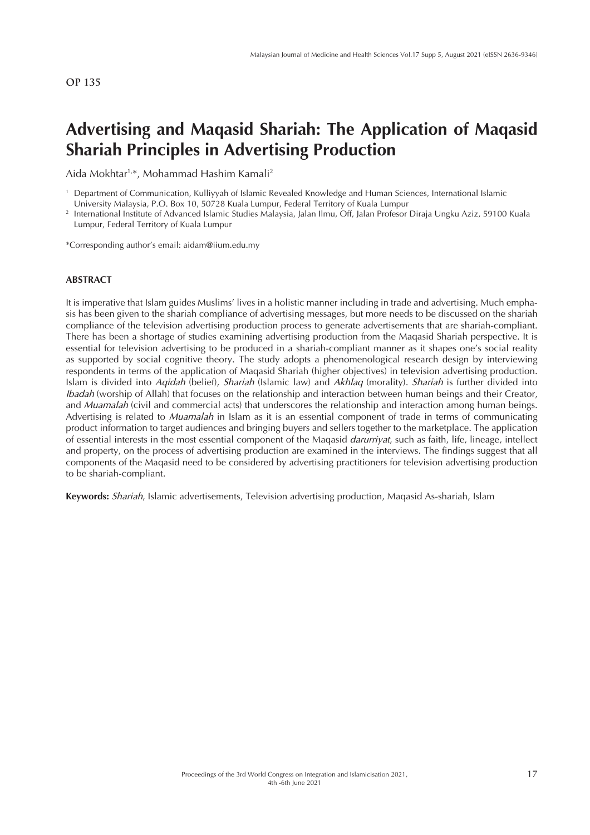# **Advertising and Maqasid Shariah: The Application of Maqasid Shariah Principles in Advertising Production**

Aida Mokhtar1,\*, Mohammad Hashim Kamali2

<sup>1</sup> Department of Communication, Kulliyyah of Islamic Revealed Knowledge and Human Sciences, International Islamic University Malaysia, P.O. Box 10, 50728 Kuala Lumpur, Federal Territory of Kuala Lumpur

<sup>2</sup> International Institute of Advanced Islamic Studies Malaysia, Jalan Ilmu, Off, Jalan Profesor Diraja Ungku Aziz, 59100 Kuala Lumpur, Federal Territory of Kuala Lumpur

\*Corresponding author's email: aidam@iium.edu.my

#### **ABSTRACT**

It is imperative that Islam guides Muslims' lives in a holistic manner including in trade and advertising. Much emphasis has been given to the shariah compliance of advertising messages, but more needs to be discussed on the shariah compliance of the television advertising production process to generate advertisements that are shariah-compliant. There has been a shortage of studies examining advertising production from the Maqasid Shariah perspective. It is essential for television advertising to be produced in a shariah-compliant manner as it shapes one's social reality as supported by social cognitive theory. The study adopts a phenomenological research design by interviewing respondents in terms of the application of Maqasid Shariah (higher objectives) in television advertising production. Islam is divided into *Aqidah* (belief), *Shariah* (Islamic law) and *Akhlaq* (morality). *Shariah* is further divided into *Ibadah* (worship of Allah) that focuses on the relationship and interaction between human beings and their Creator, and *Muamalah* (civil and commercial acts) that underscores the relationship and interaction among human beings. Advertising is related to *Muamalah* in Islam as it is an essential component of trade in terms of communicating product information to target audiences and bringing buyers and sellers together to the marketplace. The application of essential interests in the most essential component of the Maqasid *darurriyat*, such as faith, life, lineage, intellect and property, on the process of advertising production are examined in the interviews. The findings suggest that all components of the Maqasid need to be considered by advertising practitioners for television advertising production to be shariah-compliant.

**Keywords:** *Shariah*, Islamic advertisements, Television advertising production, Maqasid As-shariah, Islam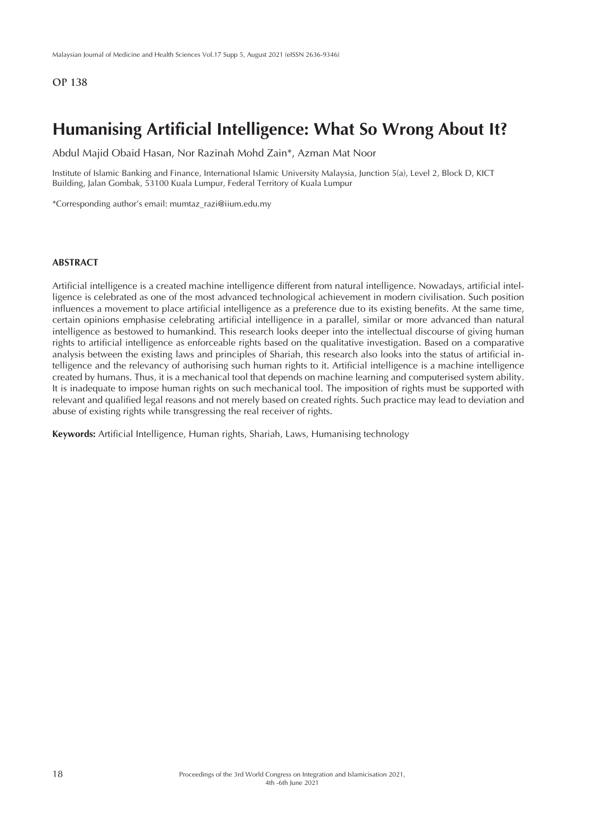## **Humanising Artificial Intelligence: What So Wrong About It?**

Abdul Majid Obaid Hasan, Nor Razinah Mohd Zain\*, Azman Mat Noor

Institute of Islamic Banking and Finance, International Islamic University Malaysia, Junction 5(a), Level 2, Block D, KICT Building, Jalan Gombak, 53100 Kuala Lumpur, Federal Territory of Kuala Lumpur

\*Corresponding author's email: mumtaz\_razi@iium.edu.my

#### **ABSTRACT**

Artificial intelligence is a created machine intelligence different from natural intelligence. Nowadays, artificial intelligence is celebrated as one of the most advanced technological achievement in modern civilisation. Such position influences a movement to place artificial intelligence as a preference due to its existing benefits. At the same time, certain opinions emphasise celebrating artificial intelligence in a parallel, similar or more advanced than natural intelligence as bestowed to humankind. This research looks deeper into the intellectual discourse of giving human rights to artificial intelligence as enforceable rights based on the qualitative investigation. Based on a comparative analysis between the existing laws and principles of Shariah, this research also looks into the status of artificial intelligence and the relevancy of authorising such human rights to it. Artificial intelligence is a machine intelligence created by humans. Thus, it is a mechanical tool that depends on machine learning and computerised system ability. It is inadequate to impose human rights on such mechanical tool. The imposition of rights must be supported with relevant and qualified legal reasons and not merely based on created rights. Such practice may lead to deviation and abuse of existing rights while transgressing the real receiver of rights.

**Keywords:** Artificial Intelligence, Human rights, Shariah, Laws, Humanising technology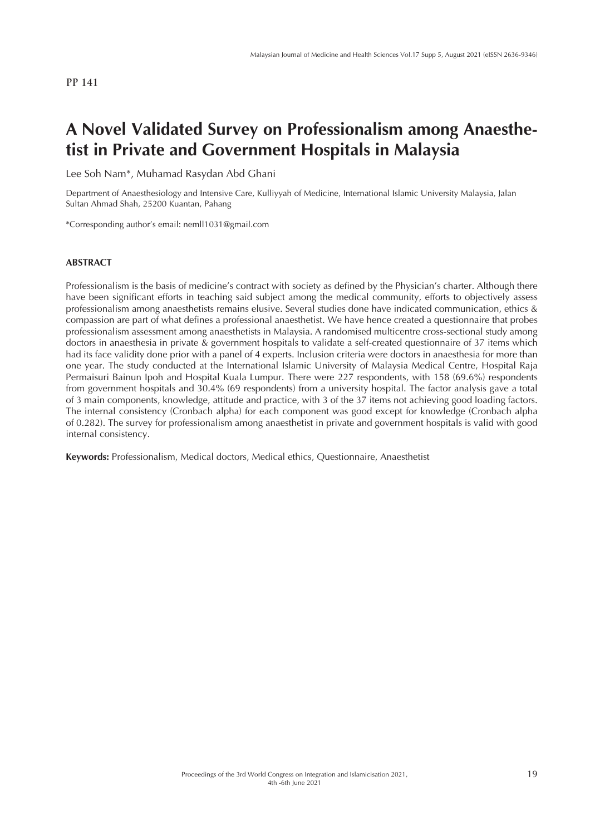# **A Novel Validated Survey on Professionalism among Anaesthetist in Private and Government Hospitals in Malaysia**

Lee Soh Nam\*, Muhamad Rasydan Abd Ghani

Department of Anaesthesiology and Intensive Care, Kulliyyah of Medicine, International Islamic University Malaysia, Jalan Sultan Ahmad Shah, 25200 Kuantan, Pahang

\*Corresponding author's email: nemll1031@gmail.com

#### **ABSTRACT**

Professionalism is the basis of medicine's contract with society as defined by the Physician's charter. Although there have been significant efforts in teaching said subject among the medical community, efforts to objectively assess professionalism among anaesthetists remains elusive. Several studies done have indicated communication, ethics & compassion are part of what defines a professional anaesthetist. We have hence created a questionnaire that probes professionalism assessment among anaesthetists in Malaysia. A randomised multicentre cross-sectional study among doctors in anaesthesia in private & government hospitals to validate a self-created questionnaire of 37 items which had its face validity done prior with a panel of 4 experts. Inclusion criteria were doctors in anaesthesia for more than one year. The study conducted at the International Islamic University of Malaysia Medical Centre, Hospital Raja Permaisuri Bainun Ipoh and Hospital Kuala Lumpur. There were 227 respondents, with 158 (69.6%) respondents from government hospitals and 30.4% (69 respondents) from a university hospital. The factor analysis gave a total of 3 main components, knowledge, attitude and practice, with 3 of the 37 items not achieving good loading factors. The internal consistency (Cronbach alpha) for each component was good except for knowledge (Cronbach alpha of 0.282). The survey for professionalism among anaesthetist in private and government hospitals is valid with good internal consistency.

**Keywords:** Professionalism, Medical doctors, Medical ethics, Questionnaire, Anaesthetist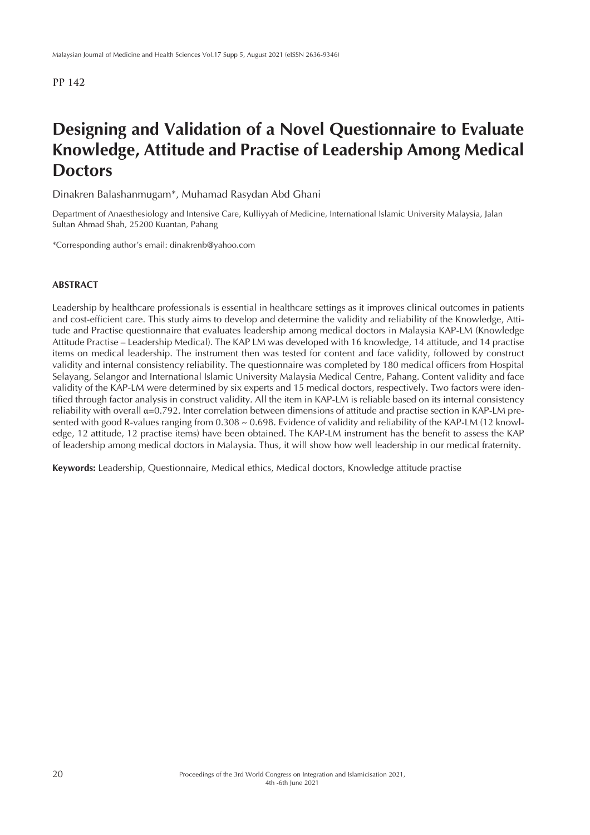# **Designing and Validation of a Novel Questionnaire to Evaluate Knowledge, Attitude and Practise of Leadership Among Medical Doctors**

Dinakren Balashanmugam\*, Muhamad Rasydan Abd Ghani

Department of Anaesthesiology and Intensive Care, Kulliyyah of Medicine, International Islamic University Malaysia, Jalan Sultan Ahmad Shah, 25200 Kuantan, Pahang

\*Corresponding author's email: dinakrenb@yahoo.com

### **ABSTRACT**

Leadership by healthcare professionals is essential in healthcare settings as it improves clinical outcomes in patients and cost-efficient care. This study aims to develop and determine the validity and reliability of the Knowledge, Attitude and Practise questionnaire that evaluates leadership among medical doctors in Malaysia KAP-LM (Knowledge Attitude Practise – Leadership Medical). The KAP LM was developed with 16 knowledge, 14 attitude, and 14 practise items on medical leadership. The instrument then was tested for content and face validity, followed by construct validity and internal consistency reliability. The questionnaire was completed by 180 medical officers from Hospital Selayang, Selangor and International Islamic University Malaysia Medical Centre, Pahang. Content validity and face validity of the KAP-LM were determined by six experts and 15 medical doctors, respectively. Two factors were identified through factor analysis in construct validity. All the item in KAP-LM is reliable based on its internal consistency reliability with overall α=0.792. Inter correlation between dimensions of attitude and practise section in KAP-LM presented with good R-values ranging from 0.308 ~ 0.698. Evidence of validity and reliability of the KAP-LM (12 knowledge, 12 attitude, 12 practise items) have been obtained. The KAP-LM instrument has the benefit to assess the KAP of leadership among medical doctors in Malaysia. Thus, it will show how well leadership in our medical fraternity.

**Keywords:** Leadership, Questionnaire, Medical ethics, Medical doctors, Knowledge attitude practise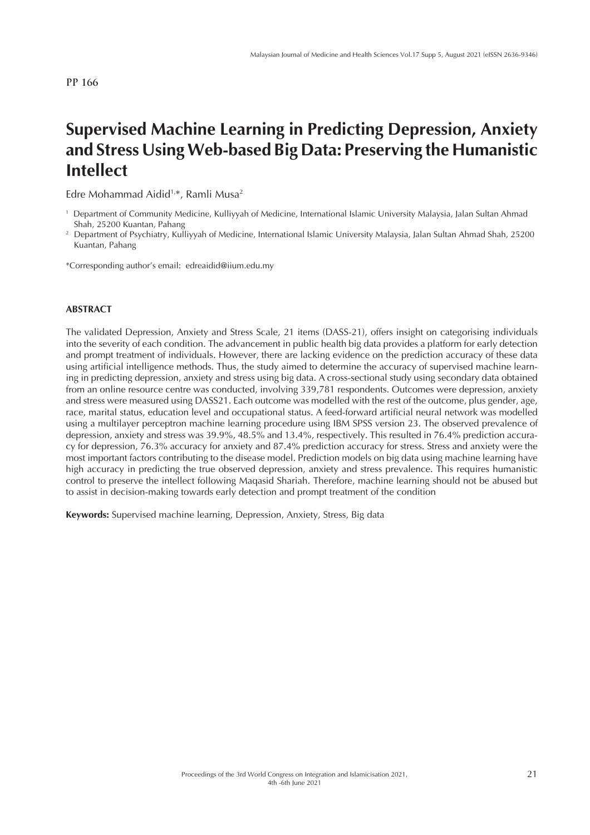# **Supervised Machine Learning in Predicting Depression, Anxiety and Stress Using Web-based Big Data: Preserving the Humanistic Intellect**

Edre Mohammad Aidid<sup>1,\*</sup>, Ramli Musa<sup>2</sup>

\*Corresponding author's email: edreaidid@iium.edu.my

#### **ABSTRACT**

The validated Depression, Anxiety and Stress Scale, 21 items (DASS-21), offers insight on categorising individuals into the severity of each condition. The advancement in public health big data provides a platform for early detection and prompt treatment of individuals. However, there are lacking evidence on the prediction accuracy of these data using artificial intelligence methods. Thus, the study aimed to determine the accuracy of supervised machine learning in predicting depression, anxiety and stress using big data. A cross-sectional study using secondary data obtained from an online resource centre was conducted, involving 339,781 respondents. Outcomes were depression, anxiety and stress were measured using DASS21. Each outcome was modelled with the rest of the outcome, plus gender, age, race, marital status, education level and occupational status. A feed-forward artificial neural network was modelled using a multilayer perceptron machine learning procedure using IBM SPSS version 23. The observed prevalence of depression, anxiety and stress was 39.9%, 48.5% and 13.4%, respectively. This resulted in 76.4% prediction accuracy for depression, 76.3% accuracy for anxiety and 87.4% prediction accuracy for stress. Stress and anxiety were the most important factors contributing to the disease model. Prediction models on big data using machine learning have high accuracy in predicting the true observed depression, anxiety and stress prevalence. This requires humanistic control to preserve the intellect following Maqasid Shariah. Therefore, machine learning should not be abused but to assist in decision-making towards early detection and prompt treatment of the condition

**Keywords:** Supervised machine learning, Depression, Anxiety, Stress, Big data

<sup>1</sup> Department of Community Medicine, Kulliyyah of Medicine, International Islamic University Malaysia, Jalan Sultan Ahmad Shah, 25200 Kuantan, Pahang

<sup>2</sup> Department of Psychiatry, Kulliyyah of Medicine, International Islamic University Malaysia, Jalan Sultan Ahmad Shah, 25200 Kuantan, Pahang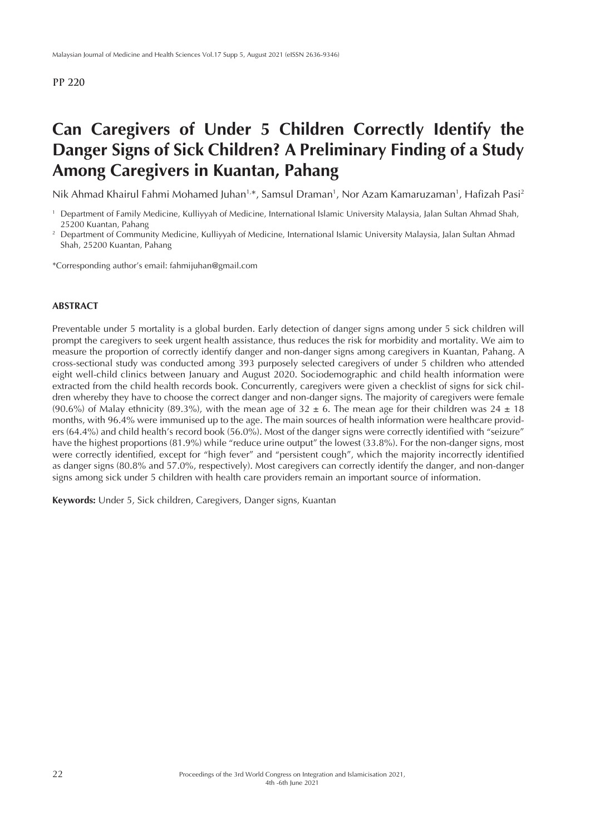# **Can Caregivers of Under 5 Children Correctly Identify the Danger Signs of Sick Children? A Preliminary Finding of a Study Among Caregivers in Kuantan, Pahang**

Nik Ahmad Khairul Fahmi Mohamed Juhan<sup>1,\*</sup>, Samsul Draman<sup>1</sup>, Nor Azam Kamaruzaman<sup>1</sup>, Hafizah Pasi<sup>2</sup>

\*Corresponding author's email: fahmijuhan@gmail.com

#### **ABSTRACT**

Preventable under 5 mortality is a global burden. Early detection of danger signs among under 5 sick children will prompt the caregivers to seek urgent health assistance, thus reduces the risk for morbidity and mortality. We aim to measure the proportion of correctly identify danger and non-danger signs among caregivers in Kuantan, Pahang. A cross-sectional study was conducted among 393 purposely selected caregivers of under 5 children who attended eight well-child clinics between January and August 2020. Sociodemographic and child health information were extracted from the child health records book. Concurrently, caregivers were given a checklist of signs for sick children whereby they have to choose the correct danger and non-danger signs. The majority of caregivers were female (90.6%) of Malay ethnicity (89.3%), with the mean age of  $32 \pm 6$ . The mean age for their children was  $24 \pm 18$ months, with 96.4% were immunised up to the age. The main sources of health information were healthcare providers (64.4%) and child health's record book (56.0%). Most of the danger signs were correctly identified with "seizure" have the highest proportions (81.9%) while "reduce urine output" the lowest (33.8%). For the non-danger signs, most were correctly identified, except for "high fever" and "persistent cough", which the majority incorrectly identified as danger signs (80.8% and 57.0%, respectively). Most caregivers can correctly identify the danger, and non-danger signs among sick under 5 children with health care providers remain an important source of information.

**Keywords:** Under 5, Sick children, Caregivers, Danger signs, Kuantan

<sup>&</sup>lt;sup>1</sup> Department of Family Medicine, Kulliyyah of Medicine, International Islamic University Malaysia, Jalan Sultan Ahmad Shah, 25200 Kuantan, Pahang

<sup>&</sup>lt;sup>2</sup> Department of Community Medicine, Kulliyyah of Medicine, International Islamic University Malaysia, Jalan Sultan Ahmad Shah, 25200 Kuantan, Pahang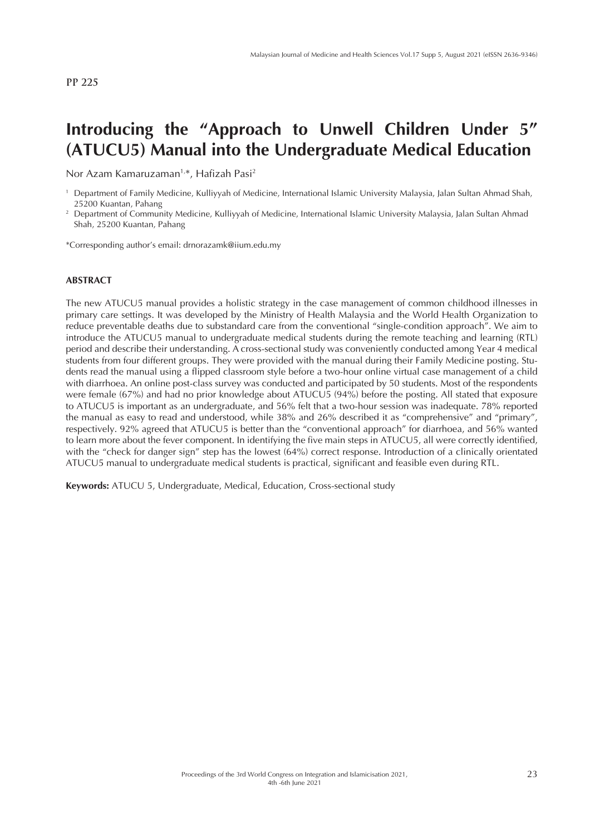# **Introducing the "Approach to Unwell Children Under 5" (ATUCU5) Manual into the Undergraduate Medical Education**

Nor Azam Kamaruzaman<sup>1,\*</sup>, Hafizah Pasi<sup>2</sup>

\*Corresponding author's email: drnorazamk@iium.edu.my

#### **ABSTRACT**

The new ATUCU5 manual provides a holistic strategy in the case management of common childhood illnesses in primary care settings. It was developed by the Ministry of Health Malaysia and the World Health Organization to reduce preventable deaths due to substandard care from the conventional "single-condition approach". We aim to introduce the ATUCU5 manual to undergraduate medical students during the remote teaching and learning (RTL) period and describe their understanding. A cross-sectional study was conveniently conducted among Year 4 medical students from four different groups. They were provided with the manual during their Family Medicine posting. Students read the manual using a flipped classroom style before a two-hour online virtual case management of a child with diarrhoea. An online post-class survey was conducted and participated by 50 students. Most of the respondents were female (67%) and had no prior knowledge about ATUCU5 (94%) before the posting. All stated that exposure to ATUCU5 is important as an undergraduate, and 56% felt that a two-hour session was inadequate. 78% reported the manual as easy to read and understood, while 38% and 26% described it as "comprehensive" and "primary", respectively. 92% agreed that ATUCU5 is better than the "conventional approach" for diarrhoea, and 56% wanted to learn more about the fever component. In identifying the five main steps in ATUCU5, all were correctly identified, with the "check for danger sign" step has the lowest (64%) correct response. Introduction of a clinically orientated ATUCU5 manual to undergraduate medical students is practical, significant and feasible even during RTL.

**Keywords:** ATUCU 5, Undergraduate, Medical, Education, Cross-sectional study

<sup>&</sup>lt;sup>1</sup> Department of Family Medicine, Kulliyyah of Medicine, International Islamic University Malaysia, Jalan Sultan Ahmad Shah, 25200 Kuantan, Pahang

<sup>2</sup> Department of Community Medicine, Kulliyyah of Medicine, International Islamic University Malaysia, Jalan Sultan Ahmad Shah, 25200 Kuantan, Pahang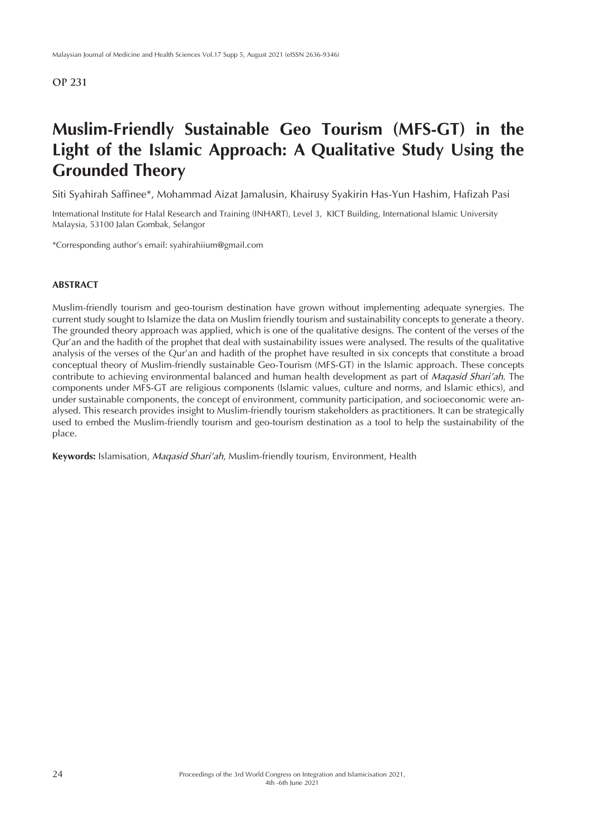# **Muslim-Friendly Sustainable Geo Tourism (MFS-GT) in the Light of the Islamic Approach: A Qualitative Study Using the Grounded Theory**

Siti Syahirah Saffinee\*, Mohammad Aizat Jamalusin, Khairusy Syakirin Has-Yun Hashim, Hafizah Pasi

International Institute for Halal Research and Training (INHART), Level 3, KICT Building, International Islamic University Malaysia, 53100 Jalan Gombak, Selangor

\*Corresponding author's email: syahirahiium@gmail.com

### **ABSTRACT**

Muslim-friendly tourism and geo-tourism destination have grown without implementing adequate synergies. The current study sought to Islamize the data on Muslim friendly tourism and sustainability concepts to generate a theory. The grounded theory approach was applied, which is one of the qualitative designs. The content of the verses of the Qur'an and the hadith of the prophet that deal with sustainability issues were analysed. The results of the qualitative analysis of the verses of the Qur'an and hadith of the prophet have resulted in six concepts that constitute a broad conceptual theory of Muslim-friendly sustainable Geo-Tourism (MFS-GT) in the Islamic approach. These concepts contribute to achieving environmental balanced and human health development as part of *Maqasid Shari'ah*. The components under MFS-GT are religious components (Islamic values, culture and norms, and Islamic ethics), and under sustainable components, the concept of environment, community participation, and socioeconomic were analysed. This research provides insight to Muslim-friendly tourism stakeholders as practitioners. It can be strategically used to embed the Muslim-friendly tourism and geo-tourism destination as a tool to help the sustainability of the place.

**Keywords:** Islamisation, *Maqasid Shari'ah*, Muslim-friendly tourism, Environment, Health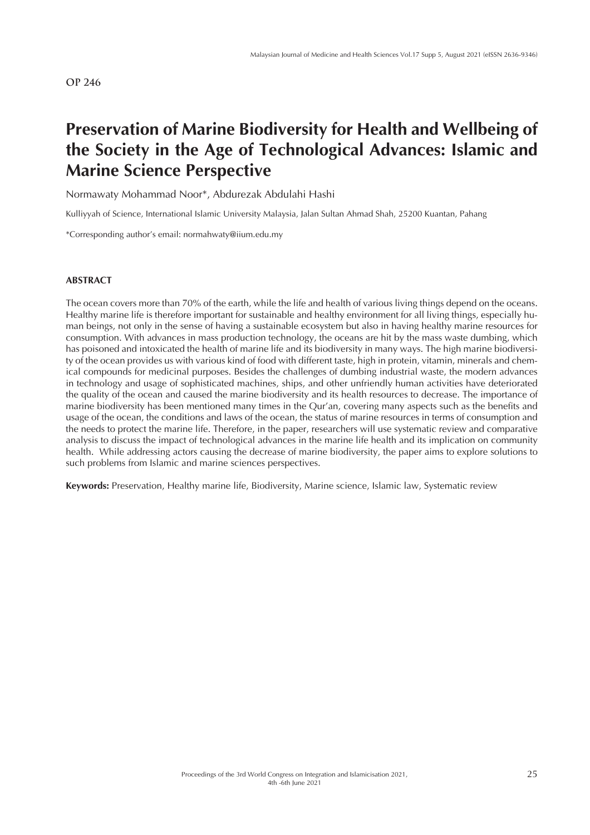# **Preservation of Marine Biodiversity for Health and Wellbeing of the Society in the Age of Technological Advances: Islamic and Marine Science Perspective**

Normawaty Mohammad Noor\*, Abdurezak Abdulahi Hashi

Kulliyyah of Science, International Islamic University Malaysia, Jalan Sultan Ahmad Shah, 25200 Kuantan, Pahang

\*Corresponding author's email: normahwaty@iium.edu.my

#### **ABSTRACT**

The ocean covers more than 70% of the earth, while the life and health of various living things depend on the oceans. Healthy marine life is therefore important for sustainable and healthy environment for all living things, especially human beings, not only in the sense of having a sustainable ecosystem but also in having healthy marine resources for consumption. With advances in mass production technology, the oceans are hit by the mass waste dumbing, which has poisoned and intoxicated the health of marine life and its biodiversity in many ways. The high marine biodiversity of the ocean provides us with various kind of food with different taste, high in protein, vitamin, minerals and chemical compounds for medicinal purposes. Besides the challenges of dumbing industrial waste, the modern advances in technology and usage of sophisticated machines, ships, and other unfriendly human activities have deteriorated the quality of the ocean and caused the marine biodiversity and its health resources to decrease. The importance of marine biodiversity has been mentioned many times in the Qur'an, covering many aspects such as the benefits and usage of the ocean, the conditions and laws of the ocean, the status of marine resources in terms of consumption and the needs to protect the marine life. Therefore, in the paper, researchers will use systematic review and comparative analysis to discuss the impact of technological advances in the marine life health and its implication on community health. While addressing actors causing the decrease of marine biodiversity, the paper aims to explore solutions to such problems from Islamic and marine sciences perspectives.

**Keywords:** Preservation, Healthy marine life, Biodiversity, Marine science, Islamic law, Systematic review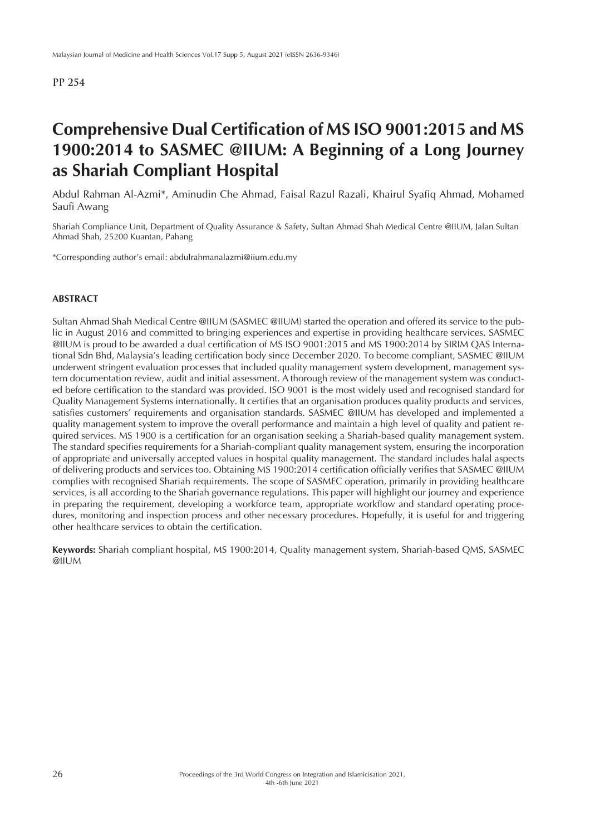# **Comprehensive Dual Certification of MS ISO 9001:2015 and MS 1900:2014 to SASMEC @IIUM: A Beginning of a Long Journey as Shariah Compliant Hospital**

Abdul Rahman Al-Azmi\*, Aminudin Che Ahmad, Faisal Razul Razali, Khairul Syafiq Ahmad, Mohamed Saufi Awang

Shariah Compliance Unit, Department of Quality Assurance & Safety, Sultan Ahmad Shah Medical Centre @IIUM, Jalan Sultan Ahmad Shah, 25200 Kuantan, Pahang

\*Corresponding author's email: abdulrahmanalazmi@iium.edu.my

### **ABSTRACT**

Sultan Ahmad Shah Medical Centre @IIUM (SASMEC @IIUM) started the operation and offered its service to the public in August 2016 and committed to bringing experiences and expertise in providing healthcare services. SASMEC @IIUM is proud to be awarded a dual certification of MS ISO 9001:2015 and MS 1900:2014 by SIRIM QAS International Sdn Bhd, Malaysia's leading certification body since December 2020. To become compliant, SASMEC @IIUM underwent stringent evaluation processes that included quality management system development, management system documentation review, audit and initial assessment. A thorough review of the management system was conducted before certification to the standard was provided. ISO 9001 is the most widely used and recognised standard for Quality Management Systems internationally. It certifies that an organisation produces quality products and services, satisfies customers' requirements and organisation standards. SASMEC @IIUM has developed and implemented a quality management system to improve the overall performance and maintain a high level of quality and patient required services. MS 1900 is a certification for an organisation seeking a Shariah-based quality management system. The standard specifies requirements for a Shariah-compliant quality management system, ensuring the incorporation of appropriate and universally accepted values in hospital quality management. The standard includes halal aspects of delivering products and services too. Obtaining MS 1900:2014 certification officially verifies that SASMEC @IIUM complies with recognised Shariah requirements. The scope of SASMEC operation, primarily in providing healthcare services, is all according to the Shariah governance regulations. This paper will highlight our journey and experience in preparing the requirement, developing a workforce team, appropriate workflow and standard operating procedures, monitoring and inspection process and other necessary procedures. Hopefully, it is useful for and triggering other healthcare services to obtain the certification.

**Keywords:** Shariah compliant hospital, MS 1900:2014, Quality management system, Shariah-based QMS, SASMEC @IIUM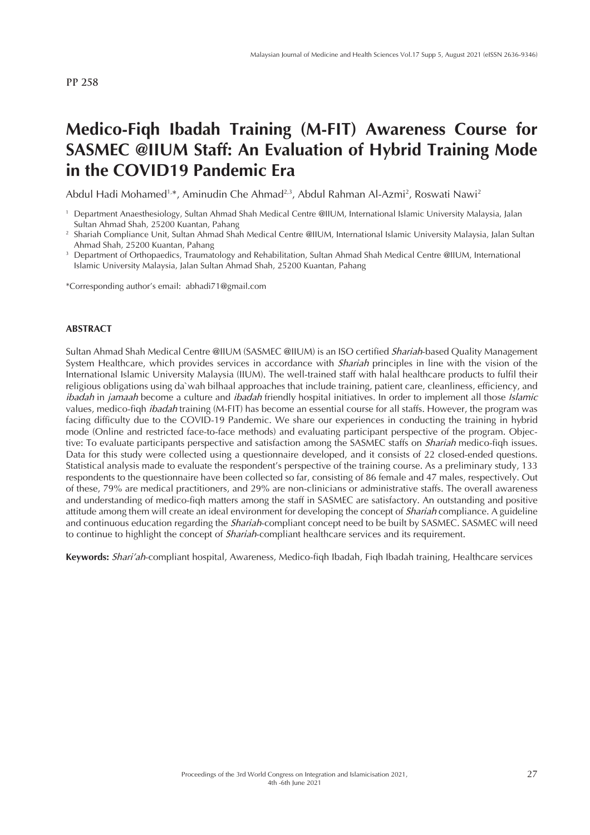# **Medico-Fiqh Ibadah Training (M-FIT) Awareness Course for SASMEC @IIUM Staff: An Evaluation of Hybrid Training Mode in the COVID19 Pandemic Era**

Abdul Hadi Mohamed<sup>1,\*</sup>, Aminudin Che Ahmad<sup>2,3</sup>, Abdul Rahman Al-Azmi<sup>2</sup>, Roswati Nawi<sup>2</sup>

\*Corresponding author's email: abhadi71@gmail.com

#### **ABSTRACT**

Sultan Ahmad Shah Medical Centre @IIUM (SASMEC @IIUM) is an ISO certified *Shariah*-based Quality Management System Healthcare, which provides services in accordance with *Shariah* principles in line with the vision of the International Islamic University Malaysia (IIUM). The well-trained staff with halal healthcare products to fulfil their religious obligations using da`wah bilhaal approaches that include training, patient care, cleanliness, efficiency, and *ibadah* in *jamaah* become a culture and *ibadah* friendly hospital initiatives. In order to implement all those *Islamic*  values, medico-fiqh *ibadah* training (M-FIT) has become an essential course for all staffs. However, the program was facing difficulty due to the COVID-19 Pandemic. We share our experiences in conducting the training in hybrid mode (Online and restricted face-to-face methods) and evaluating participant perspective of the program. Objective: To evaluate participants perspective and satisfaction among the SASMEC staffs on *Shariah* medico-fiqh issues. Data for this study were collected using a questionnaire developed, and it consists of 22 closed-ended questions. Statistical analysis made to evaluate the respondent's perspective of the training course. As a preliminary study, 133 respondents to the questionnaire have been collected so far, consisting of 86 female and 47 males, respectively. Out of these, 79% are medical practitioners, and 29% are non-clinicians or administrative staffs. The overall awareness and understanding of medico-fiqh matters among the staff in SASMEC are satisfactory. An outstanding and positive attitude among them will create an ideal environment for developing the concept of *Shariah* compliance. A guideline and continuous education regarding the *Shariah*-compliant concept need to be built by SASMEC. SASMEC will need to continue to highlight the concept of *Shariah*-compliant healthcare services and its requirement.

**Keywords:** *Shari'ah*-compliant hospital, Awareness, Medico-fiqh Ibadah, Fiqh Ibadah training, Healthcare services

<sup>1</sup> Department Anaesthesiology, Sultan Ahmad Shah Medical Centre @IIUM, International Islamic University Malaysia, Jalan Sultan Ahmad Shah, 25200 Kuantan, Pahang

<sup>2</sup> Shariah Compliance Unit, Sultan Ahmad Shah Medical Centre @IIUM, International Islamic University Malaysia, Jalan Sultan Ahmad Shah, 25200 Kuantan, Pahang

<sup>3</sup> Department of Orthopaedics, Traumatology and Rehabilitation, Sultan Ahmad Shah Medical Centre @IIUM, International Islamic University Malaysia, Jalan Sultan Ahmad Shah, 25200 Kuantan, Pahang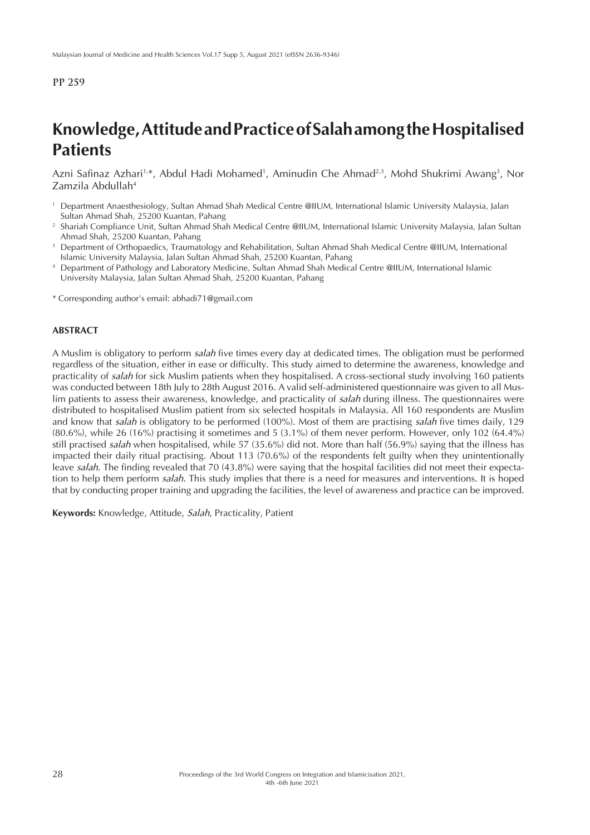# **Knowledge, Attitude and Practice of Salah among the Hospitalised Patients**

Azni Safinaz Azhari<sup>1,</sup>\*, Abdul Hadi Mohamed<sup>1</sup>, Aminudin Che Ahmad<sup>2,3</sup>, Mohd Shukrimi Awang<sup>3</sup>, Nor Zamzila Abdullah4

- <sup>1</sup> Department Anaesthesiology, Sultan Ahmad Shah Medical Centre @IIUM, International Islamic University Malaysia, Jalan Sultan Ahmad Shah, 25200 Kuantan, Pahang
- <sup>2</sup> Shariah Compliance Unit, Sultan Ahmad Shah Medical Centre @IIUM, International Islamic University Malaysia, Jalan Sultan Ahmad Shah, 25200 Kuantan, Pahang
- <sup>3</sup> Department of Orthopaedics, Traumatology and Rehabilitation, Sultan Ahmad Shah Medical Centre @IIUM, International Islamic University Malaysia, Jalan Sultan Ahmad Shah, 25200 Kuantan, Pahang
- <sup>4</sup> Department of Pathology and Laboratory Medicine, Sultan Ahmad Shah Medical Centre @IIUM, International Islamic University Malaysia, Jalan Sultan Ahmad Shah, 25200 Kuantan, Pahang
- \* Corresponding author's email: abhadi71@gmail.com

#### **ABSTRACT**

A Muslim is obligatory to perform *salah* five times every day at dedicated times. The obligation must be performed regardless of the situation, either in ease or difficulty. This study aimed to determine the awareness, knowledge and practicality of *salah* for sick Muslim patients when they hospitalised. A cross-sectional study involving 160 patients was conducted between 18th July to 28th August 2016. A valid self-administered questionnaire was given to all Muslim patients to assess their awareness, knowledge, and practicality of *salah* during illness. The questionnaires were distributed to hospitalised Muslim patient from six selected hospitals in Malaysia. All 160 respondents are Muslim and know that *salah* is obligatory to be performed (100%). Most of them are practising *salah* five times daily, 129 (80.6%), while 26 (16%) practising it sometimes and 5 (3.1%) of them never perform. However, only 102 (64.4%) still practised *salah* when hospitalised, while 57 (35.6%) did not. More than half (56.9%) saying that the illness has impacted their daily ritual practising. About 113 (70.6%) of the respondents felt guilty when they unintentionally leave *salah*. The finding revealed that 70 (43.8%) were saying that the hospital facilities did not meet their expectation to help them perform *salah*. This study implies that there is a need for measures and interventions. It is hoped that by conducting proper training and upgrading the facilities, the level of awareness and practice can be improved.

**Keywords:** Knowledge, Attitude, *Salah*, Practicality, Patient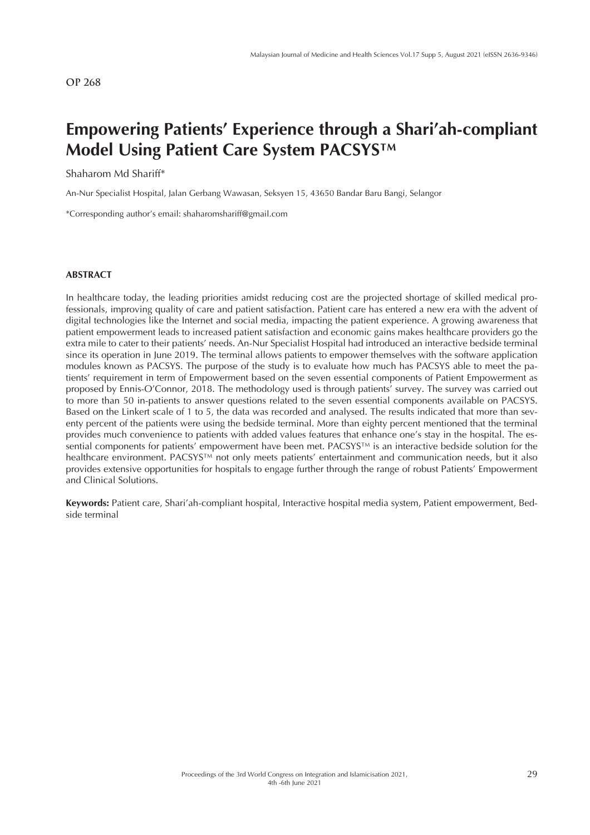# **Empowering Patients' Experience through a Shari'ah-compliant Model Using Patient Care System PACSYS™**

### Shaharom Md Shariff\*

An-Nur Specialist Hospital, Jalan Gerbang Wawasan, Seksyen 15, 43650 Bandar Baru Bangi, Selangor

\*Corresponding author's email: shaharomshariff@gmail.com

### **ABSTRACT**

In healthcare today, the leading priorities amidst reducing cost are the projected shortage of skilled medical professionals, improving quality of care and patient satisfaction. Patient care has entered a new era with the advent of digital technologies like the Internet and social media, impacting the patient experience. A growing awareness that patient empowerment leads to increased patient satisfaction and economic gains makes healthcare providers go the extra mile to cater to their patients' needs. An-Nur Specialist Hospital had introduced an interactive bedside terminal since its operation in June 2019. The terminal allows patients to empower themselves with the software application modules known as PACSYS. The purpose of the study is to evaluate how much has PACSYS able to meet the patients' requirement in term of Empowerment based on the seven essential components of Patient Empowerment as proposed by Ennis-O'Connor, 2018. The methodology used is through patients' survey. The survey was carried out to more than 50 in-patients to answer questions related to the seven essential components available on PACSYS. Based on the Linkert scale of 1 to 5, the data was recorded and analysed. The results indicated that more than seventy percent of the patients were using the bedside terminal. More than eighty percent mentioned that the terminal provides much convenience to patients with added values features that enhance one's stay in the hospital. The essential components for patients' empowerment have been met. PACSYS™ is an interactive bedside solution for the healthcare environment. PACSYS™ not only meets patients' entertainment and communication needs, but it also provides extensive opportunities for hospitals to engage further through the range of robust Patients' Empowerment and Clinical Solutions.

**Keywords:** Patient care, Shari'ah-compliant hospital, Interactive hospital media system, Patient empowerment, Bedside terminal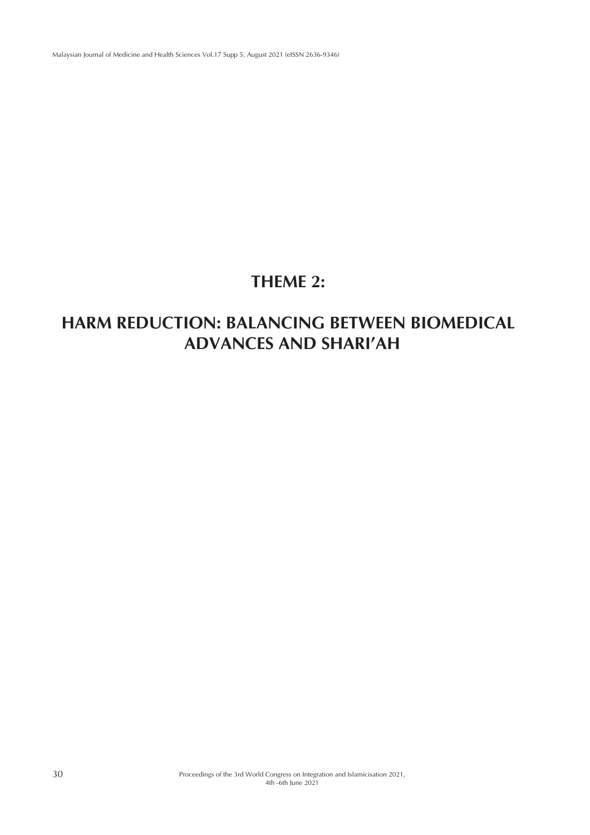Malaysian Journal of Medicine and Health Sciences Vol.17 Supp 5, August 2021 (eISSN 2636-9346)

# **THEME 2:**

# **HARM REDUCTION: BALANCING BETWEEN BIOMEDICAL ADVANCES AND SHARI'AH**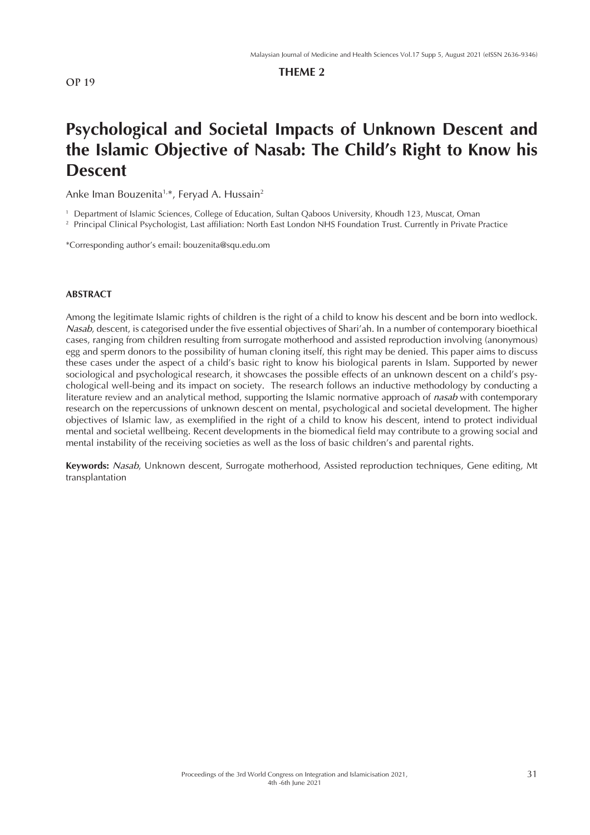## **THEME 2**

# **Psychological and Societal Impacts of Unknown Descent and the Islamic Objective of Nasab: The Child's Right to Know his Descent**

Anke Iman Bouzenita<sup>1,\*</sup>, Feryad A. Hussain<sup>2</sup>

<sup>1</sup> Department of Islamic Sciences, College of Education, Sultan Qaboos University, Khoudh 123, Muscat, Oman

<sup>2</sup> Principal Clinical Psychologist, Last affiliation: North East London NHS Foundation Trust. Currently in Private Practice

\*Corresponding author's email: bouzenita@squ.edu.om

#### **ABSTRACT**

Among the legitimate Islamic rights of children is the right of a child to know his descent and be born into wedlock. *Nasab*, descent, is categorised under the five essential objectives of Shari'ah. In a number of contemporary bioethical cases, ranging from children resulting from surrogate motherhood and assisted reproduction involving (anonymous) egg and sperm donors to the possibility of human cloning itself, this right may be denied. This paper aims to discuss these cases under the aspect of a child's basic right to know his biological parents in Islam. Supported by newer sociological and psychological research, it showcases the possible effects of an unknown descent on a child's psychological well-being and its impact on society. The research follows an inductive methodology by conducting a literature review and an analytical method, supporting the Islamic normative approach of *nasab* with contemporary research on the repercussions of unknown descent on mental, psychological and societal development. The higher objectives of Islamic law, as exemplified in the right of a child to know his descent, intend to protect individual mental and societal wellbeing. Recent developments in the biomedical field may contribute to a growing social and mental instability of the receiving societies as well as the loss of basic children's and parental rights.

**Keywords:** *Nasab*, Unknown descent, Surrogate motherhood, Assisted reproduction techniques, Gene editing, Mt transplantation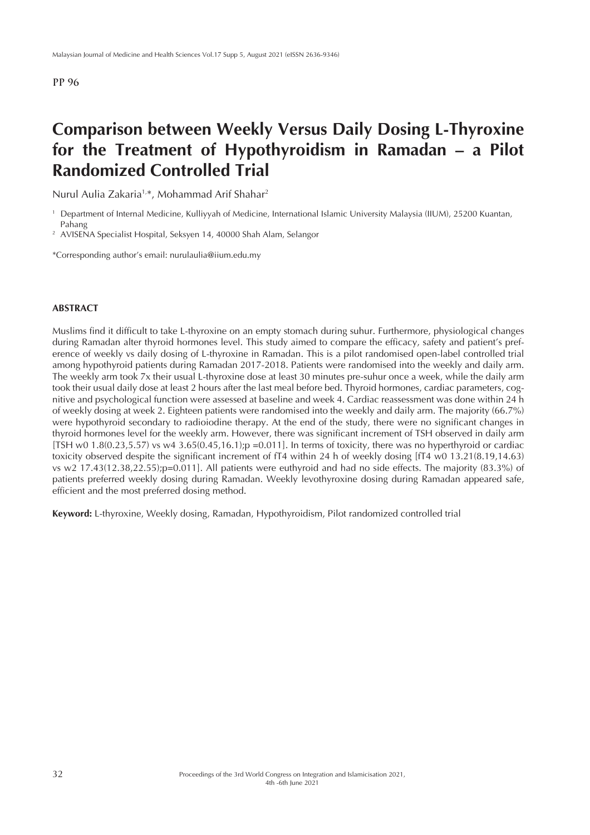# **Comparison between Weekly Versus Daily Dosing L-Thyroxine for the Treatment of Hypothyroidism in Ramadan – a Pilot Randomized Controlled Trial**

Nurul Aulia Zakaria1,\*, Mohammad Arif Shahar2

\*Corresponding author's email: nurulaulia@iium.edu.my

#### **ABSTRACT**

Muslims find it difficult to take L-thyroxine on an empty stomach during suhur. Furthermore, physiological changes during Ramadan alter thyroid hormones level. This study aimed to compare the efficacy, safety and patient's preference of weekly vs daily dosing of L-thyroxine in Ramadan. This is a pilot randomised open-label controlled trial among hypothyroid patients during Ramadan 2017-2018. Patients were randomised into the weekly and daily arm. The weekly arm took 7x their usual L-thyroxine dose at least 30 minutes pre-suhur once a week, while the daily arm took their usual daily dose at least 2 hours after the last meal before bed. Thyroid hormones, cardiac parameters, cognitive and psychological function were assessed at baseline and week 4. Cardiac reassessment was done within 24 h of weekly dosing at week 2. Eighteen patients were randomised into the weekly and daily arm. The majority (66.7%) were hypothyroid secondary to radioiodine therapy. At the end of the study, there were no significant changes in thyroid hormones level for the weekly arm. However, there was significant increment of TSH observed in daily arm  $[TSH \le 1.8(0.23.5.57)$  vs  $w4$  3.65 $(0.45.16.1);p$  =0.011]. In terms of toxicity, there was no hyperthyroid or cardiac toxicity observed despite the significant increment of fT4 within 24 h of weekly dosing [fT4 w0 13.21(8.19,14.63) vs w2 17.43(12.38,22.55);p=0.011]. All patients were euthyroid and had no side effects. The majority (83.3%) of patients preferred weekly dosing during Ramadan. Weekly levothyroxine dosing during Ramadan appeared safe, efficient and the most preferred dosing method.

**Keyword:** L-thyroxine, Weekly dosing, Ramadan, Hypothyroidism, Pilot randomized controlled trial

<sup>1</sup> Department of Internal Medicine, Kulliyyah of Medicine, International Islamic University Malaysia (IIUM), 25200 Kuantan, Pahang

<sup>&</sup>lt;sup>2</sup> AVISENA Specialist Hospital, Seksyen 14, 40000 Shah Alam, Selangor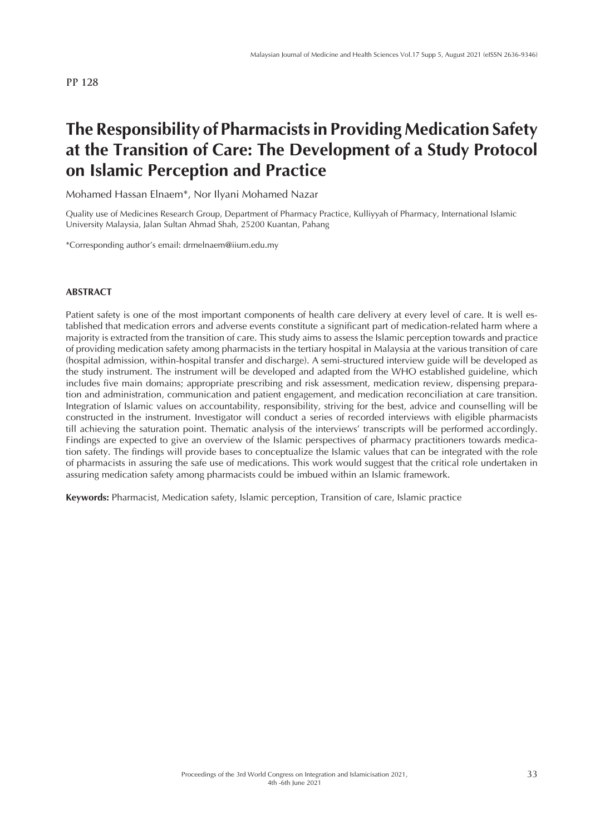# **The Responsibility of Pharmacists in Providing Medication Safety at the Transition of Care: The Development of a Study Protocol on Islamic Perception and Practice**

Mohamed Hassan Elnaem\*, Nor Ilyani Mohamed Nazar

Quality use of Medicines Research Group, Department of Pharmacy Practice, Kulliyyah of Pharmacy, International Islamic University Malaysia, Jalan Sultan Ahmad Shah, 25200 Kuantan, Pahang

\*Corresponding author's email: drmelnaem@iium.edu.my

#### **ABSTRACT**

Patient safety is one of the most important components of health care delivery at every level of care. It is well established that medication errors and adverse events constitute a significant part of medication-related harm where a majority is extracted from the transition of care. This study aims to assess the Islamic perception towards and practice of providing medication safety among pharmacists in the tertiary hospital in Malaysia at the various transition of care (hospital admission, within-hospital transfer and discharge). A semi-structured interview guide will be developed as the study instrument. The instrument will be developed and adapted from the WHO established guideline, which includes five main domains; appropriate prescribing and risk assessment, medication review, dispensing preparation and administration, communication and patient engagement, and medication reconciliation at care transition. Integration of Islamic values on accountability, responsibility, striving for the best, advice and counselling will be constructed in the instrument. Investigator will conduct a series of recorded interviews with eligible pharmacists till achieving the saturation point. Thematic analysis of the interviews' transcripts will be performed accordingly. Findings are expected to give an overview of the Islamic perspectives of pharmacy practitioners towards medication safety. The findings will provide bases to conceptualize the Islamic values that can be integrated with the role of pharmacists in assuring the safe use of medications. This work would suggest that the critical role undertaken in assuring medication safety among pharmacists could be imbued within an Islamic framework.

**Keywords:** Pharmacist, Medication safety, Islamic perception, Transition of care, Islamic practice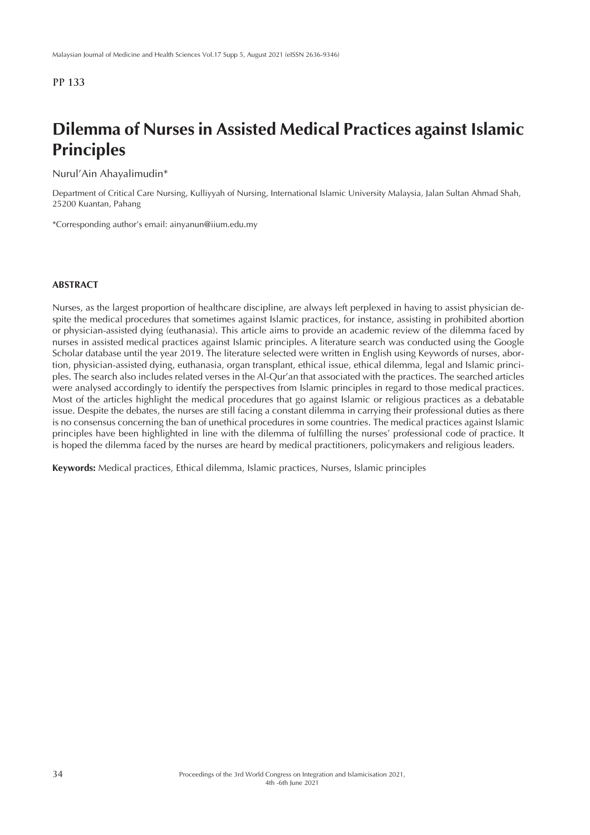# **Dilemma of Nurses in Assisted Medical Practices against Islamic Principles**

Nurul'Ain Ahayalimudin\*

Department of Critical Care Nursing, Kulliyyah of Nursing, International Islamic University Malaysia, Jalan Sultan Ahmad Shah, 25200 Kuantan, Pahang

\*Corresponding author's email: ainyanun@iium.edu.my

#### **ABSTRACT**

Nurses, as the largest proportion of healthcare discipline, are always left perplexed in having to assist physician despite the medical procedures that sometimes against Islamic practices, for instance, assisting in prohibited abortion or physician-assisted dying (euthanasia). This article aims to provide an academic review of the dilemma faced by nurses in assisted medical practices against Islamic principles. A literature search was conducted using the Google Scholar database until the year 2019. The literature selected were written in English using Keywords of nurses, abortion, physician-assisted dying, euthanasia, organ transplant, ethical issue, ethical dilemma, legal and Islamic principles. The search also includes related verses in the Al-Qur'an that associated with the practices. The searched articles were analysed accordingly to identify the perspectives from Islamic principles in regard to those medical practices. Most of the articles highlight the medical procedures that go against Islamic or religious practices as a debatable issue. Despite the debates, the nurses are still facing a constant dilemma in carrying their professional duties as there is no consensus concerning the ban of unethical procedures in some countries. The medical practices against Islamic principles have been highlighted in line with the dilemma of fulfilling the nurses' professional code of practice. It is hoped the dilemma faced by the nurses are heard by medical practitioners, policymakers and religious leaders.

**Keywords:** Medical practices, Ethical dilemma, Islamic practices, Nurses, Islamic principles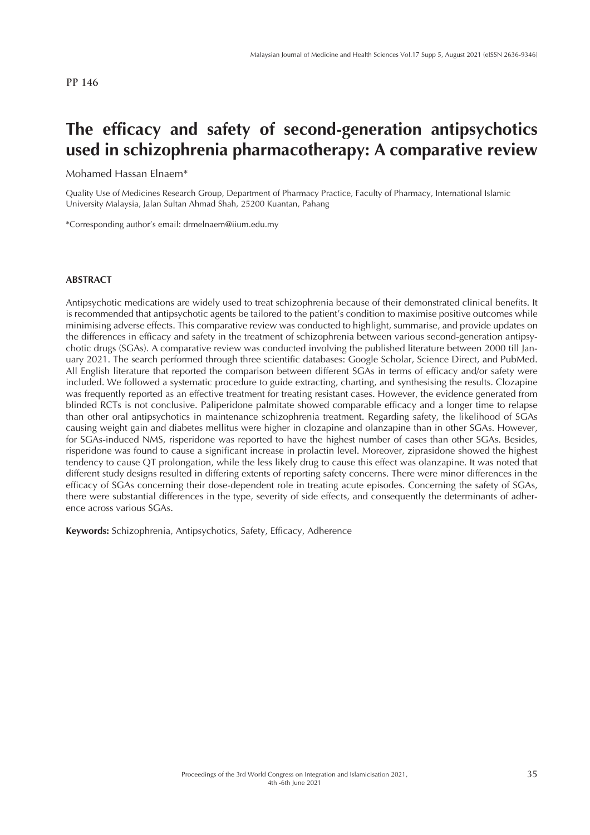## **The efficacy and safety of second-generation antipsychotics used in schizophrenia pharmacotherapy: A comparative review**

Mohamed Hassan Elnaem\*

Quality Use of Medicines Research Group, Department of Pharmacy Practice, Faculty of Pharmacy, International Islamic University Malaysia, Jalan Sultan Ahmad Shah, 25200 Kuantan, Pahang

\*Corresponding author's email: drmelnaem@iium.edu.my

#### **ABSTRACT**

Antipsychotic medications are widely used to treat schizophrenia because of their demonstrated clinical benefits. It is recommended that antipsychotic agents be tailored to the patient's condition to maximise positive outcomes while minimising adverse effects. This comparative review was conducted to highlight, summarise, and provide updates on the differences in efficacy and safety in the treatment of schizophrenia between various second-generation antipsychotic drugs (SGAs). A comparative review was conducted involving the published literature between 2000 till January 2021. The search performed through three scientific databases: Google Scholar, Science Direct, and PubMed. All English literature that reported the comparison between different SGAs in terms of efficacy and/or safety were included. We followed a systematic procedure to guide extracting, charting, and synthesising the results. Clozapine was frequently reported as an effective treatment for treating resistant cases. However, the evidence generated from blinded RCTs is not conclusive. Paliperidone palmitate showed comparable efficacy and a longer time to relapse than other oral antipsychotics in maintenance schizophrenia treatment. Regarding safety, the likelihood of SGAs causing weight gain and diabetes mellitus were higher in clozapine and olanzapine than in other SGAs. However, for SGAs-induced NMS, risperidone was reported to have the highest number of cases than other SGAs. Besides, risperidone was found to cause a significant increase in prolactin level. Moreover, ziprasidone showed the highest tendency to cause QT prolongation, while the less likely drug to cause this effect was olanzapine. It was noted that different study designs resulted in differing extents of reporting safety concerns. There were minor differences in the efficacy of SGAs concerning their dose-dependent role in treating acute episodes. Concerning the safety of SGAs, there were substantial differences in the type, severity of side effects, and consequently the determinants of adherence across various SGAs.

**Keywords:** Schizophrenia, Antipsychotics, Safety, Efficacy, Adherence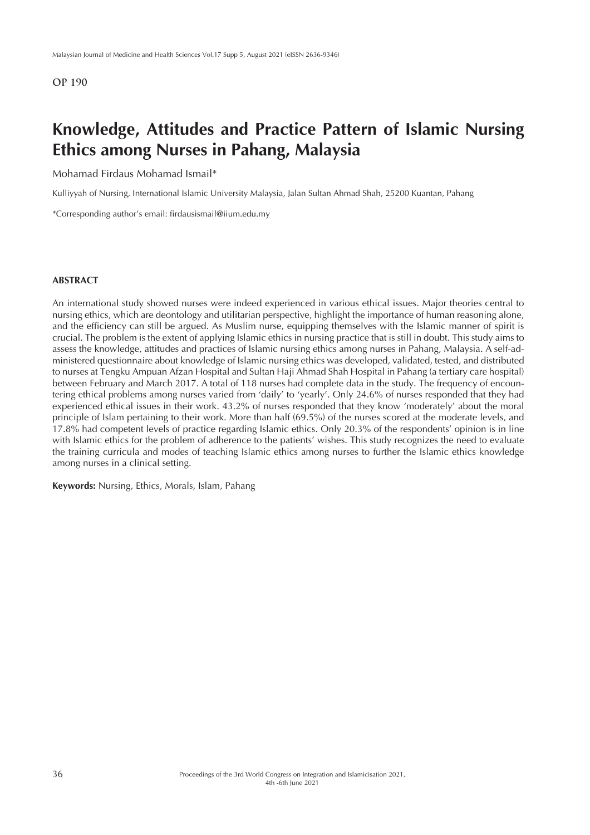## **Knowledge, Attitudes and Practice Pattern of Islamic Nursing Ethics among Nurses in Pahang, Malaysia**

Mohamad Firdaus Mohamad Ismail\*

Kulliyyah of Nursing, International Islamic University Malaysia, Jalan Sultan Ahmad Shah, 25200 Kuantan, Pahang

\*Corresponding author's email: firdausismail@iium.edu.my

## **ABSTRACT**

An international study showed nurses were indeed experienced in various ethical issues. Major theories central to nursing ethics, which are deontology and utilitarian perspective, highlight the importance of human reasoning alone, and the efficiency can still be argued. As Muslim nurse, equipping themselves with the Islamic manner of spirit is crucial. The problem is the extent of applying Islamic ethics in nursing practice that is still in doubt. This study aims to assess the knowledge, attitudes and practices of Islamic nursing ethics among nurses in Pahang, Malaysia. A self-administered questionnaire about knowledge of Islamic nursing ethics was developed, validated, tested, and distributed to nurses at Tengku Ampuan Afzan Hospital and Sultan Haji Ahmad Shah Hospital in Pahang (a tertiary care hospital) between February and March 2017. A total of 118 nurses had complete data in the study. The frequency of encountering ethical problems among nurses varied from 'daily' to 'yearly'. Only 24.6% of nurses responded that they had experienced ethical issues in their work. 43.2% of nurses responded that they know 'moderately' about the moral principle of Islam pertaining to their work. More than half (69.5%) of the nurses scored at the moderate levels, and 17.8% had competent levels of practice regarding Islamic ethics. Only 20.3% of the respondents' opinion is in line with Islamic ethics for the problem of adherence to the patients' wishes. This study recognizes the need to evaluate the training curricula and modes of teaching Islamic ethics among nurses to further the Islamic ethics knowledge among nurses in a clinical setting.

**Keywords:** Nursing, Ethics, Morals, Islam, Pahang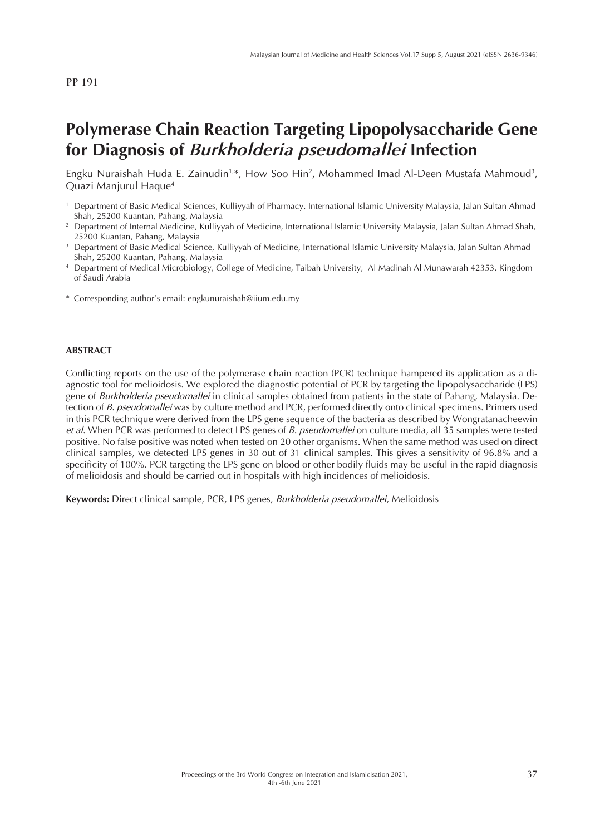## **Polymerase Chain Reaction Targeting Lipopolysaccharide Gene for Diagnosis of** *Burkholderia pseudomallei* **Infection**

Engku Nuraishah Huda E. Zainudin<sup>1,\*</sup>, How Soo Hin<sup>2</sup>, Mohammed Imad Al-Deen Mustafa Mahmoud<sup>3</sup>, Quazi Manjurul Haque4

- <sup>1</sup> Department of Basic Medical Sciences, Kulliyyah of Pharmacy, International Islamic University Malaysia, Jalan Sultan Ahmad Shah, 25200 Kuantan, Pahang, Malaysia
- <sup>2</sup> Department of Internal Medicine, Kulliyyah of Medicine, International Islamic University Malaysia, Jalan Sultan Ahmad Shah, 25200 Kuantan, Pahang, Malaysia
- <sup>3</sup> Department of Basic Medical Science, Kulliyyah of Medicine, International Islamic University Malaysia, Jalan Sultan Ahmad Shah, 25200 Kuantan, Pahang, Malaysia
- <sup>4</sup> Department of Medical Microbiology, College of Medicine, Taibah University, Al Madinah Al Munawarah 42353, Kingdom of Saudi Arabia
- \* Corresponding author's email: engkunuraishah@iium.edu.my

#### **ABSTRACT**

Conflicting reports on the use of the polymerase chain reaction (PCR) technique hampered its application as a diagnostic tool for melioidosis. We explored the diagnostic potential of PCR by targeting the lipopolysaccharide (LPS) gene of *Burkholderia pseudomallei* in clinical samples obtained from patients in the state of Pahang, Malaysia. Detection of *B. pseudomallei* was by culture method and PCR, performed directly onto clinical specimens. Primers used in this PCR technique were derived from the LPS gene sequence of the bacteria as described by Wongratanacheewin *et al*. When PCR was performed to detect LPS genes of *B. pseudomallei* on culture media, all 35 samples were tested positive. No false positive was noted when tested on 20 other organisms. When the same method was used on direct clinical samples, we detected LPS genes in 30 out of 31 clinical samples. This gives a sensitivity of 96.8% and a specificity of 100%. PCR targeting the LPS gene on blood or other bodily fluids may be useful in the rapid diagnosis of melioidosis and should be carried out in hospitals with high incidences of melioidosis.

**Keywords:** Direct clinical sample, PCR, LPS genes, *Burkholderia pseudomallei*, Melioidosis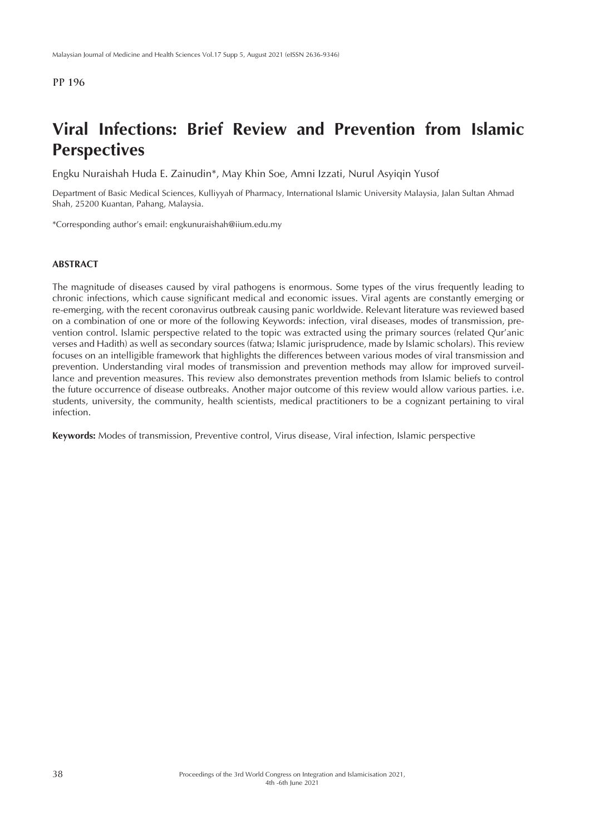# **Viral Infections: Brief Review and Prevention from Islamic Perspectives**

Engku Nuraishah Huda E. Zainudin\*, May Khin Soe, Amni Izzati, Nurul Asyiqin Yusof

Department of Basic Medical Sciences, Kulliyyah of Pharmacy, International Islamic University Malaysia, Jalan Sultan Ahmad Shah, 25200 Kuantan, Pahang, Malaysia.

\*Corresponding author's email: engkunuraishah@iium.edu.my

#### **ABSTRACT**

The magnitude of diseases caused by viral pathogens is enormous. Some types of the virus frequently leading to chronic infections, which cause significant medical and economic issues. Viral agents are constantly emerging or re-emerging, with the recent coronavirus outbreak causing panic worldwide. Relevant literature was reviewed based on a combination of one or more of the following Keywords: infection, viral diseases, modes of transmission, prevention control. Islamic perspective related to the topic was extracted using the primary sources (related Qur'anic verses and Hadith) as well as secondary sources (fatwa; Islamic jurisprudence, made by Islamic scholars). This review focuses on an intelligible framework that highlights the differences between various modes of viral transmission and prevention. Understanding viral modes of transmission and prevention methods may allow for improved surveillance and prevention measures. This review also demonstrates prevention methods from Islamic beliefs to control the future occurrence of disease outbreaks. Another major outcome of this review would allow various parties. i.e. students, university, the community, health scientists, medical practitioners to be a cognizant pertaining to viral infection.

**Keywords:** Modes of transmission, Preventive control, Virus disease, Viral infection, Islamic perspective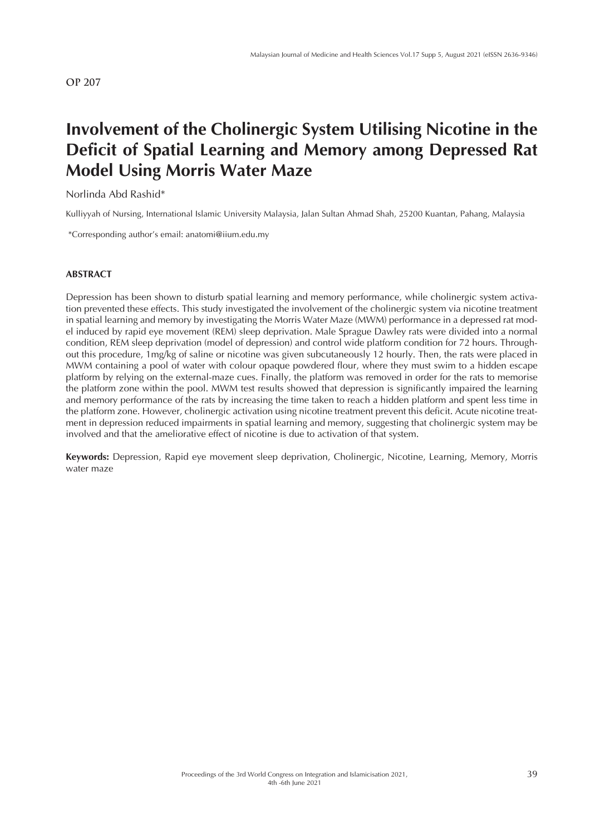# **Involvement of the Cholinergic System Utilising Nicotine in the Deficit of Spatial Learning and Memory among Depressed Rat Model Using Morris Water Maze**

Norlinda Abd Rashid\*

Kulliyyah of Nursing, International Islamic University Malaysia, Jalan Sultan Ahmad Shah, 25200 Kuantan, Pahang, Malaysia

\*Corresponding author's email: anatomi@iium.edu.my

### **ABSTRACT**

Depression has been shown to disturb spatial learning and memory performance, while cholinergic system activation prevented these effects. This study investigated the involvement of the cholinergic system via nicotine treatment in spatial learning and memory by investigating the Morris Water Maze (MWM) performance in a depressed rat model induced by rapid eye movement (REM) sleep deprivation. Male Sprague Dawley rats were divided into a normal condition, REM sleep deprivation (model of depression) and control wide platform condition for 72 hours. Throughout this procedure, 1mg/kg of saline or nicotine was given subcutaneously 12 hourly. Then, the rats were placed in MWM containing a pool of water with colour opaque powdered flour, where they must swim to a hidden escape platform by relying on the external-maze cues. Finally, the platform was removed in order for the rats to memorise the platform zone within the pool. MWM test results showed that depression is significantly impaired the learning and memory performance of the rats by increasing the time taken to reach a hidden platform and spent less time in the platform zone. However, cholinergic activation using nicotine treatment prevent this deficit. Acute nicotine treatment in depression reduced impairments in spatial learning and memory, suggesting that cholinergic system may be involved and that the ameliorative effect of nicotine is due to activation of that system.

**Keywords:** Depression, Rapid eye movement sleep deprivation, Cholinergic, Nicotine, Learning, Memory, Morris water maze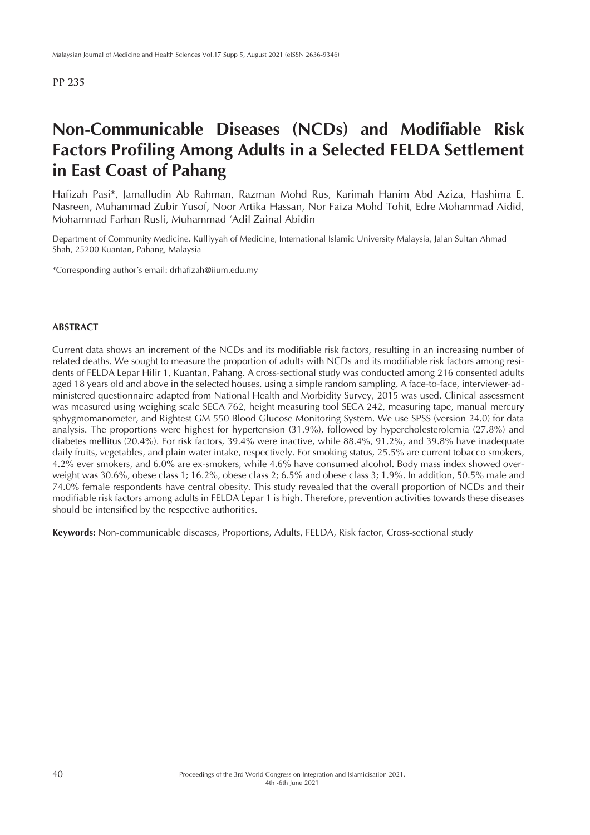# **Non-Communicable Diseases (NCDs) and Modifiable Risk Factors Profiling Among Adults in a Selected FELDA Settlement in East Coast of Pahang**

Hafizah Pasi\*, Jamalludin Ab Rahman, Razman Mohd Rus, Karimah Hanim Abd Aziza, Hashima E. Nasreen, Muhammad Zubir Yusof, Noor Artika Hassan, Nor Faiza Mohd Tohit, Edre Mohammad Aidid, Mohammad Farhan Rusli, Muhammad 'Adil Zainal Abidin

Department of Community Medicine, Kulliyyah of Medicine, International Islamic University Malaysia, Jalan Sultan Ahmad Shah, 25200 Kuantan, Pahang, Malaysia

\*Corresponding author's email: drhafizah@iium.edu.my

## **ABSTRACT**

Current data shows an increment of the NCDs and its modifiable risk factors, resulting in an increasing number of related deaths. We sought to measure the proportion of adults with NCDs and its modifiable risk factors among residents of FELDA Lepar Hilir 1, Kuantan, Pahang. A cross-sectional study was conducted among 216 consented adults aged 18 years old and above in the selected houses, using a simple random sampling. A face-to-face, interviewer-administered questionnaire adapted from National Health and Morbidity Survey, 2015 was used. Clinical assessment was measured using weighing scale SECA 762, height measuring tool SECA 242, measuring tape, manual mercury sphygmomanometer, and Rightest GM 550 Blood Glucose Monitoring System. We use SPSS (version 24.0) for data analysis. The proportions were highest for hypertension (31.9%), followed by hypercholesterolemia (27.8%) and diabetes mellitus (20.4%). For risk factors, 39.4% were inactive, while 88.4%, 91.2%, and 39.8% have inadequate daily fruits, vegetables, and plain water intake, respectively. For smoking status, 25.5% are current tobacco smokers, 4.2% ever smokers, and 6.0% are ex-smokers, while 4.6% have consumed alcohol. Body mass index showed overweight was 30.6%, obese class 1; 16.2%, obese class 2; 6.5% and obese class 3; 1.9%. In addition, 50.5% male and 74.0% female respondents have central obesity. This study revealed that the overall proportion of NCDs and their modifiable risk factors among adults in FELDA Lepar 1 is high. Therefore, prevention activities towards these diseases should be intensified by the respective authorities.

**Keywords:** Non-communicable diseases, Proportions, Adults, FELDA, Risk factor, Cross-sectional study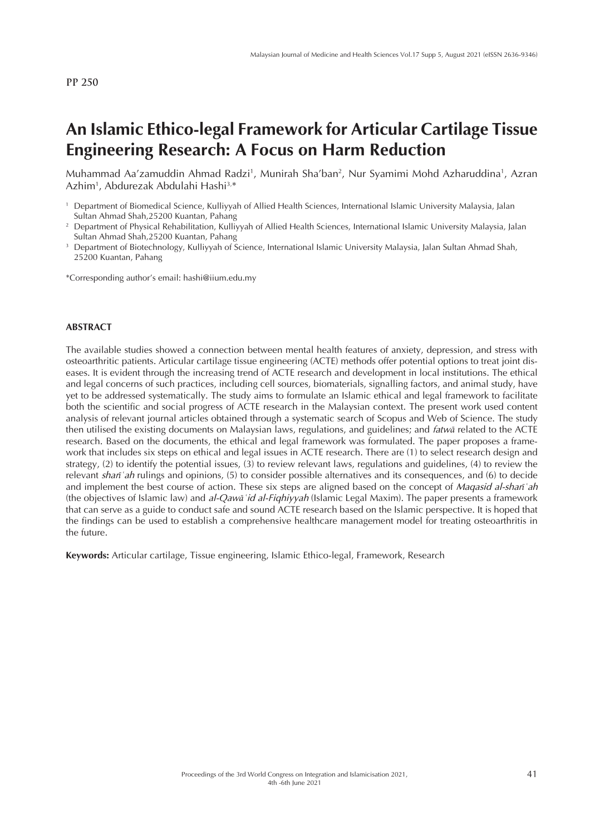## **An Islamic Ethico-legal Framework for Articular Cartilage Tissue Engineering Research: A Focus on Harm Reduction**

Muhammad Aa'zamuddin Ahmad Radzi<sup>1</sup>, Munirah Sha'ban<sup>2</sup>, Nur Syamimi Mohd Azharuddina<sup>1</sup>, Azran Azhim1 , Abdurezak Abdulahi Hashi3,\*

\*Corresponding author's email: hashi@iium.edu.my

#### **ABSTRACT**

The available studies showed a connection between mental health features of anxiety, depression, and stress with osteoarthritic patients. Articular cartilage tissue engineering (ACTE) methods offer potential options to treat joint diseases. It is evident through the increasing trend of ACTE research and development in local institutions. The ethical and legal concerns of such practices, including cell sources, biomaterials, signalling factors, and animal study, have yet to be addressed systematically. The study aims to formulate an Islamic ethical and legal framework to facilitate both the scientific and social progress of ACTE research in the Malaysian context. The present work used content analysis of relevant journal articles obtained through a systematic search of Scopus and Web of Science. The study then utilised the existing documents on Malaysian laws, regulations, and guidelines; and *fatw*ā related to the ACTE research. Based on the documents, the ethical and legal framework was formulated. The paper proposes a framework that includes six steps on ethical and legal issues in ACTE research. There are (1) to select research design and strategy, (2) to identify the potential issues, (3) to review relevant laws, regulations and guidelines, (4) to review the relevant *shar*ī*ʿah* rulings and opinions, (5) to consider possible alternatives and its consequences, and (6) to decide and implement the best course of action. These six steps are aligned based on the concept of *Maqasid al-shar*ī*ʿah*  (the objectives of Islamic law) and *al-Qaw*ā*ʿid al-Fiqhiyyah* (Islamic Legal Maxim). The paper presents a framework that can serve as a guide to conduct safe and sound ACTE research based on the Islamic perspective. It is hoped that the findings can be used to establish a comprehensive healthcare management model for treating osteoarthritis in the future.

**Keywords:** Articular cartilage, Tissue engineering, Islamic Ethico-legal, Framework, Research

<sup>1</sup> Department of Biomedical Science, Kulliyyah of Allied Health Sciences, International Islamic University Malaysia, Jalan Sultan Ahmad Shah,25200 Kuantan, Pahang

<sup>&</sup>lt;sup>2</sup> Department of Physical Rehabilitation, Kulliyyah of Allied Health Sciences, International Islamic University Malaysia, Jalan Sultan Ahmad Shah,25200 Kuantan, Pahang

<sup>3</sup> Department of Biotechnology, Kulliyyah of Science, International Islamic University Malaysia, Jalan Sultan Ahmad Shah, 25200 Kuantan, Pahang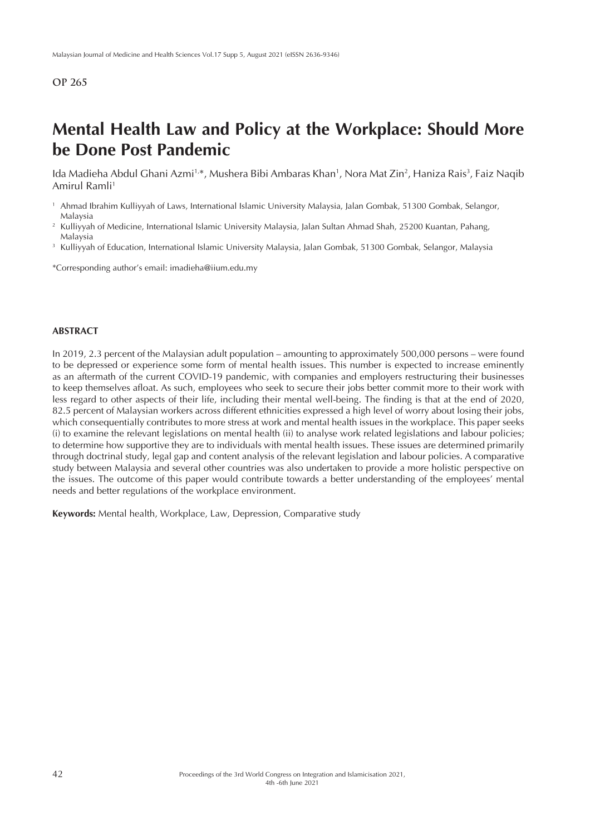## **Mental Health Law and Policy at the Workplace: Should More be Done Post Pandemic**

lda Madieha Abdul Ghani Azmi½, Mushera Bibi Ambaras Khan½, Nora Mat Zin², Haniza Rais¾, Faiz Naqib Amirul Ramli<sup>1</sup>

- <sup>2</sup> Kulliyyah of Medicine, International Islamic University Malaysia, Jalan Sultan Ahmad Shah, 25200 Kuantan, Pahang, Malaysia
- <sup>3</sup> Kulliyyah of Education, International Islamic University Malaysia, Jalan Gombak, 51300 Gombak, Selangor, Malaysia

\*Corresponding author's email: imadieha@iium.edu.my

#### **ABSTRACT**

In 2019, 2.3 percent of the Malaysian adult population – amounting to approximately 500,000 persons – were found to be depressed or experience some form of mental health issues. This number is expected to increase eminently as an aftermath of the current COVID-19 pandemic, with companies and employers restructuring their businesses to keep themselves afloat. As such, employees who seek to secure their jobs better commit more to their work with less regard to other aspects of their life, including their mental well-being. The finding is that at the end of 2020, 82.5 percent of Malaysian workers across different ethnicities expressed a high level of worry about losing their jobs, which consequentially contributes to more stress at work and mental health issues in the workplace. This paper seeks (i) to examine the relevant legislations on mental health (ii) to analyse work related legislations and labour policies; to determine how supportive they are to individuals with mental health issues. These issues are determined primarily through doctrinal study, legal gap and content analysis of the relevant legislation and labour policies. A comparative study between Malaysia and several other countries was also undertaken to provide a more holistic perspective on the issues. The outcome of this paper would contribute towards a better understanding of the employees' mental needs and better regulations of the workplace environment.

**Keywords:** Mental health, Workplace, Law, Depression, Comparative study

<sup>1</sup> Ahmad Ibrahim Kulliyyah of Laws, International Islamic University Malaysia, Jalan Gombak, 51300 Gombak, Selangor, Malaysia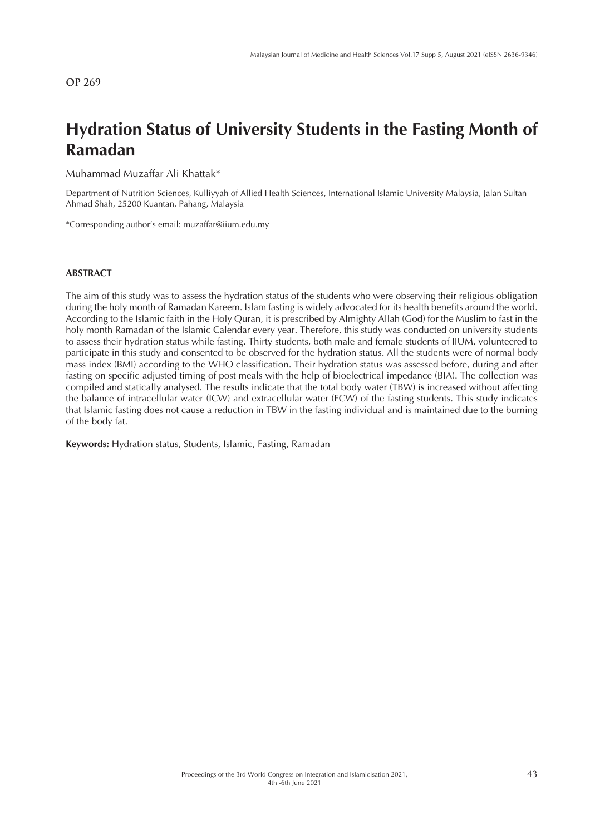# **Hydration Status of University Students in the Fasting Month of Ramadan**

Muhammad Muzaffar Ali Khattak\*

Department of Nutrition Sciences, Kulliyyah of Allied Health Sciences, International Islamic University Malaysia, Jalan Sultan Ahmad Shah, 25200 Kuantan, Pahang, Malaysia

\*Corresponding author's email: muzaffar@iium.edu.my

#### **ABSTRACT**

The aim of this study was to assess the hydration status of the students who were observing their religious obligation during the holy month of Ramadan Kareem. Islam fasting is widely advocated for its health benefits around the world. According to the Islamic faith in the Holy Quran, it is prescribed by Almighty Allah (God) for the Muslim to fast in the holy month Ramadan of the Islamic Calendar every year. Therefore, this study was conducted on university students to assess their hydration status while fasting. Thirty students, both male and female students of IIUM, volunteered to participate in this study and consented to be observed for the hydration status. All the students were of normal body mass index (BMI) according to the WHO classification. Their hydration status was assessed before, during and after fasting on specific adjusted timing of post meals with the help of bioelectrical impedance (BIA). The collection was compiled and statically analysed. The results indicate that the total body water (TBW) is increased without affecting the balance of intracellular water (ICW) and extracellular water (ECW) of the fasting students. This study indicates that Islamic fasting does not cause a reduction in TBW in the fasting individual and is maintained due to the burning of the body fat.

**Keywords:** Hydration status, Students, Islamic, Fasting, Ramadan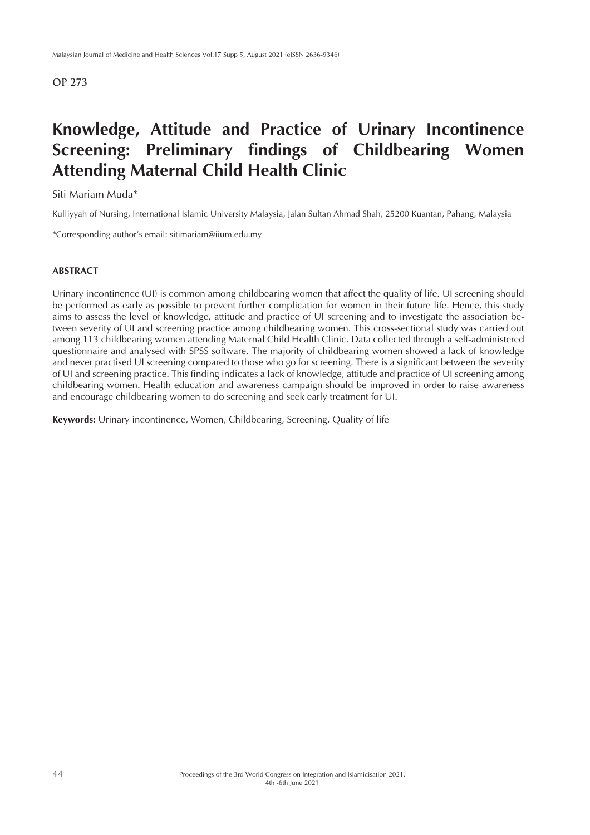# **Knowledge, Attitude and Practice of Urinary Incontinence Screening: Preliminary findings of Childbearing Women Attending Maternal Child Health Clinic**

#### Siti Mariam Muda\*

Kulliyyah of Nursing, International Islamic University Malaysia, Jalan Sultan Ahmad Shah, 25200 Kuantan, Pahang, Malaysia

\*Corresponding author's email: sitimariam@iium.edu.my

#### **ABSTRACT**

Urinary incontinence (UI) is common among childbearing women that affect the quality of life. UI screening should be performed as early as possible to prevent further complication for women in their future life. Hence, this study aims to assess the level of knowledge, attitude and practice of UI screening and to investigate the association between severity of UI and screening practice among childbearing women. This cross-sectional study was carried out among 113 childbearing women attending Maternal Child Health Clinic. Data collected through a self-administered questionnaire and analysed with SPSS software. The majority of childbearing women showed a lack of knowledge and never practised UI screening compared to those who go for screening. There is a significant between the severity of UI and screening practice. This finding indicates a lack of knowledge, attitude and practice of UI screening among childbearing women. Health education and awareness campaign should be improved in order to raise awareness and encourage childbearing women to do screening and seek early treatment for UI.

**Keywords:** Urinary incontinence, Women, Childbearing, Screening, Quality of life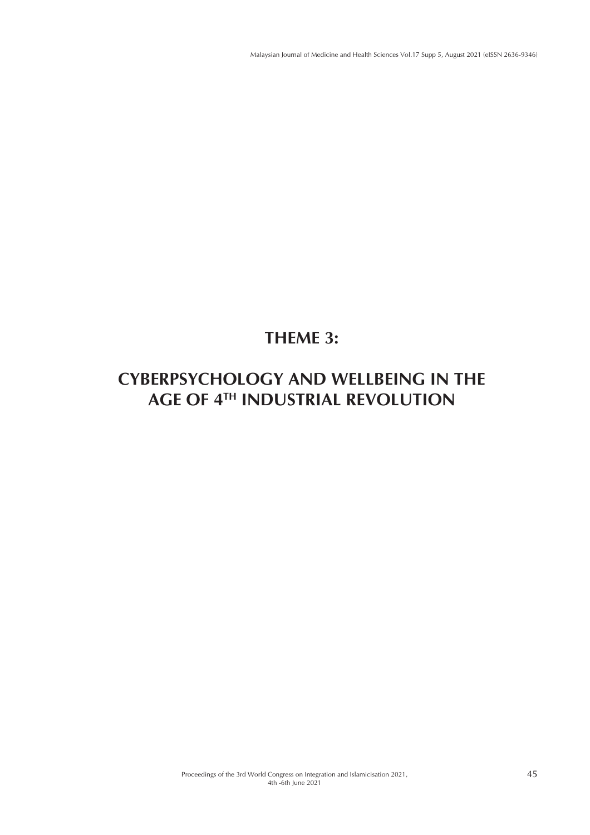# **THEME 3:**

# **CYBERPSYCHOLOGY AND WELLBEING IN THE AGE OF 4TH INDUSTRIAL REVOLUTION**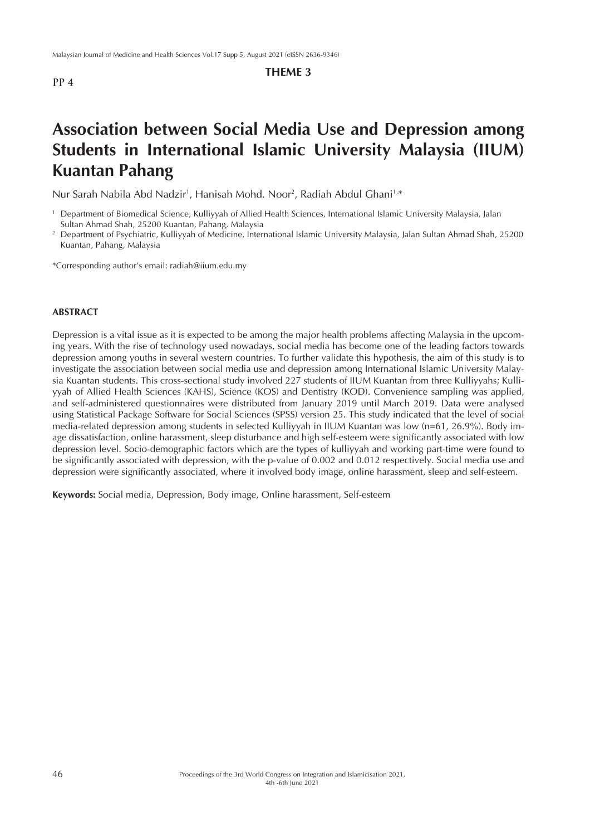## **THEME 3**

# **Association between Social Media Use and Depression among Students in International Islamic University Malaysia (IIUM) Kuantan Pahang**

Nur Sarah Nabila Abd Nadzir<sup>1</sup>, Hanisah Mohd. Noor<sup>2</sup>, Radiah Abdul Ghani<sup>1,\*</sup>

\*Corresponding author's email: radiah@iium.edu.my

### **ABSTRACT**

Depression is a vital issue as it is expected to be among the major health problems affecting Malaysia in the upcoming years. With the rise of technology used nowadays, social media has become one of the leading factors towards depression among youths in several western countries. To further validate this hypothesis, the aim of this study is to investigate the association between social media use and depression among International Islamic University Malaysia Kuantan students. This cross-sectional study involved 227 students of IIUM Kuantan from three Kulliyyahs; Kulliyyah of Allied Health Sciences (KAHS), Science (KOS) and Dentistry (KOD). Convenience sampling was applied, and self-administered questionnaires were distributed from January 2019 until March 2019. Data were analysed using Statistical Package Software for Social Sciences (SPSS) version 25. This study indicated that the level of social media-related depression among students in selected Kulliyyah in IIUM Kuantan was low (n=61, 26.9%). Body image dissatisfaction, online harassment, sleep disturbance and high self-esteem were significantly associated with low depression level. Socio-demographic factors which are the types of kulliyyah and working part-time were found to be significantly associated with depression, with the p-value of 0.002 and 0.012 respectively. Social media use and depression were significantly associated, where it involved body image, online harassment, sleep and self-esteem.

**Keywords:** Social media, Depression, Body image, Online harassment, Self-esteem

<sup>1</sup> Department of Biomedical Science, Kulliyyah of Allied Health Sciences, International Islamic University Malaysia, Jalan Sultan Ahmad Shah, 25200 Kuantan, Pahang, Malaysia<br>Department of Psychiatric, Kulliyyah of Medicine, International Islamic University Malaysia, Jalan Sultan Ahmad Shah, 25200

Kuantan, Pahang, Malaysia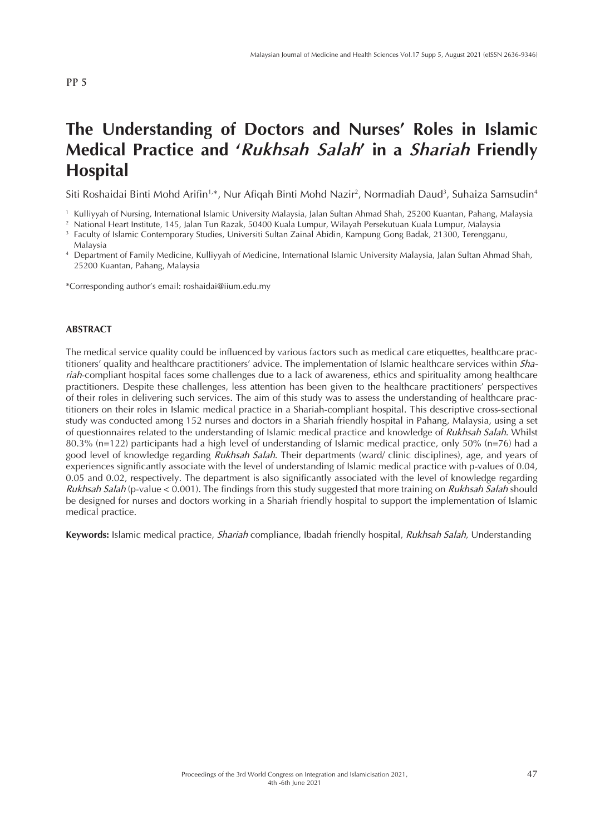# **The Understanding of Doctors and Nurses' Roles in Islamic Medical Practice and '***Rukhsah Salah***' in a** *Shariah* **Friendly Hospital**

Siti Roshaidai Binti Mohd Arifin<sup>1,</sup>\*, Nur Afiqah Binti Mohd Nazir<sup>2</sup>, Normadiah Daud<sup>3</sup>, Suhaiza Samsudin<sup>4</sup>

<sup>4</sup> Department of Family Medicine, Kulliyyah of Medicine, International Islamic University Malaysia, Jalan Sultan Ahmad Shah, 25200 Kuantan, Pahang, Malaysia

\*Corresponding author's email: roshaidai@iium.edu.my

#### **ABSTRACT**

The medical service quality could be influenced by various factors such as medical care etiquettes, healthcare practitioners' quality and healthcare practitioners' advice. The implementation of Islamic healthcare services within *Shariah*-compliant hospital faces some challenges due to a lack of awareness, ethics and spirituality among healthcare practitioners. Despite these challenges, less attention has been given to the healthcare practitioners' perspectives of their roles in delivering such services. The aim of this study was to assess the understanding of healthcare practitioners on their roles in Islamic medical practice in a Shariah-compliant hospital. This descriptive cross-sectional study was conducted among 152 nurses and doctors in a Shariah friendly hospital in Pahang, Malaysia, using a set of questionnaires related to the understanding of Islamic medical practice and knowledge of *Rukhsah Salah*. Whilst 80.3% (n=122) participants had a high level of understanding of Islamic medical practice, only 50% (n=76) had a good level of knowledge regarding *Rukhsah Salah*. Their departments (ward/ clinic disciplines), age, and years of experiences significantly associate with the level of understanding of Islamic medical practice with p-values of 0.04, 0.05 and 0.02, respectively. The department is also significantly associated with the level of knowledge regarding *Rukhsah Salah* (p-value < 0.001). The findings from this study suggested that more training on *Rukhsah Salah* should be designed for nurses and doctors working in a Shariah friendly hospital to support the implementation of Islamic medical practice.

**Keywords:** Islamic medical practice, *Shariah* compliance, Ibadah friendly hospital, *Rukhsah Salah*, Understanding

<sup>1</sup> Kulliyyah of Nursing, International Islamic University Malaysia, Jalan Sultan Ahmad Shah, 25200 Kuantan, Pahang, Malaysia

<sup>2</sup> National Heart Institute, 145, Jalan Tun Razak, 50400 Kuala Lumpur, Wilayah Persekutuan Kuala Lumpur, Malaysia

<sup>3</sup> Faculty of Islamic Contemporary Studies, Universiti Sultan Zainal Abidin, Kampung Gong Badak, 21300, Terengganu, Malaysia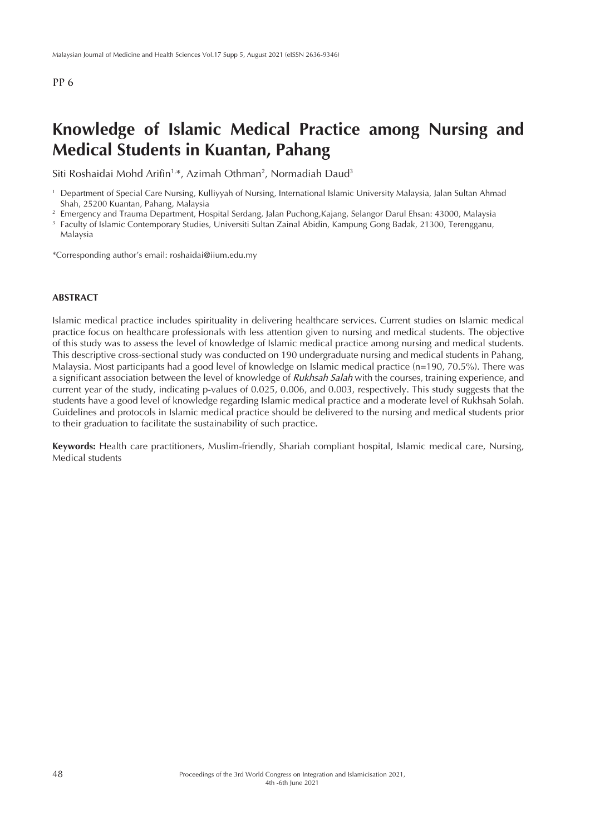## **Knowledge of Islamic Medical Practice among Nursing and Medical Students in Kuantan, Pahang**

Siti Roshaidai Mohd Arifin<sup>1,\*</sup>, Azimah Othman<sup>2</sup>, Normadiah Daud<sup>3</sup>

- <sup>2</sup> Emergency and Trauma Department, Hospital Serdang, Jalan Puchong, Kajang, Selangor Darul Ehsan: 43000, Malaysia
- <sup>3</sup> Faculty of Islamic Contemporary Studies, Universiti Sultan Zainal Abidin, Kampung Gong Badak, 21300, Terengganu, Malaysia

\*Corresponding author's email: roshaidai@iium.edu.my

#### **ABSTRACT**

Islamic medical practice includes spirituality in delivering healthcare services. Current studies on Islamic medical practice focus on healthcare professionals with less attention given to nursing and medical students. The objective of this study was to assess the level of knowledge of Islamic medical practice among nursing and medical students. This descriptive cross-sectional study was conducted on 190 undergraduate nursing and medical students in Pahang, Malaysia. Most participants had a good level of knowledge on Islamic medical practice (n=190, 70.5%). There was a significant association between the level of knowledge of *Rukhsah Salah* with the courses, training experience, and current year of the study, indicating p-values of 0.025, 0.006, and 0.003, respectively. This study suggests that the students have a good level of knowledge regarding Islamic medical practice and a moderate level of Rukhsah Solah. Guidelines and protocols in Islamic medical practice should be delivered to the nursing and medical students prior to their graduation to facilitate the sustainability of such practice.

**Keywords:** Health care practitioners, Muslim-friendly, Shariah compliant hospital, Islamic medical care, Nursing, Medical students

<sup>1</sup> Department of Special Care Nursing, Kulliyyah of Nursing, International Islamic University Malaysia, Jalan Sultan Ahmad Shah, 25200 Kuantan, Pahang, Malaysia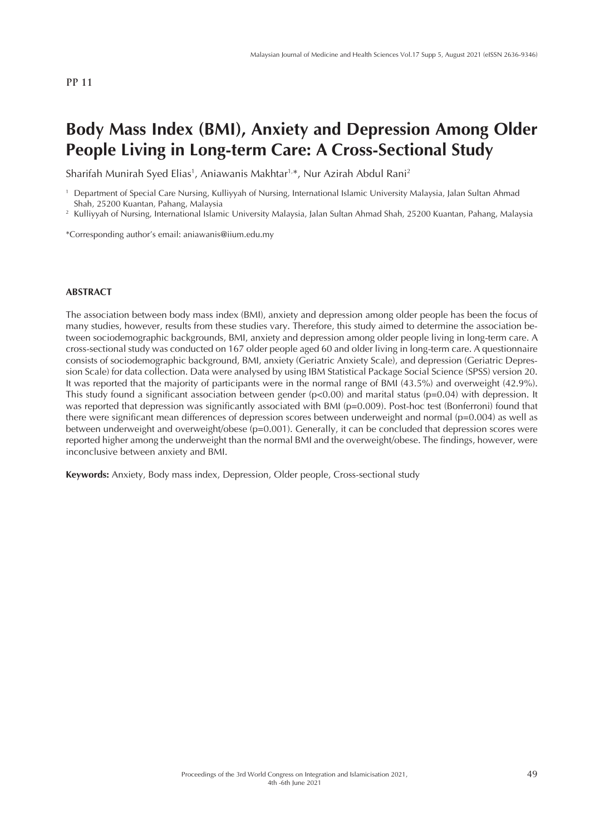## **Body Mass Index (BMI), Anxiety and Depression Among Older People Living in Long-term Care: A Cross-Sectional Study**

Sharifah Munirah Syed Elias<sup>1</sup>, Aniawanis Makhtar<sup>1,</sup>\*, Nur Azirah Abdul Rani<sup>2</sup>

<sup>1</sup> Department of Special Care Nursing, Kulliyyah of Nursing, International Islamic University Malaysia, Jalan Sultan Ahmad Shah, 25200 Kuantan, Pahang, Malaysia

<sup>2</sup> Kulliyyah of Nursing, International Islamic University Malaysia, Jalan Sultan Ahmad Shah, 25200 Kuantan, Pahang, Malaysia

\*Corresponding author's email: aniawanis@iium.edu.my

#### **ABSTRACT**

The association between body mass index (BMI), anxiety and depression among older people has been the focus of many studies, however, results from these studies vary. Therefore, this study aimed to determine the association between sociodemographic backgrounds, BMI, anxiety and depression among older people living in long-term care. A cross-sectional study was conducted on 167 older people aged 60 and older living in long-term care. A questionnaire consists of sociodemographic background, BMI, anxiety (Geriatric Anxiety Scale), and depression (Geriatric Depression Scale) for data collection. Data were analysed by using IBM Statistical Package Social Science (SPSS) version 20. It was reported that the majority of participants were in the normal range of BMI (43.5%) and overweight (42.9%). This study found a significant association between gender  $(p<0.00)$  and marital status  $(p=0.04)$  with depression. It was reported that depression was significantly associated with BMI (p=0.009). Post-hoc test (Bonferroni) found that there were significant mean differences of depression scores between underweight and normal (p=0.004) as well as between underweight and overweight/obese (p=0.001). Generally, it can be concluded that depression scores were reported higher among the underweight than the normal BMI and the overweight/obese. The findings, however, were inconclusive between anxiety and BMI.

**Keywords:** Anxiety, Body mass index, Depression, Older people, Cross-sectional study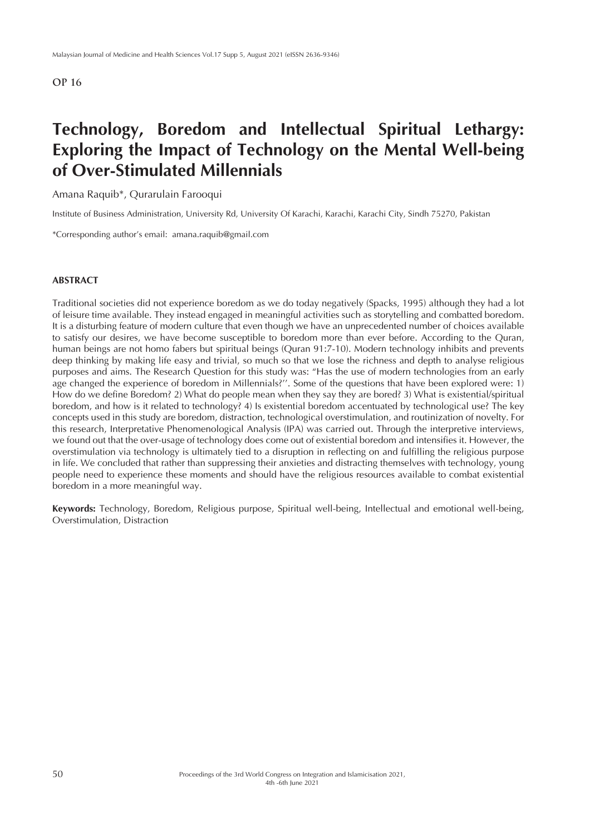# **Technology, Boredom and Intellectual Spiritual Lethargy: Exploring the Impact of Technology on the Mental Well-being of Over-Stimulated Millennials**

Amana Raquib\*, Qurarulain Farooqui

Institute of Business Administration, University Rd, University Of Karachi, Karachi, Karachi City, Sindh 75270, Pakistan

\*Corresponding author's email: amana.raquib@gmail.com

### **ABSTRACT**

Traditional societies did not experience boredom as we do today negatively (Spacks, 1995) although they had a lot of leisure time available. They instead engaged in meaningful activities such as storytelling and combatted boredom. It is a disturbing feature of modern culture that even though we have an unprecedented number of choices available to satisfy our desires, we have become susceptible to boredom more than ever before. According to the Quran, human beings are not homo fabers but spiritual beings (Quran 91:7-10). Modern technology inhibits and prevents deep thinking by making life easy and trivial, so much so that we lose the richness and depth to analyse religious purposes and aims. The Research Question for this study was: "Has the use of modern technologies from an early age changed the experience of boredom in Millennials?''. Some of the questions that have been explored were: 1) How do we define Boredom? 2) What do people mean when they say they are bored? 3) What is existential/spiritual boredom, and how is it related to technology? 4) Is existential boredom accentuated by technological use? The key concepts used in this study are boredom, distraction, technological overstimulation, and routinization of novelty. For this research, Interpretative Phenomenological Analysis (IPA) was carried out. Through the interpretive interviews, we found out that the over-usage of technology does come out of existential boredom and intensifies it. However, the overstimulation via technology is ultimately tied to a disruption in reflecting on and fulfilling the religious purpose in life. We concluded that rather than suppressing their anxieties and distracting themselves with technology, young people need to experience these moments and should have the religious resources available to combat existential boredom in a more meaningful way.

**Keywords:** Technology, Boredom, Religious purpose, Spiritual well-being, Intellectual and emotional well-being, Overstimulation, Distraction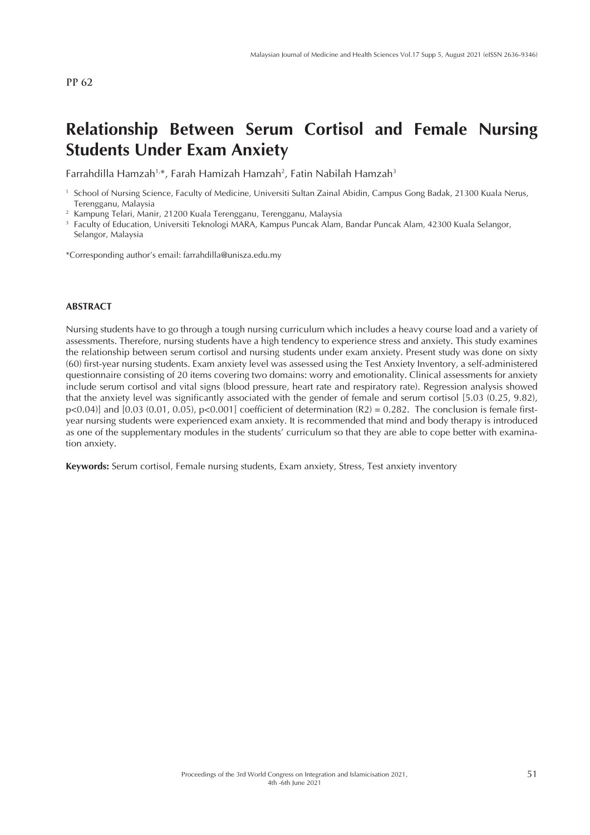# **Relationship Between Serum Cortisol and Female Nursing Students Under Exam Anxiety**

Farrahdilla Hamzah<sup>1,</sup>\*, Farah Hamizah Hamzah<sup>2</sup>, Fatin Nabilah Hamzah<sup>3</sup>

\*Corresponding author's email: farrahdilla@unisza.edu.my

#### **ABSTRACT**

Nursing students have to go through a tough nursing curriculum which includes a heavy course load and a variety of assessments. Therefore, nursing students have a high tendency to experience stress and anxiety. This study examines the relationship between serum cortisol and nursing students under exam anxiety. Present study was done on sixty (60) first-year nursing students. Exam anxiety level was assessed using the Test Anxiety Inventory, a self-administered questionnaire consisting of 20 items covering two domains: worry and emotionality. Clinical assessments for anxiety include serum cortisol and vital signs (blood pressure, heart rate and respiratory rate). Regression analysis showed that the anxiety level was significantly associated with the gender of female and serum cortisol [5.03 (0.25, 9.82),  $p\leq 0.04$ ] and [0.03 (0.01, 0.05),  $p\leq 0.001$ ] coefficient of determination (R2) = 0.282. The conclusion is female firstyear nursing students were experienced exam anxiety. It is recommended that mind and body therapy is introduced as one of the supplementary modules in the students' curriculum so that they are able to cope better with examination anxiety.

**Keywords:** Serum cortisol, Female nursing students, Exam anxiety, Stress, Test anxiety inventory

<sup>1</sup> School of Nursing Science, Faculty of Medicine, Universiti Sultan Zainal Abidin, Campus Gong Badak, 21300 Kuala Nerus, Terengganu, Malaysia

<sup>2</sup> Kampung Telari, Manir, 21200 Kuala Terengganu, Terengganu, Malaysia

<sup>&</sup>lt;sup>3</sup> Faculty of Education, Universiti Teknologi MARA, Kampus Puncak Alam, Bandar Puncak Alam, 42300 Kuala Selangor, Selangor, Malaysia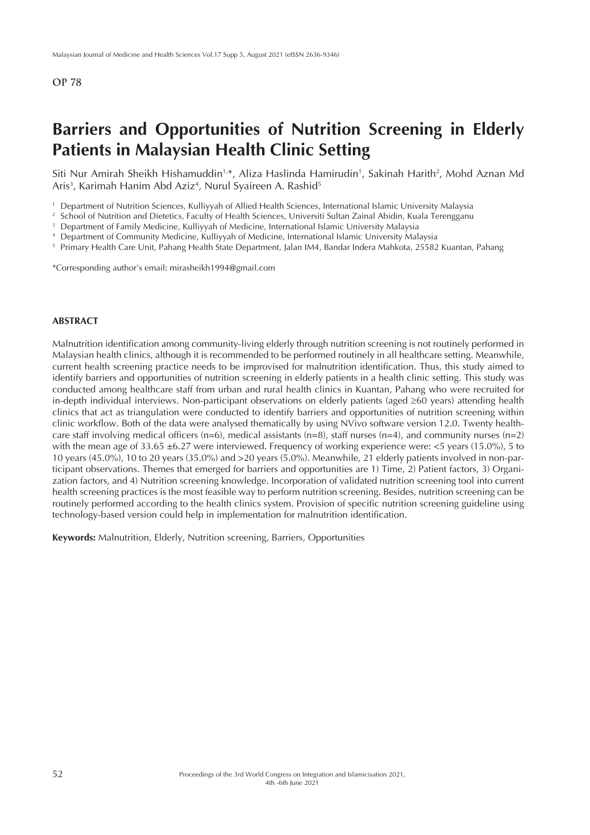## **Barriers and Opportunities of Nutrition Screening in Elderly Patients in Malaysian Health Clinic Setting**

Siti Nur Amirah Sheikh Hishamuddin<sup>1,</sup>\*, Aliza Haslinda Hamirudin<sup>1</sup>, Sakinah Harith<sup>2</sup>, Mohd Aznan Md Aris<sup>3</sup>, Karimah Hanim Abd Aziz<sup>4</sup>, Nurul Syaireen A. Rashid<sup>5</sup>

<sup>2</sup> School of Nutrition and Dietetics, Faculty of Health Sciences, Universiti Sultan Zainal Abidin, Kuala Terengganu

- <sup>4</sup> Department of Community Medicine, Kulliyyah of Medicine, International Islamic University Malaysia
- <sup>5</sup> Primary Health Care Unit, Pahang Health State Department, Jalan IM4, Bandar Indera Mahkota, 25582 Kuantan, Pahang

\*Corresponding author's email: mirasheikh1994@gmail.com

#### **ABSTRACT**

Malnutrition identification among community-living elderly through nutrition screening is not routinely performed in Malaysian health clinics, although it is recommended to be performed routinely in all healthcare setting. Meanwhile, current health screening practice needs to be improvised for malnutrition identification. Thus, this study aimed to identify barriers and opportunities of nutrition screening in elderly patients in a health clinic setting. This study was conducted among healthcare staff from urban and rural health clinics in Kuantan, Pahang who were recruited for in-depth individual interviews. Non-participant observations on elderly patients (aged ≥60 years) attending health clinics that act as triangulation were conducted to identify barriers and opportunities of nutrition screening within clinic workflow. Both of the data were analysed thematically by using NVivo software version 12.0. Twenty healthcare staff involving medical officers (n=6), medical assistants (n=8), staff nurses (n=4), and community nurses (n=2) with the mean age of 33.65  $\pm$ 6.27 were interviewed. Frequency of working experience were: <5 years (15.0%), 5 to 10 years (45.0%), 10 to 20 years (35.0%) and >20 years (5.0%). Meanwhile, 21 elderly patients involved in non-participant observations. Themes that emerged for barriers and opportunities are 1) Time, 2) Patient factors, 3) Organization factors, and 4) Nutrition screening knowledge. Incorporation of validated nutrition screening tool into current health screening practices is the most feasible way to perform nutrition screening. Besides, nutrition screening can be routinely performed according to the health clinics system. Provision of specific nutrition screening guideline using technology-based version could help in implementation for malnutrition identification.

**Keywords:** Malnutrition, Elderly, Nutrition screening, Barriers, Opportunities

<sup>1</sup> Department of Nutrition Sciences, Kulliyyah of Allied Health Sciences, International Islamic University Malaysia

<sup>&</sup>lt;sup>3</sup> Department of Family Medicine, Kulliyyah of Medicine, International Islamic University Malaysia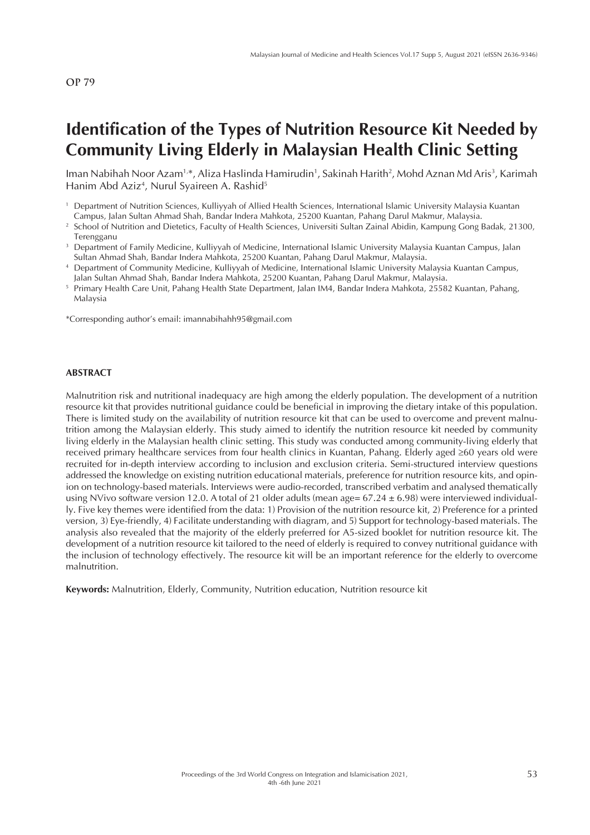# **Identification of the Types of Nutrition Resource Kit Needed by Community Living Elderly in Malaysian Health Clinic Setting**

lman Nabihah Noor Azam1,\*, Aliza Haslinda Hamirudin1, Sakinah Harith<sup>2</sup>, Mohd Aznan Md Aris<sup>3</sup>, Karimah Hanim Abd Aziz<sup>4</sup>, Nurul Syaireen A. Rashid<sup>5</sup>

- <sup>2</sup> School of Nutrition and Dietetics, Faculty of Health Sciences, Universiti Sultan Zainal Abidin, Kampung Gong Badak, 21300, Terengganu
- <sup>3</sup> Department of Family Medicine, Kulliyyah of Medicine, International Islamic University Malaysia Kuantan Campus, Jalan Sultan Ahmad Shah, Bandar Indera Mahkota, 25200 Kuantan, Pahang Darul Makmur, Malaysia.
- <sup>4</sup> Department of Community Medicine, Kulliyyah of Medicine, International Islamic University Malaysia Kuantan Campus, Jalan Sultan Ahmad Shah, Bandar Indera Mahkota, 25200 Kuantan, Pahang Darul Makmur, Malaysia.
- <sup>5</sup> Primary Health Care Unit, Pahang Health State Department, Jalan IM4, Bandar Indera Mahkota, 25582 Kuantan, Pahang, Malaysia

\*Corresponding author's email: imannabihahh95@gmail.com

#### **ABSTRACT**

Malnutrition risk and nutritional inadequacy are high among the elderly population. The development of a nutrition resource kit that provides nutritional guidance could be beneficial in improving the dietary intake of this population. There is limited study on the availability of nutrition resource kit that can be used to overcome and prevent malnutrition among the Malaysian elderly. This study aimed to identify the nutrition resource kit needed by community living elderly in the Malaysian health clinic setting. This study was conducted among community-living elderly that received primary healthcare services from four health clinics in Kuantan, Pahang. Elderly aged ≥60 years old were recruited for in-depth interview according to inclusion and exclusion criteria. Semi-structured interview questions addressed the knowledge on existing nutrition educational materials, preference for nutrition resource kits, and opinion on technology-based materials. Interviews were audio-recorded, transcribed verbatim and analysed thematically using NVivo software version 12.0. A total of 21 older adults (mean age=  $67.24 \pm 6.98$ ) were interviewed individually. Five key themes were identified from the data: 1) Provision of the nutrition resource kit, 2) Preference for a printed version, 3) Eye-friendly, 4) Facilitate understanding with diagram, and 5) Support for technology-based materials. The analysis also revealed that the majority of the elderly preferred for A5-sized booklet for nutrition resource kit. The development of a nutrition resource kit tailored to the need of elderly is required to convey nutritional guidance with the inclusion of technology effectively. The resource kit will be an important reference for the elderly to overcome malnutrition.

**Keywords:** Malnutrition, Elderly, Community, Nutrition education, Nutrition resource kit

<sup>1</sup> Department of Nutrition Sciences, Kulliyyah of Allied Health Sciences, International Islamic University Malaysia Kuantan Campus, Jalan Sultan Ahmad Shah, Bandar Indera Mahkota, 25200 Kuantan, Pahang Darul Makmur, Malaysia.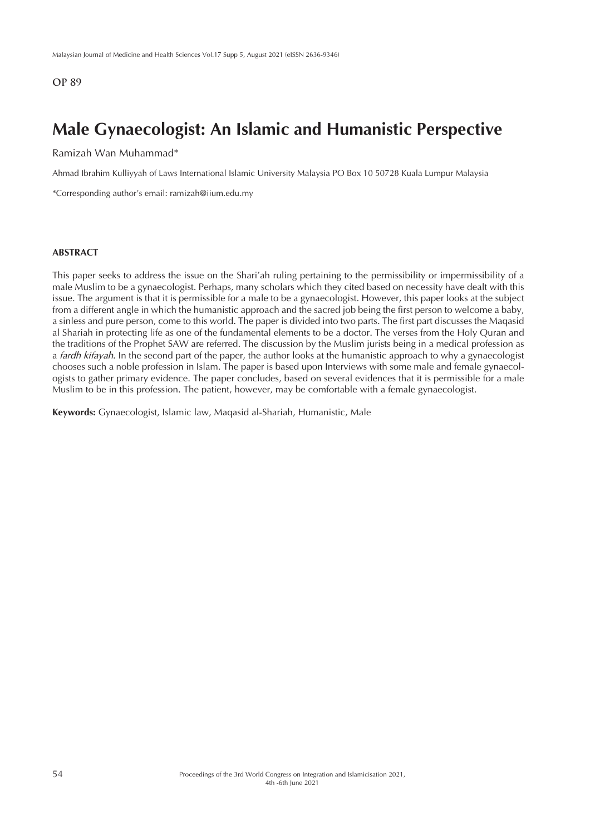## **Male Gynaecologist: An Islamic and Humanistic Perspective**

Ramizah Wan Muhammad\*

Ahmad Ibrahim Kulliyyah of Laws International Islamic University Malaysia PO Box 10 50728 Kuala Lumpur Malaysia

\*Corresponding author's email: ramizah@iium.edu.my

#### **ABSTRACT**

This paper seeks to address the issue on the Shari'ah ruling pertaining to the permissibility or impermissibility of a male Muslim to be a gynaecologist. Perhaps, many scholars which they cited based on necessity have dealt with this issue. The argument is that it is permissible for a male to be a gynaecologist. However, this paper looks at the subject from a different angle in which the humanistic approach and the sacred job being the first person to welcome a baby, a sinless and pure person, come to this world. The paper is divided into two parts. The first part discusses the Maqasid al Shariah in protecting life as one of the fundamental elements to be a doctor. The verses from the Holy Quran and the traditions of the Prophet SAW are referred. The discussion by the Muslim jurists being in a medical profession as a *fardh kifayah*. In the second part of the paper, the author looks at the humanistic approach to why a gynaecologist chooses such a noble profession in Islam. The paper is based upon Interviews with some male and female gynaecologists to gather primary evidence. The paper concludes, based on several evidences that it is permissible for a male Muslim to be in this profession. The patient, however, may be comfortable with a female gynaecologist.

**Keywords:** Gynaecologist, Islamic law, Maqasid al-Shariah, Humanistic, Male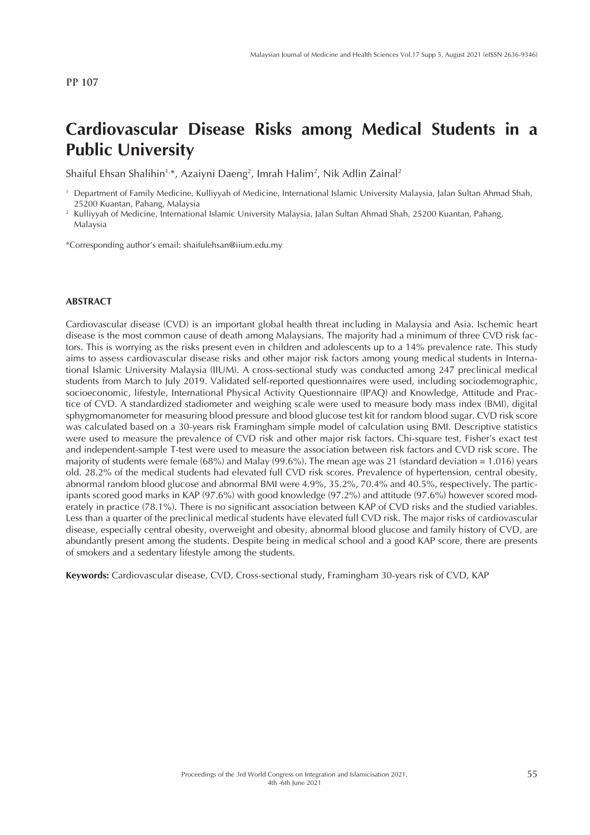# **Cardiovascular Disease Risks among Medical Students in a Public University**

Shaiful Ehsan Shalihin<sup>1,</sup>\*, Azaiyni Daeng<sup>2</sup>, Imrah Halim<sup>2</sup>, Nik Adlin Zainal<sup>2</sup>

\*Corresponding author's email: shaifulehsan@iium.edu.my

### **ABSTRACT**

Cardiovascular disease (CVD) is an important global health threat including in Malaysia and Asia. Ischemic heart disease is the most common cause of death among Malaysians. The majority had a minimum of three CVD risk factors. This is worrying as the risks present even in children and adolescents up to a 14% prevalence rate. This study aims to assess cardiovascular disease risks and other major risk factors among young medical students in International Islamic University Malaysia (IIUM). A cross-sectional study was conducted among 247 preclinical medical students from March to July 2019. Validated self-reported questionnaires were used, including sociodemographic, socioeconomic, lifestyle, International Physical Activity Questionnaire (IPAQ) and Knowledge, Attitude and Practice of CVD. A standardized stadiometer and weighing scale were used to measure body mass index (BMI), digital sphygmomanometer for measuring blood pressure and blood glucose test kit for random blood sugar. CVD risk score was calculated based on a 30-years risk Framingham simple model of calculation using BMI. Descriptive statistics were used to measure the prevalence of CVD risk and other major risk factors. Chi-square test, Fisher's exact test and independent-sample T-test were used to measure the association between risk factors and CVD risk score. The majority of students were female (68%) and Malay (99.6%). The mean age was 21 (standard deviation = 1.016) years old. 28.2% of the medical students had elevated full CVD risk scores. Prevalence of hypertension, central obesity, abnormal random blood glucose and abnormal BMI were 4.9%, 35.2%, 70.4% and 40.5%, respectively. The participants scored good marks in KAP (97.6%) with good knowledge (97.2%) and attitude (97.6%) however scored moderately in practice (78.1%). There is no significant association between KAP of CVD risks and the studied variables. Less than a quarter of the preclinical medical students have elevated full CVD risk. The major risks of cardiovascular disease, especially central obesity, overweight and obesity, abnormal blood glucose and family history of CVD, are abundantly present among the students. Despite being in medical school and a good KAP score, there are presents of smokers and a sedentary lifestyle among the students.

**Keywords:** Cardiovascular disease, CVD, Cross-sectional study, Framingham 30-years risk of CVD, KAP

<sup>1</sup> Department of Family Medicine, Kulliyyah of Medicine, International Islamic University Malaysia, Jalan Sultan Ahmad Shah, 25200 Kuantan, Pahang, Malaysia

<sup>2</sup> Kulliyyah of Medicine, International Islamic University Malaysia, Jalan Sultan Ahmad Shah, 25200 Kuantan, Pahang, Malaysia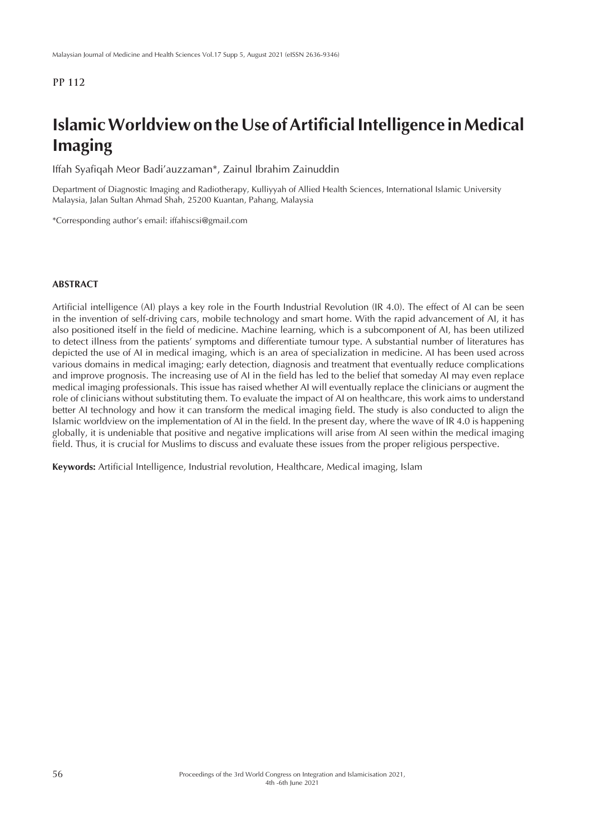# **Islamic Worldview on the Use of Artificial Intelligence in Medical Imaging**

Iffah Syafiqah Meor Badi'auzzaman\*, Zainul Ibrahim Zainuddin

Department of Diagnostic Imaging and Radiotherapy, Kulliyyah of Allied Health Sciences, International Islamic University Malaysia, Jalan Sultan Ahmad Shah, 25200 Kuantan, Pahang, Malaysia

\*Corresponding author's email: iffahiscsi@gmail.com

#### **ABSTRACT**

Artificial intelligence (AI) plays a key role in the Fourth Industrial Revolution (IR 4.0). The effect of AI can be seen in the invention of self-driving cars, mobile technology and smart home. With the rapid advancement of AI, it has also positioned itself in the field of medicine. Machine learning, which is a subcomponent of AI, has been utilized to detect illness from the patients' symptoms and differentiate tumour type. A substantial number of literatures has depicted the use of AI in medical imaging, which is an area of specialization in medicine. AI has been used across various domains in medical imaging; early detection, diagnosis and treatment that eventually reduce complications and improve prognosis. The increasing use of AI in the field has led to the belief that someday AI may even replace medical imaging professionals. This issue has raised whether AI will eventually replace the clinicians or augment the role of clinicians without substituting them. To evaluate the impact of AI on healthcare, this work aims to understand better AI technology and how it can transform the medical imaging field. The study is also conducted to align the Islamic worldview on the implementation of AI in the field. In the present day, where the wave of IR 4.0 is happening globally, it is undeniable that positive and negative implications will arise from AI seen within the medical imaging field. Thus, it is crucial for Muslims to discuss and evaluate these issues from the proper religious perspective.

**Keywords:** Artificial Intelligence, Industrial revolution, Healthcare, Medical imaging, Islam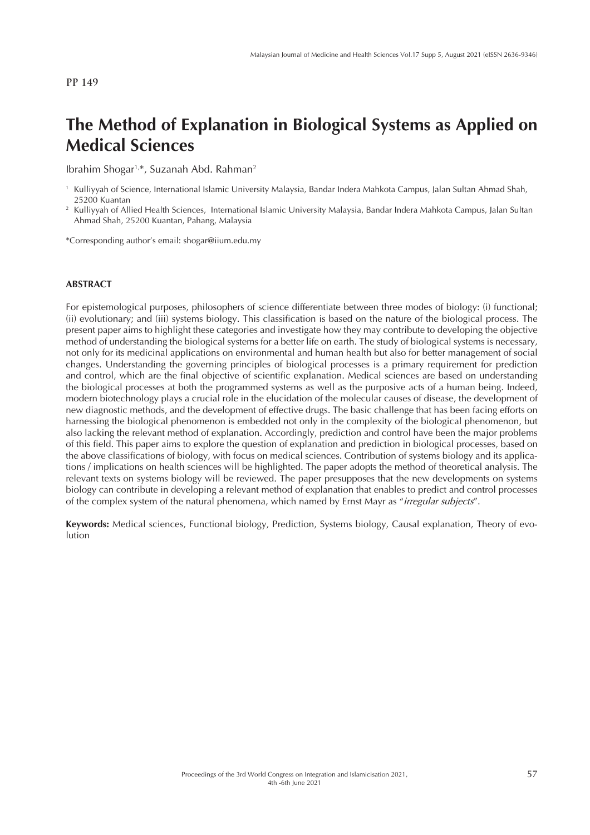# **The Method of Explanation in Biological Systems as Applied on Medical Sciences**

Ibrahim Shogar1,\*, Suzanah Abd. Rahman2

\*Corresponding author's email: shogar@iium.edu.my

#### **ABSTRACT**

For epistemological purposes, philosophers of science differentiate between three modes of biology: (i) functional; (ii) evolutionary; and (iii) systems biology. This classification is based on the nature of the biological process. The present paper aims to highlight these categories and investigate how they may contribute to developing the objective method of understanding the biological systems for a better life on earth. The study of biological systems is necessary, not only for its medicinal applications on environmental and human health but also for better management of social changes. Understanding the governing principles of biological processes is a primary requirement for prediction and control, which are the final objective of scientific explanation. Medical sciences are based on understanding the biological processes at both the programmed systems as well as the purposive acts of a human being. Indeed, modern biotechnology plays a crucial role in the elucidation of the molecular causes of disease, the development of new diagnostic methods, and the development of effective drugs. The basic challenge that has been facing efforts on harnessing the biological phenomenon is embedded not only in the complexity of the biological phenomenon, but also lacking the relevant method of explanation. Accordingly, prediction and control have been the major problems of this field. This paper aims to explore the question of explanation and prediction in biological processes, based on the above classifications of biology, with focus on medical sciences. Contribution of systems biology and its applications / implications on health sciences will be highlighted. The paper adopts the method of theoretical analysis. The relevant texts on systems biology will be reviewed. The paper presupposes that the new developments on systems biology can contribute in developing a relevant method of explanation that enables to predict and control processes of the complex system of the natural phenomena, which named by Ernst Mayr as "*irregular subjects*".

**Keywords:** Medical sciences, Functional biology, Prediction, Systems biology, Causal explanation, Theory of evolution

<sup>1</sup> Kulliyyah of Science, International Islamic University Malaysia, Bandar Indera Mahkota Campus, Jalan Sultan Ahmad Shah, 25200 Kuantan

<sup>2</sup> Kulliyyah of Allied Health Sciences, International Islamic University Malaysia, Bandar Indera Mahkota Campus, Jalan Sultan Ahmad Shah, 25200 Kuantan, Pahang, Malaysia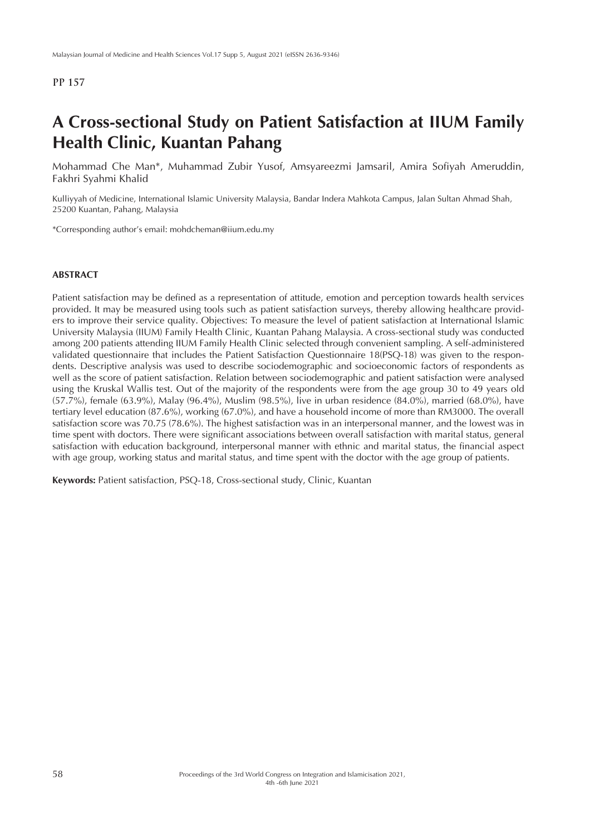## **A Cross-sectional Study on Patient Satisfaction at IIUM Family Health Clinic, Kuantan Pahang**

Mohammad Che Man\*, Muhammad Zubir Yusof, Amsyareezmi Jamsaril, Amira Sofiyah Ameruddin, Fakhri Syahmi Khalid

Kulliyyah of Medicine, International Islamic University Malaysia, Bandar Indera Mahkota Campus, Jalan Sultan Ahmad Shah, 25200 Kuantan, Pahang, Malaysia

\*Corresponding author's email: mohdcheman@iium.edu.my

#### **ABSTRACT**

Patient satisfaction may be defined as a representation of attitude, emotion and perception towards health services provided. It may be measured using tools such as patient satisfaction surveys, thereby allowing healthcare providers to improve their service quality. Objectives: To measure the level of patient satisfaction at International Islamic University Malaysia (IIUM) Family Health Clinic, Kuantan Pahang Malaysia. A cross-sectional study was conducted among 200 patients attending IIUM Family Health Clinic selected through convenient sampling. A self-administered validated questionnaire that includes the Patient Satisfaction Questionnaire 18(PSQ-18) was given to the respondents. Descriptive analysis was used to describe sociodemographic and socioeconomic factors of respondents as well as the score of patient satisfaction. Relation between sociodemographic and patient satisfaction were analysed using the Kruskal Wallis test. Out of the majority of the respondents were from the age group 30 to 49 years old (57.7%), female (63.9%), Malay (96.4%), Muslim (98.5%), live in urban residence (84.0%), married (68.0%), have tertiary level education (87.6%), working (67.0%), and have a household income of more than RM3000. The overall satisfaction score was 70.75 (78.6%). The highest satisfaction was in an interpersonal manner, and the lowest was in time spent with doctors. There were significant associations between overall satisfaction with marital status, general satisfaction with education background, interpersonal manner with ethnic and marital status, the financial aspect with age group, working status and marital status, and time spent with the doctor with the age group of patients.

**Keywords:** Patient satisfaction, PSQ-18, Cross-sectional study, Clinic, Kuantan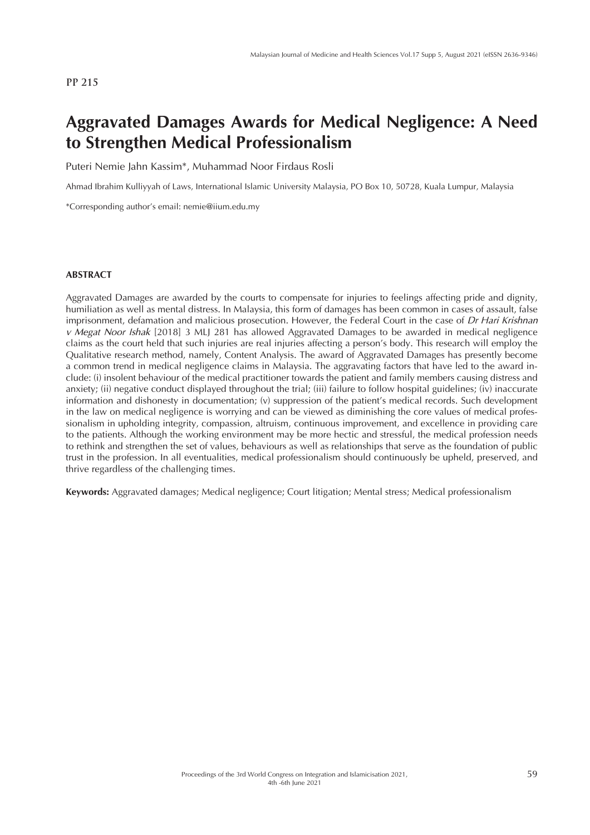## **Aggravated Damages Awards for Medical Negligence: A Need to Strengthen Medical Professionalism**

Puteri Nemie Jahn Kassim\*, Muhammad Noor Firdaus Rosli

Ahmad Ibrahim Kulliyyah of Laws, International Islamic University Malaysia, PO Box 10, 50728, Kuala Lumpur, Malaysia

\*Corresponding author's email: nemie@iium.edu.my

#### **ABSTRACT**

Aggravated Damages are awarded by the courts to compensate for injuries to feelings affecting pride and dignity, humiliation as well as mental distress. In Malaysia, this form of damages has been common in cases of assault, false imprisonment, defamation and malicious prosecution. However, the Federal Court in the case of *Dr Hari Krishnan v Megat Noor Ishak* [2018] 3 MLJ 281 has allowed Aggravated Damages to be awarded in medical negligence claims as the court held that such injuries are real injuries affecting a person's body. This research will employ the Qualitative research method, namely, Content Analysis. The award of Aggravated Damages has presently become a common trend in medical negligence claims in Malaysia. The aggravating factors that have led to the award include: (i) insolent behaviour of the medical practitioner towards the patient and family members causing distress and anxiety; (ii) negative conduct displayed throughout the trial; (iii) failure to follow hospital guidelines; (iv) inaccurate information and dishonesty in documentation; (v) suppression of the patient's medical records. Such development in the law on medical negligence is worrying and can be viewed as diminishing the core values of medical professionalism in upholding integrity, compassion, altruism, continuous improvement, and excellence in providing care to the patients. Although the working environment may be more hectic and stressful, the medical profession needs to rethink and strengthen the set of values, behaviours as well as relationships that serve as the foundation of public trust in the profession. In all eventualities, medical professionalism should continuously be upheld, preserved, and thrive regardless of the challenging times.

**Keywords:** Aggravated damages; Medical negligence; Court litigation; Mental stress; Medical professionalism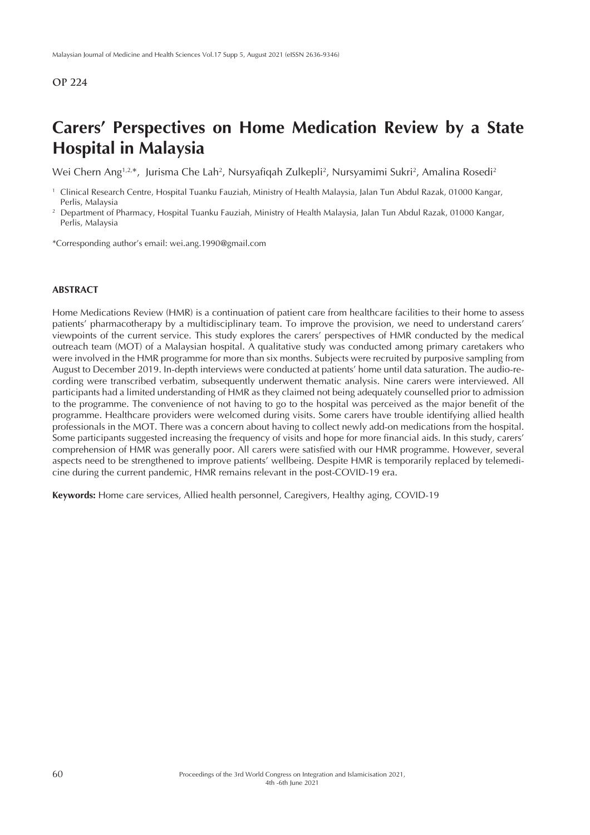## **Carers' Perspectives on Home Medication Review by a State Hospital in Malaysia**

Wei Chern Ang<sup>1,2,</sup>\*, Jurisma Che Lah<sup>2</sup>, Nursyafiqah Zulkepli<sup>2</sup>, Nursyamimi Sukri<sup>2</sup>, Amalina Rosedi<sup>2</sup>

- <sup>1</sup> Clinical Research Centre, Hospital Tuanku Fauziah, Ministry of Health Malaysia, Jalan Tun Abdul Razak, 01000 Kangar, Perlis, Malaysia
- <sup>2</sup> Department of Pharmacy, Hospital Tuanku Fauziah, Ministry of Health Malaysia, Jalan Tun Abdul Razak, 01000 Kangar, Perlis, Malaysia

\*Corresponding author's email: wei.ang.1990@gmail.com

### **ABSTRACT**

Home Medications Review (HMR) is a continuation of patient care from healthcare facilities to their home to assess patients' pharmacotherapy by a multidisciplinary team. To improve the provision, we need to understand carers' viewpoints of the current service. This study explores the carers' perspectives of HMR conducted by the medical outreach team (MOT) of a Malaysian hospital. A qualitative study was conducted among primary caretakers who were involved in the HMR programme for more than six months. Subjects were recruited by purposive sampling from August to December 2019. In-depth interviews were conducted at patients' home until data saturation. The audio-recording were transcribed verbatim, subsequently underwent thematic analysis. Nine carers were interviewed. All participants had a limited understanding of HMR as they claimed not being adequately counselled prior to admission to the programme. The convenience of not having to go to the hospital was perceived as the major benefit of the programme. Healthcare providers were welcomed during visits. Some carers have trouble identifying allied health professionals in the MOT. There was a concern about having to collect newly add-on medications from the hospital. Some participants suggested increasing the frequency of visits and hope for more financial aids. In this study, carers' comprehension of HMR was generally poor. All carers were satisfied with our HMR programme. However, several aspects need to be strengthened to improve patients' wellbeing. Despite HMR is temporarily replaced by telemedicine during the current pandemic, HMR remains relevant in the post-COVID-19 era.

**Keywords:** Home care services, Allied health personnel, Caregivers, Healthy aging, COVID-19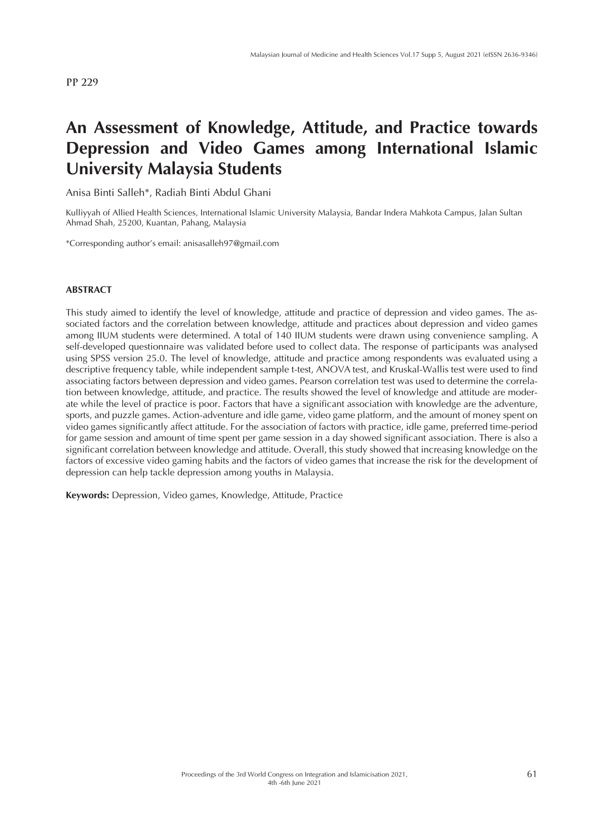## **An Assessment of Knowledge, Attitude, and Practice towards Depression and Video Games among International Islamic University Malaysia Students**

Anisa Binti Salleh\*, Radiah Binti Abdul Ghani

Kulliyyah of Allied Health Sciences, International Islamic University Malaysia, Bandar Indera Mahkota Campus, Jalan Sultan Ahmad Shah, 25200, Kuantan, Pahang, Malaysia

\*Corresponding author's email: anisasalleh97@gmail.com

### **ABSTRACT**

This study aimed to identify the level of knowledge, attitude and practice of depression and video games. The associated factors and the correlation between knowledge, attitude and practices about depression and video games among IIUM students were determined. A total of 140 IIUM students were drawn using convenience sampling. A self-developed questionnaire was validated before used to collect data. The response of participants was analysed using SPSS version 25.0. The level of knowledge, attitude and practice among respondents was evaluated using a descriptive frequency table, while independent sample t-test, ANOVA test, and Kruskal-Wallis test were used to find associating factors between depression and video games. Pearson correlation test was used to determine the correlation between knowledge, attitude, and practice. The results showed the level of knowledge and attitude are moderate while the level of practice is poor. Factors that have a significant association with knowledge are the adventure, sports, and puzzle games. Action-adventure and idle game, video game platform, and the amount of money spent on video games significantly affect attitude. For the association of factors with practice, idle game, preferred time-period for game session and amount of time spent per game session in a day showed significant association. There is also a significant correlation between knowledge and attitude. Overall, this study showed that increasing knowledge on the factors of excessive video gaming habits and the factors of video games that increase the risk for the development of depression can help tackle depression among youths in Malaysia.

**Keywords:** Depression, Video games, Knowledge, Attitude, Practice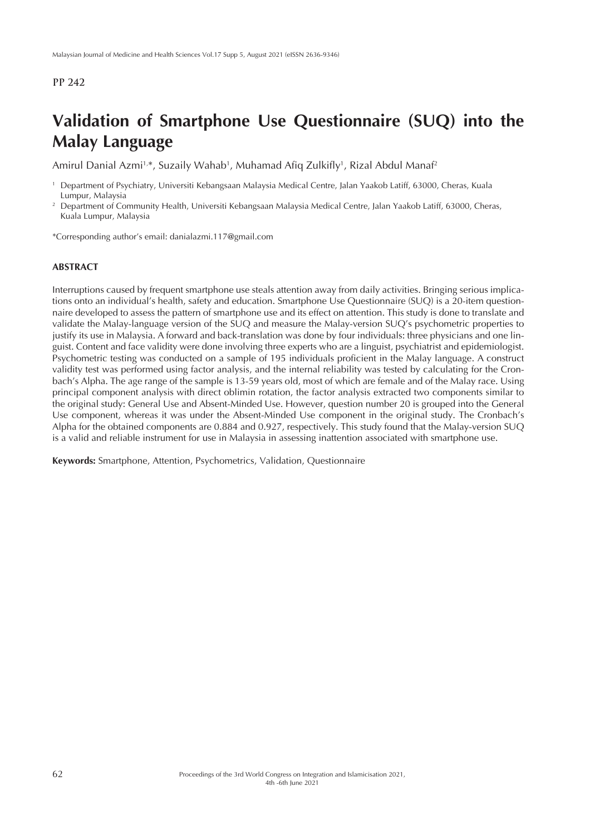# **Validation of Smartphone Use Questionnaire (SUQ) into the Malay Language**

Amirul Danial Azmi<sup>1,</sup>\*, Suzaily Wahab<sup>1</sup>, Muhamad Afiq Zulkifly<sup>1</sup>, Rizal Abdul Manaf<sup>2</sup>

\*Corresponding author's email: danialazmi.117@gmail.com

#### **ABSTRACT**

Interruptions caused by frequent smartphone use steals attention away from daily activities. Bringing serious implications onto an individual's health, safety and education. Smartphone Use Questionnaire (SUQ) is a 20-item questionnaire developed to assess the pattern of smartphone use and its effect on attention. This study is done to translate and validate the Malay-language version of the SUQ and measure the Malay-version SUQ's psychometric properties to justify its use in Malaysia. A forward and back-translation was done by four individuals: three physicians and one linguist. Content and face validity were done involving three experts who are a linguist, psychiatrist and epidemiologist. Psychometric testing was conducted on a sample of 195 individuals proficient in the Malay language. A construct validity test was performed using factor analysis, and the internal reliability was tested by calculating for the Cronbach's Alpha. The age range of the sample is 13-59 years old, most of which are female and of the Malay race. Using principal component analysis with direct oblimin rotation, the factor analysis extracted two components similar to the original study: General Use and Absent-Minded Use. However, question number 20 is grouped into the General Use component, whereas it was under the Absent-Minded Use component in the original study. The Cronbach's Alpha for the obtained components are 0.884 and 0.927, respectively. This study found that the Malay-version SUQ is a valid and reliable instrument for use in Malaysia in assessing inattention associated with smartphone use.

**Keywords:** Smartphone, Attention, Psychometrics, Validation, Questionnaire

<sup>1</sup> Department of Psychiatry, Universiti Kebangsaan Malaysia Medical Centre, Jalan Yaakob Latiff, 63000, Cheras, Kuala Lumpur, Malaysia

<sup>&</sup>lt;sup>2</sup> Department of Community Health, Universiti Kebangsaan Malaysia Medical Centre, Jalan Yaakob Latiff, 63000, Cheras, Kuala Lumpur, Malaysia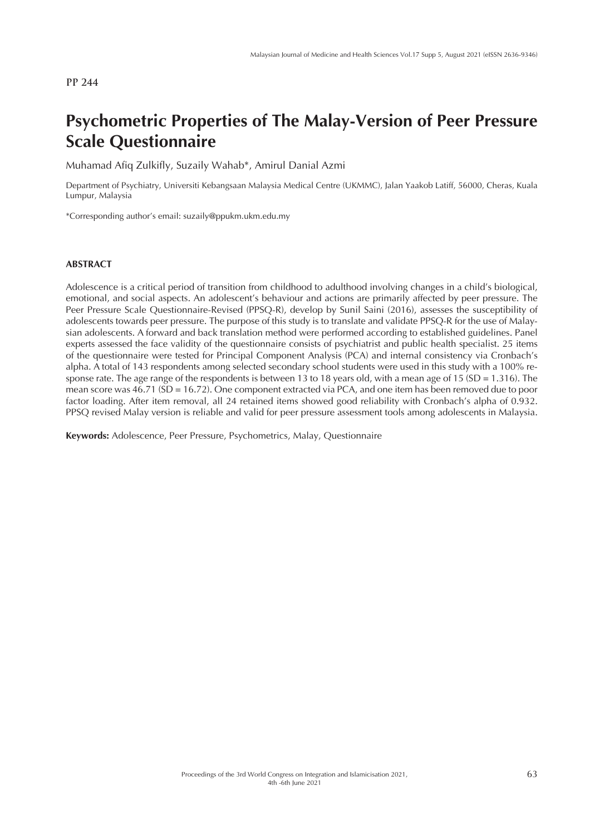# **Psychometric Properties of The Malay-Version of Peer Pressure Scale Questionnaire**

Muhamad Afiq Zulkifly, Suzaily Wahab\*, Amirul Danial Azmi

Department of Psychiatry, Universiti Kebangsaan Malaysia Medical Centre (UKMMC), Jalan Yaakob Latiff, 56000, Cheras, Kuala Lumpur, Malaysia

\*Corresponding author's email: suzaily@ppukm.ukm.edu.my

#### **ABSTRACT**

Adolescence is a critical period of transition from childhood to adulthood involving changes in a child's biological, emotional, and social aspects. An adolescent's behaviour and actions are primarily affected by peer pressure. The Peer Pressure Scale Questionnaire-Revised (PPSQ-R), develop by Sunil Saini (2016), assesses the susceptibility of adolescents towards peer pressure. The purpose of this study is to translate and validate PPSQ-R for the use of Malaysian adolescents. A forward and back translation method were performed according to established guidelines. Panel experts assessed the face validity of the questionnaire consists of psychiatrist and public health specialist. 25 items of the questionnaire were tested for Principal Component Analysis (PCA) and internal consistency via Cronbach's alpha. A total of 143 respondents among selected secondary school students were used in this study with a 100% response rate. The age range of the respondents is between 13 to 18 years old, with a mean age of 15 (SD = 1.316). The mean score was 46.71 (SD = 16.72). One component extracted via PCA, and one item has been removed due to poor factor loading. After item removal, all 24 retained items showed good reliability with Cronbach's alpha of 0.932. PPSQ revised Malay version is reliable and valid for peer pressure assessment tools among adolescents in Malaysia.

**Keywords:** Adolescence, Peer Pressure, Psychometrics, Malay, Questionnaire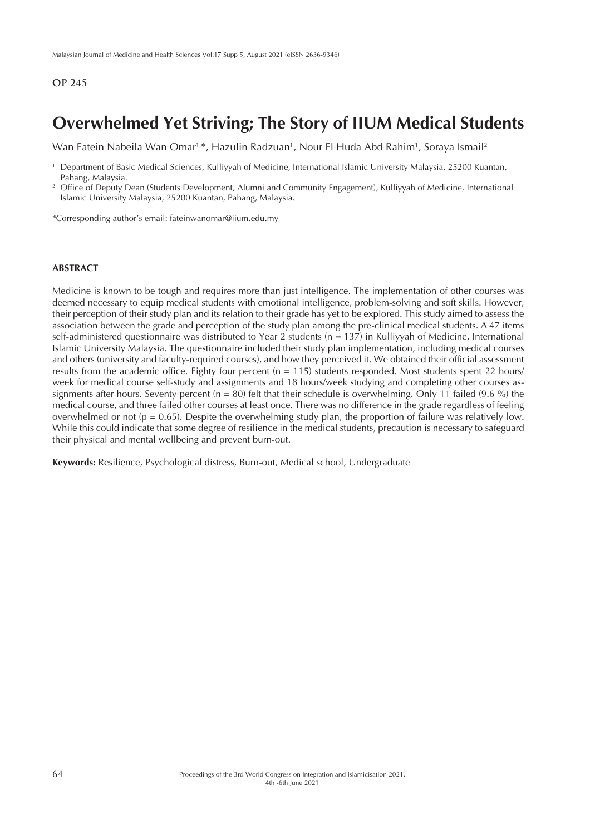## **Overwhelmed Yet Striving; The Story of IIUM Medical Students**

Wan Fatein Nabeila Wan Omar<sup>1,\*</sup>, Hazulin Radzuan<sup>1</sup>, Nour El Huda Abd Rahim<sup>1</sup>, Soraya Ismail<sup>2</sup>

\*Corresponding author's email: fateinwanomar@iium.edu.my

### **ABSTRACT**

Medicine is known to be tough and requires more than just intelligence. The implementation of other courses was deemed necessary to equip medical students with emotional intelligence, problem-solving and soft skills. However, their perception of their study plan and its relation to their grade has yet to be explored. This study aimed to assess the association between the grade and perception of the study plan among the pre-clinical medical students. A 47 items self-administered questionnaire was distributed to Year 2 students (n = 137) in Kulliyyah of Medicine, International Islamic University Malaysia. The questionnaire included their study plan implementation, including medical courses and others (university and faculty-required courses), and how they perceived it. We obtained their official assessment results from the academic office. Eighty four percent ( $n = 115$ ) students responded. Most students spent 22 hours/ week for medical course self-study and assignments and 18 hours/week studying and completing other courses assignments after hours. Seventy percent ( $n = 80$ ) felt that their schedule is overwhelming. Only 11 failed (9.6 %) the medical course, and three failed other courses at least once. There was no difference in the grade regardless of feeling overwhelmed or not ( $p = 0.65$ ). Despite the overwhelming study plan, the proportion of failure was relatively low. While this could indicate that some degree of resilience in the medical students, precaution is necessary to safeguard their physical and mental wellbeing and prevent burn-out.

**Keywords:** Resilience, Psychological distress, Burn-out, Medical school, Undergraduate

<sup>1</sup> Department of Basic Medical Sciences, Kulliyyah of Medicine, International Islamic University Malaysia, 25200 Kuantan, Pahang, Malaysia.

<sup>&</sup>lt;sup>2</sup> Office of Deputy Dean (Students Development, Alumni and Community Engagement), Kulliyyah of Medicine, International Islamic University Malaysia, 25200 Kuantan, Pahang, Malaysia.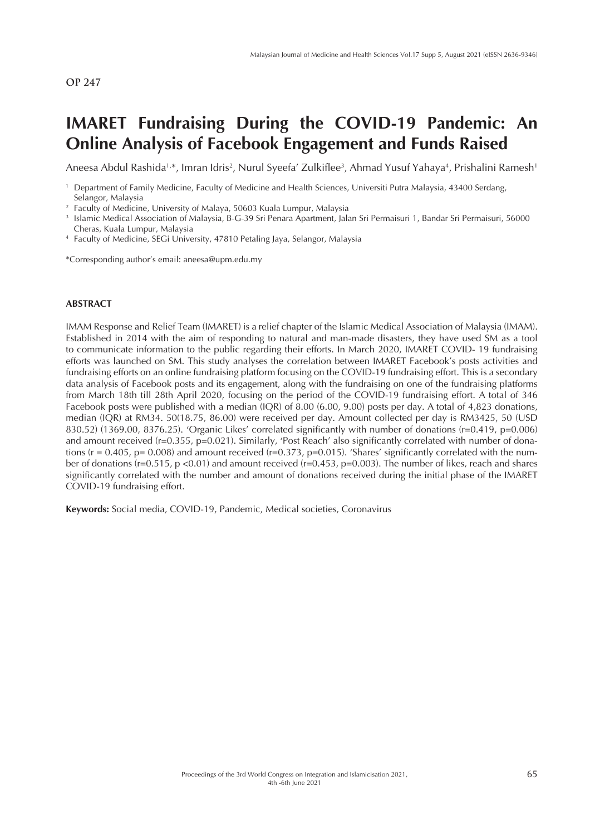# **IMARET Fundraising During the COVID-19 Pandemic: An Online Analysis of Facebook Engagement and Funds Raised**

Aneesa Abdul Rashida<sup>1,</sup>\*, Imran Idris<sup>2</sup>, Nurul Syeefa' Zulkiflee<sup>3</sup>, Ahmad Yusuf Yahaya<sup>4</sup>, Prishalini Ramesh<sup>1</sup>

\*Corresponding author's email: aneesa@upm.edu.my

#### **ABSTRACT**

IMAM Response and Relief Team (IMARET) is a relief chapter of the Islamic Medical Association of Malaysia (IMAM). Established in 2014 with the aim of responding to natural and man-made disasters, they have used SM as a tool to communicate information to the public regarding their efforts. In March 2020, IMARET COVID- 19 fundraising efforts was launched on SM. This study analyses the correlation between IMARET Facebook's posts activities and fundraising efforts on an online fundraising platform focusing on the COVID-19 fundraising effort. This is a secondary data analysis of Facebook posts and its engagement, along with the fundraising on one of the fundraising platforms from March 18th till 28th April 2020, focusing on the period of the COVID-19 fundraising effort. A total of 346 Facebook posts were published with a median (IQR) of 8.00 (6.00, 9.00) posts per day. A total of 4,823 donations, median (IQR) at RM34. 50(18.75, 86.00) were received per day. Amount collected per day is RM3425, 50 (USD 830.52) (1369.00, 8376.25). 'Organic Likes' correlated significantly with number of donations (r=0.419, p=0.006) and amount received (r=0.355, p=0.021). Similarly, 'Post Reach' also significantly correlated with number of donations ( $r = 0.405$ ,  $p = 0.008$ ) and amount received ( $r = 0.373$ ,  $p = 0.015$ ). 'Shares' significantly correlated with the number of donations (r=0.515, p <0.01) and amount received (r=0.453, p=0.003). The number of likes, reach and shares significantly correlated with the number and amount of donations received during the initial phase of the IMARET COVID-19 fundraising effort.

**Keywords:** Social media, COVID-19, Pandemic, Medical societies, Coronavirus

<sup>1</sup> Department of Family Medicine, Faculty of Medicine and Health Sciences, Universiti Putra Malaysia, 43400 Serdang, Selangor, Malaysia

<sup>&</sup>lt;sup>2</sup> Faculty of Medicine, University of Malaya, 50603 Kuala Lumpur, Malaysia

<sup>3</sup> Islamic Medical Association of Malaysia, B-G-39 Sri Penara Apartment, Jalan Sri Permaisuri 1, Bandar Sri Permaisuri, 56000 Cheras, Kuala Lumpur, Malaysia

<sup>4</sup> Faculty of Medicine, SEGi University, 47810 Petaling Jaya, Selangor, Malaysia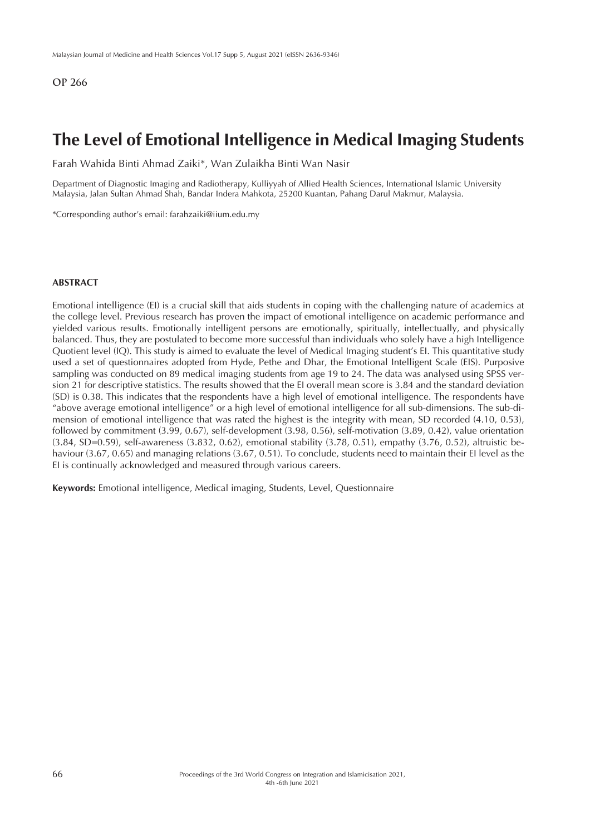## **The Level of Emotional Intelligence in Medical Imaging Students**

Farah Wahida Binti Ahmad Zaiki\*, Wan Zulaikha Binti Wan Nasir

Department of Diagnostic Imaging and Radiotherapy, Kulliyyah of Allied Health Sciences, International Islamic University Malaysia, Jalan Sultan Ahmad Shah, Bandar Indera Mahkota, 25200 Kuantan, Pahang Darul Makmur, Malaysia.

\*Corresponding author's email: farahzaiki@iium.edu.my

## **ABSTRACT**

Emotional intelligence (EI) is a crucial skill that aids students in coping with the challenging nature of academics at the college level. Previous research has proven the impact of emotional intelligence on academic performance and yielded various results. Emotionally intelligent persons are emotionally, spiritually, intellectually, and physically balanced. Thus, they are postulated to become more successful than individuals who solely have a high Intelligence Quotient level (IQ). This study is aimed to evaluate the level of Medical Imaging student's EI. This quantitative study used a set of questionnaires adopted from Hyde, Pethe and Dhar, the Emotional Intelligent Scale (EIS). Purposive sampling was conducted on 89 medical imaging students from age 19 to 24. The data was analysed using SPSS version 21 for descriptive statistics. The results showed that the EI overall mean score is 3.84 and the standard deviation (SD) is 0.38. This indicates that the respondents have a high level of emotional intelligence. The respondents have "above average emotional intelligence" or a high level of emotional intelligence for all sub-dimensions. The sub-dimension of emotional intelligence that was rated the highest is the integrity with mean, SD recorded (4.10, 0.53), followed by commitment (3.99, 0.67), self-development (3.98, 0.56), self-motivation (3.89, 0.42), value orientation (3.84, SD=0.59), self-awareness (3.832, 0.62), emotional stability (3.78, 0.51), empathy (3.76, 0.52), altruistic behaviour (3.67, 0.65) and managing relations (3.67, 0.51). To conclude, students need to maintain their EI level as the EI is continually acknowledged and measured through various careers.

**Keywords:** Emotional intelligence, Medical imaging, Students, Level, Questionnaire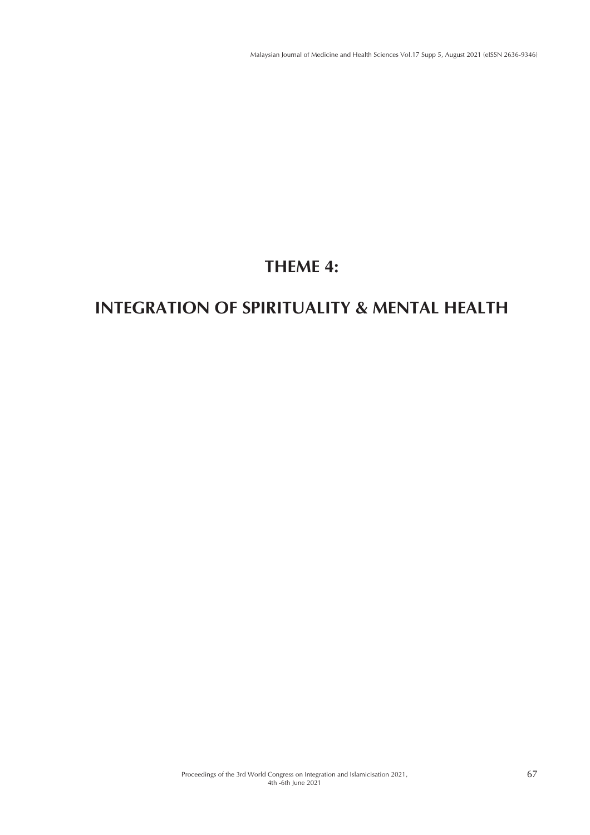# **THEME 4:**

# **INTEGRATION OF SPIRITUALITY & MENTAL HEALTH**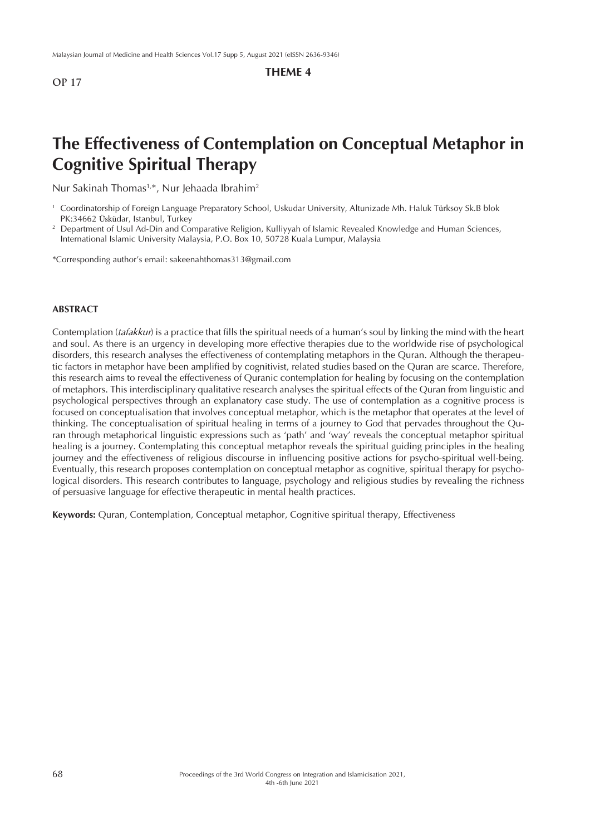## **THEME 4**

## **The Effectiveness of Contemplation on Conceptual Metaphor in Cognitive Spiritual Therapy**

Nur Sakinah Thomas<sup>1,\*</sup>, Nur Jehaada Ibrahim<sup>2</sup>

- <sup>1</sup> Coordinatorship of Foreign Language Preparatory School, Uskudar University, Altunizade Mh. Haluk Türksoy Sk.B blok PK:34662 Üsküdar, Istanbul, Turkey
- <sup>2</sup> Department of Usul Ad-Din and Comparative Religion, Kulliyyah of Islamic Revealed Knowledge and Human Sciences, International Islamic University Malaysia, P.O. Box 10, 50728 Kuala Lumpur, Malaysia

\*Corresponding author's email: sakeenahthomas313@gmail.com

#### **ABSTRACT**

Contemplation (*tafakkur*) is a practice that fills the spiritual needs of a human's soul by linking the mind with the heart and soul. As there is an urgency in developing more effective therapies due to the worldwide rise of psychological disorders, this research analyses the effectiveness of contemplating metaphors in the Quran. Although the therapeutic factors in metaphor have been amplified by cognitivist, related studies based on the Quran are scarce. Therefore, this research aims to reveal the effectiveness of Quranic contemplation for healing by focusing on the contemplation of metaphors. This interdisciplinary qualitative research analyses the spiritual effects of the Quran from linguistic and psychological perspectives through an explanatory case study. The use of contemplation as a cognitive process is focused on conceptualisation that involves conceptual metaphor, which is the metaphor that operates at the level of thinking. The conceptualisation of spiritual healing in terms of a journey to God that pervades throughout the Quran through metaphorical linguistic expressions such as 'path' and 'way' reveals the conceptual metaphor spiritual healing is a journey. Contemplating this conceptual metaphor reveals the spiritual guiding principles in the healing journey and the effectiveness of religious discourse in influencing positive actions for psycho-spiritual well-being. Eventually, this research proposes contemplation on conceptual metaphor as cognitive, spiritual therapy for psychological disorders. This research contributes to language, psychology and religious studies by revealing the richness of persuasive language for effective therapeutic in mental health practices.

**Keywords:** Quran, Contemplation, Conceptual metaphor, Cognitive spiritual therapy, Effectiveness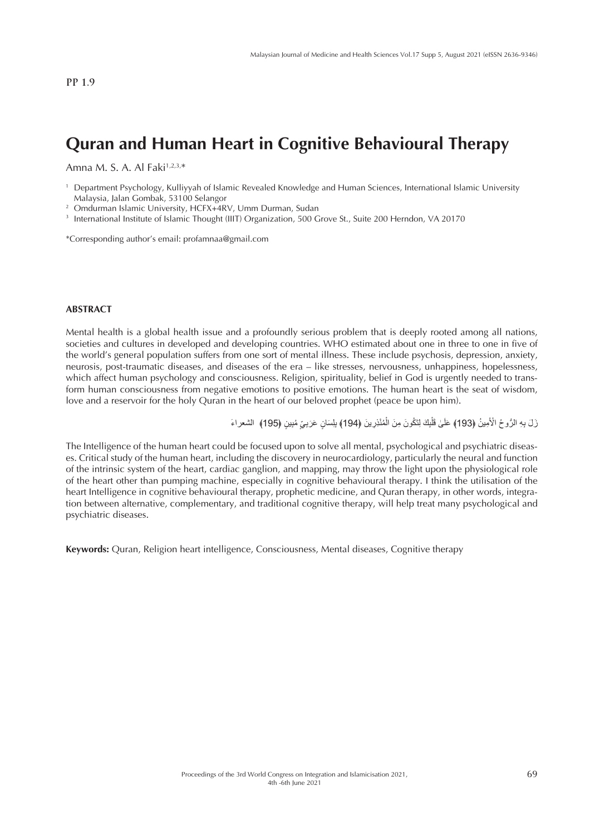## **Quran and Human Heart in Cognitive Behavioural Therapy**

Amna M. S. A. Al Faki<sup>1,2,3,\*</sup>

<sup>1</sup> Department Psychology, Kulliyyah of Islamic Revealed Knowledge and Human Sciences, International Islamic University Malaysia, Jalan Gombak, 53100 Selangor

<sup>2</sup> Omdurman Islamic University, HCFX+4RV, Umm Durman, Sudan

<sup>3</sup> International Institute of Islamic Thought (IIIT) Organization, 500 Grove St., Suite 200 Herndon, VA 20170

\*Corresponding author's email: profamnaa@gmail.com

#### **ABSTRACT**

Mental health is a global health issue and a profoundly serious problem that is deeply rooted among all nations, societies and cultures in developed and developing countries. WHO estimated about one in three to one in five of the world's general population suffers from one sort of mental illness. These include psychosis, depression, anxiety, neurosis, post-traumatic diseases, and diseases of the era – like stresses, nervousness, unhappiness, hopelessness, which affect human psychology and consciousness. Religion, spirituality, belief in God is urgently needed to transform human consciousness from negative emotions to positive emotions. The human heart is the seat of wisdom, love and a reservoir for the holy Quran in the heart of our beloved prophet (peace be upon him).

> زَلَ بِهِ الرُّوحُ الْأَمِينُ ﴿193﴾ عَلَىٰ قَلْبِكَ لِتَكُونَ مِنَ الْمُنْذِرِينَ ﴿194﴾ بِلِسَانٍ عَرَبِيِّ مُبِينٍ ﴿195﴾ الشعراءَ َْل َ

The Intelligence of the human heart could be focused upon to solve all mental, psychological and psychiatric diseases. Critical study of the human heart, including the discovery in neurocardiology, particularly the neural and function of the intrinsic system of the heart, cardiac ganglion, and mapping, may throw the light upon the physiological role of the heart other than pumping machine, especially in cognitive behavioural therapy. I think the utilisation of the heart Intelligence in cognitive behavioural therapy, prophetic medicine, and Quran therapy, in other words, integration between alternative, complementary, and traditional cognitive therapy, will help treat many psychological and psychiatric diseases.

**Keywords:** Quran, Religion heart intelligence, Consciousness, Mental diseases, Cognitive therapy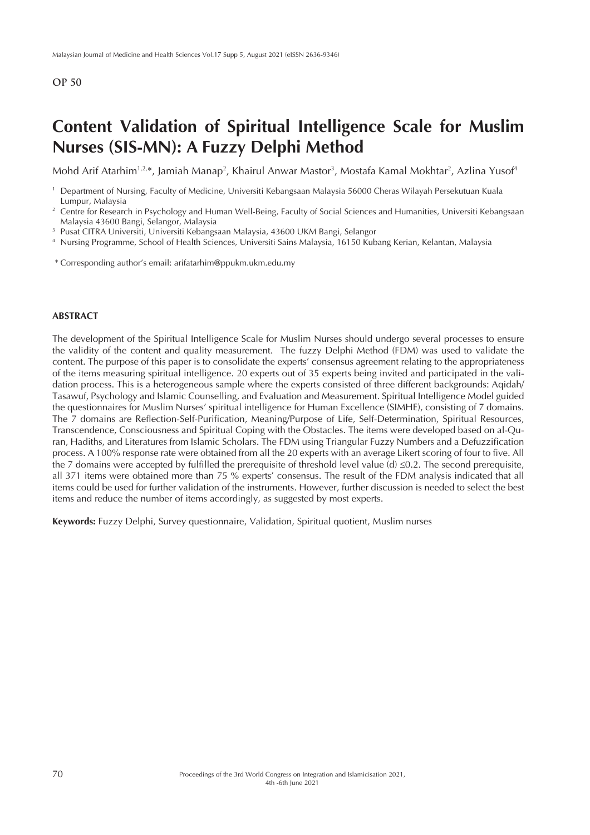## **Content Validation of Spiritual Intelligence Scale for Muslim Nurses (SIS-MN): A Fuzzy Delphi Method**

Mohd Arif Atarhim<sup>1,2,</sup>\*, Jamiah Manap<sup>2</sup>, Khairul Anwar Mastor<sup>3</sup>, Mostafa Kamal Mokhtar<sup>2</sup>, Azlina Yusof<sup>4</sup>

<sup>4</sup> Nursing Programme, School of Health Sciences, Universiti Sains Malaysia, 16150 Kubang Kerian, Kelantan, Malaysia

\* Corresponding author's email: arifatarhim@ppukm.ukm.edu.my

#### **ABSTRACT**

The development of the Spiritual Intelligence Scale for Muslim Nurses should undergo several processes to ensure the validity of the content and quality measurement. The fuzzy Delphi Method (FDM) was used to validate the content. The purpose of this paper is to consolidate the experts' consensus agreement relating to the appropriateness of the items measuring spiritual intelligence. 20 experts out of 35 experts being invited and participated in the validation process. This is a heterogeneous sample where the experts consisted of three different backgrounds: Aqidah/ Tasawuf, Psychology and Islamic Counselling, and Evaluation and Measurement. Spiritual Intelligence Model guided the questionnaires for Muslim Nurses' spiritual intelligence for Human Excellence (SIMHE), consisting of 7 domains. The 7 domains are Reflection-Self-Purification, Meaning/Purpose of Life, Self-Determination, Spiritual Resources, Transcendence, Consciousness and Spiritual Coping with the Obstacles. The items were developed based on al-Quran, Hadiths, and Literatures from Islamic Scholars. The FDM using Triangular Fuzzy Numbers and a Defuzzification process. A 100% response rate were obtained from all the 20 experts with an average Likert scoring of four to five. All the 7 domains were accepted by fulfilled the prerequisite of threshold level value (d)  $\leq 0.2$ . The second prerequisite, all 371 items were obtained more than 75 % experts' consensus. The result of the FDM analysis indicated that all items could be used for further validation of the instruments. However, further discussion is needed to select the best items and reduce the number of items accordingly, as suggested by most experts.

**Keywords:** Fuzzy Delphi, Survey questionnaire, Validation, Spiritual quotient, Muslim nurses

<sup>1</sup> Department of Nursing, Faculty of Medicine, Universiti Kebangsaan Malaysia 56000 Cheras Wilayah Persekutuan Kuala Lumpur, Malaysia

<sup>&</sup>lt;sup>2</sup> Centre for Research in Psychology and Human Well-Being, Faculty of Social Sciences and Humanities, Universiti Kebangsaan Malaysia 43600 Bangi, Selangor, Malaysia

<sup>3</sup> Pusat CITRA Universiti, Universiti Kebangsaan Malaysia, 43600 UKM Bangi, Selangor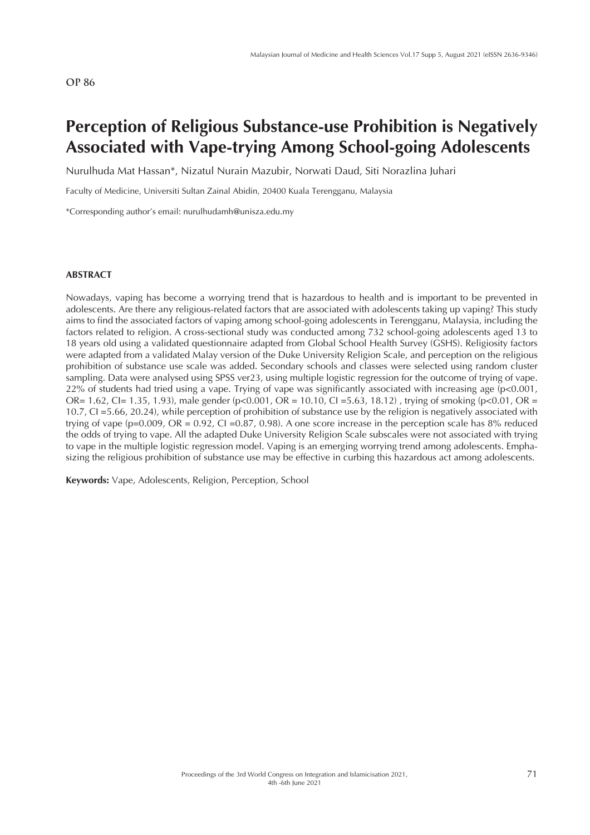## **Perception of Religious Substance-use Prohibition is Negatively Associated with Vape-trying Among School-going Adolescents**

Nurulhuda Mat Hassan\*, Nizatul Nurain Mazubir, Norwati Daud, Siti Norazlina Juhari

Faculty of Medicine, Universiti Sultan Zainal Abidin, 20400 Kuala Terengganu, Malaysia

\*Corresponding author's email: nurulhudamh@unisza.edu.my

### **ABSTRACT**

Nowadays, vaping has become a worrying trend that is hazardous to health and is important to be prevented in adolescents. Are there any religious-related factors that are associated with adolescents taking up vaping? This study aims to find the associated factors of vaping among school-going adolescents in Terengganu, Malaysia, including the factors related to religion. A cross-sectional study was conducted among 732 school-going adolescents aged 13 to 18 years old using a validated questionnaire adapted from Global School Health Survey (GSHS). Religiosity factors were adapted from a validated Malay version of the Duke University Religion Scale, and perception on the religious prohibition of substance use scale was added. Secondary schools and classes were selected using random cluster sampling. Data were analysed using SPSS ver23, using multiple logistic regression for the outcome of trying of vape. 22% of students had tried using a vape. Trying of vape was significantly associated with increasing age  $(p<0.001$ , OR= 1.62, CI= 1.35, 1.93), male gender (p<0.001, OR = 10.10, CI = 5.63, 18.12), trying of smoking (p<0.01, OR = 10.7, CI =5.66, 20.24), while perception of prohibition of substance use by the religion is negatively associated with trying of vape (p=0.009, OR = 0.92, CI =0.87, 0.98). A one score increase in the perception scale has 8% reduced the odds of trying to vape. All the adapted Duke University Religion Scale subscales were not associated with trying to vape in the multiple logistic regression model. Vaping is an emerging worrying trend among adolescents. Emphasizing the religious prohibition of substance use may be effective in curbing this hazardous act among adolescents.

**Keywords:** Vape, Adolescents, Religion, Perception, School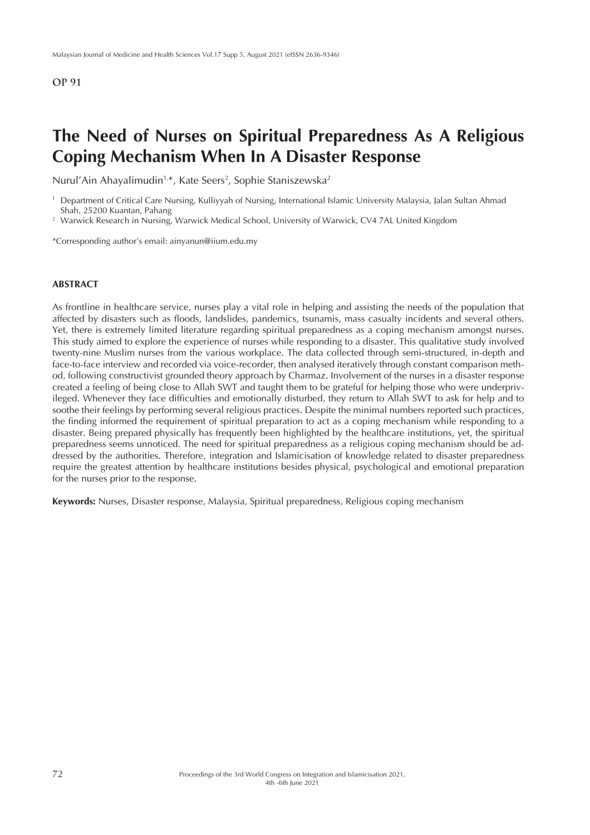## **The Need of Nurses on Spiritual Preparedness As A Religious Coping Mechanism When In A Disaster Response**

Nurul'Ain Ahayalimudin<sup>1,\*</sup>, Kate Seers<sup>2</sup>, Sophie Staniszewska<sup>2</sup>

<sup>1</sup> Department of Critical Care Nursing, Kulliyyah of Nursing, International Islamic University Malaysia, Jalan Sultan Ahmad Shah, 25200 Kuantan, Pahang

<sup>2</sup> Warwick Research in Nursing, Warwick Medical School, University of Warwick, CV4 7AL United Kingdom

\*Corresponding author's email: ainyanun@iium.edu.my

#### **ABSTRACT**

As frontline in healthcare service, nurses play a vital role in helping and assisting the needs of the population that affected by disasters such as floods, landslides, pandemics, tsunamis, mass casualty incidents and several others. Yet, there is extremely limited literature regarding spiritual preparedness as a coping mechanism amongst nurses. This study aimed to explore the experience of nurses while responding to a disaster. This qualitative study involved twenty-nine Muslim nurses from the various workplace. The data collected through semi-structured, in-depth and face-to-face interview and recorded via voice-recorder, then analysed iteratively through constant comparison method, following constructivist grounded theory approach by Charmaz. Involvement of the nurses in a disaster response created a feeling of being close to Allah SWT and taught them to be grateful for helping those who were underprivileged. Whenever they face difficulties and emotionally disturbed, they return to Allah SWT to ask for help and to soothe their feelings by performing several religious practices. Despite the minimal numbers reported such practices, the finding informed the requirement of spiritual preparation to act as a coping mechanism while responding to a disaster. Being prepared physically has frequently been highlighted by the healthcare institutions, yet, the spiritual preparedness seems unnoticed. The need for spiritual preparedness as a religious coping mechanism should be addressed by the authorities. Therefore, integration and Islamicisation of knowledge related to disaster preparedness require the greatest attention by healthcare institutions besides physical, psychological and emotional preparation for the nurses prior to the response.

**Keywords:** Nurses, Disaster response, Malaysia, Spiritual preparedness, Religious coping mechanism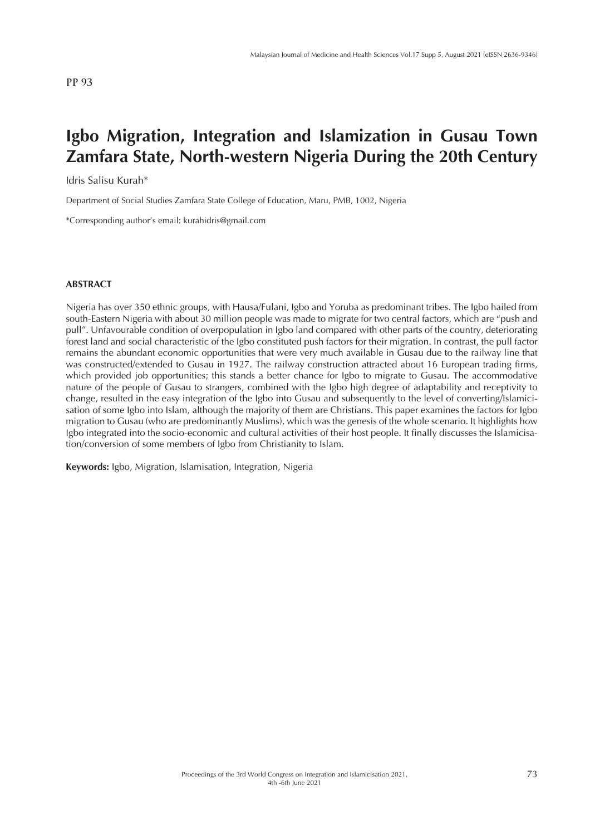## **Igbo Migration, Integration and Islamization in Gusau Town Zamfara State, North-western Nigeria During the 20th Century**

Idris Salisu Kurah\*

Department of Social Studies Zamfara State College of Education, Maru, PMB, 1002, Nigeria

\*Corresponding author's email: kurahidris@gmail.com

### **ABSTRACT**

Nigeria has over 350 ethnic groups, with Hausa/Fulani, Igbo and Yoruba as predominant tribes. The Igbo hailed from south-Eastern Nigeria with about 30 million people was made to migrate for two central factors, which are "push and pull". Unfavourable condition of overpopulation in Igbo land compared with other parts of the country, deteriorating forest land and social characteristic of the Igbo constituted push factors for their migration. In contrast, the pull factor remains the abundant economic opportunities that were very much available in Gusau due to the railway line that was constructed/extended to Gusau in 1927. The railway construction attracted about 16 European trading firms, which provided job opportunities; this stands a better chance for Igbo to migrate to Gusau. The accommodative nature of the people of Gusau to strangers, combined with the Igbo high degree of adaptability and receptivity to change, resulted in the easy integration of the Igbo into Gusau and subsequently to the level of converting/Islamicisation of some Igbo into Islam, although the majority of them are Christians. This paper examines the factors for Igbo migration to Gusau (who are predominantly Muslims), which was the genesis of the whole scenario. It highlights how Igbo integrated into the socio-economic and cultural activities of their host people. It finally discusses the Islamicisation/conversion of some members of Igbo from Christianity to Islam.

**Keywords:** Igbo, Migration, Islamisation, Integration, Nigeria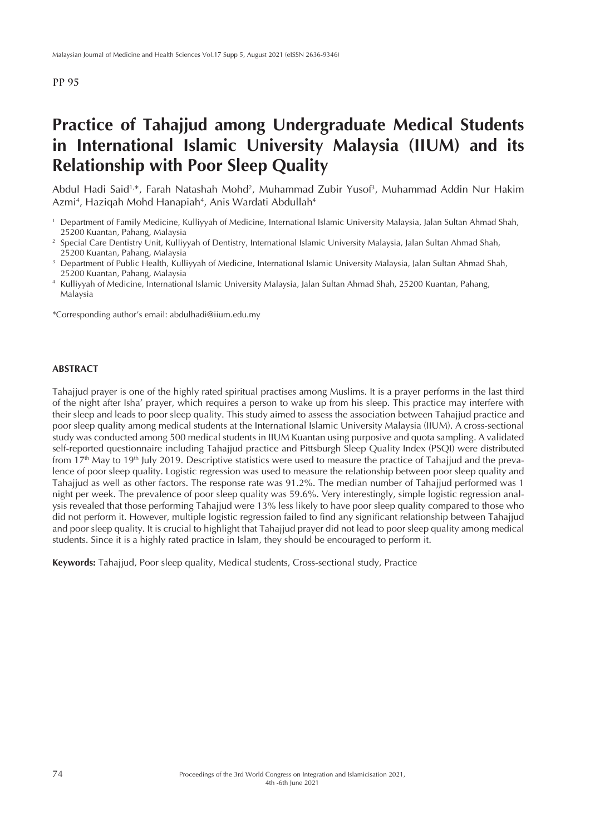## **Practice of Tahajjud among Undergraduate Medical Students in International Islamic University Malaysia (IIUM) and its Relationship with Poor Sleep Quality**

Abdul Hadi Said1,\*, Farah Natashah Mohd2 , Muhammad Zubir Yusof3 , Muhammad Addin Nur Hakim Azmi<sup>4</sup>, Haziqah Mohd Hanapiah<sup>4</sup>, Anis Wardati Abdullah<sup>4</sup>

- <sup>1</sup> Department of Family Medicine, Kulliyyah of Medicine, International Islamic University Malaysia, Jalan Sultan Ahmad Shah, 25200 Kuantan, Pahang, Malaysia
- <sup>2</sup> Special Care Dentistry Unit, Kulliyyah of Dentistry, International Islamic University Malaysia, Jalan Sultan Ahmad Shah, 25200 Kuantan, Pahang, Malaysia
- <sup>3</sup> Department of Public Health, Kulliyyah of Medicine, International Islamic University Malaysia, Jalan Sultan Ahmad Shah, 25200 Kuantan, Pahang, Malaysia
- <sup>4</sup> Kulliyyah of Medicine, International Islamic University Malaysia, Jalan Sultan Ahmad Shah, 25200 Kuantan, Pahang, Malaysia

\*Corresponding author's email: abdulhadi@iium.edu.my

### **ABSTRACT**

Tahajjud prayer is one of the highly rated spiritual practises among Muslims. It is a prayer performs in the last third of the night after Isha' prayer, which requires a person to wake up from his sleep. This practice may interfere with their sleep and leads to poor sleep quality. This study aimed to assess the association between Tahajjud practice and poor sleep quality among medical students at the International Islamic University Malaysia (IIUM). A cross-sectional study was conducted among 500 medical students in IIUM Kuantan using purposive and quota sampling. A validated self-reported questionnaire including Tahajjud practice and Pittsburgh Sleep Quality Index (PSQI) were distributed from 17th May to 19th July 2019. Descriptive statistics were used to measure the practice of Tahajjud and the prevalence of poor sleep quality. Logistic regression was used to measure the relationship between poor sleep quality and Tahajjud as well as other factors. The response rate was 91.2%. The median number of Tahajjud performed was 1 night per week. The prevalence of poor sleep quality was 59.6%. Very interestingly, simple logistic regression analysis revealed that those performing Tahajjud were 13% less likely to have poor sleep quality compared to those who did not perform it. However, multiple logistic regression failed to find any significant relationship between Tahajjud and poor sleep quality. It is crucial to highlight that Tahajjud prayer did not lead to poor sleep quality among medical students. Since it is a highly rated practice in Islam, they should be encouraged to perform it.

**Keywords:** Tahajjud, Poor sleep quality, Medical students, Cross-sectional study, Practice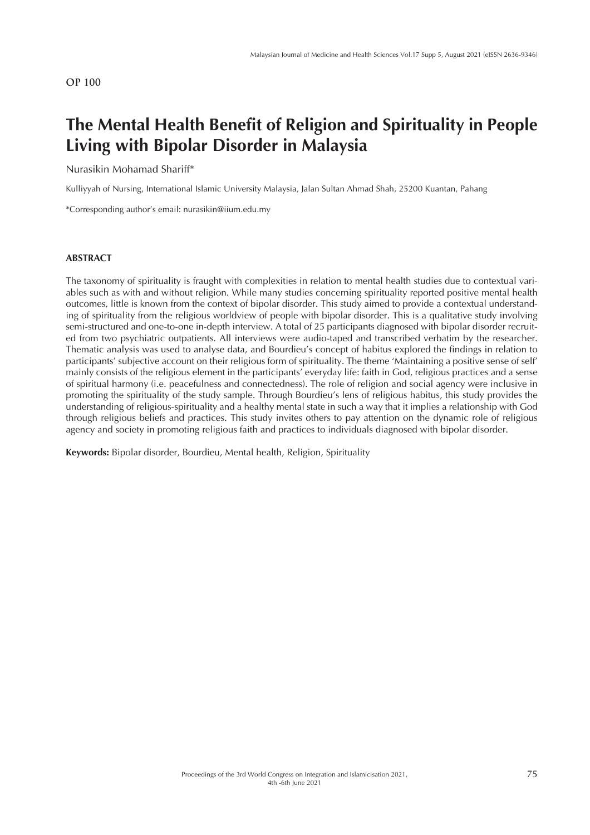# **The Mental Health Benefit of Religion and Spirituality in People Living with Bipolar Disorder in Malaysia**

#### Nurasikin Mohamad Shariff\*

Kulliyyah of Nursing, International Islamic University Malaysia, Jalan Sultan Ahmad Shah, 25200 Kuantan, Pahang

\*Corresponding author's email: nurasikin@iium.edu.my

#### **ABSTRACT**

The taxonomy of spirituality is fraught with complexities in relation to mental health studies due to contextual variables such as with and without religion. While many studies concerning spirituality reported positive mental health outcomes, little is known from the context of bipolar disorder. This study aimed to provide a contextual understanding of spirituality from the religious worldview of people with bipolar disorder. This is a qualitative study involving semi-structured and one-to-one in-depth interview. A total of 25 participants diagnosed with bipolar disorder recruited from two psychiatric outpatients. All interviews were audio-taped and transcribed verbatim by the researcher. Thematic analysis was used to analyse data, and Bourdieu's concept of habitus explored the findings in relation to participants' subjective account on their religious form of spirituality. The theme 'Maintaining a positive sense of self' mainly consists of the religious element in the participants' everyday life: faith in God, religious practices and a sense of spiritual harmony (i.e. peacefulness and connectedness). The role of religion and social agency were inclusive in promoting the spirituality of the study sample. Through Bourdieu's lens of religious habitus, this study provides the understanding of religious-spirituality and a healthy mental state in such a way that it implies a relationship with God through religious beliefs and practices. This study invites others to pay attention on the dynamic role of religious agency and society in promoting religious faith and practices to individuals diagnosed with bipolar disorder.

**Keywords:** Bipolar disorder, Bourdieu, Mental health, Religion, Spirituality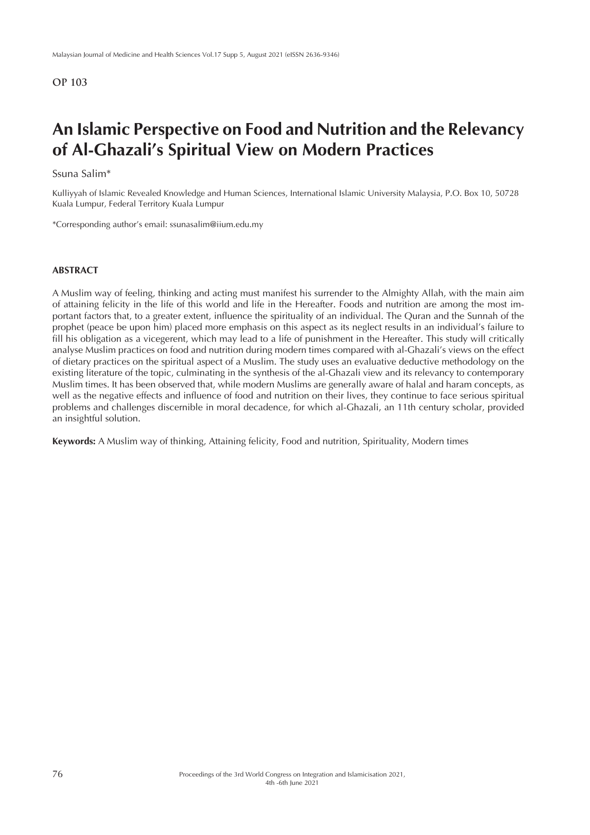## **An Islamic Perspective on Food and Nutrition and the Relevancy of Al-Ghazali's Spiritual View on Modern Practices**

### Ssuna Salim\*

Kulliyyah of Islamic Revealed Knowledge and Human Sciences, International Islamic University Malaysia, P.O. Box 10, 50728 Kuala Lumpur, Federal Territory Kuala Lumpur

\*Corresponding author's email: ssunasalim@iium.edu.my

### **ABSTRACT**

A Muslim way of feeling, thinking and acting must manifest his surrender to the Almighty Allah, with the main aim of attaining felicity in the life of this world and life in the Hereafter. Foods and nutrition are among the most important factors that, to a greater extent, influence the spirituality of an individual. The Quran and the Sunnah of the prophet (peace be upon him) placed more emphasis on this aspect as its neglect results in an individual's failure to fill his obligation as a vicegerent, which may lead to a life of punishment in the Hereafter. This study will critically analyse Muslim practices on food and nutrition during modern times compared with al-Ghazali's views on the effect of dietary practices on the spiritual aspect of a Muslim. The study uses an evaluative deductive methodology on the existing literature of the topic, culminating in the synthesis of the al-Ghazali view and its relevancy to contemporary Muslim times. It has been observed that, while modern Muslims are generally aware of halal and haram concepts, as well as the negative effects and influence of food and nutrition on their lives, they continue to face serious spiritual problems and challenges discernible in moral decadence, for which al-Ghazali, an 11th century scholar, provided an insightful solution.

**Keywords:** A Muslim way of thinking, Attaining felicity, Food and nutrition, Spirituality, Modern times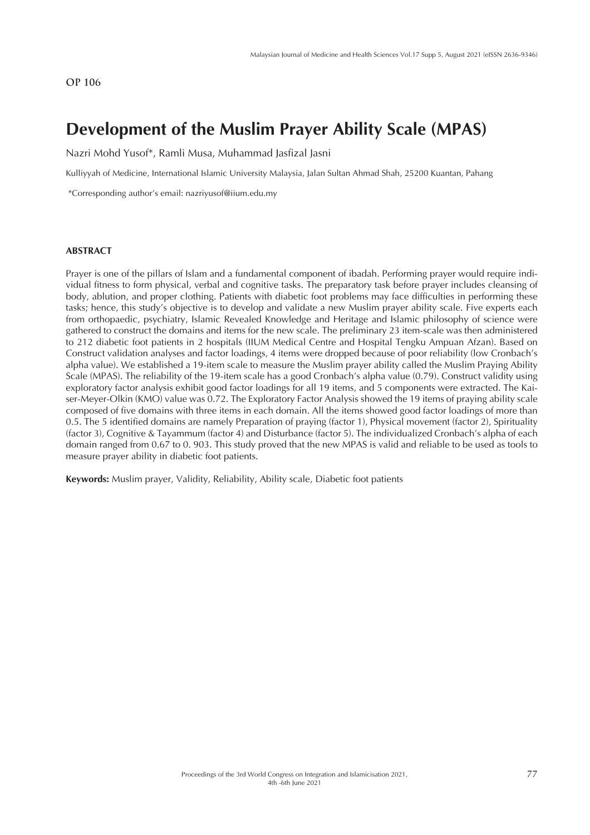## **Development of the Muslim Prayer Ability Scale (MPAS)**

Nazri Mohd Yusof\*, Ramli Musa, Muhammad Jasfizal Jasni

Kulliyyah of Medicine, International Islamic University Malaysia, Jalan Sultan Ahmad Shah, 25200 Kuantan, Pahang

\*Corresponding author's email: nazriyusof@iium.edu.my

#### **ABSTRACT**

Prayer is one of the pillars of Islam and a fundamental component of ibadah. Performing prayer would require individual fitness to form physical, verbal and cognitive tasks. The preparatory task before prayer includes cleansing of body, ablution, and proper clothing. Patients with diabetic foot problems may face difficulties in performing these tasks; hence, this study's objective is to develop and validate a new Muslim prayer ability scale. Five experts each from orthopaedic, psychiatry, Islamic Revealed Knowledge and Heritage and Islamic philosophy of science were gathered to construct the domains and items for the new scale. The preliminary 23 item-scale was then administered to 212 diabetic foot patients in 2 hospitals (IIUM Medical Centre and Hospital Tengku Ampuan Afzan). Based on Construct validation analyses and factor loadings, 4 items were dropped because of poor reliability (low Cronbach's alpha value). We established a 19-item scale to measure the Muslim prayer ability called the Muslim Praying Ability Scale (MPAS). The reliability of the 19-item scale has a good Cronbach's alpha value (0.79). Construct validity using exploratory factor analysis exhibit good factor loadings for all 19 items, and 5 components were extracted. The Kaiser-Meyer-Olkin (KMO) value was 0.72. The Exploratory Factor Analysis showed the 19 items of praying ability scale composed of five domains with three items in each domain. All the items showed good factor loadings of more than 0.5. The 5 identified domains are namely Preparation of praying (factor 1), Physical movement (factor 2), Spirituality (factor 3), Cognitive & Tayammum (factor 4) and Disturbance (factor 5). The individualized Cronbach's alpha of each domain ranged from 0.67 to 0. 903. This study proved that the new MPAS is valid and reliable to be used as tools to measure prayer ability in diabetic foot patients.

**Keywords:** Muslim prayer, Validity, Reliability, Ability scale, Diabetic foot patients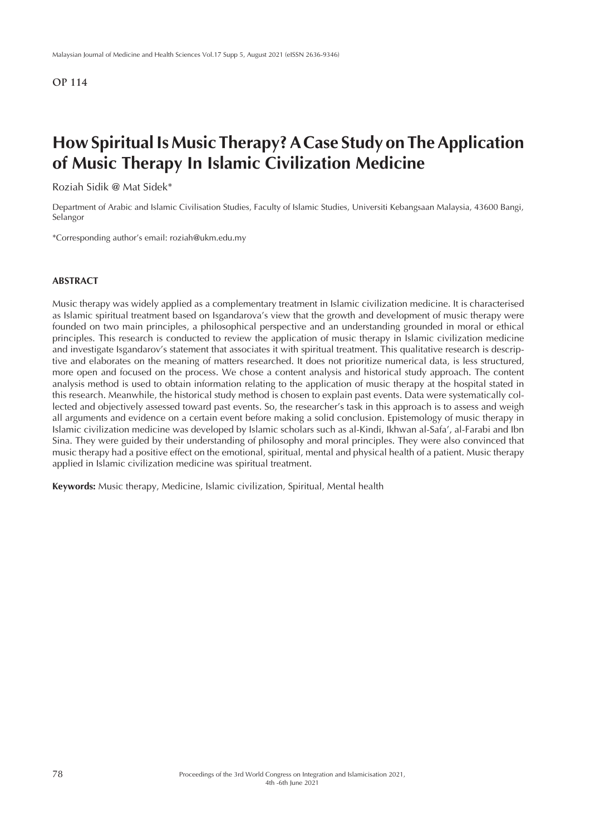## **How Spiritual Is Music Therapy? A Case Study on The Application of Music Therapy In Islamic Civilization Medicine**

Roziah Sidik @ Mat Sidek\*

Department of Arabic and Islamic Civilisation Studies, Faculty of Islamic Studies, Universiti Kebangsaan Malaysia, 43600 Bangi, Selangor

\*Corresponding author's email: roziah@ukm.edu.my

#### **ABSTRACT**

Music therapy was widely applied as a complementary treatment in Islamic civilization medicine. It is characterised as Islamic spiritual treatment based on Isgandarova's view that the growth and development of music therapy were founded on two main principles, a philosophical perspective and an understanding grounded in moral or ethical principles. This research is conducted to review the application of music therapy in Islamic civilization medicine and investigate Isgandarov's statement that associates it with spiritual treatment. This qualitative research is descriptive and elaborates on the meaning of matters researched. It does not prioritize numerical data, is less structured, more open and focused on the process. We chose a content analysis and historical study approach. The content analysis method is used to obtain information relating to the application of music therapy at the hospital stated in this research. Meanwhile, the historical study method is chosen to explain past events. Data were systematically collected and objectively assessed toward past events. So, the researcher's task in this approach is to assess and weigh all arguments and evidence on a certain event before making a solid conclusion. Epistemology of music therapy in Islamic civilization medicine was developed by Islamic scholars such as al-Kindi, Ikhwan al-Safa', al-Farabi and Ibn Sina. They were guided by their understanding of philosophy and moral principles. They were also convinced that music therapy had a positive effect on the emotional, spiritual, mental and physical health of a patient. Music therapy applied in Islamic civilization medicine was spiritual treatment.

**Keywords:** Music therapy, Medicine, Islamic civilization, Spiritual, Mental health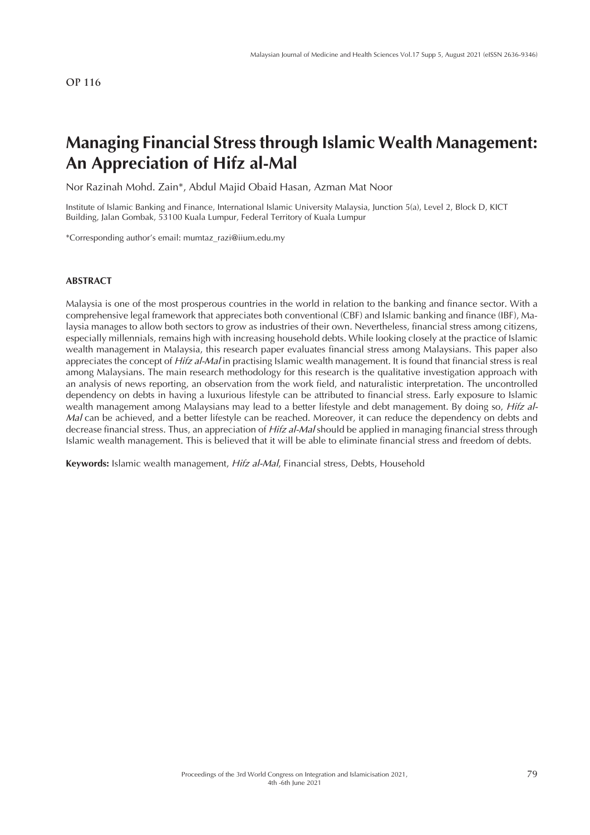## **Managing Financial Stress through Islamic Wealth Management: An Appreciation of Hifz al-Mal**

Nor Razinah Mohd. Zain\*, Abdul Majid Obaid Hasan, Azman Mat Noor

Institute of Islamic Banking and Finance, International Islamic University Malaysia, Junction 5(a), Level 2, Block D, KICT Building, Jalan Gombak, 53100 Kuala Lumpur, Federal Territory of Kuala Lumpur

\*Corresponding author's email: mumtaz\_razi@iium.edu.my

#### **ABSTRACT**

Malaysia is one of the most prosperous countries in the world in relation to the banking and finance sector. With a comprehensive legal framework that appreciates both conventional (CBF) and Islamic banking and finance (IBF), Malaysia manages to allow both sectors to grow as industries of their own. Nevertheless, financial stress among citizens, especially millennials, remains high with increasing household debts. While looking closely at the practice of Islamic wealth management in Malaysia, this research paper evaluates financial stress among Malaysians. This paper also appreciates the concept of *Hifz al-Mal* in practising Islamic wealth management. It is found that financial stress is real among Malaysians. The main research methodology for this research is the qualitative investigation approach with an analysis of news reporting, an observation from the work field, and naturalistic interpretation. The uncontrolled dependency on debts in having a luxurious lifestyle can be attributed to financial stress. Early exposure to Islamic wealth management among Malaysians may lead to a better lifestyle and debt management. By doing so, *Hifz al-Mal* can be achieved, and a better lifestyle can be reached. Moreover, it can reduce the dependency on debts and decrease financial stress. Thus, an appreciation of *Hifz al-Mal* should be applied in managing financial stress through Islamic wealth management. This is believed that it will be able to eliminate financial stress and freedom of debts.

**Keywords:** Islamic wealth management, *Hifz al-Mal*, Financial stress, Debts, Household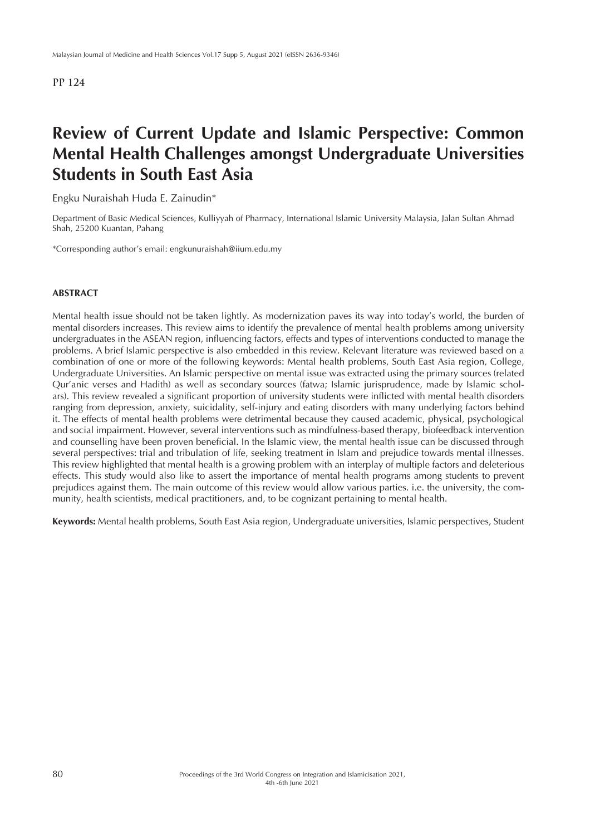## **Review of Current Update and Islamic Perspective: Common Mental Health Challenges amongst Undergraduate Universities Students in South East Asia**

Engku Nuraishah Huda E. Zainudin\*

Department of Basic Medical Sciences, Kulliyyah of Pharmacy, International Islamic University Malaysia, Jalan Sultan Ahmad Shah, 25200 Kuantan, Pahang

\*Corresponding author's email: engkunuraishah@iium.edu.my

### **ABSTRACT**

Mental health issue should not be taken lightly. As modernization paves its way into today's world, the burden of mental disorders increases. This review aims to identify the prevalence of mental health problems among university undergraduates in the ASEAN region, influencing factors, effects and types of interventions conducted to manage the problems. A brief Islamic perspective is also embedded in this review. Relevant literature was reviewed based on a combination of one or more of the following keywords: Mental health problems, South East Asia region, College, Undergraduate Universities. An Islamic perspective on mental issue was extracted using the primary sources (related Qur'anic verses and Hadith) as well as secondary sources (fatwa; Islamic jurisprudence, made by Islamic scholars). This review revealed a significant proportion of university students were inflicted with mental health disorders ranging from depression, anxiety, suicidality, self-injury and eating disorders with many underlying factors behind it. The effects of mental health problems were detrimental because they caused academic, physical, psychological and social impairment. However, several interventions such as mindfulness-based therapy, biofeedback intervention and counselling have been proven beneficial. In the Islamic view, the mental health issue can be discussed through several perspectives: trial and tribulation of life, seeking treatment in Islam and prejudice towards mental illnesses. This review highlighted that mental health is a growing problem with an interplay of multiple factors and deleterious effects. This study would also like to assert the importance of mental health programs among students to prevent prejudices against them. The main outcome of this review would allow various parties. i.e. the university, the community, health scientists, medical practitioners, and, to be cognizant pertaining to mental health.

**Keywords:** Mental health problems, South East Asia region, Undergraduate universities, Islamic perspectives, Student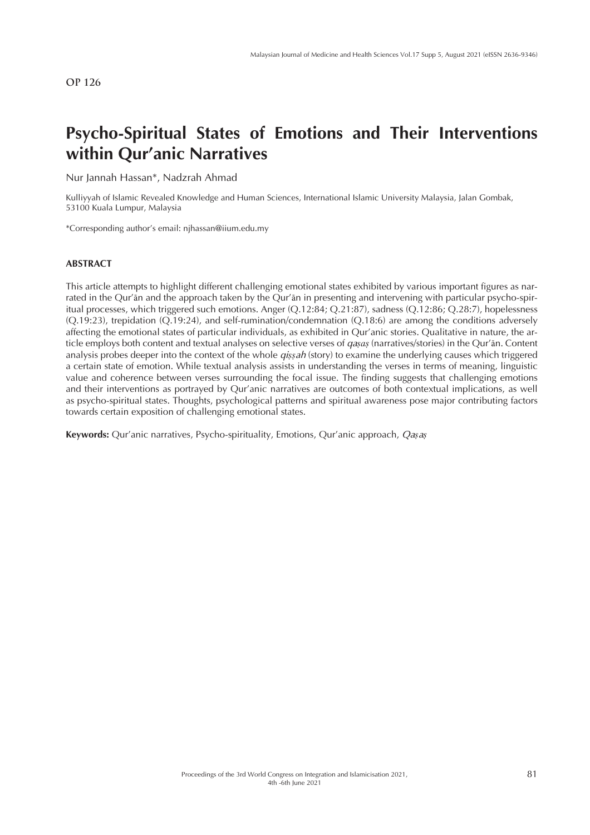# **Psycho-Spiritual States of Emotions and Their Interventions within Qur'anic Narratives**

Nur Jannah Hassan\*, Nadzrah Ahmad

Kulliyyah of Islamic Revealed Knowledge and Human Sciences, International Islamic University Malaysia, Jalan Gombak, 53100 Kuala Lumpur, Malaysia

\*Corresponding author's email: njhassan@iium.edu.my

### **ABSTRACT**

This article attempts to highlight different challenging emotional states exhibited by various important figures as narrated in the Qur'ān and the approach taken by the Qur'ān in presenting and intervening with particular psycho-spiritual processes, which triggered such emotions. Anger (Q.12:84; Q.21:87), sadness (Q.12:86; Q.28:7), hopelessness (Q.19:23), trepidation (Q.19:24), and self-rumination/condemnation (Q.18:6) are among the conditions adversely affecting the emotional states of particular individuals, as exhibited in Qur'anic stories. Qualitative in nature, the article employs both content and textual analyses on selective verses of *qaṣaṣ* (narratives/stories) in the Qur'ān. Content analysis probes deeper into the context of the whole *qiṣṣah* (story) to examine the underlying causes which triggered a certain state of emotion. While textual analysis assists in understanding the verses in terms of meaning, linguistic value and coherence between verses surrounding the focal issue. The finding suggests that challenging emotions and their interventions as portrayed by Qur'anic narratives are outcomes of both contextual implications, as well as psycho-spiritual states. Thoughts, psychological patterns and spiritual awareness pose major contributing factors towards certain exposition of challenging emotional states.

**Keywords:** Qur'anic narratives, Psycho-spirituality, Emotions, Qur'anic approach, *Qaṣaṣ*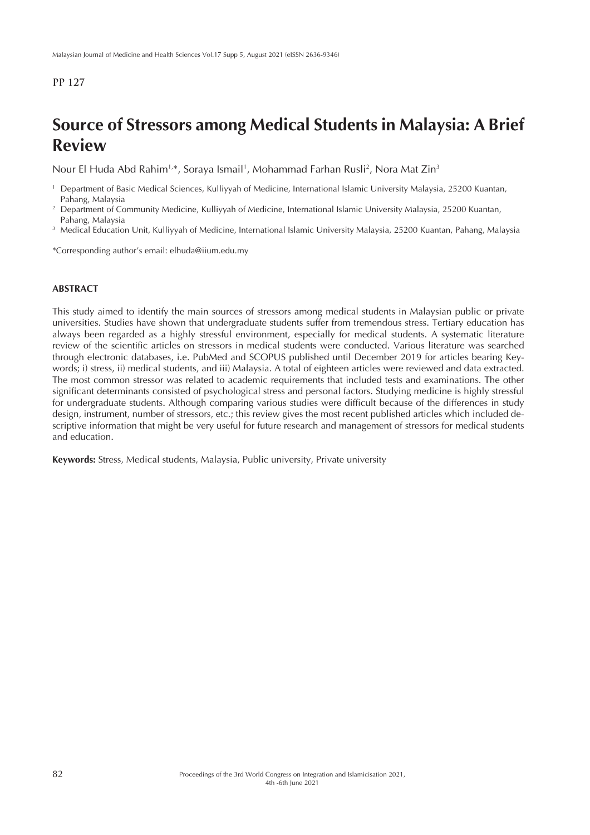## **Source of Stressors among Medical Students in Malaysia: A Brief Review**

Nour El Huda Abd Rahim½, Soraya Ismail½, Mohammad Farhan Rusli², Nora Mat Zin'

- <sup>1</sup> Department of Basic Medical Sciences, Kulliyyah of Medicine, International Islamic University Malaysia, 25200 Kuantan, Pahang, Malaysia
- <sup>2</sup> Department of Community Medicine, Kulliyyah of Medicine, International Islamic University Malaysia, 25200 Kuantan, Pahang, Malaysia
- <sup>3</sup> Medical Education Unit, Kulliyyah of Medicine, International Islamic University Malaysia, 25200 Kuantan, Pahang, Malaysia

\*Corresponding author's email: elhuda@iium.edu.my

### **ABSTRACT**

This study aimed to identify the main sources of stressors among medical students in Malaysian public or private universities. Studies have shown that undergraduate students suffer from tremendous stress. Tertiary education has always been regarded as a highly stressful environment, especially for medical students. A systematic literature review of the scientific articles on stressors in medical students were conducted. Various literature was searched through electronic databases, i.e. PubMed and SCOPUS published until December 2019 for articles bearing Keywords; i) stress, ii) medical students, and iii) Malaysia. A total of eighteen articles were reviewed and data extracted. The most common stressor was related to academic requirements that included tests and examinations. The other significant determinants consisted of psychological stress and personal factors. Studying medicine is highly stressful for undergraduate students. Although comparing various studies were difficult because of the differences in study design, instrument, number of stressors, etc.; this review gives the most recent published articles which included descriptive information that might be very useful for future research and management of stressors for medical students and education.

**Keywords:** Stress, Medical students, Malaysia, Public university, Private university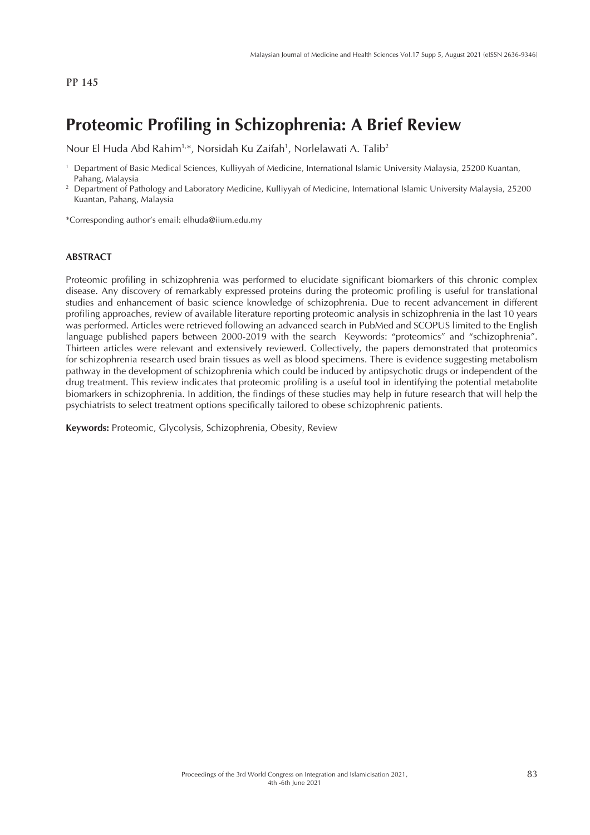## **Proteomic Profiling in Schizophrenia: A Brief Review**

Nour El Huda Abd Rahim<sup>1,</sup>\*, Norsidah Ku Zaifah<sup>1</sup>, Norlelawati A. Talib<sup>2</sup>

\*Corresponding author's email: elhuda@iium.edu.my

#### **ABSTRACT**

Proteomic profiling in schizophrenia was performed to elucidate significant biomarkers of this chronic complex disease. Any discovery of remarkably expressed proteins during the proteomic profiling is useful for translational studies and enhancement of basic science knowledge of schizophrenia. Due to recent advancement in different profiling approaches, review of available literature reporting proteomic analysis in schizophrenia in the last 10 years was performed. Articles were retrieved following an advanced search in PubMed and SCOPUS limited to the English language published papers between 2000-2019 with the search Keywords: "proteomics" and "schizophrenia". Thirteen articles were relevant and extensively reviewed. Collectively, the papers demonstrated that proteomics for schizophrenia research used brain tissues as well as blood specimens. There is evidence suggesting metabolism pathway in the development of schizophrenia which could be induced by antipsychotic drugs or independent of the drug treatment. This review indicates that proteomic profiling is a useful tool in identifying the potential metabolite biomarkers in schizophrenia. In addition, the findings of these studies may help in future research that will help the psychiatrists to select treatment options specifically tailored to obese schizophrenic patients.

**Keywords:** Proteomic, Glycolysis, Schizophrenia, Obesity, Review

<sup>1</sup> Department of Basic Medical Sciences, Kulliyyah of Medicine, International Islamic University Malaysia, 25200 Kuantan, Pahang, Malaysia

<sup>2</sup> Department of Pathology and Laboratory Medicine, Kulliyyah of Medicine, International Islamic University Malaysia, 25200 Kuantan, Pahang, Malaysia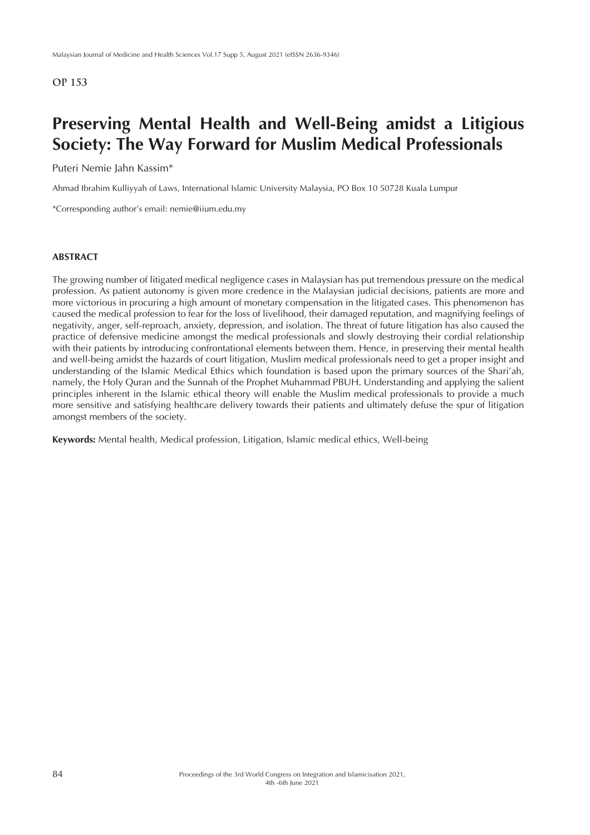## **Preserving Mental Health and Well-Being amidst a Litigious Society: The Way Forward for Muslim Medical Professionals**

Puteri Nemie Jahn Kassim\*

Ahmad Ibrahim Kulliyyah of Laws, International Islamic University Malaysia, PO Box 10 50728 Kuala Lumpur

\*Corresponding author's email: nemie@iium.edu.my

### **ABSTRACT**

The growing number of litigated medical negligence cases in Malaysian has put tremendous pressure on the medical profession. As patient autonomy is given more credence in the Malaysian judicial decisions, patients are more and more victorious in procuring a high amount of monetary compensation in the litigated cases. This phenomenon has caused the medical profession to fear for the loss of livelihood, their damaged reputation, and magnifying feelings of negativity, anger, self-reproach, anxiety, depression, and isolation. The threat of future litigation has also caused the practice of defensive medicine amongst the medical professionals and slowly destroying their cordial relationship with their patients by introducing confrontational elements between them. Hence, in preserving their mental health and well-being amidst the hazards of court litigation, Muslim medical professionals need to get a proper insight and understanding of the Islamic Medical Ethics which foundation is based upon the primary sources of the Shari'ah, namely, the Holy Quran and the Sunnah of the Prophet Muhammad PBUH. Understanding and applying the salient principles inherent in the Islamic ethical theory will enable the Muslim medical professionals to provide a much more sensitive and satisfying healthcare delivery towards their patients and ultimately defuse the spur of litigation amongst members of the society.

**Keywords:** Mental health, Medical profession, Litigation, Islamic medical ethics, Well-being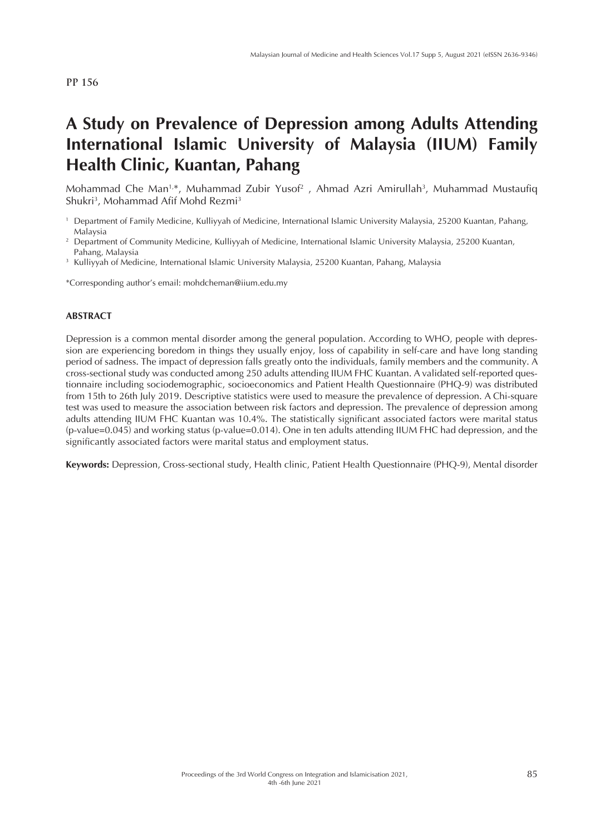# **A Study on Prevalence of Depression among Adults Attending International Islamic University of Malaysia (IIUM) Family Health Clinic, Kuantan, Pahang**

Mohammad Che Man<sup>1,</sup>\*, Muhammad Zubir Yusof<sup>2</sup> , Ahmad Azri Amirullah<sup>3</sup>, Muhammad Mustaufiq Shukri<sup>3</sup>, Mohammad Afif Mohd Rezmi<sup>3</sup>

<sup>3</sup> Kulliyyah of Medicine, International Islamic University Malaysia, 25200 Kuantan, Pahang, Malaysia

\*Corresponding author's email: mohdcheman@iium.edu.my

### **ABSTRACT**

Depression is a common mental disorder among the general population. According to WHO, people with depression are experiencing boredom in things they usually enjoy, loss of capability in self-care and have long standing period of sadness. The impact of depression falls greatly onto the individuals, family members and the community. A cross-sectional study was conducted among 250 adults attending IIUM FHC Kuantan. A validated self-reported questionnaire including sociodemographic, socioeconomics and Patient Health Questionnaire (PHQ-9) was distributed from 15th to 26th July 2019. Descriptive statistics were used to measure the prevalence of depression. A Chi-square test was used to measure the association between risk factors and depression. The prevalence of depression among adults attending IIUM FHC Kuantan was 10.4%. The statistically significant associated factors were marital status (p-value=0.045) and working status (p-value=0.014). One in ten adults attending IIUM FHC had depression, and the significantly associated factors were marital status and employment status.

**Keywords:** Depression, Cross-sectional study, Health clinic, Patient Health Questionnaire (PHQ-9), Mental disorder

<sup>1</sup> Department of Family Medicine, Kulliyyah of Medicine, International Islamic University Malaysia, 25200 Kuantan, Pahang, Malaysia

<sup>&</sup>lt;sup>2</sup> Department of Community Medicine, Kulliyyah of Medicine, International Islamic University Malaysia, 25200 Kuantan, Pahang, Malaysia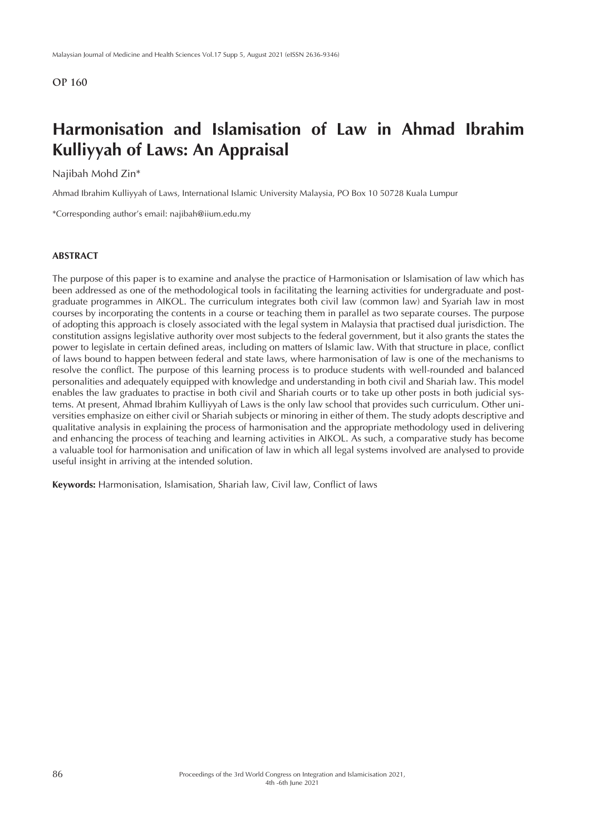## **Harmonisation and Islamisation of Law in Ahmad Ibrahim Kulliyyah of Laws: An Appraisal**

#### Najibah Mohd Zin\*

Ahmad Ibrahim Kulliyyah of Laws, International Islamic University Malaysia, PO Box 10 50728 Kuala Lumpur

\*Corresponding author's email: najibah@iium.edu.my

### **ABSTRACT**

The purpose of this paper is to examine and analyse the practice of Harmonisation or Islamisation of law which has been addressed as one of the methodological tools in facilitating the learning activities for undergraduate and postgraduate programmes in AIKOL. The curriculum integrates both civil law (common law) and Syariah law in most courses by incorporating the contents in a course or teaching them in parallel as two separate courses. The purpose of adopting this approach is closely associated with the legal system in Malaysia that practised dual jurisdiction. The constitution assigns legislative authority over most subjects to the federal government, but it also grants the states the power to legislate in certain defined areas, including on matters of Islamic law. With that structure in place, conflict of laws bound to happen between federal and state laws, where harmonisation of law is one of the mechanisms to resolve the conflict. The purpose of this learning process is to produce students with well-rounded and balanced personalities and adequately equipped with knowledge and understanding in both civil and Shariah law. This model enables the law graduates to practise in both civil and Shariah courts or to take up other posts in both judicial systems. At present, Ahmad Ibrahim Kulliyyah of Laws is the only law school that provides such curriculum. Other universities emphasize on either civil or Shariah subjects or minoring in either of them. The study adopts descriptive and qualitative analysis in explaining the process of harmonisation and the appropriate methodology used in delivering and enhancing the process of teaching and learning activities in AIKOL. As such, a comparative study has become a valuable tool for harmonisation and unification of law in which all legal systems involved are analysed to provide useful insight in arriving at the intended solution.

**Keywords:** Harmonisation, Islamisation, Shariah law, Civil law, Conflict of laws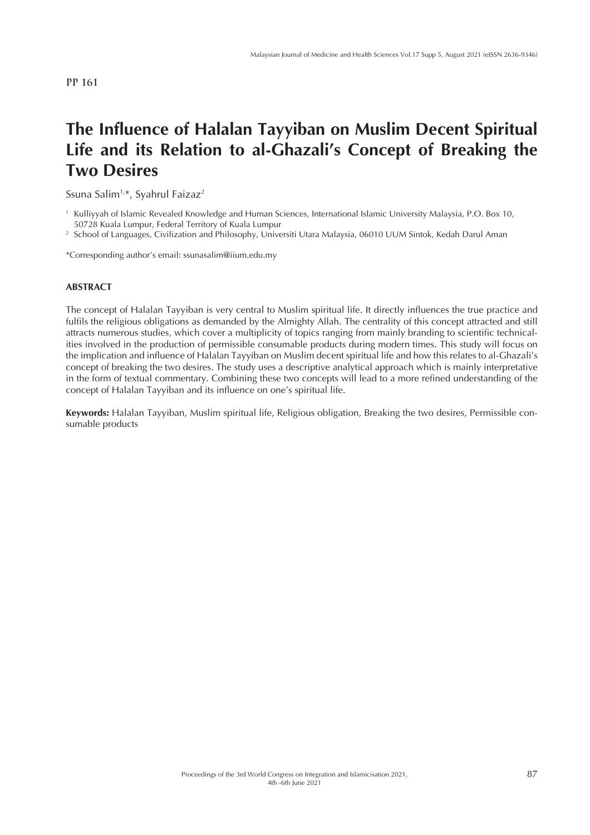# **The Influence of Halalan Tayyiban on Muslim Decent Spiritual Life and its Relation to al-Ghazali's Concept of Breaking the Two Desires**

Ssuna Salim<sup>1,\*</sup>, Syahrul Faizaz<sup>2</sup>

<sup>1</sup> Kulliyyah of Islamic Revealed Knowledge and Human Sciences, International Islamic University Malaysia, P.O. Box 10, 50728 Kuala Lumpur, Federal Territory of Kuala Lumpur

<sup>2</sup> School of Languages, Civilization and Philosophy, Universiti Utara Malaysia, 06010 UUM Sintok, Kedah Darul Aman

\*Corresponding author's email: ssunasalim@iium.edu.my

#### **ABSTRACT**

The concept of Halalan Tayyiban is very central to Muslim spiritual life. It directly influences the true practice and fulfils the religious obligations as demanded by the Almighty Allah. The centrality of this concept attracted and still attracts numerous studies, which cover a multiplicity of topics ranging from mainly branding to scientific technicalities involved in the production of permissible consumable products during modern times. This study will focus on the implication and influence of Halalan Tayyiban on Muslim decent spiritual life and how this relates to al-Ghazali's concept of breaking the two desires. The study uses a descriptive analytical approach which is mainly interpretative in the form of textual commentary. Combining these two concepts will lead to a more refined understanding of the concept of Halalan Tayyiban and its influence on one's spiritual life.

**Keywords:** Halalan Tayyiban, Muslim spiritual life, Religious obligation, Breaking the two desires, Permissible consumable products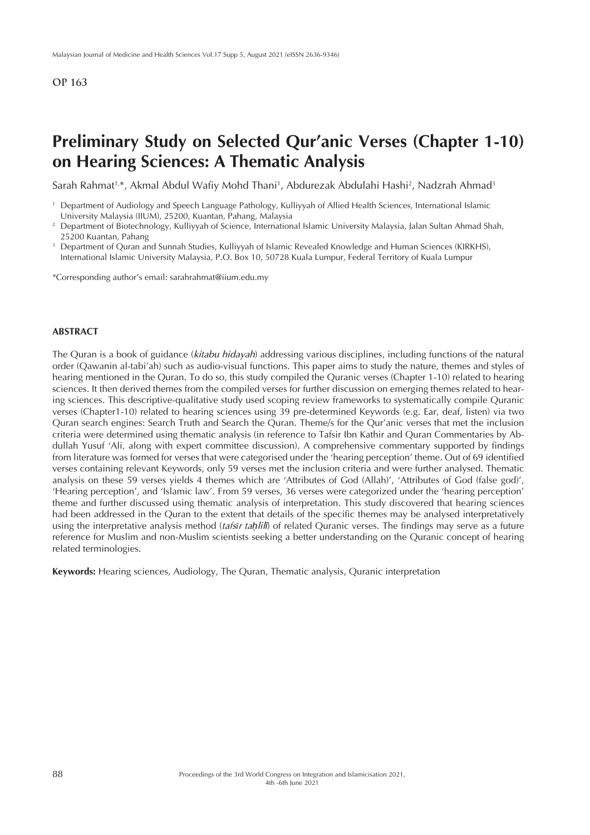## **Preliminary Study on Selected Qur'anic Verses (Chapter 1-10) on Hearing Sciences: A Thematic Analysis**

Sarah Rahmat<sup>1,</sup>\*, Akmal Abdul Wafiy Mohd Thani<sup>1</sup>, Abdurezak Abdulahi Hashi<sup>2</sup>, Nadzrah Ahmad<sup>3</sup>

\*Corresponding author's email: sarahrahmat@iium.edu.my

#### **ABSTRACT**

The Quran is a book of guidance (*kitabu hidayah*) addressing various disciplines, including functions of the natural order (Qawanin al-tabi'ah) such as audio-visual functions. This paper aims to study the nature, themes and styles of hearing mentioned in the Quran. To do so, this study compiled the Quranic verses (Chapter 1-10) related to hearing sciences. It then derived themes from the compiled verses for further discussion on emerging themes related to hearing sciences. This descriptive-qualitative study used scoping review frameworks to systematically compile Quranic verses (Chapter1-10) related to hearing sciences using 39 pre-determined Keywords (e.g. Ear, deaf, listen) via two Quran search engines: Search Truth and Search the Quran. Theme/s for the Qur'anic verses that met the inclusion criteria were determined using thematic analysis (in reference to Tafsir Ibn Kathir and Quran Commentaries by Abdullah Yusuf 'Ali, along with expert committee discussion). A comprehensive commentary supported by findings from literature was formed for verses that were categorised under the 'hearing perception' theme. Out of 69 identified verses containing relevant Keywords, only 59 verses met the inclusion criteria and were further analysed. Thematic analysis on these 59 verses yields 4 themes which are 'Attributes of God (Allah)', 'Attributes of God (false god)', 'Hearing perception', and 'Islamic law'. From 59 verses, 36 verses were categorized under the 'hearing perception' theme and further discussed using thematic analysis of interpretation. This study discovered that hearing sciences had been addressed in the Quran to the extent that details of the specific themes may be analysed interpretatively using the interpretative analysis method (*tafs*ī*r taḥlilī*) of related Quranic verses. The findings may serve as a future reference for Muslim and non-Muslim scientists seeking a better understanding on the Quranic concept of hearing related terminologies.

**Keywords:** Hearing sciences, Audiology, The Quran, Thematic analysis, Quranic interpretation

<sup>1</sup> Department of Audiology and Speech Language Pathology, Kulliyyah of Allied Health Sciences, International Islamic University Malaysia (IIUM), 25200, Kuantan, Pahang, Malaysia

<sup>2</sup> Department of Biotechnology, Kulliyyah of Science, International Islamic University Malaysia, Jalan Sultan Ahmad Shah, 25200 Kuantan, Pahang

<sup>&</sup>lt;sup>3</sup> Department of Quran and Sunnah Studies, Kulliyyah of Islamic Revealed Knowledge and Human Sciences (KIRKHS), International Islamic University Malaysia, P.O. Box 10, 50728 Kuala Lumpur, Federal Territory of Kuala Lumpur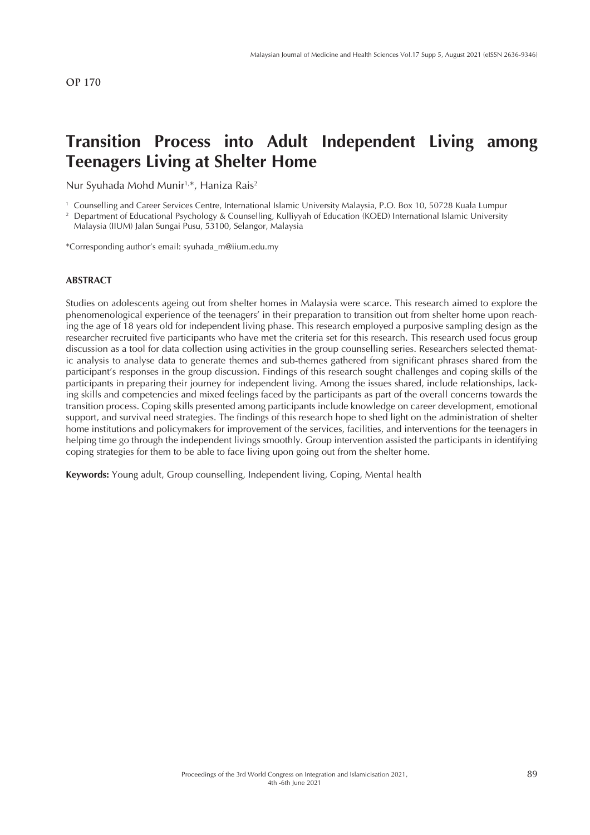## **Transition Process into Adult Independent Living among Teenagers Living at Shelter Home**

Nur Syuhada Mohd Munir<sup>1,\*</sup>, Haniza Rais<sup>2</sup>

<sup>1</sup> Counselling and Career Services Centre, International Islamic University Malaysia, P.O. Box 10, 50728 Kuala Lumpur

<sup>2</sup> Department of Educational Psychology & Counselling, Kulliyyah of Education (KOED) International Islamic University Malaysia (IIUM) Jalan Sungai Pusu, 53100, Selangor, Malaysia

\*Corresponding author's email: syuhada\_m@iium.edu.my

### **ABSTRACT**

Studies on adolescents ageing out from shelter homes in Malaysia were scarce. This research aimed to explore the phenomenological experience of the teenagers' in their preparation to transition out from shelter home upon reaching the age of 18 years old for independent living phase. This research employed a purposive sampling design as the researcher recruited five participants who have met the criteria set for this research. This research used focus group discussion as a tool for data collection using activities in the group counselling series. Researchers selected thematic analysis to analyse data to generate themes and sub-themes gathered from significant phrases shared from the participant's responses in the group discussion. Findings of this research sought challenges and coping skills of the participants in preparing their journey for independent living. Among the issues shared, include relationships, lacking skills and competencies and mixed feelings faced by the participants as part of the overall concerns towards the transition process. Coping skills presented among participants include knowledge on career development, emotional support, and survival need strategies. The findings of this research hope to shed light on the administration of shelter home institutions and policymakers for improvement of the services, facilities, and interventions for the teenagers in helping time go through the independent livings smoothly. Group intervention assisted the participants in identifying coping strategies for them to be able to face living upon going out from the shelter home.

**Keywords:** Young adult, Group counselling, Independent living, Coping, Mental health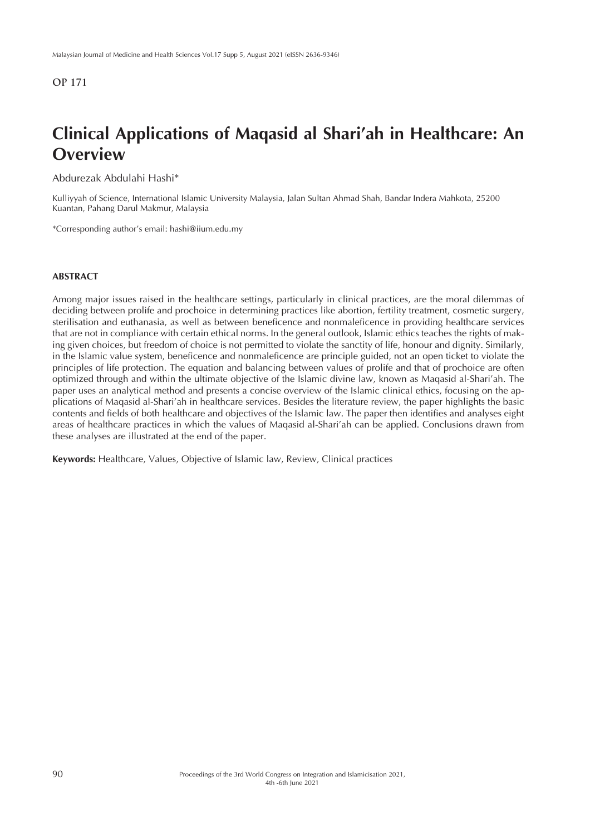# **Clinical Applications of Maqasid al Shari'ah in Healthcare: An Overview**

Abdurezak Abdulahi Hashi\*

Kulliyyah of Science, International Islamic University Malaysia, Jalan Sultan Ahmad Shah, Bandar Indera Mahkota, 25200 Kuantan, Pahang Darul Makmur, Malaysia

\*Corresponding author's email: hashi@iium.edu.my

### **ABSTRACT**

Among major issues raised in the healthcare settings, particularly in clinical practices, are the moral dilemmas of deciding between prolife and prochoice in determining practices like abortion, fertility treatment, cosmetic surgery, sterilisation and euthanasia, as well as between beneficence and nonmaleficence in providing healthcare services that are not in compliance with certain ethical norms. In the general outlook, Islamic ethics teaches the rights of making given choices, but freedom of choice is not permitted to violate the sanctity of life, honour and dignity. Similarly, in the Islamic value system, beneficence and nonmaleficence are principle guided, not an open ticket to violate the principles of life protection. The equation and balancing between values of prolife and that of prochoice are often optimized through and within the ultimate objective of the Islamic divine law, known as Maqasid al-Shari'ah. The paper uses an analytical method and presents a concise overview of the Islamic clinical ethics, focusing on the applications of Maqasid al-Shari'ah in healthcare services. Besides the literature review, the paper highlights the basic contents and fields of both healthcare and objectives of the Islamic law. The paper then identifies and analyses eight areas of healthcare practices in which the values of Maqasid al-Shari'ah can be applied. Conclusions drawn from these analyses are illustrated at the end of the paper.

**Keywords:** Healthcare, Values, Objective of Islamic law, Review, Clinical practices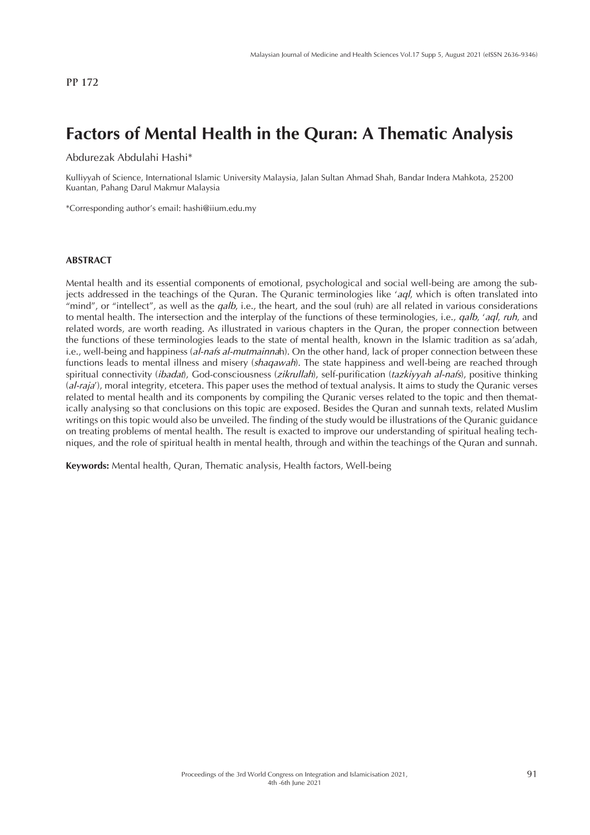# **Factors of Mental Health in the Quran: A Thematic Analysis**

Abdurezak Abdulahi Hashi\*

Kulliyyah of Science, International Islamic University Malaysia, Jalan Sultan Ahmad Shah, Bandar Indera Mahkota, 25200 Kuantan, Pahang Darul Makmur Malaysia

\*Corresponding author's email: hashi@iium.edu.my

#### **ABSTRACT**

Mental health and its essential components of emotional, psychological and social well-being are among the subjects addressed in the teachings of the Quran. The Quranic terminologies like '*aql*, which is often translated into "mind", or "intellect", as well as the *qalb*, i.e., the heart, and the soul (ruh) are all related in various considerations to mental health. The intersection and the interplay of the functions of these terminologies, i.e., *qalb*, '*aql*, *ruh*, and related words, are worth reading. As illustrated in various chapters in the Quran, the proper connection between the functions of these terminologies leads to the state of mental health, known in the Islamic tradition as sa'adah, i.e., well-being and happiness (*al-nafs al-mutmainna*h). On the other hand, lack of proper connection between these functions leads to mental illness and misery (*shaqawah*). The state happiness and well-being are reached through spiritual connectivity (*ibadat*), God-consciousness (*zikrullah*), self-purification (*tazkiyyah al-nafs*), positive thinking (*al-raja*'), moral integrity, etcetera. This paper uses the method of textual analysis. It aims to study the Quranic verses related to mental health and its components by compiling the Quranic verses related to the topic and then thematically analysing so that conclusions on this topic are exposed. Besides the Quran and sunnah texts, related Muslim writings on this topic would also be unveiled. The finding of the study would be illustrations of the Quranic guidance on treating problems of mental health. The result is exacted to improve our understanding of spiritual healing techniques, and the role of spiritual health in mental health, through and within the teachings of the Quran and sunnah.

**Keywords:** Mental health, Quran, Thematic analysis, Health factors, Well-being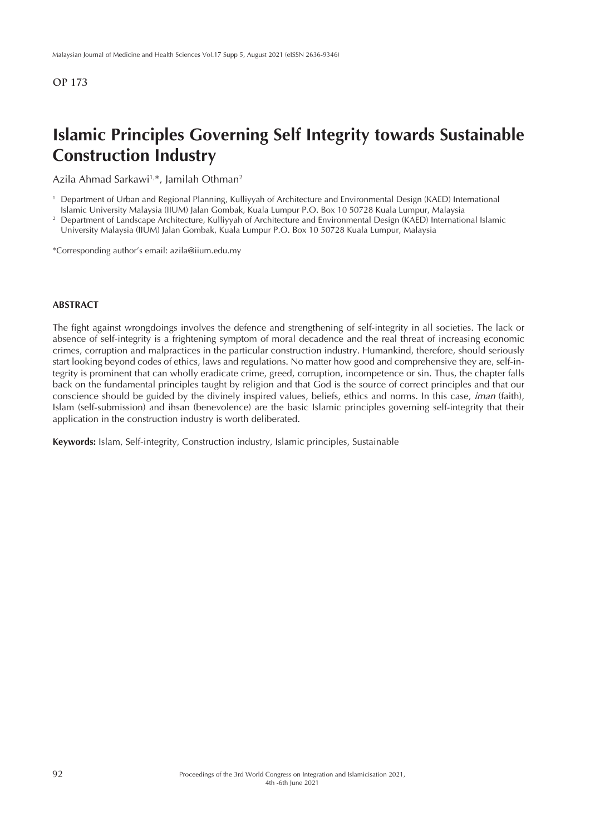## **Islamic Principles Governing Self Integrity towards Sustainable Construction Industry**

Azila Ahmad Sarkawi<sup>1,\*</sup>, Jamilah Othman<sup>2</sup>

<sup>1</sup> Department of Urban and Regional Planning, Kulliyyah of Architecture and Environmental Design (KAED) International

Islamic University Malaysia (IIUM) Jalan Gombak, Kuala Lumpur P.O. Box 10 50728 Kuala Lumpur, Malaysia <sup>2</sup> Department of Landscape Architecture, Kulliyyah of Architecture and Environmental Design (KAED) International Islamic

University Malaysia (IIUM) Jalan Gombak, Kuala Lumpur P.O. Box 10 50728 Kuala Lumpur, Malaysia

\*Corresponding author's email: azila@iium.edu.my

#### **ABSTRACT**

The fight against wrongdoings involves the defence and strengthening of self-integrity in all societies. The lack or absence of self-integrity is a frightening symptom of moral decadence and the real threat of increasing economic crimes, corruption and malpractices in the particular construction industry. Humankind, therefore, should seriously start looking beyond codes of ethics, laws and regulations. No matter how good and comprehensive they are, self-integrity is prominent that can wholly eradicate crime, greed, corruption, incompetence or sin. Thus, the chapter falls back on the fundamental principles taught by religion and that God is the source of correct principles and that our conscience should be guided by the divinely inspired values, beliefs, ethics and norms. In this case, *iman* (faith), Islam (self-submission) and ihsan (benevolence) are the basic Islamic principles governing self-integrity that their application in the construction industry is worth deliberated.

**Keywords:** Islam, Self-integrity, Construction industry, Islamic principles, Sustainable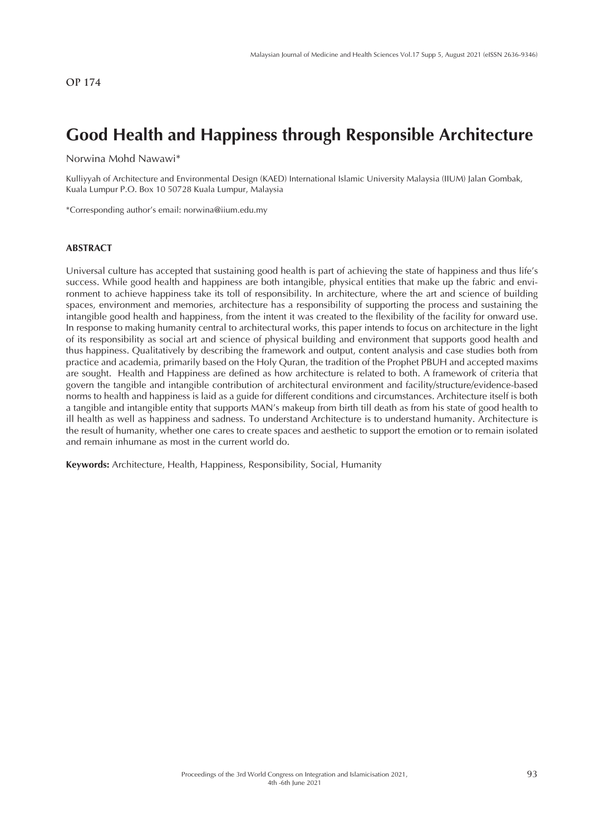## **Good Health and Happiness through Responsible Architecture**

Norwina Mohd Nawawi\*

Kulliyyah of Architecture and Environmental Design (KAED) International Islamic University Malaysia (IIUM) Jalan Gombak, Kuala Lumpur P.O. Box 10 50728 Kuala Lumpur, Malaysia

\*Corresponding author's email: norwina@iium.edu.my

### **ABSTRACT**

Universal culture has accepted that sustaining good health is part of achieving the state of happiness and thus life's success. While good health and happiness are both intangible, physical entities that make up the fabric and environment to achieve happiness take its toll of responsibility. In architecture, where the art and science of building spaces, environment and memories, architecture has a responsibility of supporting the process and sustaining the intangible good health and happiness, from the intent it was created to the flexibility of the facility for onward use. In response to making humanity central to architectural works, this paper intends to focus on architecture in the light of its responsibility as social art and science of physical building and environment that supports good health and thus happiness. Qualitatively by describing the framework and output, content analysis and case studies both from practice and academia, primarily based on the Holy Quran, the tradition of the Prophet PBUH and accepted maxims are sought. Health and Happiness are defined as how architecture is related to both. A framework of criteria that govern the tangible and intangible contribution of architectural environment and facility/structure/evidence-based norms to health and happiness is laid as a guide for different conditions and circumstances. Architecture itself is both a tangible and intangible entity that supports MAN's makeup from birth till death as from his state of good health to ill health as well as happiness and sadness. To understand Architecture is to understand humanity. Architecture is the result of humanity, whether one cares to create spaces and aesthetic to support the emotion or to remain isolated and remain inhumane as most in the current world do.

**Keywords:** Architecture, Health, Happiness, Responsibility, Social, Humanity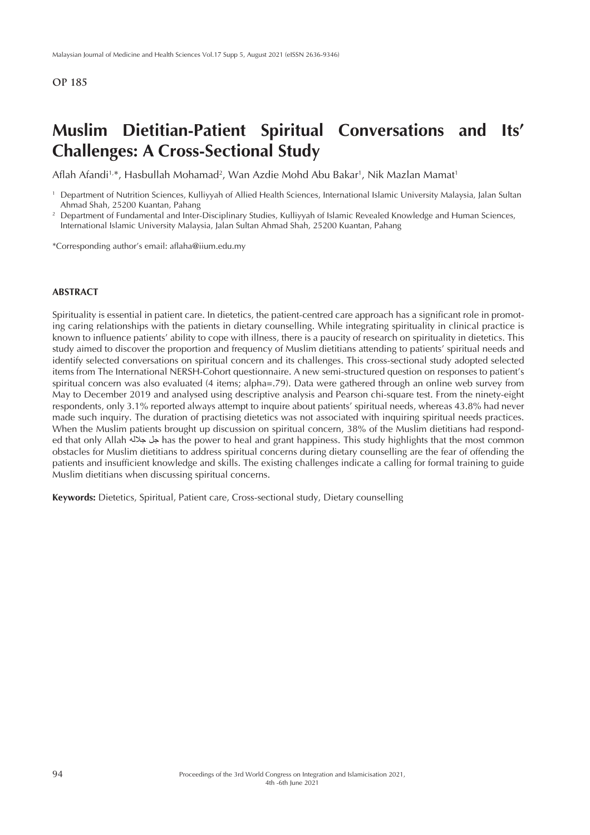## **Muslim Dietitian-Patient Spiritual Conversations and Its' Challenges: A Cross-Sectional Study**

Aflah Afandi<sup>1,</sup>\*, Hasbullah Mohamad<sup>2</sup>, Wan Azdie Mohd Abu Bakar<sup>1</sup>, Nik Mazlan Mamat<sup>1</sup>

International Islamic University Malaysia, Jalan Sultan Ahmad Shah, 25200 Kuantan, Pahang

\*Corresponding author's email: aflaha@iium.edu.my

#### **ABSTRACT**

Spirituality is essential in patient care. In dietetics, the patient-centred care approach has a significant role in promoting caring relationships with the patients in dietary counselling. While integrating spirituality in clinical practice is known to influence patients' ability to cope with illness, there is a paucity of research on spirituality in dietetics. This study aimed to discover the proportion and frequency of Muslim dietitians attending to patients' spiritual needs and identify selected conversations on spiritual concern and its challenges. This cross-sectional study adopted selected items from The International NERSH-Cohort questionnaire. A new semi-structured question on responses to patient's spiritual concern was also evaluated (4 items; alpha=.79). Data were gathered through an online web survey from May to December 2019 and analysed using descriptive analysis and Pearson chi-square test. From the ninety-eight respondents, only 3.1% reported always attempt to inquire about patients' spiritual needs, whereas 43.8% had never made such inquiry. The duration of practising dietetics was not associated with inquiring spiritual needs practices. When the Muslim patients brought up discussion on spiritual concern, 38% of the Muslim dietitians had responded that only Allah جلله جل has the power to heal and grant happiness. This study highlights that the most common obstacles for Muslim dietitians to address spiritual concerns during dietary counselling are the fear of offending the patients and insufficient knowledge and skills. The existing challenges indicate a calling for formal training to guide Muslim dietitians when discussing spiritual concerns.

**Keywords:** Dietetics, Spiritual, Patient care, Cross-sectional study, Dietary counselling

<sup>1</sup> Department of Nutrition Sciences, Kulliyyah of Allied Health Sciences, International Islamic University Malaysia, Jalan Sultan Ahmad Shah, 25200 Kuantan, Pahang<br><sup>2</sup> Department of Fundamental and Inter-Disciplinary Studies, Kulliyyah of Islamic Revealed Knowledge and Human Sciences,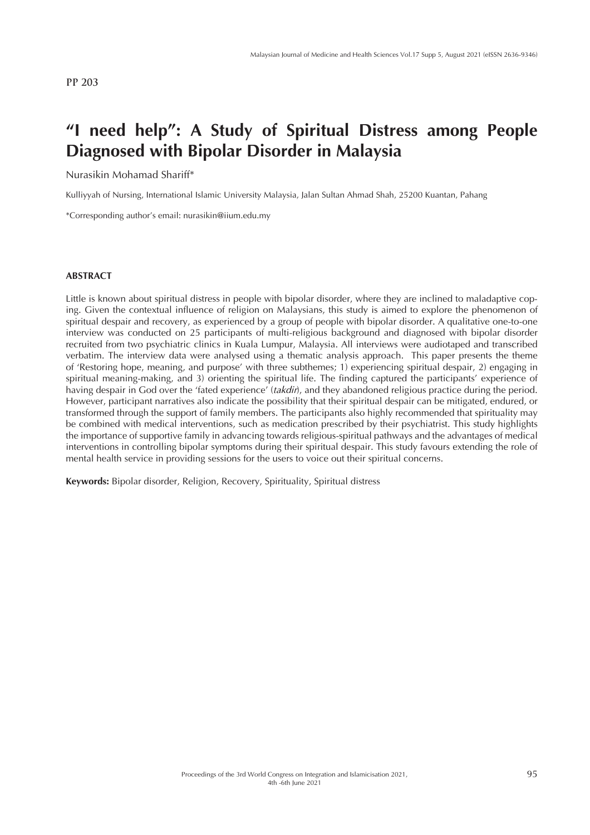## **"I need help": A Study of Spiritual Distress among People Diagnosed with Bipolar Disorder in Malaysia**

Nurasikin Mohamad Shariff\*

Kulliyyah of Nursing, International Islamic University Malaysia, Jalan Sultan Ahmad Shah, 25200 Kuantan, Pahang

\*Corresponding author's email: nurasikin@iium.edu.my

#### **ABSTRACT**

Little is known about spiritual distress in people with bipolar disorder, where they are inclined to maladaptive coping. Given the contextual influence of religion on Malaysians, this study is aimed to explore the phenomenon of spiritual despair and recovery, as experienced by a group of people with bipolar disorder. A qualitative one-to-one interview was conducted on 25 participants of multi-religious background and diagnosed with bipolar disorder recruited from two psychiatric clinics in Kuala Lumpur, Malaysia. All interviews were audiotaped and transcribed verbatim. The interview data were analysed using a thematic analysis approach. This paper presents the theme of 'Restoring hope, meaning, and purpose' with three subthemes; 1) experiencing spiritual despair, 2) engaging in spiritual meaning-making, and 3) orienting the spiritual life. The finding captured the participants' experience of having despair in God over the 'fated experience' (*takdir*), and they abandoned religious practice during the period. However, participant narratives also indicate the possibility that their spiritual despair can be mitigated, endured, or transformed through the support of family members. The participants also highly recommended that spirituality may be combined with medical interventions, such as medication prescribed by their psychiatrist. This study highlights the importance of supportive family in advancing towards religious-spiritual pathways and the advantages of medical interventions in controlling bipolar symptoms during their spiritual despair. This study favours extending the role of mental health service in providing sessions for the users to voice out their spiritual concerns.

**Keywords:** Bipolar disorder, Religion, Recovery, Spirituality, Spiritual distress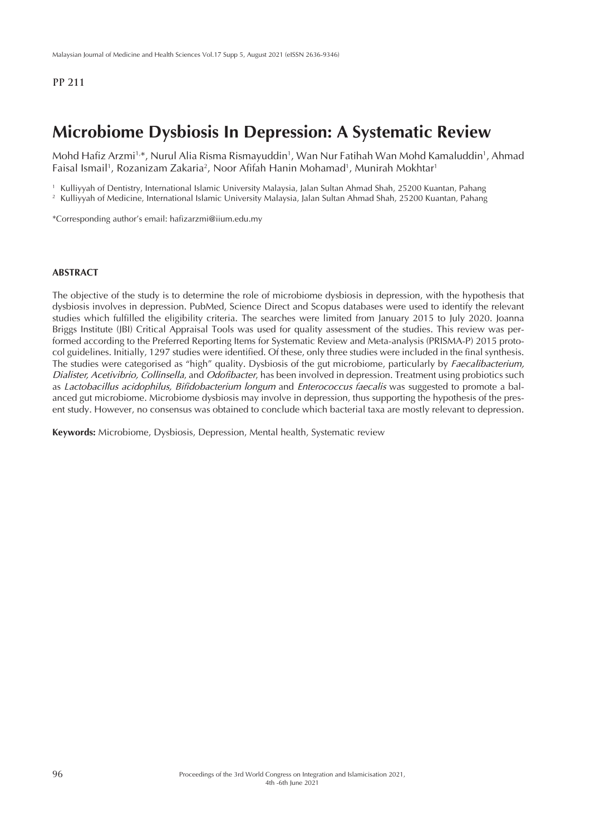## **Microbiome Dysbiosis In Depression: A Systematic Review**

Mohd Hafiz Arzmi1\*, Nurul Alia Risma Rismayuddin<sup>1</sup>, Wan Nur Fatihah Wan Mohd Kamaluddin<sup>1</sup>, Ahmad Faisal Ismail<sup>1</sup>, Rozanizam Zakaria<sup>2</sup>, Noor Afifah Hanin Mohamad<sup>1</sup>, Munirah Mokhtar<sup>1</sup>

<sup>1</sup> Kulliyyah of Dentistry, International Islamic University Malaysia, Jalan Sultan Ahmad Shah, 25200 Kuantan, Pahang

<sup>2</sup> Kulliyyah of Medicine, International Islamic University Malaysia, Jalan Sultan Ahmad Shah, 25200 Kuantan, Pahang

\*Corresponding author's email: hafizarzmi@iium.edu.my

#### **ABSTRACT**

The objective of the study is to determine the role of microbiome dysbiosis in depression, with the hypothesis that dysbiosis involves in depression. PubMed, Science Direct and Scopus databases were used to identify the relevant studies which fulfilled the eligibility criteria. The searches were limited from January 2015 to July 2020. Joanna Briggs Institute (JBI) Critical Appraisal Tools was used for quality assessment of the studies. This review was performed according to the Preferred Reporting Items for Systematic Review and Meta-analysis (PRISMA-P) 2015 protocol guidelines. Initially, 1297 studies were identified. Of these, only three studies were included in the final synthesis. The studies were categorised as "high" quality. Dysbiosis of the gut microbiome, particularly by *Faecalibacterium, Dialister, Acetivibrio, Collinsella*, and *Odofibacter*, has been involved in depression. Treatment using probiotics such as *Lactobacillus acidophilus, Bifidobacterium longum* and *Enterococcus faecalis* was suggested to promote a balanced gut microbiome. Microbiome dysbiosis may involve in depression, thus supporting the hypothesis of the present study. However, no consensus was obtained to conclude which bacterial taxa are mostly relevant to depression.

**Keywords:** Microbiome, Dysbiosis, Depression, Mental health, Systematic review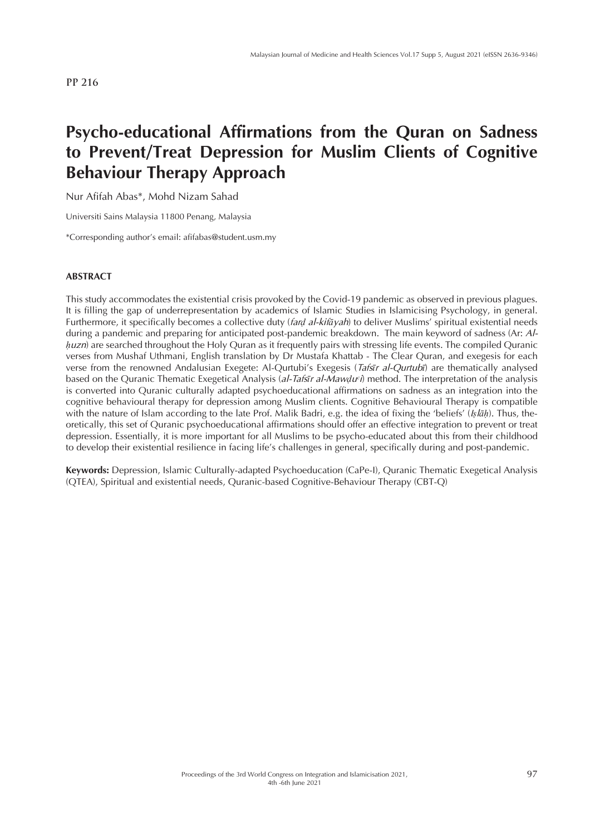# **Psycho-educational Affirmations from the Quran on Sadness to Prevent/Treat Depression for Muslim Clients of Cognitive Behaviour Therapy Approach**

Nur Afifah Abas\*, Mohd Nizam Sahad

Universiti Sains Malaysia 11800 Penang, Malaysia

\*Corresponding author's email: afifabas@student.usm.my

### **ABSTRACT**

This study accommodates the existential crisis provoked by the Covid-19 pandemic as observed in previous plagues. It is filling the gap of underrepresentation by academics of Islamic Studies in Islamicising Psychology, in general. Furthermore, it specifically becomes a collective duty (*farḍ al-kifāyah*) to deliver Muslims' spiritual existential needs during a pandemic and preparing for anticipated post-pandemic breakdown. The main keyword of sadness (Ar: *Alhuzn*) are searched throughout the Holy Quran as it frequently pairs with stressing life events. The compiled Quranic verses from Mushaf Uthmani, English translation by Dr Mustafa Khattab - The Clear Quran, and exegesis for each verse from the renowned Andalusian Exegete: Al-Qurtubi's Exegesis (*Tafsīr al-Qurtubī*) are thematically analysed based on the Quranic Thematic Exegetical Analysis (*al-Tafsīr al-Mawḍuᶜi*) method. The interpretation of the analysis is converted into Quranic culturally adapted psychoeducational affirmations on sadness as an integration into the cognitive behavioural therapy for depression among Muslim clients. Cognitive Behavioural Therapy is compatible with the nature of Islam according to the late Prof. Malik Badri, e.g. the idea of fixing the 'beliefs' (*Iṣlāḥ*). Thus, theoretically, this set of Quranic psychoeducational affirmations should offer an effective integration to prevent or treat depression. Essentially, it is more important for all Muslims to be psycho-educated about this from their childhood to develop their existential resilience in facing life's challenges in general, specifically during and post-pandemic.

**Keywords:** Depression, Islamic Culturally-adapted Psychoeducation (CaPe-I), Quranic Thematic Exegetical Analysis (QTEA), Spiritual and existential needs, Quranic-based Cognitive-Behaviour Therapy (CBT-Q)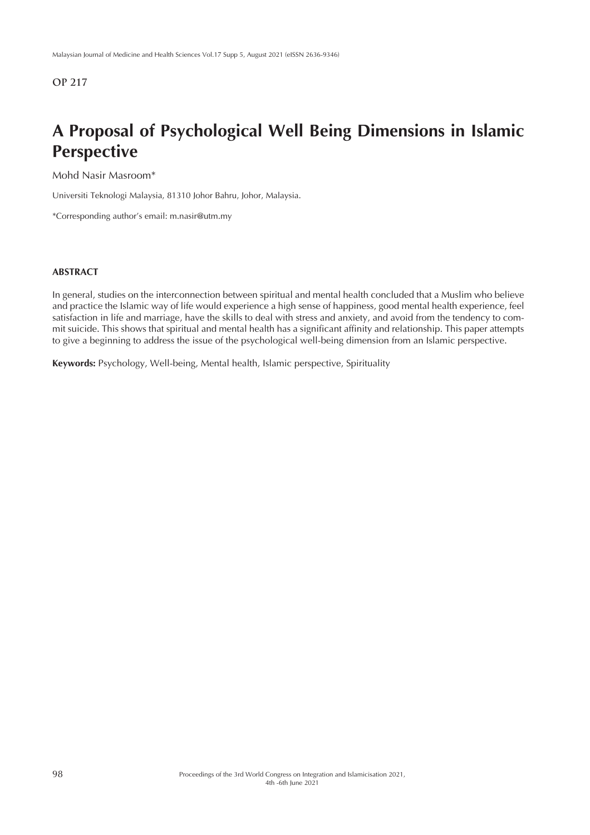# **A Proposal of Psychological Well Being Dimensions in Islamic Perspective**

Mohd Nasir Masroom\*

Universiti Teknologi Malaysia, 81310 Johor Bahru, Johor, Malaysia.

\*Corresponding author's email: m.nasir@utm.my

### **ABSTRACT**

In general, studies on the interconnection between spiritual and mental health concluded that a Muslim who believe and practice the Islamic way of life would experience a high sense of happiness, good mental health experience, feel satisfaction in life and marriage, have the skills to deal with stress and anxiety, and avoid from the tendency to commit suicide. This shows that spiritual and mental health has a significant affinity and relationship. This paper attempts to give a beginning to address the issue of the psychological well-being dimension from an Islamic perspective.

**Keywords:** Psychology, Well-being, Mental health, Islamic perspective, Spirituality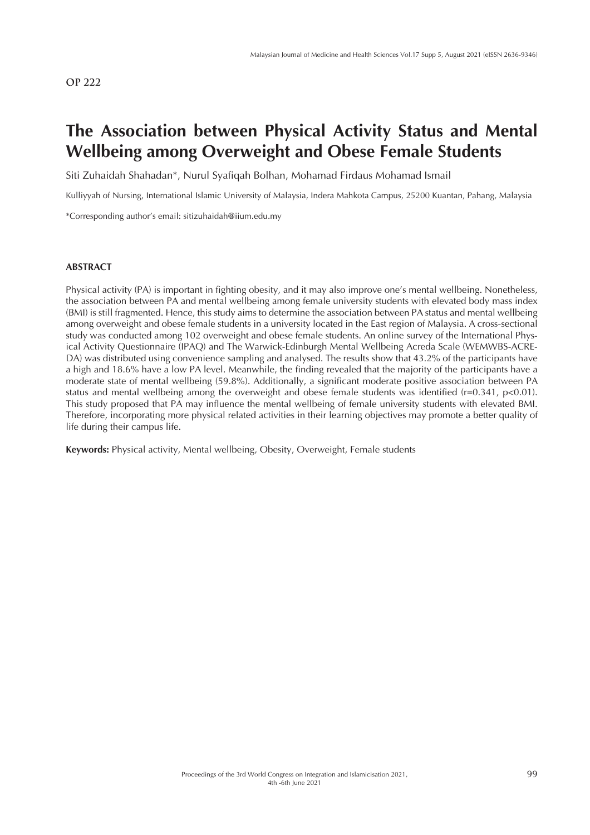## **The Association between Physical Activity Status and Mental Wellbeing among Overweight and Obese Female Students**

Siti Zuhaidah Shahadan\*, Nurul Syafiqah Bolhan, Mohamad Firdaus Mohamad Ismail

Kulliyyah of Nursing, International Islamic University of Malaysia, Indera Mahkota Campus, 25200 Kuantan, Pahang, Malaysia

\*Corresponding author's email: sitizuhaidah@iium.edu.my

### **ABSTRACT**

Physical activity (PA) is important in fighting obesity, and it may also improve one's mental wellbeing. Nonetheless, the association between PA and mental wellbeing among female university students with elevated body mass index (BMI) is still fragmented. Hence, this study aims to determine the association between PA status and mental wellbeing among overweight and obese female students in a university located in the East region of Malaysia. A cross-sectional study was conducted among 102 overweight and obese female students. An online survey of the International Physical Activity Questionnaire (IPAQ) and The Warwick-Edinburgh Mental Wellbeing Acreda Scale (WEMWBS-ACRE-DA) was distributed using convenience sampling and analysed. The results show that 43.2% of the participants have a high and 18.6% have a low PA level. Meanwhile, the finding revealed that the majority of the participants have a moderate state of mental wellbeing (59.8%). Additionally, a significant moderate positive association between PA status and mental wellbeing among the overweight and obese female students was identified (r=0.341, p<0.01). This study proposed that PA may influence the mental wellbeing of female university students with elevated BMI. Therefore, incorporating more physical related activities in their learning objectives may promote a better quality of life during their campus life.

**Keywords:** Physical activity, Mental wellbeing, Obesity, Overweight, Female students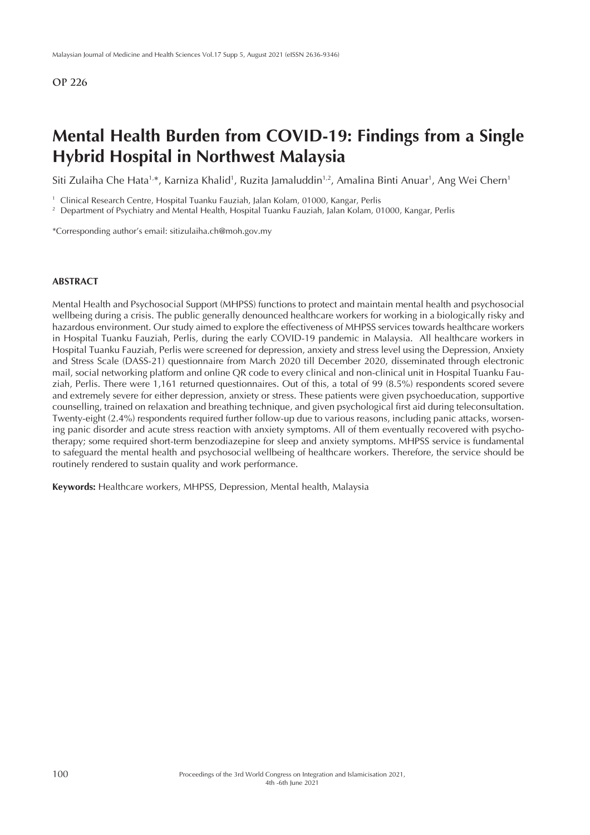## **Mental Health Burden from COVID-19: Findings from a Single Hybrid Hospital in Northwest Malaysia**

Siti Zulaiha Che Hata<sup>1,</sup>\*, Karniza Khalid<sup>1</sup>, Ruzita Jamaluddin<sup>1,2</sup>, Amalina Binti Anuar<sup>1</sup>, Ang Wei Chern<sup>1</sup>

<sup>1</sup> Clinical Research Centre, Hospital Tuanku Fauziah, Jalan Kolam, 01000, Kangar, Perlis

<sup>2</sup> Department of Psychiatry and Mental Health, Hospital Tuanku Fauziah, Jalan Kolam, 01000, Kangar, Perlis

\*Corresponding author's email: sitizulaiha.ch@moh.gov.my

### **ABSTRACT**

Mental Health and Psychosocial Support (MHPSS) functions to protect and maintain mental health and psychosocial wellbeing during a crisis. The public generally denounced healthcare workers for working in a biologically risky and hazardous environment. Our study aimed to explore the effectiveness of MHPSS services towards healthcare workers in Hospital Tuanku Fauziah, Perlis, during the early COVID-19 pandemic in Malaysia. All healthcare workers in Hospital Tuanku Fauziah, Perlis were screened for depression, anxiety and stress level using the Depression, Anxiety and Stress Scale (DASS-21) questionnaire from March 2020 till December 2020, disseminated through electronic mail, social networking platform and online QR code to every clinical and non-clinical unit in Hospital Tuanku Fauziah, Perlis. There were 1,161 returned questionnaires. Out of this, a total of 99 (8.5%) respondents scored severe and extremely severe for either depression, anxiety or stress. These patients were given psychoeducation, supportive counselling, trained on relaxation and breathing technique, and given psychological first aid during teleconsultation. Twenty-eight (2.4%) respondents required further follow-up due to various reasons, including panic attacks, worsening panic disorder and acute stress reaction with anxiety symptoms. All of them eventually recovered with psychotherapy; some required short-term benzodiazepine for sleep and anxiety symptoms. MHPSS service is fundamental to safeguard the mental health and psychosocial wellbeing of healthcare workers. Therefore, the service should be routinely rendered to sustain quality and work performance.

**Keywords:** Healthcare workers, MHPSS, Depression, Mental health, Malaysia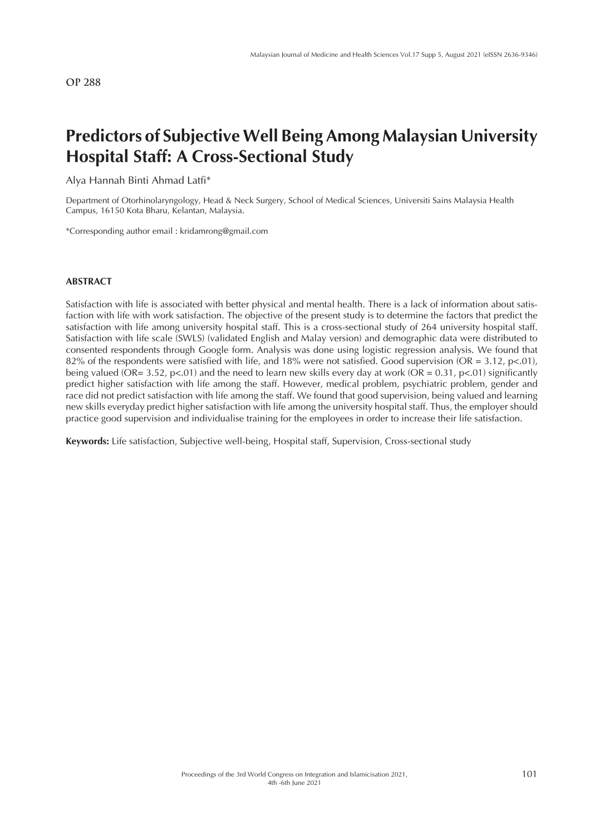## **Predictors of Subjective Well Being Among Malaysian University Hospital Staff: A Cross-Sectional Study**

Alya Hannah Binti Ahmad Latfi\*

Department of Otorhinolaryngology, Head & Neck Surgery, School of Medical Sciences, Universiti Sains Malaysia Health Campus, 16150 Kota Bharu, Kelantan, Malaysia.

\*Corresponding author email : kridamrong@gmail.com

### **ABSTRACT**

Satisfaction with life is associated with better physical and mental health. There is a lack of information about satisfaction with life with work satisfaction. The objective of the present study is to determine the factors that predict the satisfaction with life among university hospital staff. This is a cross-sectional study of 264 university hospital staff. Satisfaction with life scale (SWLS) (validated English and Malay version) and demographic data were distributed to consented respondents through Google form. Analysis was done using logistic regression analysis. We found that 82% of the respondents were satisfied with life, and 18% were not satisfied. Good supervision (OR = 3.12, p<.01), being valued (OR= 3.52, p<.01) and the need to learn new skills every day at work (OR =  $0.31$ , p<.01) significantly predict higher satisfaction with life among the staff. However, medical problem, psychiatric problem, gender and race did not predict satisfaction with life among the staff. We found that good supervision, being valued and learning new skills everyday predict higher satisfaction with life among the university hospital staff. Thus, the employer should practice good supervision and individualise training for the employees in order to increase their life satisfaction.

**Keywords:** Life satisfaction, Subjective well-being, Hospital staff, Supervision, Cross-sectional study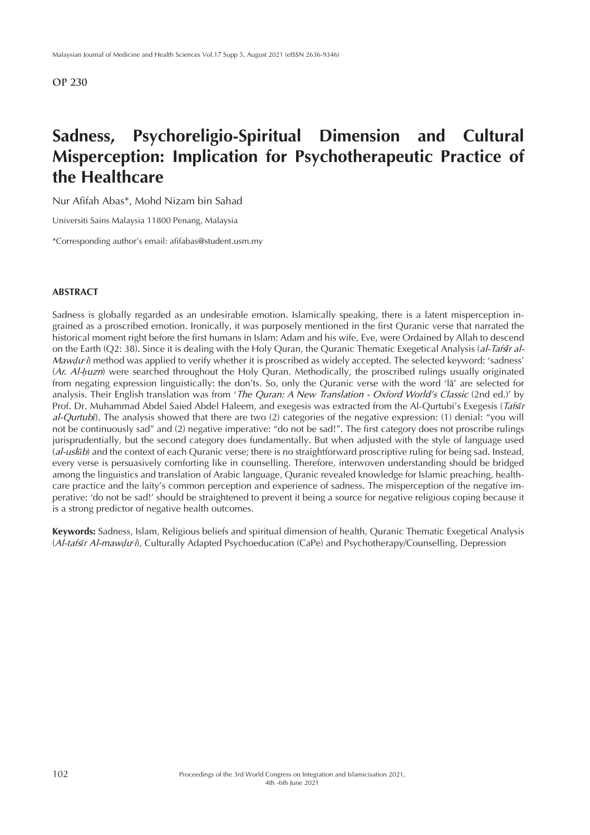## **Sadness, Psychoreligio-Spiritual Dimension and Cultural Misperception: Implication for Psychotherapeutic Practice of the Healthcare**

Nur Afifah Abas\*, Mohd Nizam bin Sahad

Universiti Sains Malaysia 11800 Penang, Malaysia

\*Corresponding author's email: afifabas@student.usm.my

#### **ABSTRACT**

Sadness is globally regarded as an undesirable emotion. Islamically speaking, there is a latent misperception ingrained as a proscribed emotion. Ironically, it was purposely mentioned in the first Quranic verse that narrated the historical moment right before the first humans in Islam: Adam and his wife, Eve, were Ordained by Allah to descend on the Earth (Q2: 38). Since it is dealing with the Holy Quran, the Quranic Thematic Exegetical Analysis (*al-Tafsīr al-Mawdu<sup>c</sup>i*) method was applied to verify whether it is proscribed as widely accepted. The selected keyword: 'sadness' (*Ar. Al-ḥuzn*) were searched throughout the Holy Quran. Methodically, the proscribed rulings usually originated from negating expression linguistically: the don'ts. So, only the Quranic verse with the word 'lā' are selected for analysis. Their English translation was from '*The Quran: A New Translation - Oxford World's Classic* (2nd ed.)' by Prof. Dr. Muhammad Abdel Saied Abdel Haleem, and exegesis was extracted from the Al-Qurtubi's Exegesis (*Tafsīr al-Qurtubī*). The analysis showed that there are two (2) categories of the negative expression: (1) denial: "you will not be continuously sad" and (2) negative imperative: "do not be sad!". The first category does not proscribe rulings jurisprudentially, but the second category does fundamentally. But when adjusted with the style of language used (*al-uslūb*) and the context of each Quranic verse; there is no straightforward proscriptive ruling for being sad. Instead, every verse is persuasively comforting like in counselling. Therefore, interwoven understanding should be bridged among the linguistics and translation of Arabic language, Quranic revealed knowledge for Islamic preaching, healthcare practice and the laity's common perception and experience of sadness. The misperception of the negative imperative: 'do not be sad!' should be straightened to prevent it being a source for negative religious coping because it is a strong predictor of negative health outcomes.

**Keywords:** Sadness, Islam, Religious beliefs and spiritual dimension of health, Quranic Thematic Exegetical Analysis (*Al-tafsīr Al-mawḍuᶜi*), Culturally Adapted Psychoeducation (CaPe) and Psychotherapy/Counselling, Depression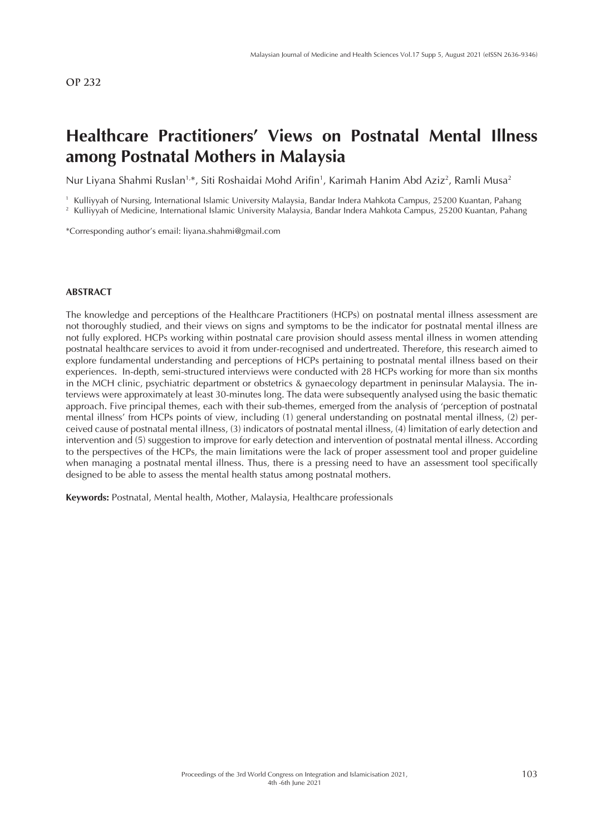# **Healthcare Practitioners' Views on Postnatal Mental Illness among Postnatal Mothers in Malaysia**

Nur Liyana Shahmi Ruslan<sup>1,</sup>\*, Siti Roshaidai Mohd Arifin<sup>1</sup>, Karimah Hanim Abd Aziz<sup>2</sup>, Ramli Musa<sup>2</sup>

<sup>1</sup> Kulliyyah of Nursing, International Islamic University Malaysia, Bandar Indera Mahkota Campus, 25200 Kuantan, Pahang <sup>2</sup> Kulliyyah of Medicine, International Islamic University Malaysia, Bandar Indera Mahkota Campus, 25200 Kuantan, Pahang

\*Corresponding author's email: liyana.shahmi@gmail.com

#### **ABSTRACT**

The knowledge and perceptions of the Healthcare Practitioners (HCPs) on postnatal mental illness assessment are not thoroughly studied, and their views on signs and symptoms to be the indicator for postnatal mental illness are not fully explored. HCPs working within postnatal care provision should assess mental illness in women attending postnatal healthcare services to avoid it from under-recognised and undertreated. Therefore, this research aimed to explore fundamental understanding and perceptions of HCPs pertaining to postnatal mental illness based on their experiences. In-depth, semi-structured interviews were conducted with 28 HCPs working for more than six months in the MCH clinic, psychiatric department or obstetrics & gynaecology department in peninsular Malaysia. The interviews were approximately at least 30-minutes long. The data were subsequently analysed using the basic thematic approach. Five principal themes, each with their sub-themes, emerged from the analysis of 'perception of postnatal mental illness' from HCPs points of view, including (1) general understanding on postnatal mental illness, (2) perceived cause of postnatal mental illness, (3) indicators of postnatal mental illness, (4) limitation of early detection and intervention and (5) suggestion to improve for early detection and intervention of postnatal mental illness. According to the perspectives of the HCPs, the main limitations were the lack of proper assessment tool and proper guideline when managing a postnatal mental illness. Thus, there is a pressing need to have an assessment tool specifically designed to be able to assess the mental health status among postnatal mothers.

**Keywords:** Postnatal, Mental health, Mother, Malaysia, Healthcare professionals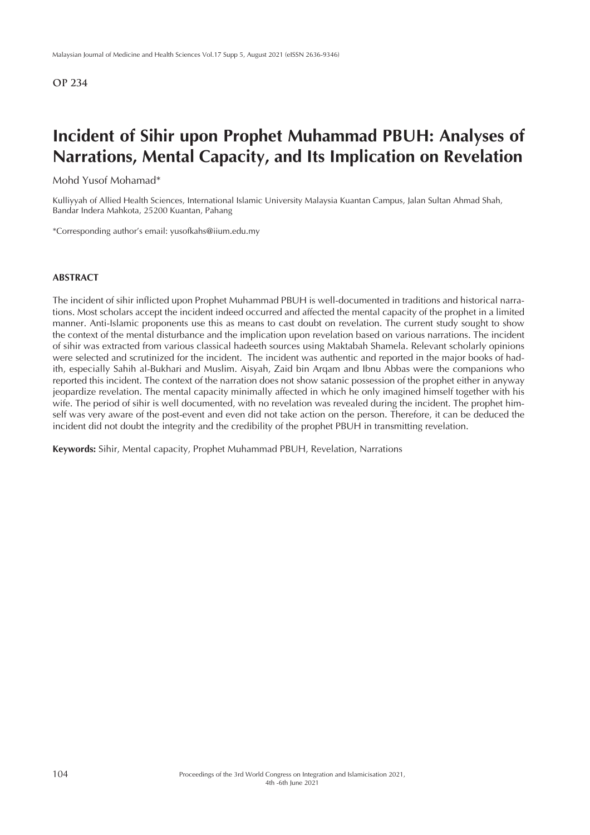## **Incident of Sihir upon Prophet Muhammad PBUH: Analyses of Narrations, Mental Capacity, and Its Implication on Revelation**

### Mohd Yusof Mohamad\*

Kulliyyah of Allied Health Sciences, International Islamic University Malaysia Kuantan Campus, Jalan Sultan Ahmad Shah, Bandar Indera Mahkota, 25200 Kuantan, Pahang

\*Corresponding author's email: yusofkahs@iium.edu.my

#### **ABSTRACT**

The incident of sihir inflicted upon Prophet Muhammad PBUH is well-documented in traditions and historical narrations. Most scholars accept the incident indeed occurred and affected the mental capacity of the prophet in a limited manner. Anti-Islamic proponents use this as means to cast doubt on revelation. The current study sought to show the context of the mental disturbance and the implication upon revelation based on various narrations. The incident of sihir was extracted from various classical hadeeth sources using Maktabah Shamela. Relevant scholarly opinions were selected and scrutinized for the incident. The incident was authentic and reported in the major books of hadith, especially Sahih al-Bukhari and Muslim. Aisyah, Zaid bin Arqam and Ibnu Abbas were the companions who reported this incident. The context of the narration does not show satanic possession of the prophet either in anyway jeopardize revelation. The mental capacity minimally affected in which he only imagined himself together with his wife. The period of sihir is well documented, with no revelation was revealed during the incident. The prophet himself was very aware of the post-event and even did not take action on the person. Therefore, it can be deduced the incident did not doubt the integrity and the credibility of the prophet PBUH in transmitting revelation.

**Keywords:** Sihir, Mental capacity, Prophet Muhammad PBUH, Revelation, Narrations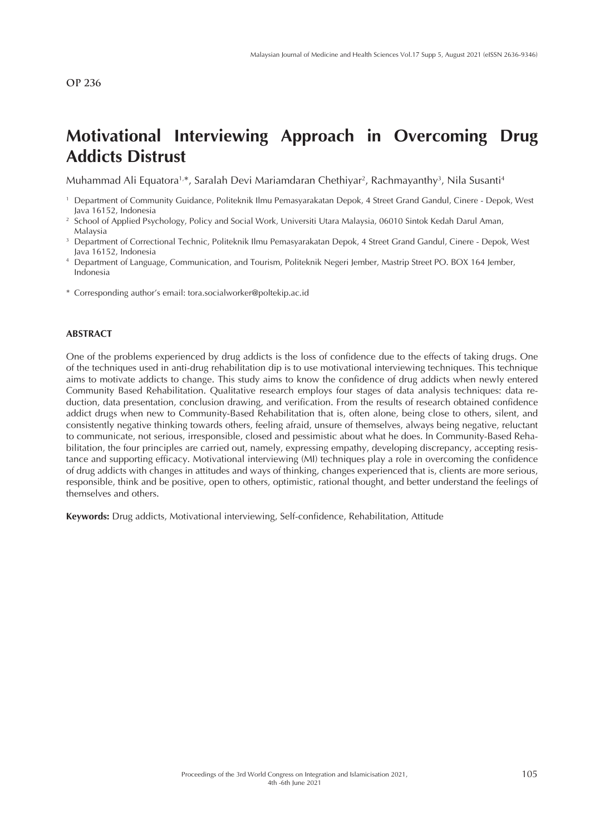# **Motivational Interviewing Approach in Overcoming Drug Addicts Distrust**

Muhammad Ali Equatora<sup>1,</sup>\*, Saralah Devi Mariamdaran Chethiyar<sup>2</sup>, Rachmayanthy<sup>3</sup>, Nila Susanti<sup>4</sup>

- Department of Community Guidance, Politeknik Ilmu Pemasyarakatan Depok, 4 Street Grand Gandul, Cinere Depok, West<br>Java 16152, Indonesia
- <sup>2</sup> School of Applied Psychology, Policy and Social Work, Universiti Utara Malaysia, 06010 Sintok Kedah Darul Aman, Malaysia
- <sup>3</sup> Department of Correctional Technic, Politeknik Ilmu Pemasyarakatan Depok, 4 Street Grand Gandul, Cinere Depok, West Java 16152, Indonesia
- <sup>4</sup> Department of Language, Communication, and Tourism, Politeknik Negeri Jember, Mastrip Street PO. BOX 164 Jember, Indonesia
- \* Corresponding author's email: tora.socialworker@poltekip.ac.id

#### **ABSTRACT**

One of the problems experienced by drug addicts is the loss of confidence due to the effects of taking drugs. One of the techniques used in anti-drug rehabilitation dip is to use motivational interviewing techniques. This technique aims to motivate addicts to change. This study aims to know the confidence of drug addicts when newly entered Community Based Rehabilitation. Qualitative research employs four stages of data analysis techniques: data reduction, data presentation, conclusion drawing, and verification. From the results of research obtained confidence addict drugs when new to Community-Based Rehabilitation that is, often alone, being close to others, silent, and consistently negative thinking towards others, feeling afraid, unsure of themselves, always being negative, reluctant to communicate, not serious, irresponsible, closed and pessimistic about what he does. In Community-Based Rehabilitation, the four principles are carried out, namely, expressing empathy, developing discrepancy, accepting resistance and supporting efficacy. Motivational interviewing (MI) techniques play a role in overcoming the confidence of drug addicts with changes in attitudes and ways of thinking, changes experienced that is, clients are more serious, responsible, think and be positive, open to others, optimistic, rational thought, and better understand the feelings of themselves and others.

**Keywords:** Drug addicts, Motivational interviewing, Self-confidence, Rehabilitation, Attitude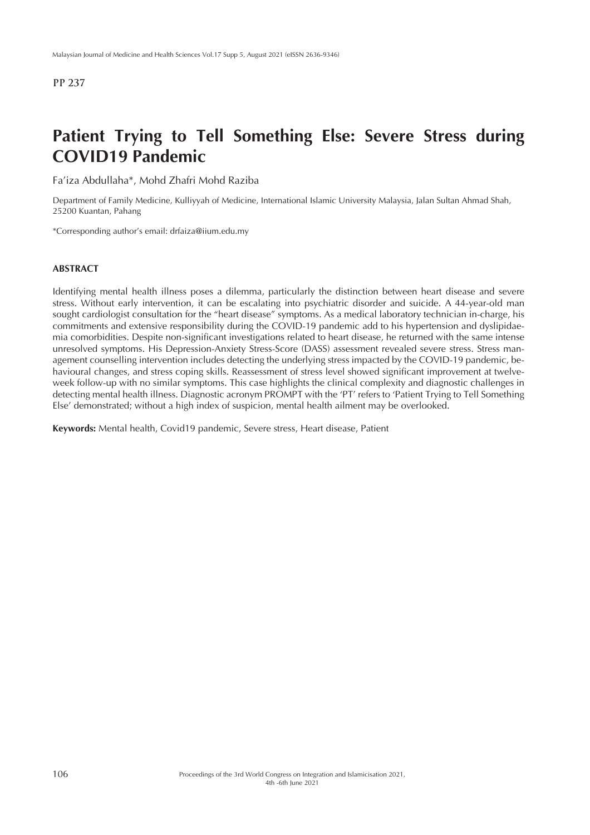# **Patient Trying to Tell Something Else: Severe Stress during COVID19 Pandemic**

Fa'iza Abdullaha\*, Mohd Zhafri Mohd Raziba

Department of Family Medicine, Kulliyyah of Medicine, International Islamic University Malaysia, Jalan Sultan Ahmad Shah, 25200 Kuantan, Pahang

\*Corresponding author's email: drfaiza@iium.edu.my

### **ABSTRACT**

Identifying mental health illness poses a dilemma, particularly the distinction between heart disease and severe stress. Without early intervention, it can be escalating into psychiatric disorder and suicide. A 44-year-old man sought cardiologist consultation for the "heart disease" symptoms. As a medical laboratory technician in-charge, his commitments and extensive responsibility during the COVID-19 pandemic add to his hypertension and dyslipidaemia comorbidities. Despite non-significant investigations related to heart disease, he returned with the same intense unresolved symptoms. His Depression-Anxiety Stress-Score (DASS) assessment revealed severe stress. Stress management counselling intervention includes detecting the underlying stress impacted by the COVID-19 pandemic, behavioural changes, and stress coping skills. Reassessment of stress level showed significant improvement at twelveweek follow-up with no similar symptoms. This case highlights the clinical complexity and diagnostic challenges in detecting mental health illness. Diagnostic acronym PROMPT with the 'PT' refers to 'Patient Trying to Tell Something Else' demonstrated; without a high index of suspicion, mental health ailment may be overlooked.

**Keywords:** Mental health, Covid19 pandemic, Severe stress, Heart disease, Patient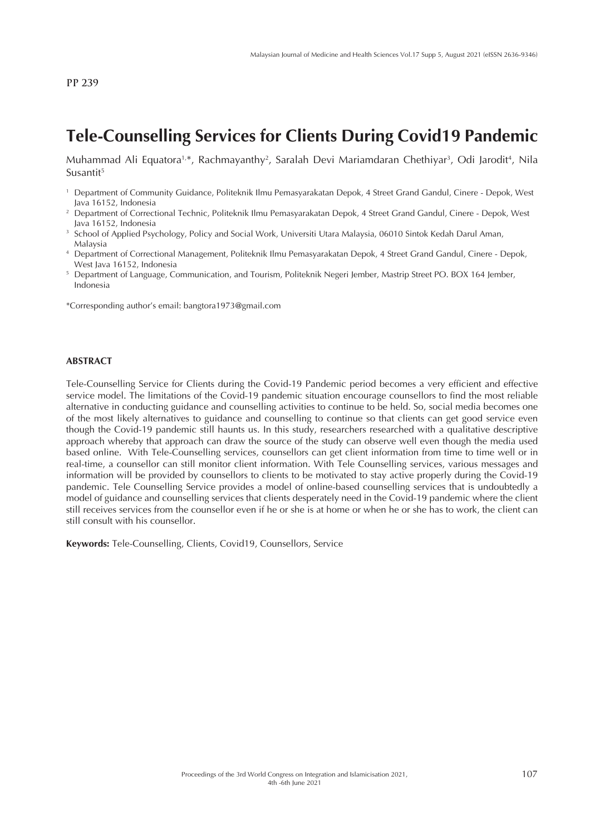# **Tele-Counselling Services for Clients During Covid19 Pandemic**

Muhammad Ali Equatora<sup>1,\*</sup>, Rachmayanthy<sup>2</sup>, Saralah Devi Mariamdaran Chethiyar<sup>3</sup>, Odi Jarodit<sup>4</sup>, Nila Susantit<sup>5</sup>

- <sup>1</sup> Department of Community Guidance, Politeknik Ilmu Pemasyarakatan Depok, 4 Street Grand Gandul, Cinere Depok, West Java 16152, Indonesia
- <sup>2</sup> Department of Correctional Technic, Politeknik Ilmu Pemasyarakatan Depok, 4 Street Grand Gandul, Cinere Depok, West Java 16152, Indonesia
- <sup>3</sup> School of Applied Psychology, Policy and Social Work, Universiti Utara Malaysia, 06010 Sintok Kedah Darul Aman, Malaysia
- <sup>4</sup> Department of Correctional Management, Politeknik Ilmu Pemasyarakatan Depok, 4 Street Grand Gandul, Cinere Depok, West Java 16152, Indonesia
- <sup>5</sup> Department of Language, Communication, and Tourism, Politeknik Negeri Jember, Mastrip Street PO. BOX 164 Jember, Indonesia

\*Corresponding author's email: bangtora1973@gmail.com

#### **ABSTRACT**

Tele-Counselling Service for Clients during the Covid-19 Pandemic period becomes a very efficient and effective service model. The limitations of the Covid-19 pandemic situation encourage counsellors to find the most reliable alternative in conducting guidance and counselling activities to continue to be held. So, social media becomes one of the most likely alternatives to guidance and counselling to continue so that clients can get good service even though the Covid-19 pandemic still haunts us. In this study, researchers researched with a qualitative descriptive approach whereby that approach can draw the source of the study can observe well even though the media used based online. With Tele-Counselling services, counsellors can get client information from time to time well or in real-time, a counsellor can still monitor client information. With Tele Counselling services, various messages and information will be provided by counsellors to clients to be motivated to stay active properly during the Covid-19 pandemic. Tele Counselling Service provides a model of online-based counselling services that is undoubtedly a model of guidance and counselling services that clients desperately need in the Covid-19 pandemic where the client still receives services from the counsellor even if he or she is at home or when he or she has to work, the client can still consult with his counsellor.

**Keywords:** Tele-Counselling, Clients, Covid19, Counsellors, Service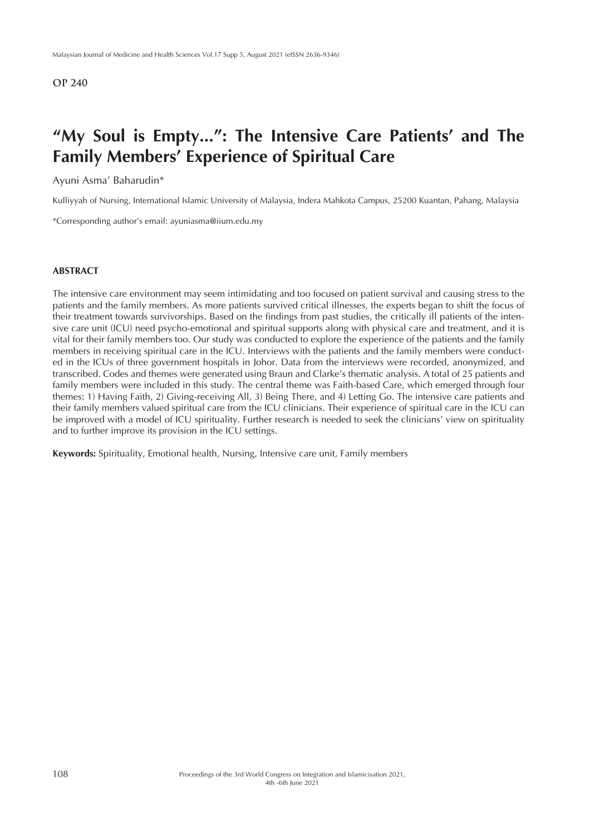## **"My Soul is Empty...": The Intensive Care Patients' and The Family Members' Experience of Spiritual Care**

### Ayuni Asma' Baharudin\*

Kulliyyah of Nursing, International Islamic University of Malaysia, Indera Mahkota Campus, 25200 Kuantan, Pahang, Malaysia

\*Corresponding author's email: ayuniasma@iium.edu.my

#### **ABSTRACT**

The intensive care environment may seem intimidating and too focused on patient survival and causing stress to the patients and the family members. As more patients survived critical illnesses, the experts began to shift the focus of their treatment towards survivorships. Based on the findings from past studies, the critically ill patients of the intensive care unit (ICU) need psycho-emotional and spiritual supports along with physical care and treatment, and it is vital for their family members too. Our study was conducted to explore the experience of the patients and the family members in receiving spiritual care in the ICU. Interviews with the patients and the family members were conducted in the ICUs of three government hospitals in Johor. Data from the interviews were recorded, anonymized, and transcribed. Codes and themes were generated using Braun and Clarke's thematic analysis. A total of 25 patients and family members were included in this study. The central theme was Faith-based Care, which emerged through four themes: 1) Having Faith, 2) Giving-receiving All, 3) Being There, and 4) Letting Go. The intensive care patients and their family members valued spiritual care from the ICU clinicians. Their experience of spiritual care in the ICU can be improved with a model of ICU spirituality. Further research is needed to seek the clinicians' view on spirituality and to further improve its provision in the ICU settings.

**Keywords:** Spirituality, Emotional health, Nursing, Intensive care unit, Family members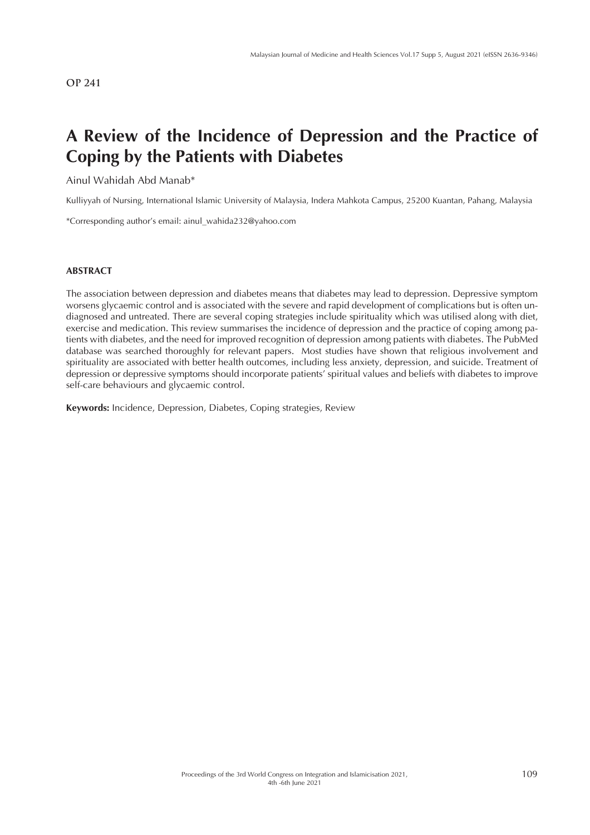# **A Review of the Incidence of Depression and the Practice of Coping by the Patients with Diabetes**

## Ainul Wahidah Abd Manab\*

Kulliyyah of Nursing, International Islamic University of Malaysia, Indera Mahkota Campus, 25200 Kuantan, Pahang, Malaysia

\*Corresponding author's email: ainul\_wahida232@yahoo.com

#### **ABSTRACT**

The association between depression and diabetes means that diabetes may lead to depression. Depressive symptom worsens glycaemic control and is associated with the severe and rapid development of complications but is often undiagnosed and untreated. There are several coping strategies include spirituality which was utilised along with diet, exercise and medication. This review summarises the incidence of depression and the practice of coping among patients with diabetes, and the need for improved recognition of depression among patients with diabetes. The PubMed database was searched thoroughly for relevant papers. Most studies have shown that religious involvement and spirituality are associated with better health outcomes, including less anxiety, depression, and suicide. Treatment of depression or depressive symptoms should incorporate patients' spiritual values and beliefs with diabetes to improve self-care behaviours and glycaemic control.

**Keywords:** Incidence, Depression, Diabetes, Coping strategies, Review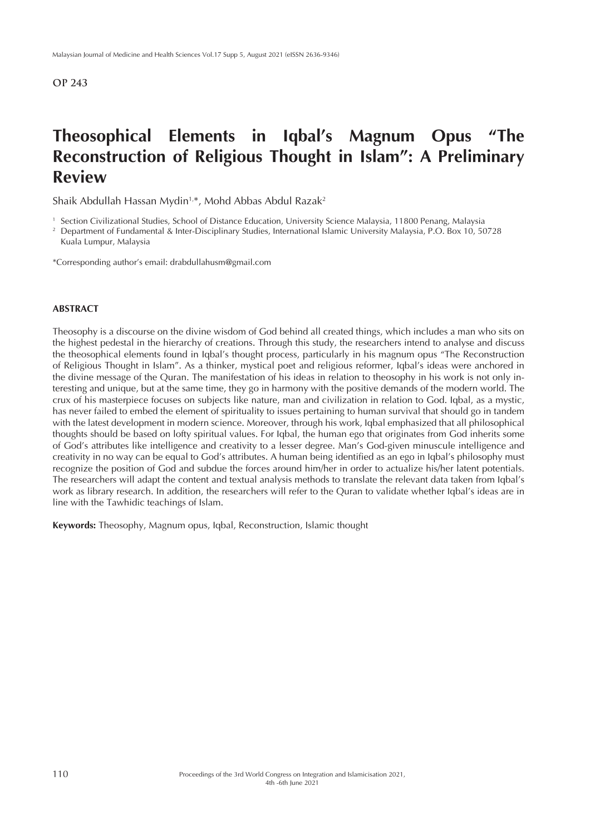# **Theosophical Elements in Iqbal's Magnum Opus "The Reconstruction of Religious Thought in Islam": A Preliminary Review**

Shaik Abdullah Hassan Mydin<sup>1,\*</sup>, Mohd Abbas Abdul Razak<sup>2</sup>

<sup>1</sup> Section Civilizational Studies, School of Distance Education, University Science Malaysia, 11800 Penang, Malaysia

<sup>2</sup> Department of Fundamental & Inter-Disciplinary Studies, International Islamic University Malaysia, P.O. Box 10, 50728 Kuala Lumpur, Malaysia

\*Corresponding author's email: drabdullahusm@gmail.com

#### **ABSTRACT**

Theosophy is a discourse on the divine wisdom of God behind all created things, which includes a man who sits on the highest pedestal in the hierarchy of creations. Through this study, the researchers intend to analyse and discuss the theosophical elements found in Iqbal's thought process, particularly in his magnum opus "The Reconstruction of Religious Thought in Islam". As a thinker, mystical poet and religious reformer, Iqbal's ideas were anchored in the divine message of the Quran. The manifestation of his ideas in relation to theosophy in his work is not only interesting and unique, but at the same time, they go in harmony with the positive demands of the modern world. The crux of his masterpiece focuses on subjects like nature, man and civilization in relation to God. Iqbal, as a mystic, has never failed to embed the element of spirituality to issues pertaining to human survival that should go in tandem with the latest development in modern science. Moreover, through his work, Iqbal emphasized that all philosophical thoughts should be based on lofty spiritual values. For Iqbal, the human ego that originates from God inherits some of God's attributes like intelligence and creativity to a lesser degree. Man's God-given minuscule intelligence and creativity in no way can be equal to God's attributes. A human being identified as an ego in Iqbal's philosophy must recognize the position of God and subdue the forces around him/her in order to actualize his/her latent potentials. The researchers will adapt the content and textual analysis methods to translate the relevant data taken from Iqbal's work as library research. In addition, the researchers will refer to the Quran to validate whether Iqbal's ideas are in line with the Tawhidic teachings of Islam.

**Keywords:** Theosophy, Magnum opus, Iqbal, Reconstruction, Islamic thought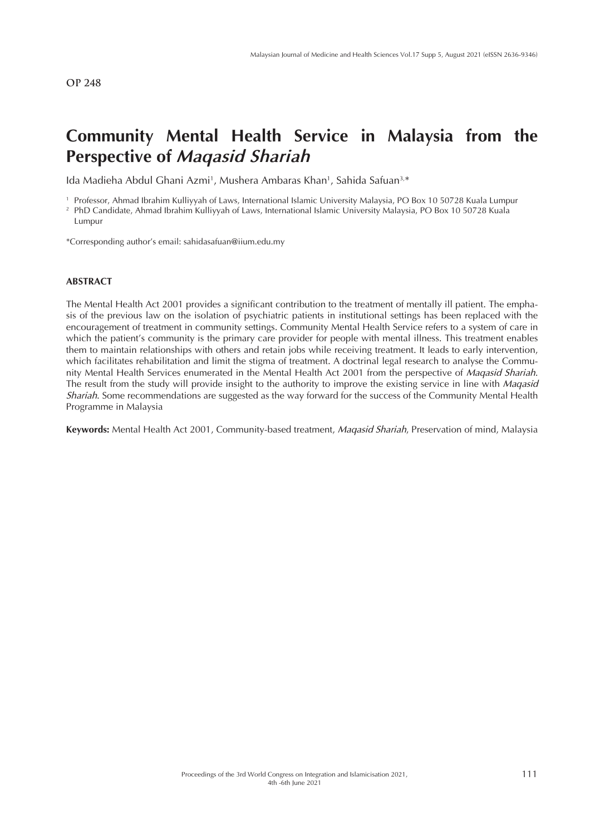## **Community Mental Health Service in Malaysia from the Perspective of** *Maqasid Shariah*

Ida Madieha Abdul Ghani Azmi<sup>1</sup>, Mushera Ambaras Khan<sup>1</sup>, Sahida Safuan<sup>3,\*</sup>

<sup>1</sup> Professor, Ahmad Ibrahim Kulliyyah of Laws, International Islamic University Malaysia, PO Box 10 50728 Kuala Lumpur <sup>2</sup> PhD Candidate, Ahmad Ibrahim Kulliyyah of Laws, International Islamic University Malaysia, PO Box 10 50728 Kuala Lumpur

\*Corresponding author's email: sahidasafuan@iium.edu.my

### **ABSTRACT**

The Mental Health Act 2001 provides a significant contribution to the treatment of mentally ill patient. The emphasis of the previous law on the isolation of psychiatric patients in institutional settings has been replaced with the encouragement of treatment in community settings. Community Mental Health Service refers to a system of care in which the patient's community is the primary care provider for people with mental illness. This treatment enables them to maintain relationships with others and retain jobs while receiving treatment. It leads to early intervention, which facilitates rehabilitation and limit the stigma of treatment. A doctrinal legal research to analyse the Community Mental Health Services enumerated in the Mental Health Act 2001 from the perspective of *Maqasid Shariah*. The result from the study will provide insight to the authority to improve the existing service in line with *Maqasid Shariah*. Some recommendations are suggested as the way forward for the success of the Community Mental Health Programme in Malaysia

**Keywords:** Mental Health Act 2001, Community-based treatment, *Maqasid Shariah*, Preservation of mind, Malaysia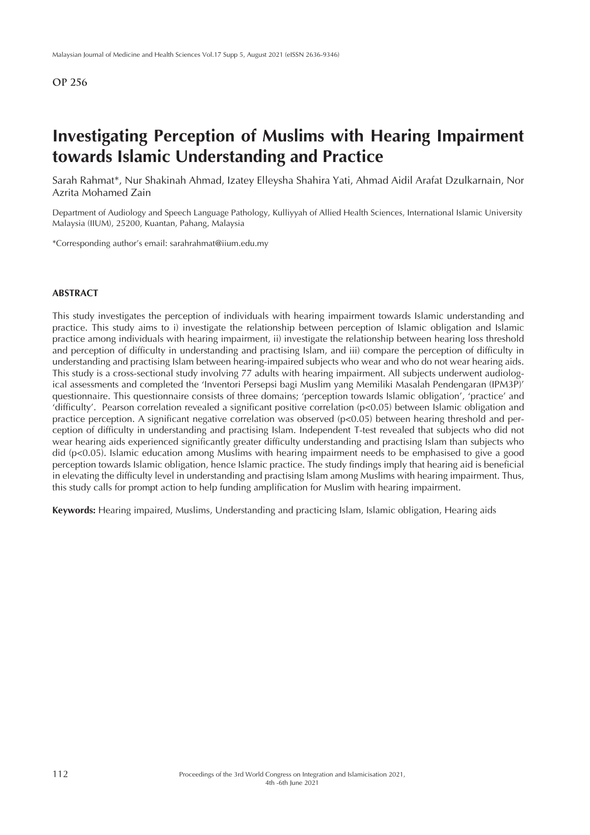# **Investigating Perception of Muslims with Hearing Impairment towards Islamic Understanding and Practice**

Sarah Rahmat\*, Nur Shakinah Ahmad, Izatey Elleysha Shahira Yati, Ahmad Aidil Arafat Dzulkarnain, Nor Azrita Mohamed Zain

Department of Audiology and Speech Language Pathology, Kulliyyah of Allied Health Sciences, International Islamic University Malaysia (IIUM), 25200, Kuantan, Pahang, Malaysia

\*Corresponding author's email: sarahrahmat@iium.edu.my

### **ABSTRACT**

This study investigates the perception of individuals with hearing impairment towards Islamic understanding and practice. This study aims to i) investigate the relationship between perception of Islamic obligation and Islamic practice among individuals with hearing impairment, ii) investigate the relationship between hearing loss threshold and perception of difficulty in understanding and practising Islam, and iii) compare the perception of difficulty in understanding and practising Islam between hearing-impaired subjects who wear and who do not wear hearing aids. This study is a cross-sectional study involving 77 adults with hearing impairment. All subjects underwent audiological assessments and completed the 'Inventori Persepsi bagi Muslim yang Memiliki Masalah Pendengaran (IPM3P)' questionnaire. This questionnaire consists of three domains; 'perception towards Islamic obligation', 'practice' and 'difficulty'. Pearson correlation revealed a significant positive correlation (p<0.05) between Islamic obligation and practice perception. A significant negative correlation was observed (p<0.05) between hearing threshold and perception of difficulty in understanding and practising Islam. Independent T-test revealed that subjects who did not wear hearing aids experienced significantly greater difficulty understanding and practising Islam than subjects who did (p<0.05). Islamic education among Muslims with hearing impairment needs to be emphasised to give a good perception towards Islamic obligation, hence Islamic practice. The study findings imply that hearing aid is beneficial in elevating the difficulty level in understanding and practising Islam among Muslims with hearing impairment. Thus, this study calls for prompt action to help funding amplification for Muslim with hearing impairment.

**Keywords:** Hearing impaired, Muslims, Understanding and practicing Islam, Islamic obligation, Hearing aids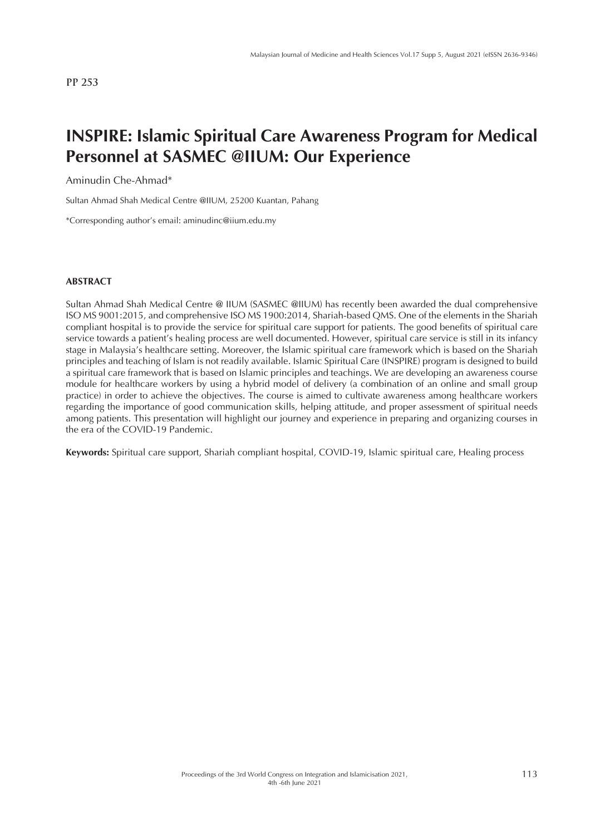# **INSPIRE: Islamic Spiritual Care Awareness Program for Medical Personnel at SASMEC @IIUM: Our Experience**

Aminudin Che-Ahmad\*

Sultan Ahmad Shah Medical Centre @IIUM, 25200 Kuantan, Pahang

\*Corresponding author's email: aminudinc@iium.edu.my

#### **ABSTRACT**

Sultan Ahmad Shah Medical Centre @ IIUM (SASMEC @IIUM) has recently been awarded the dual comprehensive ISO MS 9001:2015, and comprehensive ISO MS 1900:2014, Shariah-based QMS. One of the elements in the Shariah compliant hospital is to provide the service for spiritual care support for patients. The good benefits of spiritual care service towards a patient's healing process are well documented. However, spiritual care service is still in its infancy stage in Malaysia's healthcare setting. Moreover, the Islamic spiritual care framework which is based on the Shariah principles and teaching of Islam is not readily available. Islamic Spiritual Care (INSPIRE) program is designed to build a spiritual care framework that is based on Islamic principles and teachings. We are developing an awareness course module for healthcare workers by using a hybrid model of delivery (a combination of an online and small group practice) in order to achieve the objectives. The course is aimed to cultivate awareness among healthcare workers regarding the importance of good communication skills, helping attitude, and proper assessment of spiritual needs among patients. This presentation will highlight our journey and experience in preparing and organizing courses in the era of the COVID-19 Pandemic.

**Keywords:** Spiritual care support, Shariah compliant hospital, COVID-19, Islamic spiritual care, Healing process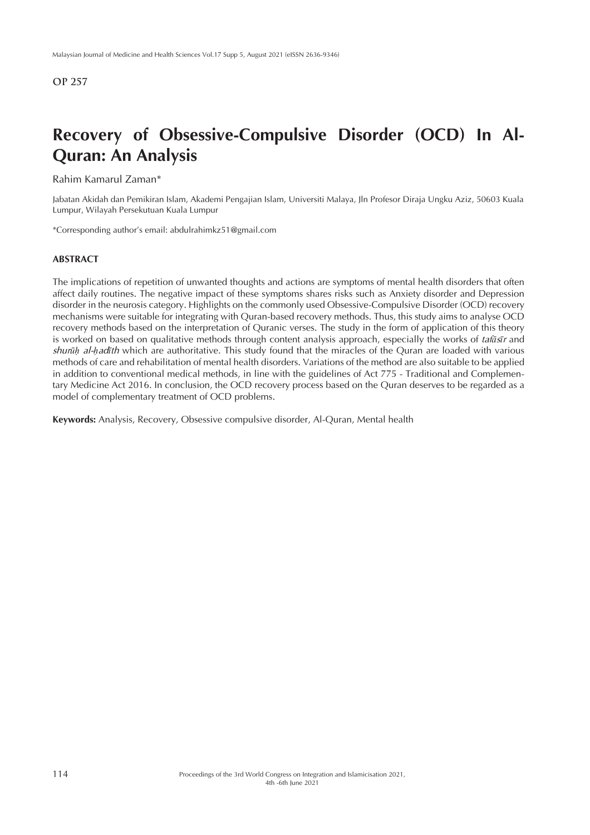# **Recovery of Obsessive-Compulsive Disorder (OCD) In Al-Quran: An Analysis**

Rahim Kamarul Zaman\*

Jabatan Akidah dan Pemikiran Islam, Akademi Pengajian Islam, Universiti Malaya, Jln Profesor Diraja Ungku Aziz, 50603 Kuala Lumpur, Wilayah Persekutuan Kuala Lumpur

\*Corresponding author's email: abdulrahimkz51@gmail.com

#### **ABSTRACT**

The implications of repetition of unwanted thoughts and actions are symptoms of mental health disorders that often affect daily routines. The negative impact of these symptoms shares risks such as Anxiety disorder and Depression disorder in the neurosis category. Highlights on the commonly used Obsessive-Compulsive Disorder (OCD) recovery mechanisms were suitable for integrating with Quran-based recovery methods. Thus, this study aims to analyse OCD recovery methods based on the interpretation of Quranic verses. The study in the form of application of this theory is worked on based on qualitative methods through content analysis approach, especially the works of *tafāsīr* and *shurūḥ al-ḥadīth* which are authoritative. This study found that the miracles of the Quran are loaded with various methods of care and rehabilitation of mental health disorders. Variations of the method are also suitable to be applied in addition to conventional medical methods, in line with the guidelines of Act 775 - Traditional and Complementary Medicine Act 2016. In conclusion, the OCD recovery process based on the Quran deserves to be regarded as a model of complementary treatment of OCD problems.

**Keywords:** Analysis, Recovery, Obsessive compulsive disorder, Al-Quran, Mental health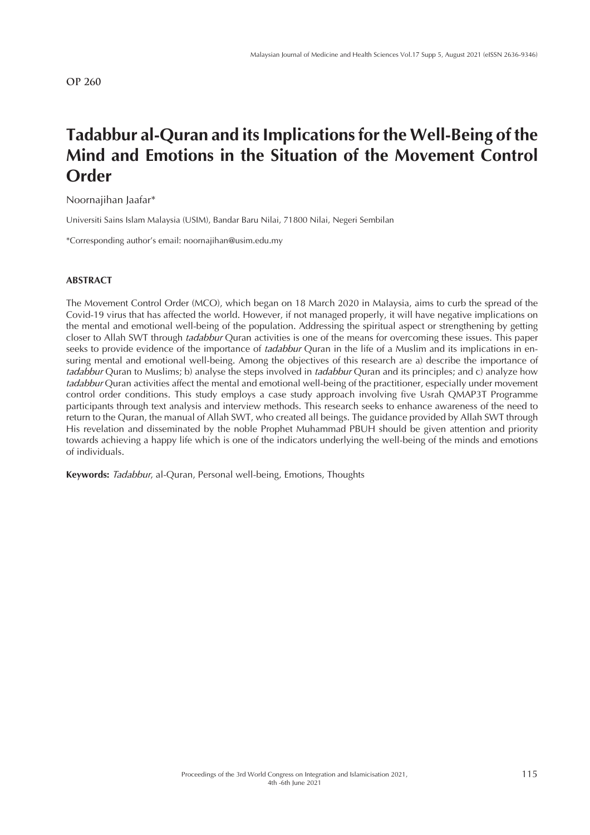# **Tadabbur al-Quran and its Implications for the Well-Being of the Mind and Emotions in the Situation of the Movement Control Order**

Noornajihan Jaafar\*

Universiti Sains Islam Malaysia (USIM), Bandar Baru Nilai, 71800 Nilai, Negeri Sembilan

\*Corresponding author's email: noornajihan@usim.edu.my

#### **ABSTRACT**

The Movement Control Order (MCO), which began on 18 March 2020 in Malaysia, aims to curb the spread of the Covid-19 virus that has affected the world. However, if not managed properly, it will have negative implications on the mental and emotional well-being of the population. Addressing the spiritual aspect or strengthening by getting closer to Allah SWT through *tadabbur* Quran activities is one of the means for overcoming these issues. This paper seeks to provide evidence of the importance of *tadabbur* Quran in the life of a Muslim and its implications in ensuring mental and emotional well-being. Among the objectives of this research are a) describe the importance of *tadabbur* Quran to Muslims; b) analyse the steps involved in *tadabbur* Quran and its principles; and c) analyze how *tadabbur* Quran activities affect the mental and emotional well-being of the practitioner, especially under movement control order conditions. This study employs a case study approach involving five Usrah QMAP3T Programme participants through text analysis and interview methods. This research seeks to enhance awareness of the need to return to the Quran, the manual of Allah SWT, who created all beings. The guidance provided by Allah SWT through His revelation and disseminated by the noble Prophet Muhammad PBUH should be given attention and priority towards achieving a happy life which is one of the indicators underlying the well-being of the minds and emotions of individuals.

**Keywords:** *Tadabbur*, al-Quran, Personal well-being, Emotions, Thoughts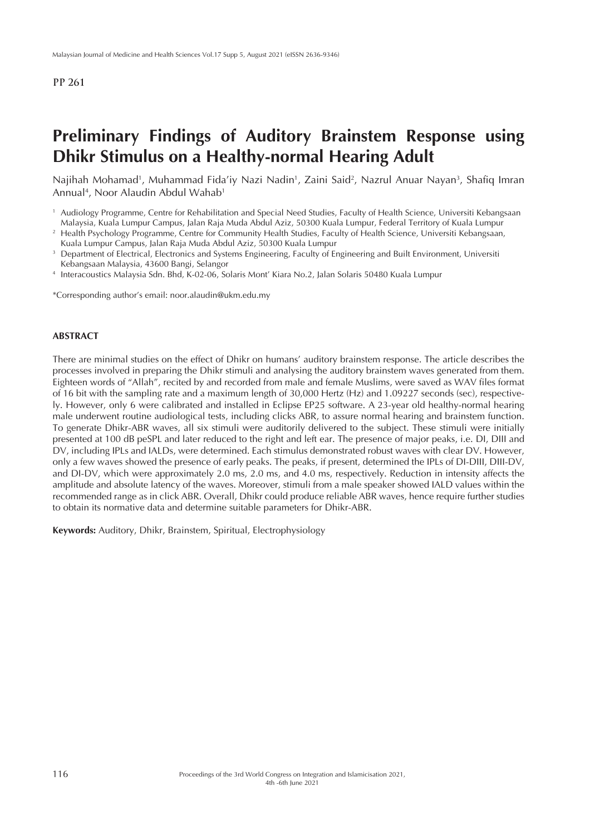# **Preliminary Findings of Auditory Brainstem Response using Dhikr Stimulus on a Healthy-normal Hearing Adult**

Najihah Mohamad<sup>1</sup>, Muhammad Fida'iy Nazi Nadin<sup>1</sup>, Zaini Said<sup>2</sup>, Nazrul Anuar Nayan<sup>3</sup>, Shafiq Imran Annual<sup>4</sup>, Noor Alaudin Abdul Wahab<sup>1</sup>

\*Corresponding author's email: noor.alaudin@ukm.edu.my

#### **ABSTRACT**

There are minimal studies on the effect of Dhikr on humans' auditory brainstem response. The article describes the processes involved in preparing the Dhikr stimuli and analysing the auditory brainstem waves generated from them. Eighteen words of "Allah", recited by and recorded from male and female Muslims, were saved as WAV files format of 16 bit with the sampling rate and a maximum length of 30,000 Hertz (Hz) and 1.09227 seconds (sec), respectively. However, only 6 were calibrated and installed in Eclipse EP25 software. A 23-year old healthy-normal hearing male underwent routine audiological tests, including clicks ABR, to assure normal hearing and brainstem function. To generate Dhikr-ABR waves, all six stimuli were auditorily delivered to the subject. These stimuli were initially presented at 100 dB peSPL and later reduced to the right and left ear. The presence of major peaks, i.e. DI, DIII and DV, including IPLs and IALDs, were determined. Each stimulus demonstrated robust waves with clear DV. However, only a few waves showed the presence of early peaks. The peaks, if present, determined the IPLs of DI-DIII, DIII-DV, and DI-DV, which were approximately 2.0 ms, 2.0 ms, and 4.0 ms, respectively. Reduction in intensity affects the amplitude and absolute latency of the waves. Moreover, stimuli from a male speaker showed IALD values within the recommended range as in click ABR. Overall, Dhikr could produce reliable ABR waves, hence require further studies to obtain its normative data and determine suitable parameters for Dhikr-ABR.

**Keywords:** Auditory, Dhikr, Brainstem, Spiritual, Electrophysiology

<sup>1</sup> Audiology Programme, Centre for Rehabilitation and Special Need Studies, Faculty of Health Science, Universiti Kebangsaan Malaysia, Kuala Lumpur Campus, Jalan Raja Muda Abdul Aziz, 50300 Kuala Lumpur, Federal Territory of Kuala Lumpur

<sup>&</sup>lt;sup>2</sup> Health Psychology Programme, Centre for Community Health Studies, Faculty of Health Science, Universiti Kebangsaan, Kuala Lumpur Campus, Jalan Raja Muda Abdul Aziz, 50300 Kuala Lumpur

<sup>&</sup>lt;sup>3</sup> Department of Electrical, Electronics and Systems Engineering, Faculty of Engineering and Built Environment, Universiti Kebangsaan Malaysia, 43600 Bangi, Selangor

<sup>4</sup> Interacoustics Malaysia Sdn. Bhd, K-02-06, Solaris Mont' Kiara No.2, Jalan Solaris 50480 Kuala Lumpur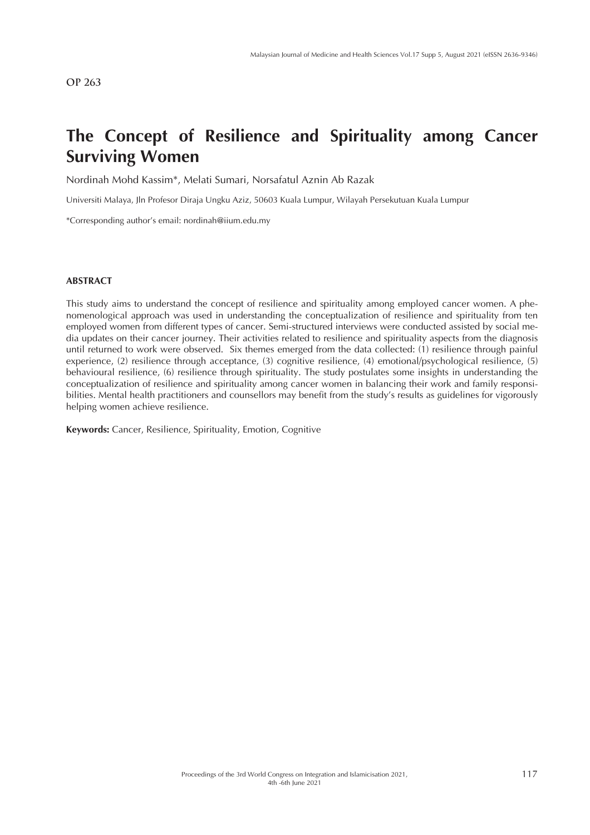# **The Concept of Resilience and Spirituality among Cancer Surviving Women**

Nordinah Mohd Kassim\*, Melati Sumari, Norsafatul Aznin Ab Razak

Universiti Malaya, Jln Profesor Diraja Ungku Aziz, 50603 Kuala Lumpur, Wilayah Persekutuan Kuala Lumpur

\*Corresponding author's email: nordinah@iium.edu.my

#### **ABSTRACT**

This study aims to understand the concept of resilience and spirituality among employed cancer women. A phenomenological approach was used in understanding the conceptualization of resilience and spirituality from ten employed women from different types of cancer. Semi-structured interviews were conducted assisted by social media updates on their cancer journey. Their activities related to resilience and spirituality aspects from the diagnosis until returned to work were observed. Six themes emerged from the data collected: (1) resilience through painful experience, (2) resilience through acceptance, (3) cognitive resilience, (4) emotional/psychological resilience, (5) behavioural resilience, (6) resilience through spirituality. The study postulates some insights in understanding the conceptualization of resilience and spirituality among cancer women in balancing their work and family responsibilities. Mental health practitioners and counsellors may benefit from the study's results as guidelines for vigorously helping women achieve resilience.

**Keywords:** Cancer, Resilience, Spirituality, Emotion, Cognitive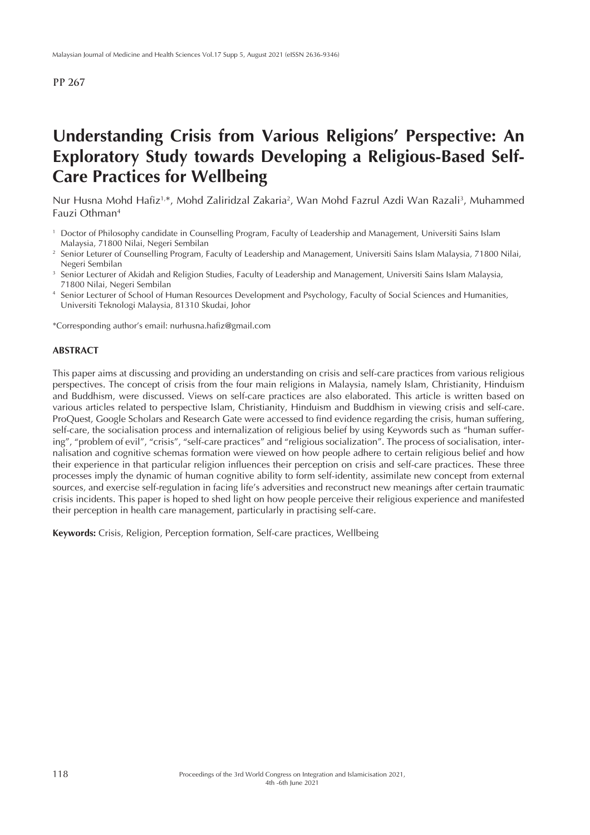# **Understanding Crisis from Various Religions' Perspective: An Exploratory Study towards Developing a Religious-Based Self-Care Practices for Wellbeing**

Nur Husna Mohd Hafiz<sup>1,\*</sup>, Mohd Zaliridzal Zakaria<sup>2</sup>, Wan Mohd Fazrul Azdi Wan Razali<sup>3</sup>, Muhammed Fauzi Othman4

- <sup>1</sup> Doctor of Philosophy candidate in Counselling Program, Faculty of Leadership and Management, Universiti Sains Islam Malaysia, 71800 Nilai, Negeri Sembilan
- <sup>2</sup> Senior Leturer of Counselling Program, Faculty of Leadership and Management, Universiti Sains Islam Malaysia, 71800 Nilai, Negeri Sembilan
- <sup>3</sup> Senior Lecturer of Akidah and Religion Studies, Faculty of Leadership and Management, Universiti Sains Islam Malaysia, 71800 Nilai, Negeri Sembilan
- Senior Lecturer of School of Human Resources Development and Psychology, Faculty of Social Sciences and Humanities, Universiti Teknologi Malaysia, 81310 Skudai, Johor

\*Corresponding author's email: nurhusna.hafiz@gmail.com

#### **ABSTRACT**

This paper aims at discussing and providing an understanding on crisis and self-care practices from various religious perspectives. The concept of crisis from the four main religions in Malaysia, namely Islam, Christianity, Hinduism and Buddhism, were discussed. Views on self-care practices are also elaborated. This article is written based on various articles related to perspective Islam, Christianity, Hinduism and Buddhism in viewing crisis and self-care. ProQuest, Google Scholars and Research Gate were accessed to find evidence regarding the crisis, human suffering, self-care, the socialisation process and internalization of religious belief by using Keywords such as "human suffering", "problem of evil", "crisis", "self-care practices" and "religious socialization". The process of socialisation, internalisation and cognitive schemas formation were viewed on how people adhere to certain religious belief and how their experience in that particular religion influences their perception on crisis and self-care practices. These three processes imply the dynamic of human cognitive ability to form self-identity, assimilate new concept from external sources, and exercise self-regulation in facing life's adversities and reconstruct new meanings after certain traumatic crisis incidents. This paper is hoped to shed light on how people perceive their religious experience and manifested their perception in health care management, particularly in practising self-care.

**Keywords:** Crisis, Religion, Perception formation, Self-care practices, Wellbeing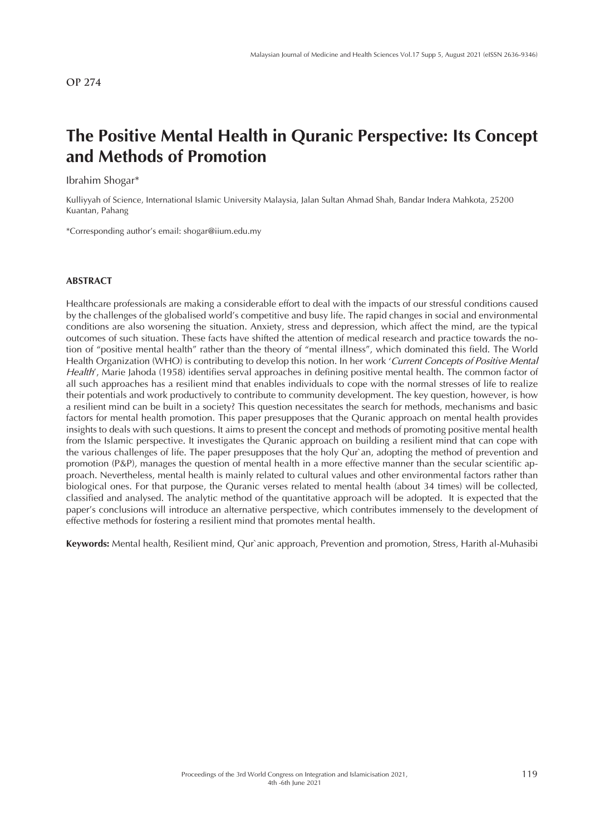# **The Positive Mental Health in Quranic Perspective: Its Concept and Methods of Promotion**

Ibrahim Shogar\*

Kulliyyah of Science, International Islamic University Malaysia, Jalan Sultan Ahmad Shah, Bandar Indera Mahkota, 25200 Kuantan, Pahang

\*Corresponding author's email: shogar@iium.edu.my

### **ABSTRACT**

Healthcare professionals are making a considerable effort to deal with the impacts of our stressful conditions caused by the challenges of the globalised world's competitive and busy life. The rapid changes in social and environmental conditions are also worsening the situation. Anxiety, stress and depression, which affect the mind, are the typical outcomes of such situation. These facts have shifted the attention of medical research and practice towards the notion of "positive mental health" rather than the theory of "mental illness", which dominated this field. The World Health Organization (WHO) is contributing to develop this notion. In her work '*Current Concepts of Positive Mental Health*', Marie Jahoda (1958) identifies serval approaches in defining positive mental health. The common factor of all such approaches has a resilient mind that enables individuals to cope with the normal stresses of life to realize their potentials and work productively to contribute to community development. The key question, however, is how a resilient mind can be built in a society? This question necessitates the search for methods, mechanisms and basic factors for mental health promotion. This paper presupposes that the Quranic approach on mental health provides insights to deals with such questions. It aims to present the concept and methods of promoting positive mental health from the Islamic perspective. It investigates the Quranic approach on building a resilient mind that can cope with the various challenges of life. The paper presupposes that the holy Qur`an, adopting the method of prevention and promotion (P&P), manages the question of mental health in a more effective manner than the secular scientific approach. Nevertheless, mental health is mainly related to cultural values and other environmental factors rather than biological ones. For that purpose, the Quranic verses related to mental health (about 34 times) will be collected, classified and analysed. The analytic method of the quantitative approach will be adopted. It is expected that the paper's conclusions will introduce an alternative perspective, which contributes immensely to the development of effective methods for fostering a resilient mind that promotes mental health.

**Keywords:** Mental health, Resilient mind, Qur`anic approach, Prevention and promotion, Stress, Harith al-Muhasibi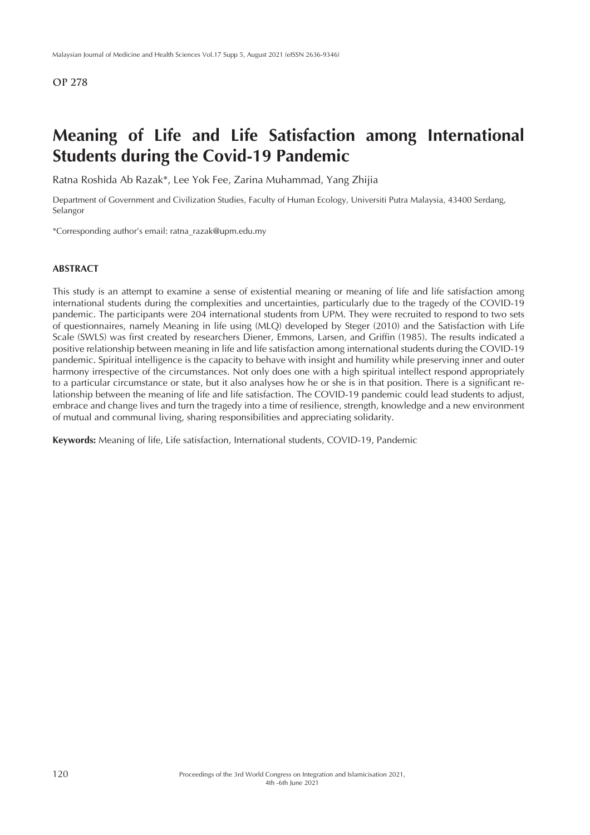## **Meaning of Life and Life Satisfaction among International Students during the Covid-19 Pandemic**

Ratna Roshida Ab Razak\*, Lee Yok Fee, Zarina Muhammad, Yang Zhijia

Department of Government and Civilization Studies, Faculty of Human Ecology, Universiti Putra Malaysia, 43400 Serdang, Selangor

\*Corresponding author's email: ratna\_razak@upm.edu.my

### **ABSTRACT**

This study is an attempt to examine a sense of existential meaning or meaning of life and life satisfaction among international students during the complexities and uncertainties, particularly due to the tragedy of the COVID-19 pandemic. The participants were 204 international students from UPM. They were recruited to respond to two sets of questionnaires, namely Meaning in life using (MLQ) developed by Steger (2010) and the Satisfaction with Life Scale (SWLS) was first created by researchers Diener, Emmons, Larsen, and Griffin (1985). The results indicated a positive relationship between meaning in life and life satisfaction among international students during the COVID-19 pandemic. Spiritual intelligence is the capacity to behave with insight and humility while preserving inner and outer harmony irrespective of the circumstances. Not only does one with a high spiritual intellect respond appropriately to a particular circumstance or state, but it also analyses how he or she is in that position. There is a significant relationship between the meaning of life and life satisfaction. The COVID-19 pandemic could lead students to adjust, embrace and change lives and turn the tragedy into a time of resilience, strength, knowledge and a new environment of mutual and communal living, sharing responsibilities and appreciating solidarity.

**Keywords:** Meaning of life, Life satisfaction, International students, COVID-19, Pandemic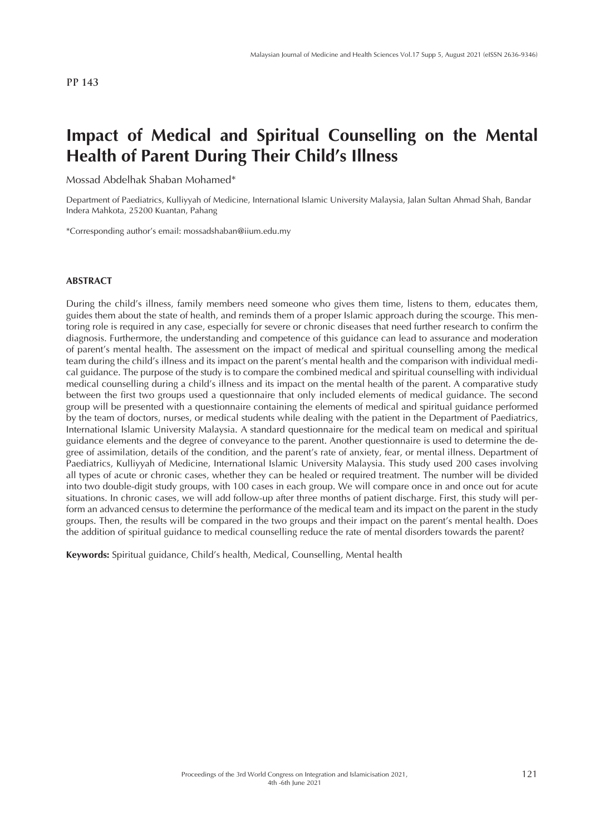# **Impact of Medical and Spiritual Counselling on the Mental Health of Parent During Their Child's Illness**

Mossad Abdelhak Shaban Mohamed\*

Department of Paediatrics, Kulliyyah of Medicine, International Islamic University Malaysia, Jalan Sultan Ahmad Shah, Bandar Indera Mahkota, 25200 Kuantan, Pahang

\*Corresponding author's email: mossadshaban@iium.edu.my

#### **ABSTRACT**

During the child's illness, family members need someone who gives them time, listens to them, educates them, guides them about the state of health, and reminds them of a proper Islamic approach during the scourge. This mentoring role is required in any case, especially for severe or chronic diseases that need further research to confirm the diagnosis. Furthermore, the understanding and competence of this guidance can lead to assurance and moderation of parent's mental health. The assessment on the impact of medical and spiritual counselling among the medical team during the child's illness and its impact on the parent's mental health and the comparison with individual medical guidance. The purpose of the study is to compare the combined medical and spiritual counselling with individual medical counselling during a child's illness and its impact on the mental health of the parent. A comparative study between the first two groups used a questionnaire that only included elements of medical guidance. The second group will be presented with a questionnaire containing the elements of medical and spiritual guidance performed by the team of doctors, nurses, or medical students while dealing with the patient in the Department of Paediatrics, International Islamic University Malaysia. A standard questionnaire for the medical team on medical and spiritual guidance elements and the degree of conveyance to the parent. Another questionnaire is used to determine the degree of assimilation, details of the condition, and the parent's rate of anxiety, fear, or mental illness. Department of Paediatrics, Kulliyyah of Medicine, International Islamic University Malaysia. This study used 200 cases involving all types of acute or chronic cases, whether they can be healed or required treatment. The number will be divided into two double-digit study groups, with 100 cases in each group. We will compare once in and once out for acute situations. In chronic cases, we will add follow-up after three months of patient discharge. First, this study will perform an advanced census to determine the performance of the medical team and its impact on the parent in the study groups. Then, the results will be compared in the two groups and their impact on the parent's mental health. Does the addition of spiritual guidance to medical counselling reduce the rate of mental disorders towards the parent?

**Keywords:** Spiritual guidance, Child's health, Medical, Counselling, Mental health